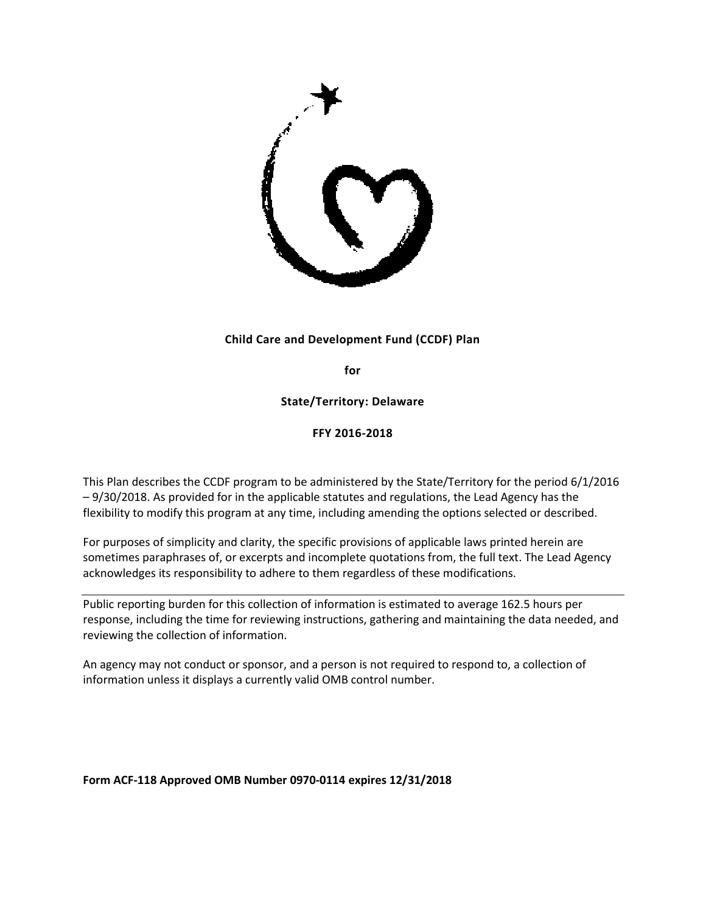

# **Child Care and Development Fund (CCDF) Plan**

**for**

**State/Territory: Delaware**

## **FFY 2016-2018**

This Plan describes the CCDF program to be administered by the State/Territory for the period 6/1/2016 – 9/30/2018. As provided for in the applicable statutes and regulations, the Lead Agency has the flexibility to modify this program at any time, including amending the options selected or described.

For purposes of simplicity and clarity, the specific provisions of applicable laws printed herein are sometimes paraphrases of, or excerpts and incomplete quotations from, the full text. The Lead Agency acknowledges its responsibility to adhere to them regardless of these modifications.

Public reporting burden for this collection of information is estimated to average 162.5 hours per response, including the time for reviewing instructions, gathering and maintaining the data needed, and reviewing the collection of information.

An agency may not conduct or sponsor, and a person is not required to respond to, a collection of information unless it displays a currently valid OMB control number.

## **Form ACF-118 Approved OMB Number 0970-0114 expires 12/31/2018**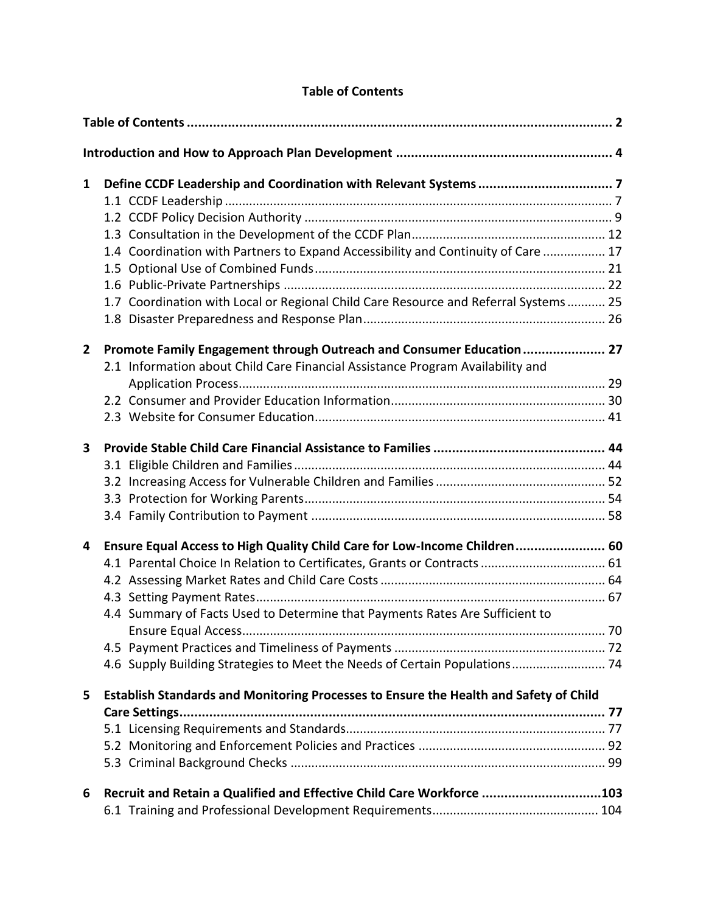# **Table of Contents**

| 1              |                                                                                       |  |  |  |
|----------------|---------------------------------------------------------------------------------------|--|--|--|
|                |                                                                                       |  |  |  |
|                |                                                                                       |  |  |  |
|                |                                                                                       |  |  |  |
|                | 1.4 Coordination with Partners to Expand Accessibility and Continuity of Care  17     |  |  |  |
|                |                                                                                       |  |  |  |
|                |                                                                                       |  |  |  |
|                | 1.7 Coordination with Local or Regional Child Care Resource and Referral Systems 25   |  |  |  |
| $\overline{2}$ | Promote Family Engagement through Outreach and Consumer Education  27                 |  |  |  |
|                | 2.1 Information about Child Care Financial Assistance Program Availability and        |  |  |  |
|                |                                                                                       |  |  |  |
|                |                                                                                       |  |  |  |
|                |                                                                                       |  |  |  |
| 3              |                                                                                       |  |  |  |
|                |                                                                                       |  |  |  |
|                |                                                                                       |  |  |  |
|                |                                                                                       |  |  |  |
|                |                                                                                       |  |  |  |
| 4              | Ensure Equal Access to High Quality Child Care for Low-Income Children 60             |  |  |  |
|                |                                                                                       |  |  |  |
|                |                                                                                       |  |  |  |
|                |                                                                                       |  |  |  |
|                | 4.4 Summary of Facts Used to Determine that Payments Rates Are Sufficient to          |  |  |  |
|                |                                                                                       |  |  |  |
|                |                                                                                       |  |  |  |
|                | 4.6 Supply Building Strategies to Meet the Needs of Certain Populations 74            |  |  |  |
| 5              | Establish Standards and Monitoring Processes to Ensure the Health and Safety of Child |  |  |  |
|                | Care Settings                                                                         |  |  |  |
|                |                                                                                       |  |  |  |
|                |                                                                                       |  |  |  |
|                |                                                                                       |  |  |  |
| 6              | Recruit and Retain a Qualified and Effective Child Care Workforce 103                 |  |  |  |
|                |                                                                                       |  |  |  |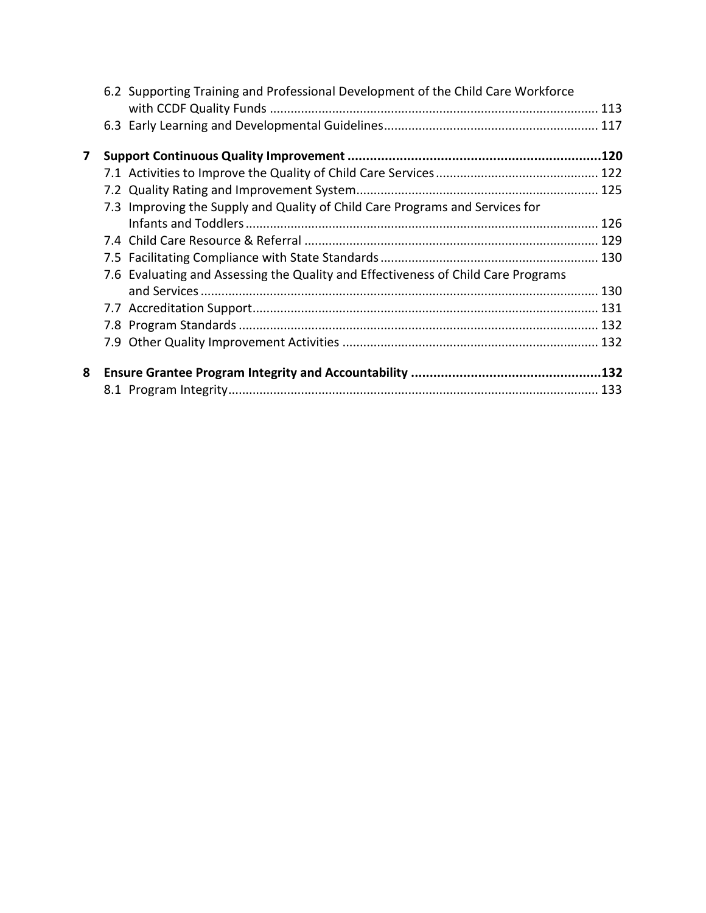|   | 6.2 Supporting Training and Professional Development of the Child Care Workforce  |  |
|---|-----------------------------------------------------------------------------------|--|
|   |                                                                                   |  |
| 7 |                                                                                   |  |
|   |                                                                                   |  |
|   |                                                                                   |  |
|   | 7.3 Improving the Supply and Quality of Child Care Programs and Services for      |  |
|   |                                                                                   |  |
|   |                                                                                   |  |
|   |                                                                                   |  |
|   | 7.6 Evaluating and Assessing the Quality and Effectiveness of Child Care Programs |  |
|   |                                                                                   |  |
|   |                                                                                   |  |
|   |                                                                                   |  |
|   |                                                                                   |  |
|   |                                                                                   |  |
| 8 |                                                                                   |  |
|   |                                                                                   |  |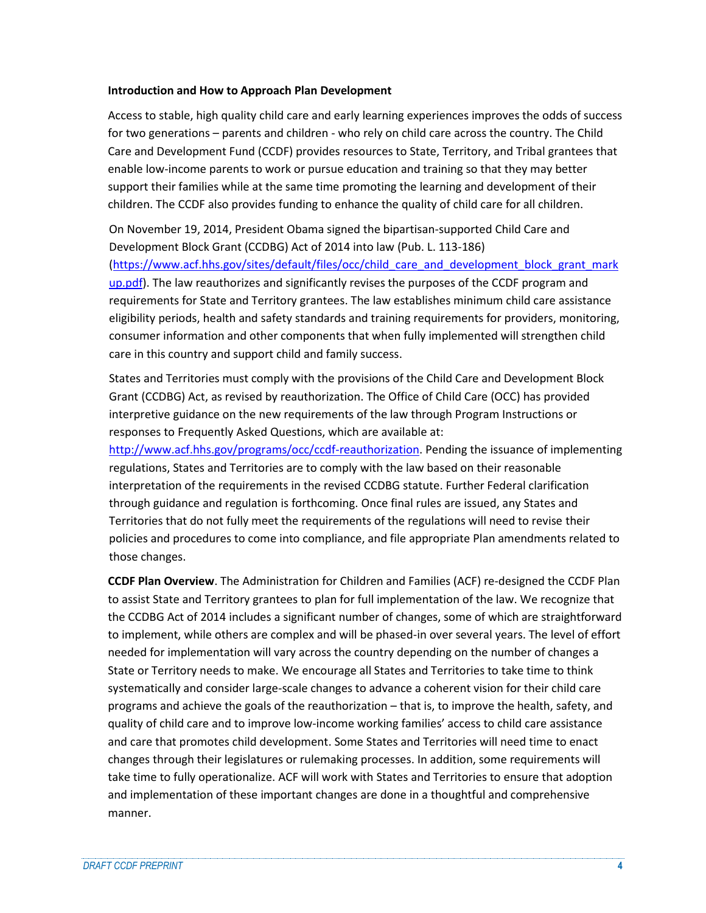### **Introduction and How to Approach Plan Development**

Access to stable, high quality child care and early learning experiences improves the odds of success for two generations – parents and children - who rely on child care across the country. The Child Care and Development Fund (CCDF) provides resources to State, Territory, and Tribal grantees that enable low-income parents to work or pursue education and training so that they may better support their families while at the same time promoting the learning and development of their children. The CCDF also provides funding to enhance the quality of child care for all children.

On November 19, 2014, President Obama signed the bipartisan-supported Child Care and Development Block Grant (CCDBG) Act of 2014 into law (Pub. L. 113-186) [\(https://www.acf.hhs.gov/sites/default/files/occ/child\\_care\\_and\\_development\\_block\\_grant\\_mark](https://www.acf.hhs.gov/sites/default/files/occ/child_care_and_development_block_grant_markup.pdf) [up.pdf\)](https://www.acf.hhs.gov/sites/default/files/occ/child_care_and_development_block_grant_markup.pdf). The law reauthorizes and significantly revises the purposes of the CCDF program and requirements for State and Territory grantees. The law establishes minimum child care assistance eligibility periods, health and safety standards and training requirements for providers, monitoring, consumer information and other components that when fully implemented will strengthen child care in this country and support child and family success.

States and Territories must comply with the provisions of the Child Care and Development Block Grant (CCDBG) Act, as revised by reauthorization. The Office of Child Care (OCC) has provided interpretive guidance on the new requirements of the law through Program Instructions or responses to Frequently Asked Questions, which are available at:

[http://www.acf.hhs.gov/programs/occ/ccdf-reauthorization.](http://www.acf.hhs.gov/programs/occ/ccdf-reauthorization) Pending the issuance of implementing regulations, States and Territories are to comply with the law based on their reasonable interpretation of the requirements in the revised CCDBG statute. Further Federal clarification through guidance and regulation is forthcoming. Once final rules are issued, any States and Territories that do not fully meet the requirements of the regulations will need to revise their policies and procedures to come into compliance, and file appropriate Plan amendments related to those changes.

**CCDF Plan Overview**. The Administration for Children and Families (ACF) re-designed the CCDF Plan to assist State and Territory grantees to plan for full implementation of the law. We recognize that the CCDBG Act of 2014 includes a significant number of changes, some of which are straightforward to implement, while others are complex and will be phased-in over several years. The level of effort needed for implementation will vary across the country depending on the number of changes a State or Territory needs to make. We encourage all States and Territories to take time to think systematically and consider large-scale changes to advance a coherent vision for their child care programs and achieve the goals of the reauthorization – that is, to improve the health, safety, and quality of child care and to improve low-income working families' access to child care assistance and care that promotes child development. Some States and Territories will need time to enact changes through their legislatures or rulemaking processes. In addition, some requirements will take time to fully operationalize. ACF will work with States and Territories to ensure that adoption and implementation of these important changes are done in a thoughtful and comprehensive manner.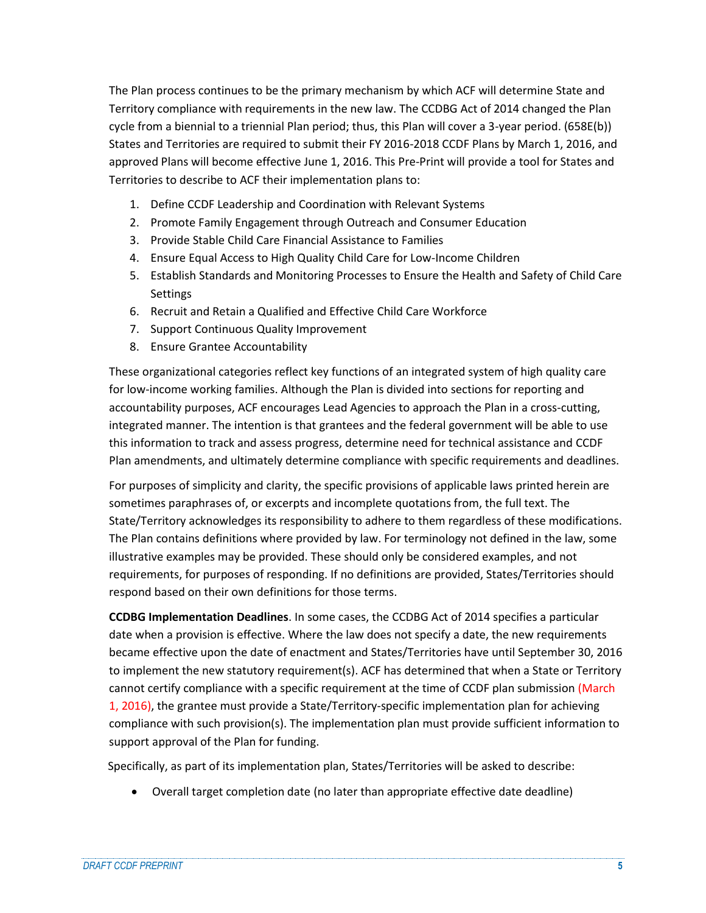The Plan process continues to be the primary mechanism by which ACF will determine State and Territory compliance with requirements in the new law. The CCDBG Act of 2014 changed the Plan cycle from a biennial to a triennial Plan period; thus, this Plan will cover a 3-year period. (658E(b)) States and Territories are required to submit their FY 2016-2018 CCDF Plans by March 1, 2016, and approved Plans will become effective June 1, 2016. This Pre-Print will provide a tool for States and Territories to describe to ACF their implementation plans to:

- 1. Define CCDF Leadership and Coordination with Relevant Systems
- 2. Promote Family Engagement through Outreach and Consumer Education
- 3. Provide Stable Child Care Financial Assistance to Families
- 4. Ensure Equal Access to High Quality Child Care for Low-Income Children
- 5. Establish Standards and Monitoring Processes to Ensure the Health and Safety of Child Care **Settings**
- 6. Recruit and Retain a Qualified and Effective Child Care Workforce
- 7. Support Continuous Quality Improvement
- 8. Ensure Grantee Accountability

These organizational categories reflect key functions of an integrated system of high quality care for low-income working families. Although the Plan is divided into sections for reporting and accountability purposes, ACF encourages Lead Agencies to approach the Plan in a cross-cutting, integrated manner. The intention is that grantees and the federal government will be able to use this information to track and assess progress, determine need for technical assistance and CCDF Plan amendments, and ultimately determine compliance with specific requirements and deadlines.

For purposes of simplicity and clarity, the specific provisions of applicable laws printed herein are sometimes paraphrases of, or excerpts and incomplete quotations from, the full text. The State/Territory acknowledges its responsibility to adhere to them regardless of these modifications. The Plan contains definitions where provided by law. For terminology not defined in the law, some illustrative examples may be provided. These should only be considered examples, and not requirements, for purposes of responding. If no definitions are provided, States/Territories should respond based on their own definitions for those terms.

**CCDBG Implementation Deadlines**. In some cases, the CCDBG Act of 2014 specifies a particular date when a provision is effective. Where the law does not specify a date, the new requirements became effective upon the date of enactment and States/Territories have until September 30, 2016 to implement the new statutory requirement(s). ACF has determined that when a State or Territory cannot certify compliance with a specific requirement at the time of CCDF plan submission (March 1, 2016), the grantee must provide a State/Territory-specific implementation plan for achieving compliance with such provision(s). The implementation plan must provide sufficient information to support approval of the Plan for funding.

Specifically, as part of its implementation plan, States/Territories will be asked to describe:

Overall target completion date (no later than appropriate effective date deadline)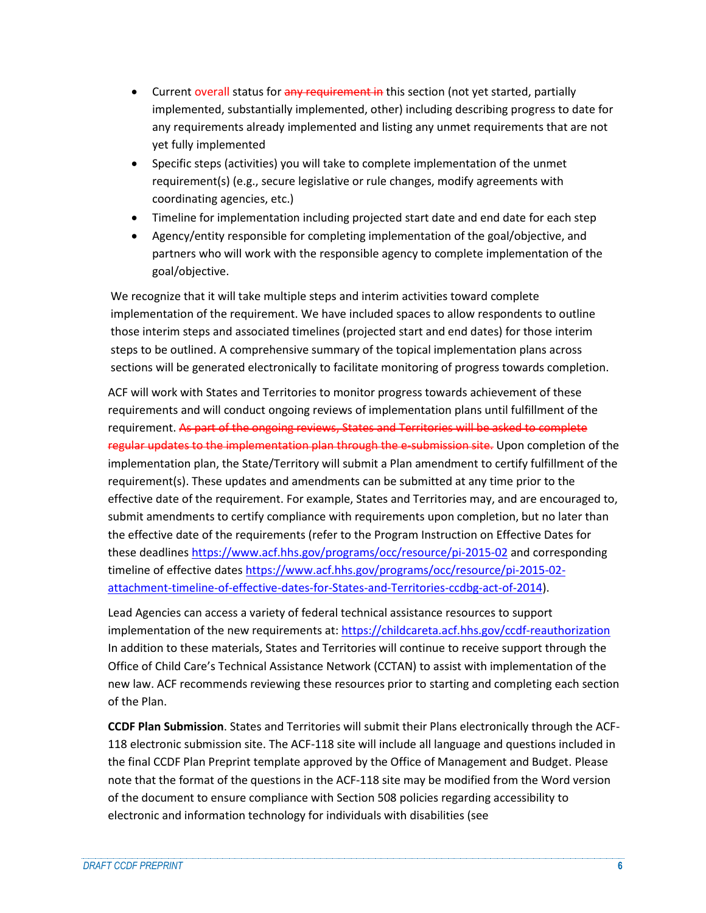- Current overall status for any requirement in this section (not yet started, partially implemented, substantially implemented, other) including describing progress to date for any requirements already implemented and listing any unmet requirements that are not yet fully implemented
- Specific steps (activities) you will take to complete implementation of the unmet requirement(s) (e.g., secure legislative or rule changes, modify agreements with coordinating agencies, etc.)
- Timeline for implementation including projected start date and end date for each step
- Agency/entity responsible for completing implementation of the goal/objective, and partners who will work with the responsible agency to complete implementation of the goal/objective.

We recognize that it will take multiple steps and interim activities toward complete implementation of the requirement. We have included spaces to allow respondents to outline those interim steps and associated timelines (projected start and end dates) for those interim steps to be outlined. A comprehensive summary of the topical implementation plans across sections will be generated electronically to facilitate monitoring of progress towards completion.

ACF will work with States and Territories to monitor progress towards achievement of these requirements and will conduct ongoing reviews of implementation plans until fulfillment of the requirement. As part of the ongoing reviews, States and Territories will be asked to complete regular updates to the implementation plan through the e-submission site. Upon completion of the implementation plan, the State/Territory will submit a Plan amendment to certify fulfillment of the requirement(s). These updates and amendments can be submitted at any time prior to the effective date of the requirement. For example, States and Territories may, and are encouraged to, submit amendments to certify compliance with requirements upon completion, but no later than the effective date of the requirements (refer to the Program Instruction on Effective Dates for these deadlines<https://www.acf.hhs.gov/programs/occ/resource/pi-2015-02> and corresponding timeline of effective dates [https://www.acf.hhs.gov/programs/occ/resource/pi-2015-02](https://www.acf.hhs.gov/programs/occ/resource/pi-2015-02-attachment-timeline-of-effective-dates-for-states-and-territories-ccdbg-act-of-2014) [attachment-timeline-of-effective-dates-for-States-and-Territories-ccdbg-act-of-2014\)](https://www.acf.hhs.gov/programs/occ/resource/pi-2015-02-attachment-timeline-of-effective-dates-for-states-and-territories-ccdbg-act-of-2014).

Lead Agencies can access a variety of federal technical assistance resources to support implementation of the new requirements at:<https://childcareta.acf.hhs.gov/ccdf-reauthorization> In addition to these materials, States and Territories will continue to receive support through the Office of Child Care's Technical Assistance Network (CCTAN) to assist with implementation of the new law. ACF recommends reviewing these resources prior to starting and completing each section of the Plan.

**CCDF Plan Submission**. States and Territories will submit their Plans electronically through the ACF-118 electronic submission site. The ACF-118 site will include all language and questions included in the final CCDF Plan Preprint template approved by the Office of Management and Budget. Please note that the format of the questions in the ACF-118 site may be modified from the Word version of the document to ensure compliance with Section 508 policies regarding accessibility to electronic and information technology for individuals with disabilities (see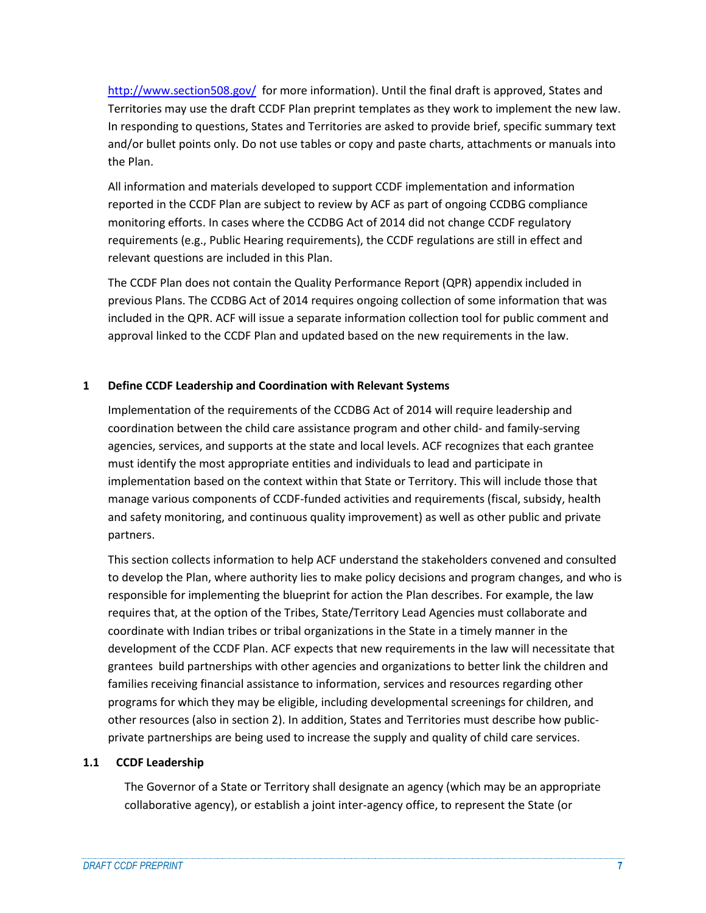<http://www.section508.gov/> for more information). Until the final draft is approved, States and Territories may use the draft CCDF Plan preprint templates as they work to implement the new law. In responding to questions, States and Territories are asked to provide brief, specific summary text and/or bullet points only. Do not use tables or copy and paste charts, attachments or manuals into the Plan.

All information and materials developed to support CCDF implementation and information reported in the CCDF Plan are subject to review by ACF as part of ongoing CCDBG compliance monitoring efforts. In cases where the CCDBG Act of 2014 did not change CCDF regulatory requirements (e.g., Public Hearing requirements), the CCDF regulations are still in effect and relevant questions are included in this Plan.

The CCDF Plan does not contain the Quality Performance Report (QPR) appendix included in previous Plans. The CCDBG Act of 2014 requires ongoing collection of some information that was included in the QPR. ACF will issue a separate information collection tool for public comment and approval linked to the CCDF Plan and updated based on the new requirements in the law.

# **1 Define CCDF Leadership and Coordination with Relevant Systems**

Implementation of the requirements of the CCDBG Act of 2014 will require leadership and coordination between the child care assistance program and other child- and family-serving agencies, services, and supports at the state and local levels. ACF recognizes that each grantee must identify the most appropriate entities and individuals to lead and participate in implementation based on the context within that State or Territory. This will include those that manage various components of CCDF-funded activities and requirements (fiscal, subsidy, health and safety monitoring, and continuous quality improvement) as well as other public and private partners.

This section collects information to help ACF understand the stakeholders convened and consulted to develop the Plan, where authority lies to make policy decisions and program changes, and who is responsible for implementing the blueprint for action the Plan describes. For example, the law requires that, at the option of the Tribes, State/Territory Lead Agencies must collaborate and coordinate with Indian tribes or tribal organizations in the State in a timely manner in the development of the CCDF Plan. ACF expects that new requirements in the law will necessitate that grantees build partnerships with other agencies and organizations to better link the children and families receiving financial assistance to information, services and resources regarding other programs for which they may be eligible, including developmental screenings for children, and other resources (also in section 2). In addition, States and Territories must describe how publicprivate partnerships are being used to increase the supply and quality of child care services.

## **1.1 CCDF Leadership**

The Governor of a State or Territory shall designate an agency (which may be an appropriate collaborative agency), or establish a joint inter-agency office, to represent the State (or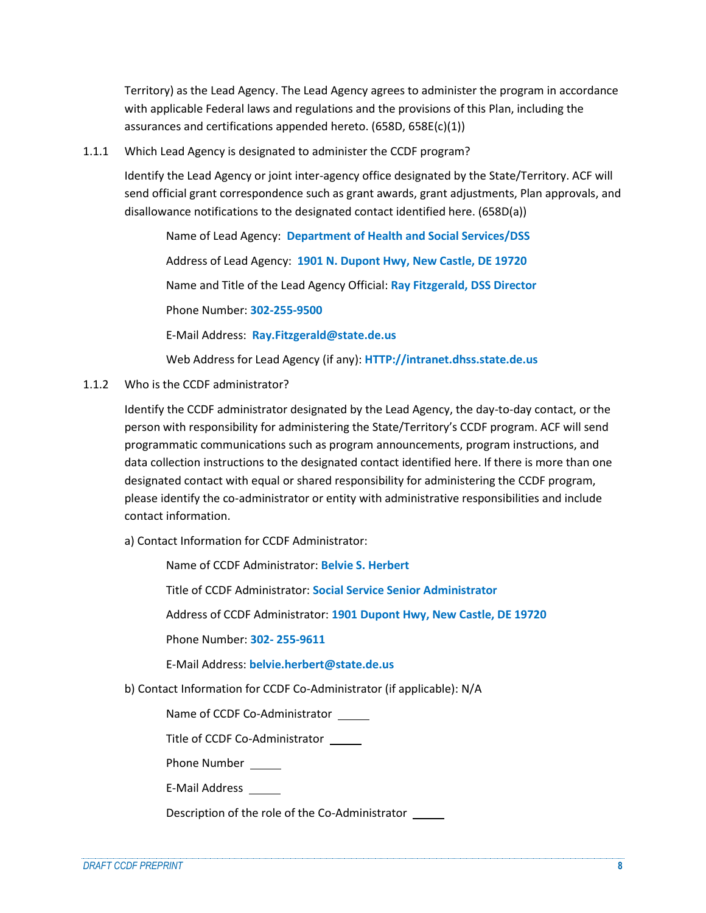Territory) as the Lead Agency. The Lead Agency agrees to administer the program in accordance with applicable Federal laws and regulations and the provisions of this Plan, including the assurances and certifications appended hereto. (658D, 658E(c)(1))

1.1.1 Which Lead Agency is designated to administer the CCDF program?

Identify the Lead Agency or joint inter-agency office designated by the State/Territory. ACF will send official grant correspondence such as grant awards, grant adjustments, Plan approvals, and disallowance notifications to the designated contact identified here. (658D(a))

Name of Lead Agency: **Department of Health and Social Services/DSS**

Address of Lead Agency: **1901 N. Dupont Hwy, New Castle, DE 19720**

Name and Title of the Lead Agency Official: **Ray Fitzgerald, DSS Director**

Phone Number: **302-255-9500**

E-Mail Address: **Ray.Fitzgerald@state.de.us**

Web Address for Lead Agency (if any): **HTTP://intranet.dhss.state.de.us**

1.1.2 Who is the CCDF administrator?

Identify the CCDF administrator designated by the Lead Agency, the day-to-day contact, or the person with responsibility for administering the State/Territory's CCDF program. ACF will send programmatic communications such as program announcements, program instructions, and data collection instructions to the designated contact identified here. If there is more than one designated contact with equal or shared responsibility for administering the CCDF program, please identify the co-administrator or entity with administrative responsibilities and include contact information.

a) Contact Information for CCDF Administrator:

Name of CCDF Administrator: **Belvie S. Herbert**

Title of CCDF Administrator: **Social Service Senior Administrator**

Address of CCDF Administrator: **1901 Dupont Hwy, New Castle, DE 19720**

Phone Number: **302- 255-9611**

E-Mail Address: **belvie.herbert@state.de.us**

b) Contact Information for CCDF Co-Administrator (if applicable): N/A

Name of CCDF Co-Administrator

Title of CCDF Co-Administrator

Phone Number

E-Mail Address

Description of the role of the Co-Administrator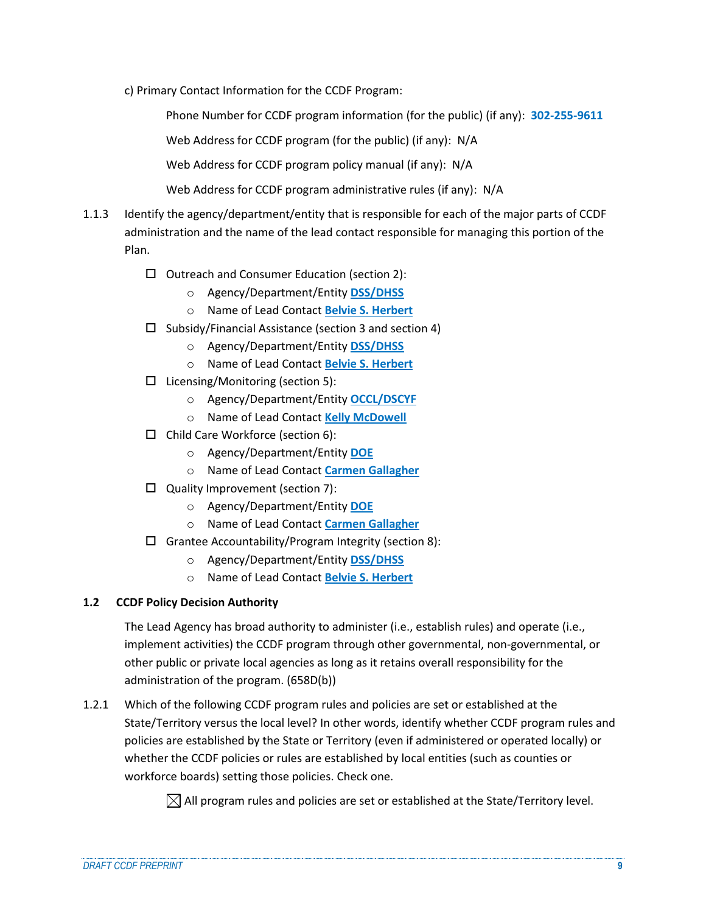c) Primary Contact Information for the CCDF Program:

Phone Number for CCDF program information (for the public) (if any): **302-255-9611**

Web Address for CCDF program (for the public) (if any): N/A

Web Address for CCDF program policy manual (if any): N/A

Web Address for CCDF program administrative rules (if any): N/A

- 1.1.3 Identify the agency/department/entity that is responsible for each of the major parts of CCDF administration and the name of the lead contact responsible for managing this portion of the Plan.
	- $\Box$  Outreach and Consumer Education (section 2):
		- o Agency/Department/Entity **DSS/DHSS**
		- o Name of Lead Contact **Belvie S. Herbert**
	- $\Box$  Subsidy/Financial Assistance (section 3 and section 4)
		- o Agency/Department/Entity **DSS/DHSS**
		- o Name of Lead Contact **Belvie S. Herbert**
	- $\Box$  Licensing/Monitoring (section 5):
		- o Agency/Department/Entity **OCCL/DSCYF**
		- o Name of Lead Contact **Kelly McDowell**
	- $\Box$  Child Care Workforce (section 6):
		- o Agency/Department/Entity **DOE**
		- o Name of Lead Contact **Carmen Gallagher**
	- $\Box$  Quality Improvement (section 7):
		- o Agency/Department/Entity **DOE**
		- o Name of Lead Contact **Carmen Gallagher**
	- $\Box$  Grantee Accountability/Program Integrity (section 8):
		- o Agency/Department/Entity **DSS/DHSS**
		- o Name of Lead Contact **Belvie S. Herbert**

## **1.2 CCDF Policy Decision Authority**

The Lead Agency has broad authority to administer (i.e., establish rules) and operate (i.e., implement activities) the CCDF program through other governmental, non-governmental, or other public or private local agencies as long as it retains overall responsibility for the administration of the program. (658D(b))

1.2.1 Which of the following CCDF program rules and policies are set or established at the State/Territory versus the local level? In other words, identify whether CCDF program rules and policies are established by the State or Territory (even if administered or operated locally) or whether the CCDF policies or rules are established by local entities (such as counties or workforce boards) setting those policies. Check one.

 $\boxtimes$  All program rules and policies are set or established at the State/Territory level.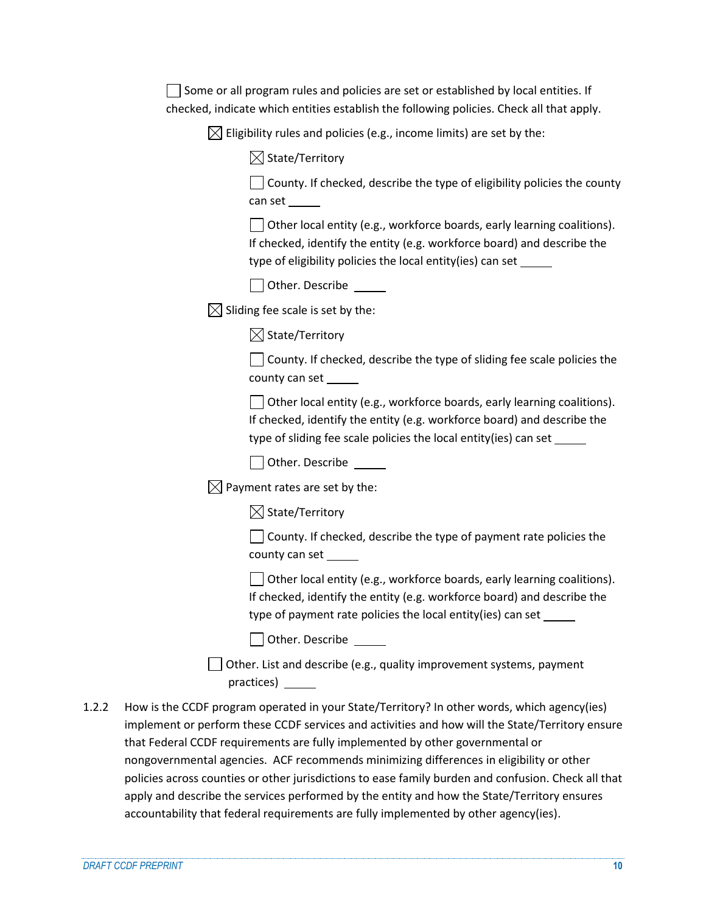| Some or all program rules and policies are set or established by local entities. If      |
|------------------------------------------------------------------------------------------|
| checked, indicate which entities establish the following policies. Check all that apply. |

 $\boxtimes$  Eligibility rules and policies (e.g., income limits) are set by the:

 $\boxtimes$  State/Territory

| □ County. If checked, describe the type of eligibility policies the county |
|----------------------------------------------------------------------------|
| can set                                                                    |

 $\Box$  Other local entity (e.g., workforce boards, early learning coalitions). If checked, identify the entity (e.g. workforce board) and describe the type of eligibility policies the local entity(ies) can set

|  | Other. Describe |  |
|--|-----------------|--|
|--|-----------------|--|

 $\boxtimes$  Sliding fee scale is set by the:

 $\boxtimes$  State/Territory

 $\Box$  County. If checked, describe the type of sliding fee scale policies the county can set

Other local entity (e.g., workforce boards, early learning coalitions). If checked, identify the entity (e.g. workforce board) and describe the type of sliding fee scale policies the local entity(ies) can set



 $\boxtimes$  Payment rates are set by the:

 $\boxtimes$  State/Territory

 $\Box$  County. If checked, describe the type of payment rate policies the county can set

Other local entity (e.g., workforce boards, early learning coalitions). If checked, identify the entity (e.g. workforce board) and describe the type of payment rate policies the local entity(ies) can set

ſ

Other. List and describe (e.g., quality improvement systems, payment practices) \_\_\_\_\_\_

1.2.2 How is the CCDF program operated in your State/Territory? In other words, which agency(ies) implement or perform these CCDF services and activities and how will the State/Territory ensure that Federal CCDF requirements are fully implemented by other governmental or nongovernmental agencies. ACF recommends minimizing differences in eligibility or other policies across counties or other jurisdictions to ease family burden and confusion. Check all that apply and describe the services performed by the entity and how the State/Territory ensures accountability that federal requirements are fully implemented by other agency(ies).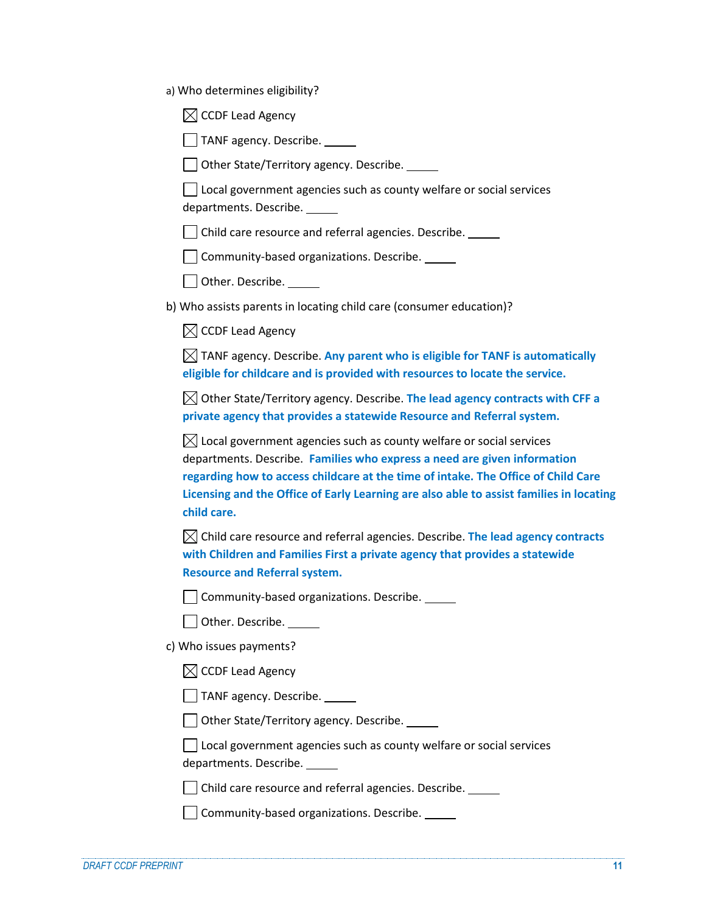a) Who determines eligibility?

|  |  |  | $\boxtimes$ CCDF Lead Agency |
|--|--|--|------------------------------|
|--|--|--|------------------------------|

**TANF** agency. Describe.

Other State/Territory agency. Describe.

Local government agencies such as county welfare or social services departments. Describe.

Child care resource and referral agencies. Describe.

Community-based organizations. Describe.

Other. Describe.

b) Who assists parents in locating child care (consumer education)?

 $\boxtimes$  CCDF Lead Agency

TANF agency. Describe. **Any parent who is eligible for TANF is automatically eligible for childcare and is provided with resources to locate the service.**

Other State/Territory agency. Describe. **The lead agency contracts with CFF a private agency that provides a statewide Resource and Referral system.**

 $\boxtimes$  Local government agencies such as county welfare or social services departments. Describe. **Families who express a need are given information regarding how to access childcare at the time of intake. The Office of Child Care Licensing and the Office of Early Learning are also able to assist families in locating child care.**

Child care resource and referral agencies. Describe. **The lead agency contracts with Children and Families First a private agency that provides a statewide Resource and Referral system.**

**Community-based organizations. Describe.** 

Other. Describe.

c) Who issues payments?

 $\boxtimes$  CCDF Lead Agency

**TANF** agency. Describe.

Other State/Territory agency. Describe.

Local government agencies such as county welfare or social services departments. Describe.

Child care resource and referral agencies. Describe.

**Community-based organizations. Describe.**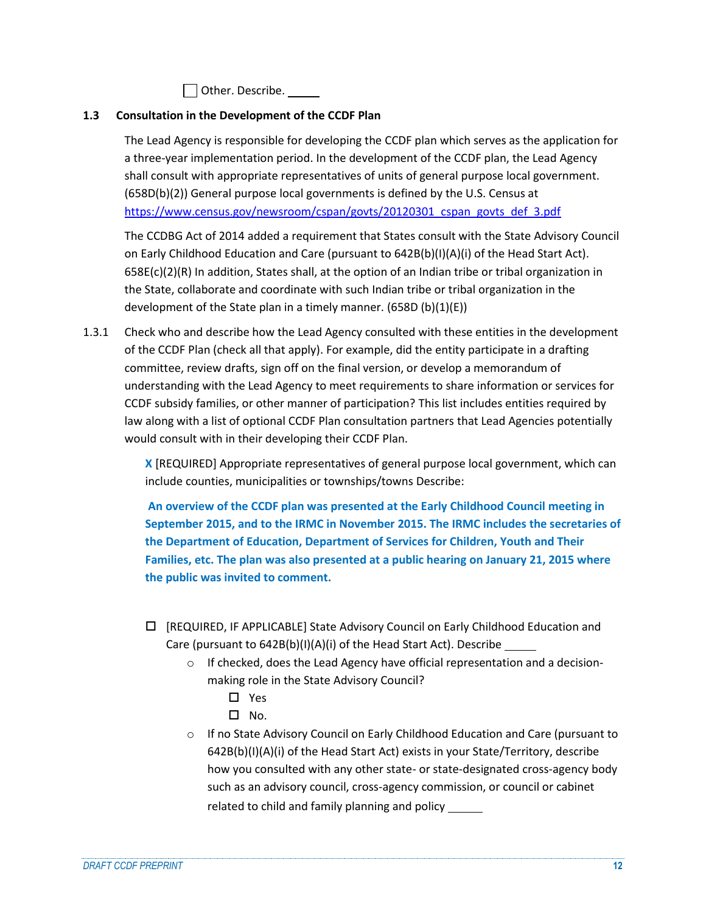Other. Describe. \_\_

## **1.3 Consultation in the Development of the CCDF Plan**

The Lead Agency is responsible for developing the CCDF plan which serves as the application for a three-year implementation period. In the development of the CCDF plan, the Lead Agency shall consult with appropriate representatives of units of general purpose local government. (658D(b)(2)) General purpose local governments is defined by the U.S. Census at [https://www.census.gov/newsroom/cspan/govts/20120301\\_cspan\\_govts\\_def\\_3.pdf](https://www.census.gov/newsroom/cspan/govts/20120301_cspan_govts_def_3.pdf)

The CCDBG Act of 2014 added a requirement that States consult with the State Advisory Council on Early Childhood Education and Care (pursuant to 642B(b)(I)(A)(i) of the Head Start Act). 658E(c)(2)(R) In addition, States shall, at the option of an Indian tribe or tribal organization in the State, collaborate and coordinate with such Indian tribe or tribal organization in the development of the State plan in a timely manner. (658D (b)(1)(E))

1.3.1 Check who and describe how the Lead Agency consulted with these entities in the development of the CCDF Plan (check all that apply). For example, did the entity participate in a drafting committee, review drafts, sign off on the final version, or develop a memorandum of understanding with the Lead Agency to meet requirements to share information or services for CCDF subsidy families, or other manner of participation? This list includes entities required by law along with a list of optional CCDF Plan consultation partners that Lead Agencies potentially would consult with in their developing their CCDF Plan.

> **X** [REQUIRED] Appropriate representatives of general purpose local government, which can include counties, municipalities or townships/towns Describe:

**An overview of the CCDF plan was presented at the Early Childhood Council meeting in September 2015, and to the IRMC in November 2015. The IRMC includes the secretaries of the Department of Education, Department of Services for Children, Youth and Their Families, etc. The plan was also presented at a public hearing on January 21, 2015 where the public was invited to comment.**

- [REQUIRED, IF APPLICABLE] State Advisory Council on Early Childhood Education and Care (pursuant to 642B(b)(I)(A)(i) of the Head Start Act). Describe
	- $\circ$  If checked, does the Lead Agency have official representation and a decisionmaking role in the State Advisory Council?
		- □ Yes
		- $\square$  No.
	- o If no State Advisory Council on Early Childhood Education and Care (pursuant to 642B(b)(I)(A)(i) of the Head Start Act) exists in your State/Territory, describe how you consulted with any other state- or state-designated cross-agency body such as an advisory council, cross-agency commission, or council or cabinet related to child and family planning and policy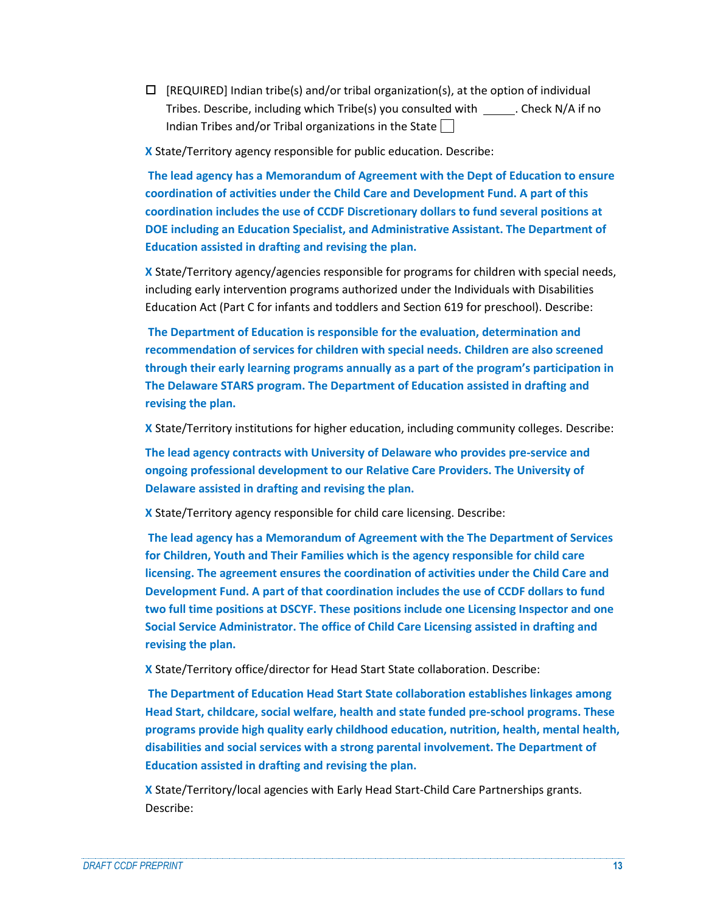$\Box$  [REQUIRED] Indian tribe(s) and/or tribal organization(s), at the option of individual Tribes. Describe, including which Tribe(s) you consulted with . Check N/A if no Indian Tribes and/or Tribal organizations in the State  $\Box$ 

**X** State/Territory agency responsible for public education. Describe:

**The lead agency has a Memorandum of Agreement with the Dept of Education to ensure coordination of activities under the Child Care and Development Fund. A part of this coordination includes the use of CCDF Discretionary dollars to fund several positions at DOE including an Education Specialist, and Administrative Assistant. The Department of Education assisted in drafting and revising the plan.**

**X** State/Territory agency/agencies responsible for programs for children with special needs, including early intervention programs authorized under the Individuals with Disabilities Education Act (Part C for infants and toddlers and Section 619 for preschool). Describe:

**The Department of Education is responsible for the evaluation, determination and recommendation of services for children with special needs. Children are also screened through their early learning programs annually as a part of the program's participation in The Delaware STARS program. The Department of Education assisted in drafting and revising the plan.**

**X** State/Territory institutions for higher education, including community colleges. Describe:

**The lead agency contracts with University of Delaware who provides pre-service and ongoing professional development to our Relative Care Providers. The University of Delaware assisted in drafting and revising the plan.**

**X** State/Territory agency responsible for child care licensing. Describe:

**The lead agency has a Memorandum of Agreement with the The Department of Services for Children, Youth and Their Families which is the agency responsible for child care licensing. The agreement ensures the coordination of activities under the Child Care and Development Fund. A part of that coordination includes the use of CCDF dollars to fund two full time positions at DSCYF. These positions include one Licensing Inspector and one Social Service Administrator. The office of Child Care Licensing assisted in drafting and revising the plan.**

**X** State/Territory office/director for Head Start State collaboration. Describe:

**The Department of Education Head Start State collaboration establishes linkages among Head Start, childcare, social welfare, health and state funded pre-school programs. These programs provide high quality early childhood education, nutrition, health, mental health, disabilities and social services with a strong parental involvement. The Department of Education assisted in drafting and revising the plan.**

**X** State/Territory/local agencies with Early Head Start-Child Care Partnerships grants. Describe: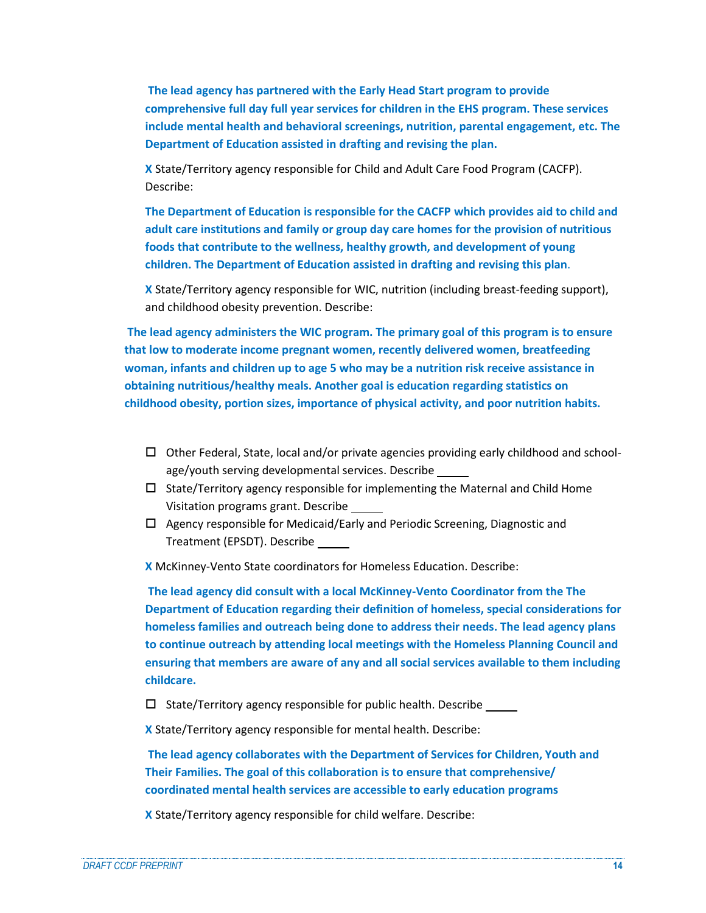**The lead agency has partnered with the Early Head Start program to provide comprehensive full day full year services for children in the EHS program. These services include mental health and behavioral screenings, nutrition, parental engagement, etc. The Department of Education assisted in drafting and revising the plan.**

**X** State/Territory agency responsible for Child and Adult Care Food Program (CACFP). Describe:

**The Department of Education is responsible for the CACFP which provides aid to child and adult care institutions and family or group day care homes for the provision of nutritious foods that contribute to the wellness, healthy growth, and development of young children. The Department of Education assisted in drafting and revising this plan**.

**X** State/Territory agency responsible for WIC, nutrition (including breast-feeding support), and childhood obesity prevention. Describe:

**The lead agency administers the WIC program. The primary goal of this program is to ensure that low to moderate income pregnant women, recently delivered women, breatfeeding woman, infants and children up to age 5 who may be a nutrition risk receive assistance in obtaining nutritious/healthy meals. Another goal is education regarding statistics on childhood obesity, portion sizes, importance of physical activity, and poor nutrition habits.**

- $\Box$  Other Federal, State, local and/or private agencies providing early childhood and schoolage/youth serving developmental services. Describe
- $\Box$  State/Territory agency responsible for implementing the Maternal and Child Home Visitation programs grant. Describe
- $\Box$  Agency responsible for Medicaid/Early and Periodic Screening, Diagnostic and Treatment (EPSDT). Describe

**X** McKinney-Vento State coordinators for Homeless Education. Describe:

**The lead agency did consult with a local McKinney-Vento Coordinator from the The Department of Education regarding their definition of homeless, special considerations for homeless families and outreach being done to address their needs. The lead agency plans to continue outreach by attending local meetings with the Homeless Planning Council and ensuring that members are aware of any and all social services available to them including childcare.**

 $\Box$  State/Territory agency responsible for public health. Describe

**X** State/Territory agency responsible for mental health. Describe:

**The lead agency collaborates with the Department of Services for Children, Youth and Their Families. The goal of this collaboration is to ensure that comprehensive/ coordinated mental health services are accessible to early education programs**

**X** State/Territory agency responsible for child welfare. Describe: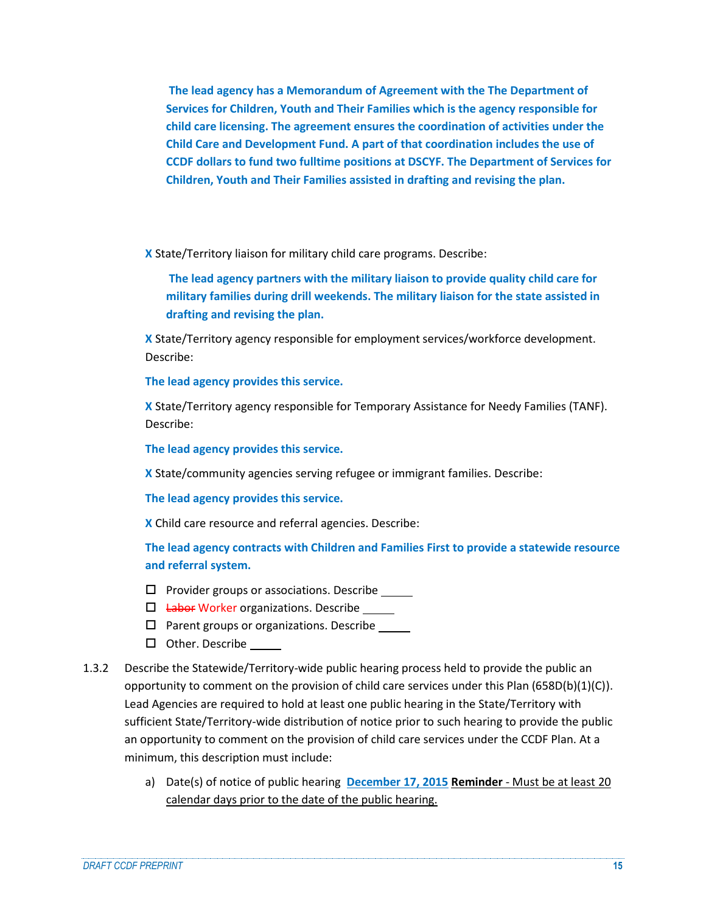**The lead agency has a Memorandum of Agreement with the The Department of Services for Children, Youth and Their Families which is the agency responsible for child care licensing. The agreement ensures the coordination of activities under the Child Care and Development Fund. A part of that coordination includes the use of CCDF dollars to fund two fulltime positions at DSCYF. The Department of Services for Children, Youth and Their Families assisted in drafting and revising the plan.**

**X** State/Territory liaison for military child care programs. Describe:

**The lead agency partners with the military liaison to provide quality child care for military families during drill weekends. The military liaison for the state assisted in drafting and revising the plan.**

**X** State/Territory agency responsible for employment services/workforce development. Describe:

**The lead agency provides this service.**

**X** State/Territory agency responsible for Temporary Assistance for Needy Families (TANF). Describe:

**The lead agency provides this service.**

**X** State/community agencies serving refugee or immigrant families. Describe:

**The lead agency provides this service.**

**X** Child care resource and referral agencies. Describe:

**The lead agency contracts with Children and Families First to provide a statewide resource and referral system.** 

- $\Box$  Provider groups or associations. Describe
- □ <del>Labor</del> Worker organizations. Describe
- $\square$  Parent groups or organizations. Describe  $\rule{1em}{0.15mm}$
- □ Other. Describe
- 1.3.2 Describe the Statewide/Territory-wide public hearing process held to provide the public an opportunity to comment on the provision of child care services under this Plan (658D(b)(1)(C)). Lead Agencies are required to hold at least one public hearing in the State/Territory with sufficient State/Territory-wide distribution of notice prior to such hearing to provide the public an opportunity to comment on the provision of child care services under the CCDF Plan. At a minimum, this description must include:
	- a) Date(s) of notice of public hearing **December 17, 2015 Reminder** Must be at least 20 calendar days prior to the date of the public hearing.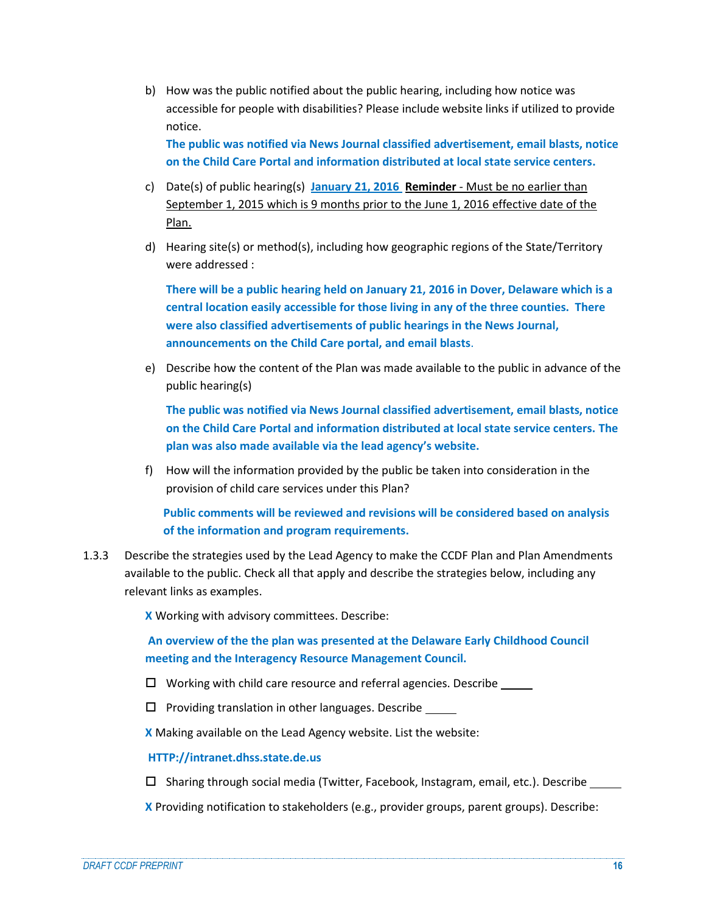b) How was the public notified about the public hearing, including how notice was accessible for people with disabilities? Please include website links if utilized to provide notice.

**The public was notified via News Journal classified advertisement, email blasts, notice on the Child Care Portal and information distributed at local state service centers.**

- c) Date(s) of public hearing(s) **January 21, 2016 Reminder** Must be no earlier than September 1, 2015 which is 9 months prior to the June 1, 2016 effective date of the Plan.
- d) Hearing site(s) or method(s), including how geographic regions of the State/Territory were addressed :

**There will be a public hearing held on January 21, 2016 in Dover, Delaware which is a central location easily accessible for those living in any of the three counties. There were also classified advertisements of public hearings in the News Journal, announcements on the Child Care portal, and email blasts**.

e) Describe how the content of the Plan was made available to the public in advance of the public hearing(s)

**The public was notified via News Journal classified advertisement, email blasts, notice on the Child Care Portal and information distributed at local state service centers. The plan was also made available via the lead agency's website.**

f) How will the information provided by the public be taken into consideration in the provision of child care services under this Plan?

**Public comments will be reviewed and revisions will be considered based on analysis of the information and program requirements.**

1.3.3 Describe the strategies used by the Lead Agency to make the CCDF Plan and Plan Amendments available to the public. Check all that apply and describe the strategies below, including any relevant links as examples.

**X** Working with advisory committees. Describe:

**An overview of the the plan was presented at the Delaware Early Childhood Council meeting and the Interagency Resource Management Council.** 

- $\Box$  Working with child care resource and referral agencies. Describe  $\Box$
- $\Box$  Providing translation in other languages. Describe

**X** Making available on the Lead Agency website. List the website:

#### **HTTP://intranet.dhss.state.de.us**

 $\Box$  Sharing through social media (Twitter, Facebook, Instagram, email, etc.). Describe

**X** Providing notification to stakeholders (e.g., provider groups, parent groups). Describe: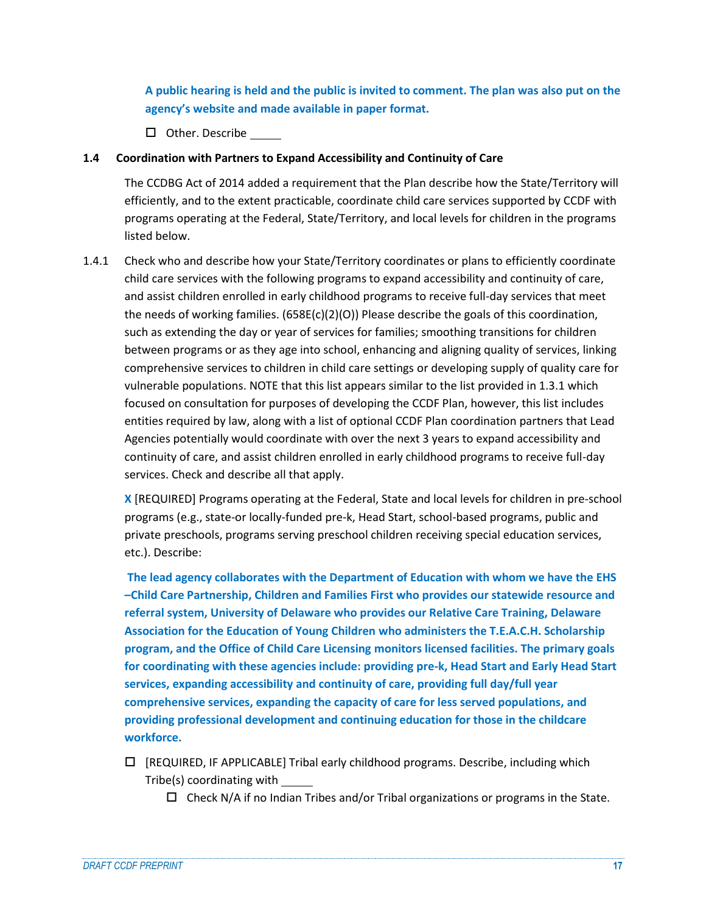**A public hearing is held and the public is invited to comment. The plan was also put on the agency's website and made available in paper format.**

□ Other. Describe

## **1.4 Coordination with Partners to Expand Accessibility and Continuity of Care**

The CCDBG Act of 2014 added a requirement that the Plan describe how the State/Territory will efficiently, and to the extent practicable, coordinate child care services supported by CCDF with programs operating at the Federal, State/Territory, and local levels for children in the programs listed below.

1.4.1 Check who and describe how your State/Territory coordinates or plans to efficiently coordinate child care services with the following programs to expand accessibility and continuity of care, and assist children enrolled in early childhood programs to receive full-day services that meet the needs of working families. (658E(c)(2)(O)) Please describe the goals of this coordination, such as extending the day or year of services for families; smoothing transitions for children between programs or as they age into school, enhancing and aligning quality of services, linking comprehensive services to children in child care settings or developing supply of quality care for vulnerable populations. NOTE that this list appears similar to the list provided in 1.3.1 which focused on consultation for purposes of developing the CCDF Plan, however, this list includes entities required by law, along with a list of optional CCDF Plan coordination partners that Lead Agencies potentially would coordinate with over the next 3 years to expand accessibility and continuity of care, and assist children enrolled in early childhood programs to receive full-day services. Check and describe all that apply.

**X** [REQUIRED] Programs operating at the Federal, State and local levels for children in pre-school programs (e.g., state-or locally-funded pre-k, Head Start, school-based programs, public and private preschools, programs serving preschool children receiving special education services, etc.). Describe:

**The lead agency collaborates with the Department of Education with whom we have the EHS –Child Care Partnership, Children and Families First who provides our statewide resource and referral system, University of Delaware who provides our Relative Care Training, Delaware Association for the Education of Young Children who administers the T.E.A.C.H. Scholarship program, and the Office of Child Care Licensing monitors licensed facilities. The primary goals for coordinating with these agencies include: providing pre-k, Head Start and Early Head Start services, expanding accessibility and continuity of care, providing full day/full year comprehensive services, expanding the capacity of care for less served populations, and providing professional development and continuing education for those in the childcare workforce.**

- $\Box$  [REQUIRED, IF APPLICABLE] Tribal early childhood programs. Describe, including which Tribe(s) coordinating with
	- $\square$  Check N/A if no Indian Tribes and/or Tribal organizations or programs in the State.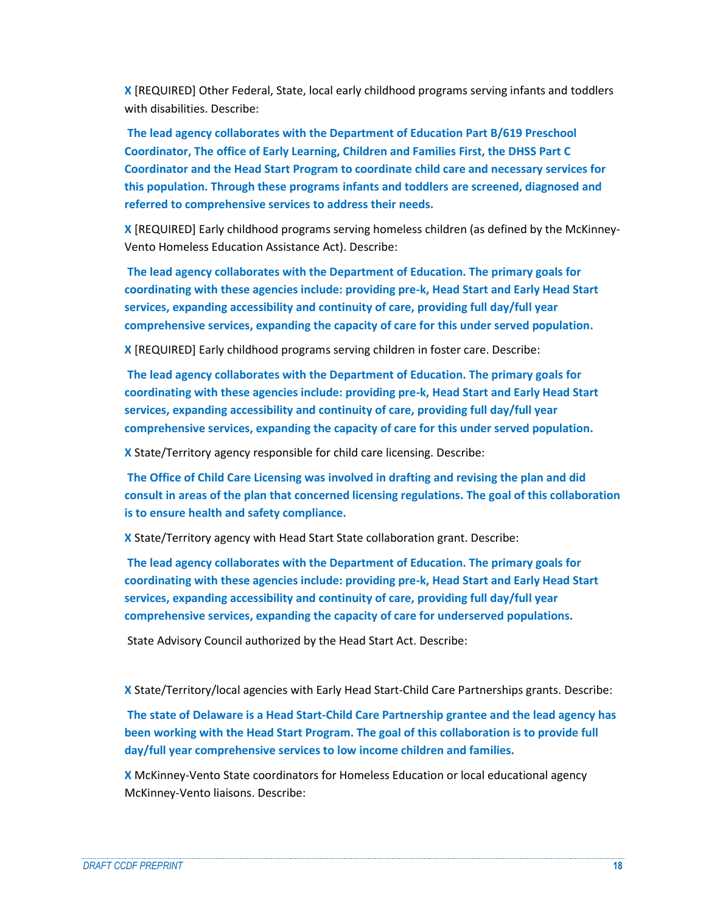**X** [REQUIRED] Other Federal, State, local early childhood programs serving infants and toddlers with disabilities. Describe:

**The lead agency collaborates with the Department of Education Part B/619 Preschool Coordinator, The office of Early Learning, Children and Families First, the DHSS Part C Coordinator and the Head Start Program to coordinate child care and necessary services for this population. Through these programs infants and toddlers are screened, diagnosed and referred to comprehensive services to address their needs.**

**X** [REQUIRED] Early childhood programs serving homeless children (as defined by the McKinney-Vento Homeless Education Assistance Act). Describe:

**The lead agency collaborates with the Department of Education. The primary goals for coordinating with these agencies include: providing pre-k, Head Start and Early Head Start services, expanding accessibility and continuity of care, providing full day/full year comprehensive services, expanding the capacity of care for this under served population.** 

**X** [REQUIRED] Early childhood programs serving children in foster care. Describe:

**The lead agency collaborates with the Department of Education. The primary goals for coordinating with these agencies include: providing pre-k, Head Start and Early Head Start services, expanding accessibility and continuity of care, providing full day/full year comprehensive services, expanding the capacity of care for this under served population.**

**X** State/Territory agency responsible for child care licensing. Describe:

**The Office of Child Care Licensing was involved in drafting and revising the plan and did consult in areas of the plan that concerned licensing regulations. The goal of this collaboration is to ensure health and safety compliance.** 

**X** State/Territory agency with Head Start State collaboration grant. Describe:

**The lead agency collaborates with the Department of Education. The primary goals for coordinating with these agencies include: providing pre-k, Head Start and Early Head Start services, expanding accessibility and continuity of care, providing full day/full year comprehensive services, expanding the capacity of care for underserved populations.** 

State Advisory Council authorized by the Head Start Act. Describe:

**X** State/Territory/local agencies with Early Head Start-Child Care Partnerships grants. Describe:

**The state of Delaware is a Head Start-Child Care Partnership grantee and the lead agency has been working with the Head Start Program. The goal of this collaboration is to provide full day/full year comprehensive services to low income children and families.**

**X** McKinney-Vento State coordinators for Homeless Education or local educational agency McKinney-Vento liaisons. Describe: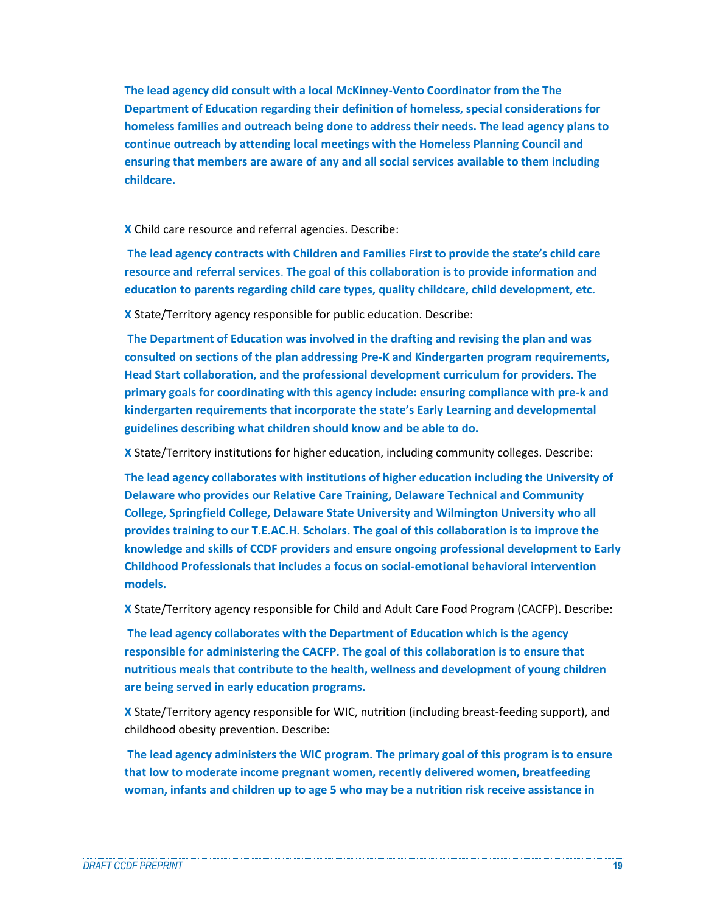**The lead agency did consult with a local McKinney-Vento Coordinator from the The Department of Education regarding their definition of homeless, special considerations for homeless families and outreach being done to address their needs. The lead agency plans to continue outreach by attending local meetings with the Homeless Planning Council and ensuring that members are aware of any and all social services available to them including childcare.** 

**X** Child care resource and referral agencies. Describe:

**The lead agency contracts with Children and Families First to provide the state's child care resource and referral services**. **The goal of this collaboration is to provide information and education to parents regarding child care types, quality childcare, child development, etc.**

**X** State/Territory agency responsible for public education. Describe:

**The Department of Education was involved in the drafting and revising the plan and was consulted on sections of the plan addressing Pre-K and Kindergarten program requirements, Head Start collaboration, and the professional development curriculum for providers. The primary goals for coordinating with this agency include: ensuring compliance with pre-k and kindergarten requirements that incorporate the state's Early Learning and developmental guidelines describing what children should know and be able to do.**

**X** State/Territory institutions for higher education, including community colleges. Describe:

**The lead agency collaborates with institutions of higher education including the University of Delaware who provides our Relative Care Training, Delaware Technical and Community College, Springfield College, Delaware State University and Wilmington University who all provides training to our T.E.AC.H. Scholars. The goal of this collaboration is to improve the knowledge and skills of CCDF providers and ensure ongoing professional development to Early Childhood Professionals that includes a focus on social-emotional behavioral intervention models.**

**X** State/Territory agency responsible for Child and Adult Care Food Program (CACFP). Describe:

**The lead agency collaborates with the Department of Education which is the agency responsible for administering the CACFP. The goal of this collaboration is to ensure that nutritious meals that contribute to the health, wellness and development of young children are being served in early education programs.** 

**X** State/Territory agency responsible for WIC, nutrition (including breast-feeding support), and childhood obesity prevention. Describe:

**The lead agency administers the WIC program. The primary goal of this program is to ensure that low to moderate income pregnant women, recently delivered women, breatfeeding woman, infants and children up to age 5 who may be a nutrition risk receive assistance in**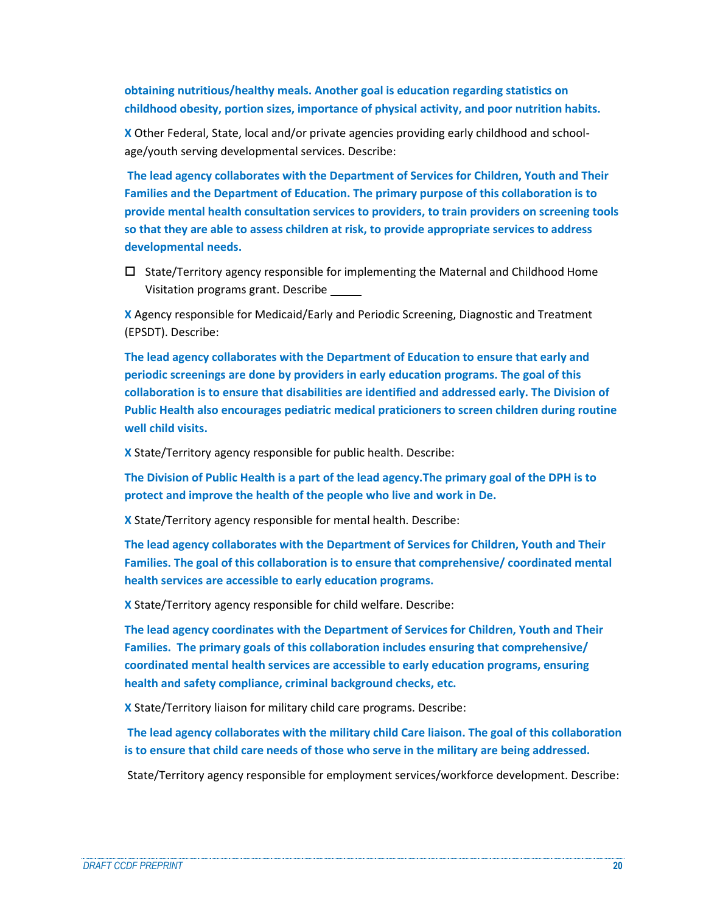**obtaining nutritious/healthy meals. Another goal is education regarding statistics on childhood obesity, portion sizes, importance of physical activity, and poor nutrition habits.**

**X** Other Federal, State, local and/or private agencies providing early childhood and schoolage/youth serving developmental services. Describe:

**The lead agency collaborates with the Department of Services for Children, Youth and Their Families and the Department of Education. The primary purpose of this collaboration is to provide mental health consultation services to providers, to train providers on screening tools so that they are able to assess children at risk, to provide appropriate services to address developmental needs.**

 $\Box$  State/Territory agency responsible for implementing the Maternal and Childhood Home Visitation programs grant. Describe

**X** Agency responsible for Medicaid/Early and Periodic Screening, Diagnostic and Treatment (EPSDT). Describe:

**The lead agency collaborates with the Department of Education to ensure that early and periodic screenings are done by providers in early education programs. The goal of this collaboration is to ensure that disabilities are identified and addressed early. The Division of Public Health also encourages pediatric medical praticioners to screen children during routine well child visits.** 

**X** State/Territory agency responsible for public health. Describe:

**The Division of Public Health is a part of the lead agency.The primary goal of the DPH is to protect and improve the health of the people who live and work in De.**

**X** State/Territory agency responsible for mental health. Describe:

**The lead agency collaborates with the Department of Services for Children, Youth and Their Families. The goal of this collaboration is to ensure that comprehensive/ coordinated mental health services are accessible to early education programs.**

**X** State/Territory agency responsible for child welfare. Describe:

**The lead agency coordinates with the Department of Services for Children, Youth and Their Families. The primary goals of this collaboration includes ensuring that comprehensive/ coordinated mental health services are accessible to early education programs, ensuring health and safety compliance, criminal background checks, etc.**

**X** State/Territory liaison for military child care programs. Describe:

**The lead agency collaborates with the military child Care liaison. The goal of this collaboration is to ensure that child care needs of those who serve in the military are being addressed.**

State/Territory agency responsible for employment services/workforce development. Describe: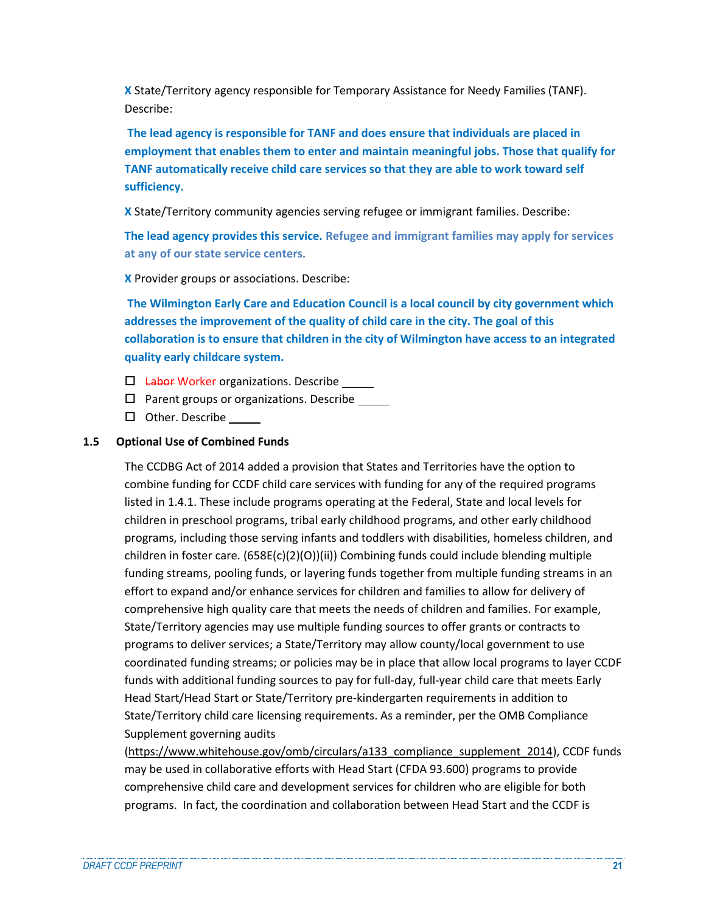**X** State/Territory agency responsible for Temporary Assistance for Needy Families (TANF). Describe:

**The lead agency is responsible for TANF and does ensure that individuals are placed in employment that enables them to enter and maintain meaningful jobs. Those that qualify for TANF automatically receive child care services so that they are able to work toward self sufficiency.** 

**X** State/Territory community agencies serving refugee or immigrant families. Describe:

**The lead agency provides this service. Refugee and immigrant families may apply for services at any of our state service centers.**

**X** Provider groups or associations. Describe:

**The Wilmington Early Care and Education Council is a local council by city government which addresses the improvement of the quality of child care in the city. The goal of this collaboration is to ensure that children in the city of Wilmington have access to an integrated quality early childcare system.** 

- □ <del>Labor</del> Worker organizations. Describe
- $\Box$  Parent groups or organizations. Describe  $\Box$
- □ Other. Describe

## **1.5 Optional Use of Combined Funds**

The CCDBG Act of 2014 added a provision that States and Territories have the option to combine funding for CCDF child care services with funding for any of the required programs listed in 1.4.1. These include programs operating at the Federal, State and local levels for children in preschool programs, tribal early childhood programs, and other early childhood programs, including those serving infants and toddlers with disabilities, homeless children, and children in foster care. (658E(c)(2)(O))(ii)) Combining funds could include blending multiple funding streams, pooling funds, or layering funds together from multiple funding streams in an effort to expand and/or enhance services for children and families to allow for delivery of comprehensive high quality care that meets the needs of children and families. For example, State/Territory agencies may use multiple funding sources to offer grants or contracts to programs to deliver services; a State/Territory may allow county/local government to use coordinated funding streams; or policies may be in place that allow local programs to layer CCDF funds with additional funding sources to pay for full-day, full-year child care that meets Early Head Start/Head Start or State/Territory pre-kindergarten requirements in addition to State/Territory child care licensing requirements. As a reminder, per the OMB Compliance Supplement governing audits

[\(https://www.whitehouse.gov/omb/circulars/a133\\_compliance\\_supplement\\_2014\)](https://www.whitehouse.gov/omb/circulars/a133_compliance_supplement_2014), CCDF funds may be used in collaborative efforts with Head Start (CFDA 93.600) programs to provide comprehensive child care and development services for children who are eligible for both programs. In fact, the coordination and collaboration between Head Start and the CCDF is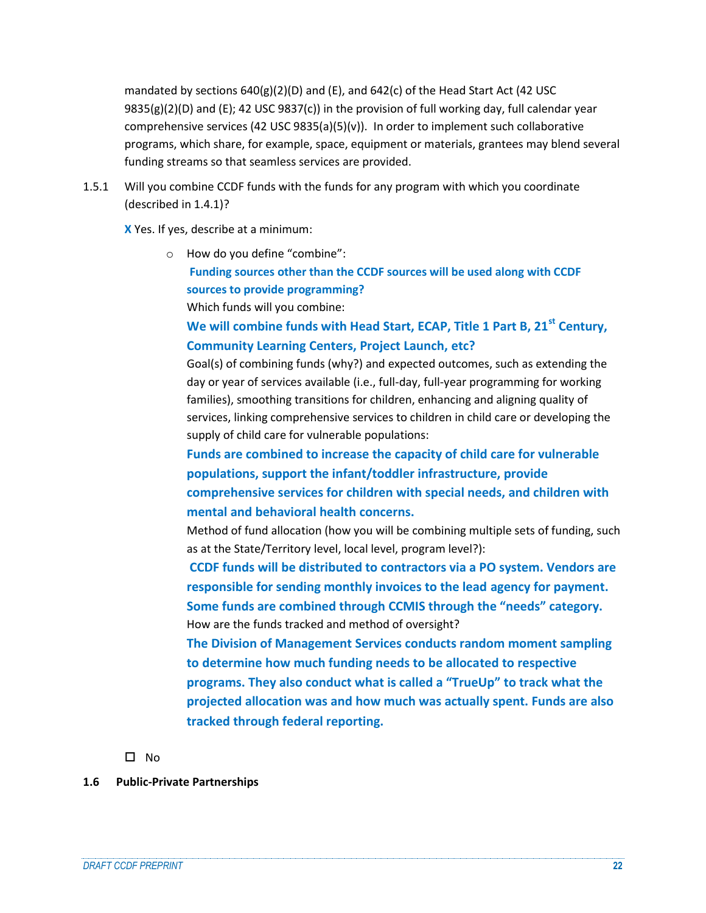mandated by sections  $640(g)(2)(D)$  and  $(E)$ , and  $642(c)$  of the Head Start Act (42 USC  $9835(g)(2)(D)$  and (E); 42 USC  $9837(c)$ ) in the provision of full working day, full calendar year comprehensive services (42 USC 9835(a)(5)(v)). In order to implement such collaborative programs, which share, for example, space, equipment or materials, grantees may blend several funding streams so that seamless services are provided.

1.5.1 Will you combine CCDF funds with the funds for any program with which you coordinate (described in 1.4.1)?

**X** Yes. If yes, describe at a minimum:

o How do you define "combine":

**Funding sources other than the CCDF sources will be used along with CCDF sources to provide programming?**

Which funds will you combine:

# **We will combine funds with Head Start, ECAP, Title 1 Part B, 21st Century, Community Learning Centers, Project Launch, etc?**

Goal(s) of combining funds (why?) and expected outcomes, such as extending the day or year of services available (i.e., full-day, full-year programming for working families), smoothing transitions for children, enhancing and aligning quality of services, linking comprehensive services to children in child care or developing the supply of child care for vulnerable populations:

**Funds are combined to increase the capacity of child care for vulnerable populations, support the infant/toddler infrastructure, provide comprehensive services for children with special needs, and children with mental and behavioral health concerns.**

Method of fund allocation (how you will be combining multiple sets of funding, such as at the State/Territory level, local level, program level?):

**CCDF funds will be distributed to contractors via a PO system. Vendors are responsible for sending monthly invoices to the lead agency for payment. Some funds are combined through CCMIS through the "needs" category.** How are the funds tracked and method of oversight?

**The Division of Management Services conducts random moment sampling to determine how much funding needs to be allocated to respective programs. They also conduct what is called a "TrueUp" to track what the projected allocation was and how much was actually spent. Funds are also tracked through federal reporting.**

 $\square$  No

## **1.6 Public-Private Partnerships**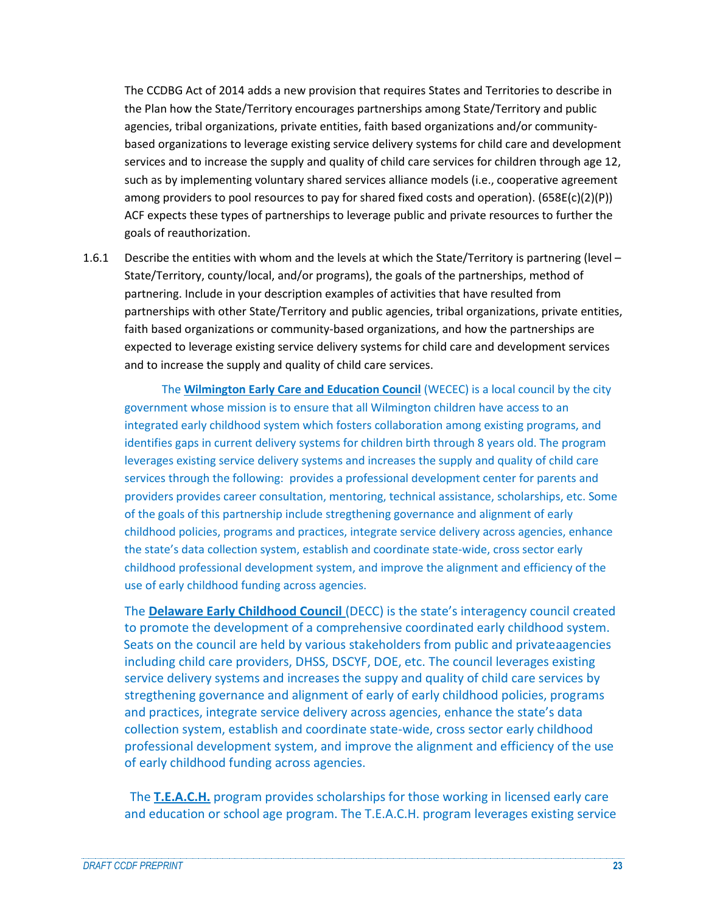The CCDBG Act of 2014 adds a new provision that requires States and Territories to describe in the Plan how the State/Territory encourages partnerships among State/Territory and public agencies, tribal organizations, private entities, faith based organizations and/or communitybased organizations to leverage existing service delivery systems for child care and development services and to increase the supply and quality of child care services for children through age 12, such as by implementing voluntary shared services alliance models (i.e., cooperative agreement among providers to pool resources to pay for shared fixed costs and operation). (658E(c)(2)(P)) ACF expects these types of partnerships to leverage public and private resources to further the goals of reauthorization.

1.6.1 Describe the entities with whom and the levels at which the State/Territory is partnering (level – State/Territory, county/local, and/or programs), the goals of the partnerships, method of partnering. Include in your description examples of activities that have resulted from partnerships with other State/Territory and public agencies, tribal organizations, private entities, faith based organizations or community-based organizations, and how the partnerships are expected to leverage existing service delivery systems for child care and development services and to increase the supply and quality of child care services.

 The **Wilmington Early Care and Education Council** (WECEC) is a local council by the city government whose mission is to ensure that all Wilmington children have access to an integrated early childhood system which fosters collaboration among existing programs, and identifies gaps in current delivery systems for children birth through 8 years old. The program leverages existing service delivery systems and increases the supply and quality of child care services through the following: provides a professional development center for parents and providers provides career consultation, mentoring, technical assistance, scholarships, etc. Some of the goals of this partnership include stregthening governance and alignment of early childhood policies, programs and practices, integrate service delivery across agencies, enhance the state's data collection system, establish and coordinate state-wide, cross sector early childhood professional development system, and improve the alignment and efficiency of the use of early childhood funding across agencies.

The **Delaware Early Childhood Council** (DECC) is the state's interagency council created to promote the development of a comprehensive coordinated early childhood system. Seats on the council are held by various stakeholders from public and privateaagencies including child care providers, DHSS, DSCYF, DOE, etc. The council leverages existing service delivery systems and increases the suppy and quality of child care services by stregthening governance and alignment of early of early childhood policies, programs and practices, integrate service delivery across agencies, enhance the state's data collection system, establish and coordinate state-wide, cross sector early childhood professional development system, and improve the alignment and efficiency of the use of early childhood funding across agencies.

 The **T.E.A.C.H.** program provides scholarships for those working in licensed early care and education or school age program. The T.E.A.C.H. program leverages existing service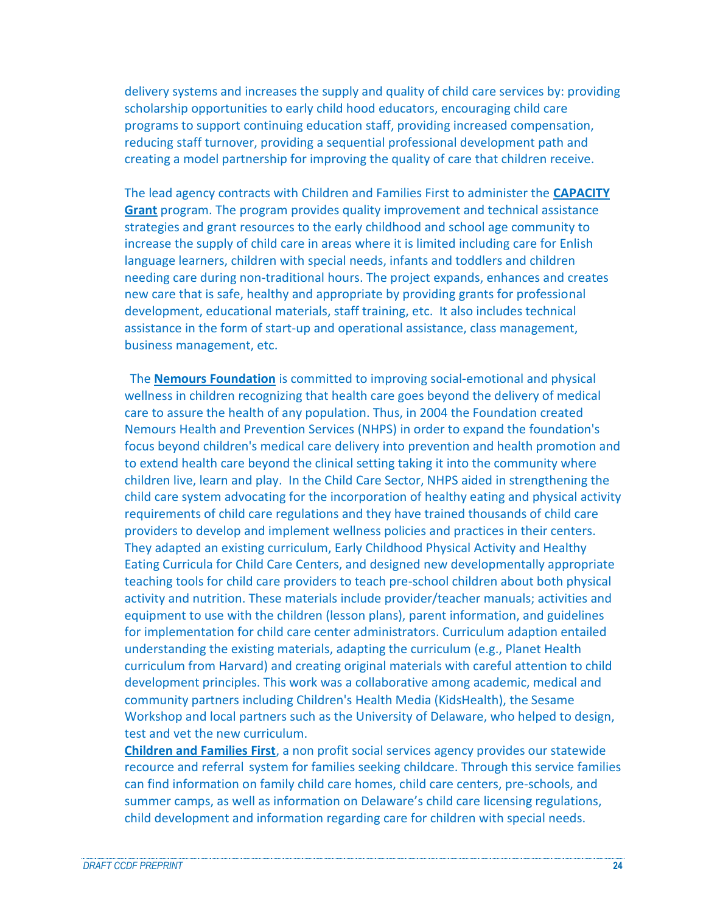delivery systems and increases the supply and quality of child care services by: providing scholarship opportunities to early child hood educators, encouraging child care programs to support continuing education staff, providing increased compensation, reducing staff turnover, providing a sequential professional development path and creating a model partnership for improving the quality of care that children receive.

The lead agency contracts with Children and Families First to administer the **CAPACITY Grant** program. The program provides quality improvement and technical assistance strategies and grant resources to the early childhood and school age community to increase the supply of child care in areas where it is limited including care for Enlish language learners, children with special needs, infants and toddlers and children needing care during non-traditional hours. The project expands, enhances and creates new care that is safe, healthy and appropriate by providing grants for professional development, educational materials, staff training, etc. It also includes technical assistance in the form of start-up and operational assistance, class management, business management, etc.

 The **Nemours Foundation** is committed to improving social-emotional and physical wellness in children recognizing that health care goes beyond the delivery of medical care to assure the health of any population. Thus, in 2004 the Foundation created Nemours Health and Prevention Services (NHPS) in order to expand the foundation's focus beyond children's medical care delivery into prevention and health promotion and to extend health care beyond the clinical setting taking it into the community where children live, learn and play. In the Child Care Sector, NHPS aided in strengthening the child care system advocating for the incorporation of healthy eating and physical activity requirements of child care regulations and they have trained thousands of child care providers to develop and implement wellness policies and practices in their centers. They adapted an existing curriculum, Early Childhood Physical Activity and Healthy Eating Curricula for Child Care Centers, and designed new developmentally appropriate teaching tools for child care providers to teach pre-school children about both physical activity and nutrition. These materials include provider/teacher manuals; activities and equipment to use with the children (lesson plans), parent information, and guidelines for implementation for child care center administrators. Curriculum adaption entailed understanding the existing materials, adapting the curriculum (e.g., Planet Health curriculum from Harvard) and creating original materials with careful attention to child development principles. This work was a collaborative among academic, medical and community partners including Children's Health Media (KidsHealth), the Sesame Workshop and local partners such as the University of Delaware, who helped to design, test and vet the new curriculum.

**Children and Families First**, a non profit social services agency provides our statewide recource and referral system for families seeking childcare. Through this service families can find information on family child care homes, child care centers, pre-schools, and summer camps, as well as information on Delaware's child care licensing regulations, child development and information regarding care for children with special needs.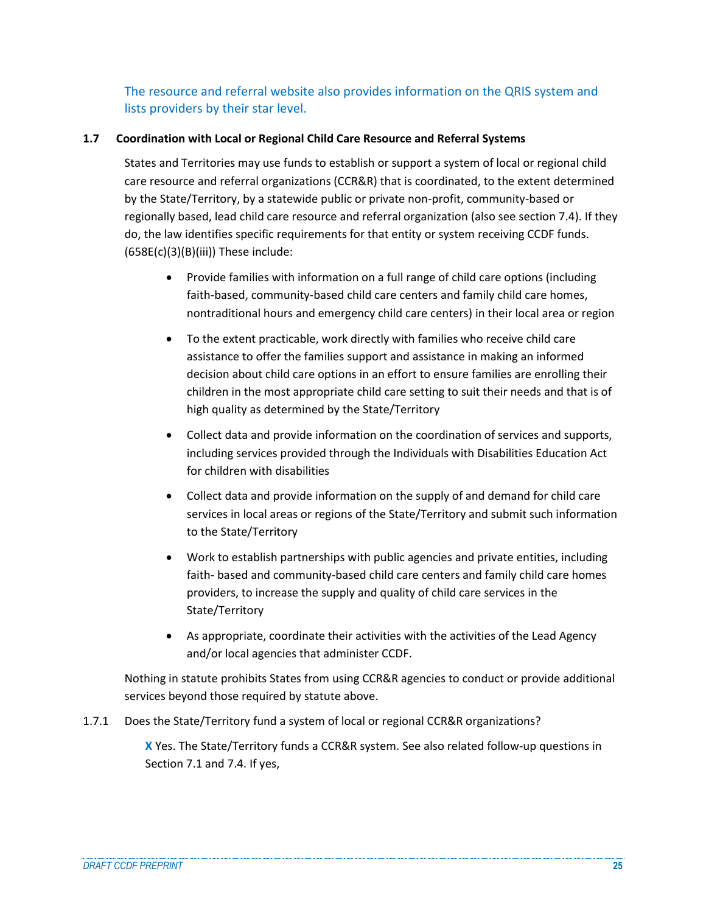# The resource and referral website also provides information on the QRIS system and lists providers by their star level.

## **1.7 Coordination with Local or Regional Child Care Resource and Referral Systems**

States and Territories may use funds to establish or support a system of local or regional child care resource and referral organizations (CCR&R) that is coordinated, to the extent determined by the State/Territory, by a statewide public or private non-profit, community-based or regionally based, lead child care resource and referral organization (also see section 7.4). If they do, the law identifies specific requirements for that entity or system receiving CCDF funds.  $(658E(c)(3)(B)(iii))$  These include:

- Provide families with information on a full range of child care options (including faith-based, community-based child care centers and family child care homes, nontraditional hours and emergency child care centers) in their local area or region
- To the extent practicable, work directly with families who receive child care assistance to offer the families support and assistance in making an informed decision about child care options in an effort to ensure families are enrolling their children in the most appropriate child care setting to suit their needs and that is of high quality as determined by the State/Territory
- Collect data and provide information on the coordination of services and supports, including services provided through the Individuals with Disabilities Education Act for children with disabilities
- Collect data and provide information on the supply of and demand for child care services in local areas or regions of the State/Territory and submit such information to the State/Territory
- Work to establish partnerships with public agencies and private entities, including faith- based and community-based child care centers and family child care homes providers, to increase the supply and quality of child care services in the State/Territory
- As appropriate, coordinate their activities with the activities of the Lead Agency and/or local agencies that administer CCDF.

Nothing in statute prohibits States from using CCR&R agencies to conduct or provide additional services beyond those required by statute above.

## 1.7.1 Does the State/Territory fund a system of local or regional CCR&R organizations?

**X** Yes. The State/Territory funds a CCR&R system. See also related follow-up questions in Section 7.1 and 7.4. If yes,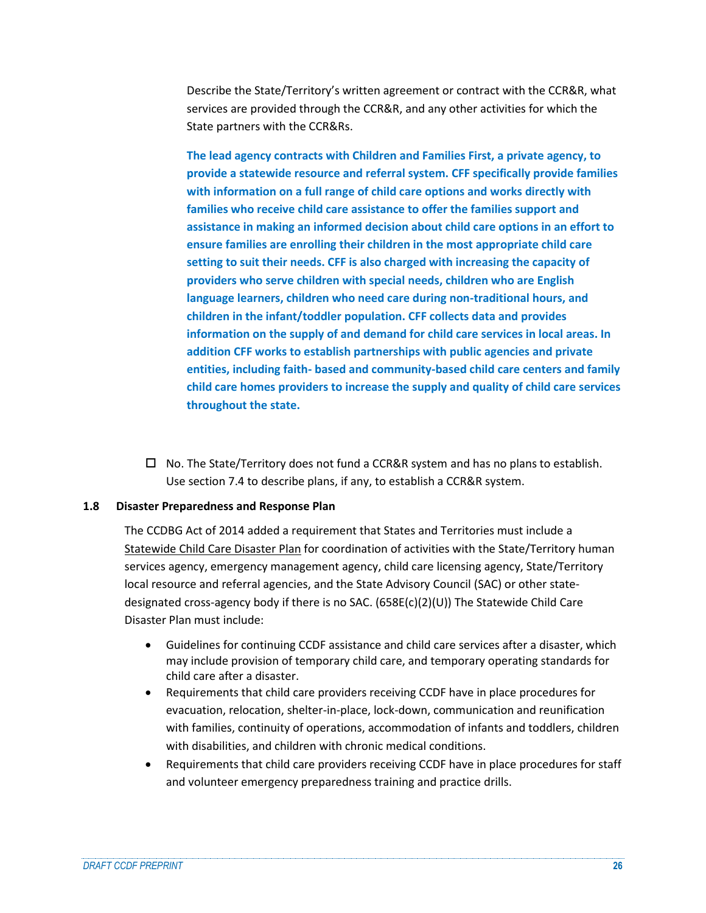Describe the State/Territory's written agreement or contract with the CCR&R, what services are provided through the CCR&R, and any other activities for which the State partners with the CCR&Rs.

**The lead agency contracts with Children and Families First, a private agency, to provide a statewide resource and referral system. CFF specifically provide families with information on a full range of child care options and works directly with families who receive child care assistance to offer the families support and assistance in making an informed decision about child care options in an effort to ensure families are enrolling their children in the most appropriate child care setting to suit their needs. CFF is also charged with increasing the capacity of providers who serve children with special needs, children who are English language learners, children who need care during non-traditional hours, and children in the infant/toddler population. CFF collects data and provides information on the supply of and demand for child care services in local areas. In addition CFF works to establish partnerships with public agencies and private entities, including faith- based and community-based child care centers and family child care homes providers to increase the supply and quality of child care services throughout the state.** 

 $\Box$  No. The State/Territory does not fund a CCR&R system and has no plans to establish. Use section 7.4 to describe plans, if any, to establish a CCR&R system.

#### **1.8 Disaster Preparedness and Response Plan**

The CCDBG Act of 2014 added a requirement that States and Territories must include a Statewide Child Care Disaster Plan for coordination of activities with the State/Territory human services agency, emergency management agency, child care licensing agency, State/Territory local resource and referral agencies, and the State Advisory Council (SAC) or other statedesignated cross-agency body if there is no SAC. (658E(c)(2)(U)) The Statewide Child Care Disaster Plan must include:

- Guidelines for continuing CCDF assistance and child care services after a disaster, which may include provision of temporary child care, and temporary operating standards for child care after a disaster.
- Requirements that child care providers receiving CCDF have in place procedures for evacuation, relocation, shelter-in-place, lock-down, communication and reunification with families, continuity of operations, accommodation of infants and toddlers, children with disabilities, and children with chronic medical conditions.
- Requirements that child care providers receiving CCDF have in place procedures for staff and volunteer emergency preparedness training and practice drills.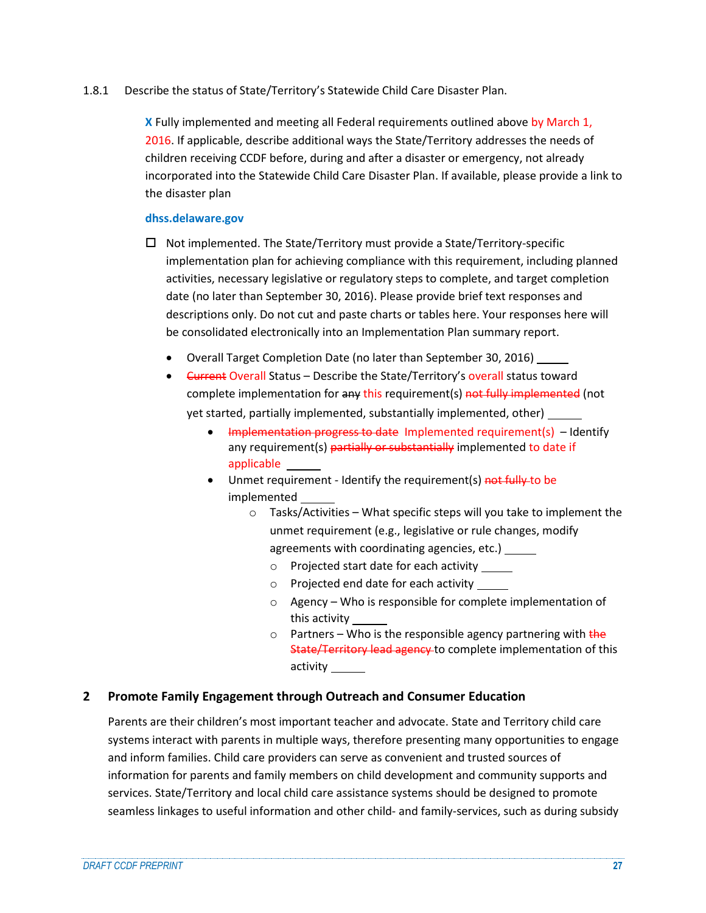1.8.1 Describe the status of State/Territory's Statewide Child Care Disaster Plan.

**X** Fully implemented and meeting all Federal requirements outlined above by March 1, 2016. If applicable, describe additional ways the State/Territory addresses the needs of children receiving CCDF before, during and after a disaster or emergency, not already incorporated into the Statewide Child Care Disaster Plan. If available, please provide a link to the disaster plan

### **dhss.delaware.gov**

- $\Box$  Not implemented. The State/Territory must provide a State/Territory-specific implementation plan for achieving compliance with this requirement, including planned activities, necessary legislative or regulatory steps to complete, and target completion date (no later than September 30, 2016). Please provide brief text responses and descriptions only. Do not cut and paste charts or tables here. Your responses here will be consolidated electronically into an Implementation Plan summary report.
	- Overall Target Completion Date (no later than September 30, 2016)
	- **•** <del>Current</del> Overall Status Describe the State/Territory's overall status toward complete implementation for any this requirement(s) not fully implemented (not yet started, partially implemented, substantially implemented, other)
		- Implementation progress to date Implemented requirement(s) Identify any requirement(s) partially or substantially implemented to date if applicable
		- Unmet requirement Identify the requirement(s) not fully to be implemented
			- o Tasks/Activities What specific steps will you take to implement the unmet requirement (e.g., legislative or rule changes, modify agreements with coordinating agencies, etc.)
				- o Projected start date for each activity
				- o Projected end date for each activity
				- o Agency Who is responsible for complete implementation of this activity
				- $\circ$  Partners Who is the responsible agency partnering with the State/Territory lead agency to complete implementation of this activity

## **2 Promote Family Engagement through Outreach and Consumer Education**

Parents are their children's most important teacher and advocate. State and Territory child care systems interact with parents in multiple ways, therefore presenting many opportunities to engage and inform families. Child care providers can serve as convenient and trusted sources of information for parents and family members on child development and community supports and services. State/Territory and local child care assistance systems should be designed to promote seamless linkages to useful information and other child- and family-services, such as during subsidy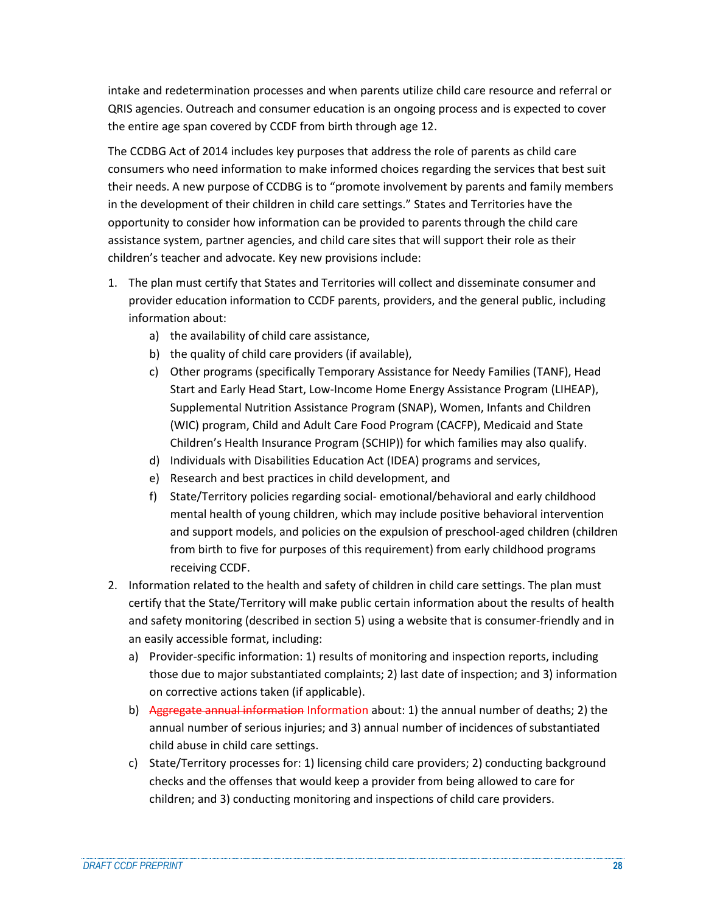intake and redetermination processes and when parents utilize child care resource and referral or QRIS agencies. Outreach and consumer education is an ongoing process and is expected to cover the entire age span covered by CCDF from birth through age 12.

The CCDBG Act of 2014 includes key purposes that address the role of parents as child care consumers who need information to make informed choices regarding the services that best suit their needs. A new purpose of CCDBG is to "promote involvement by parents and family members in the development of their children in child care settings." States and Territories have the opportunity to consider how information can be provided to parents through the child care assistance system, partner agencies, and child care sites that will support their role as their children's teacher and advocate. Key new provisions include:

- 1. The plan must certify that States and Territories will collect and disseminate consumer and provider education information to CCDF parents, providers, and the general public, including information about:
	- a) the availability of child care assistance,
	- b) the quality of child care providers (if available),
	- c) Other programs (specifically Temporary Assistance for Needy Families (TANF), Head Start and Early Head Start, Low-Income Home Energy Assistance Program (LIHEAP), Supplemental Nutrition Assistance Program (SNAP), Women, Infants and Children (WIC) program, Child and Adult Care Food Program (CACFP), Medicaid and State Children's Health Insurance Program (SCHIP)) for which families may also qualify.
	- d) Individuals with Disabilities Education Act (IDEA) programs and services,
	- e) Research and best practices in child development, and
	- f) State/Territory policies regarding social- emotional/behavioral and early childhood mental health of young children, which may include positive behavioral intervention and support models, and policies on the expulsion of preschool-aged children (children from birth to five for purposes of this requirement) from early childhood programs receiving CCDF.
- 2. Information related to the health and safety of children in child care settings. The plan must certify that the State/Territory will make public certain information about the results of health and safety monitoring (described in section 5) using a website that is consumer-friendly and in an easily accessible format, including:
	- a) Provider-specific information: 1) results of monitoring and inspection reports, including those due to major substantiated complaints; 2) last date of inspection; and 3) information on corrective actions taken (if applicable).
	- b) Aggregate annual information Information about: 1) the annual number of deaths; 2) the annual number of serious injuries; and 3) annual number of incidences of substantiated child abuse in child care settings.
	- c) State/Territory processes for: 1) licensing child care providers; 2) conducting background checks and the offenses that would keep a provider from being allowed to care for children; and 3) conducting monitoring and inspections of child care providers.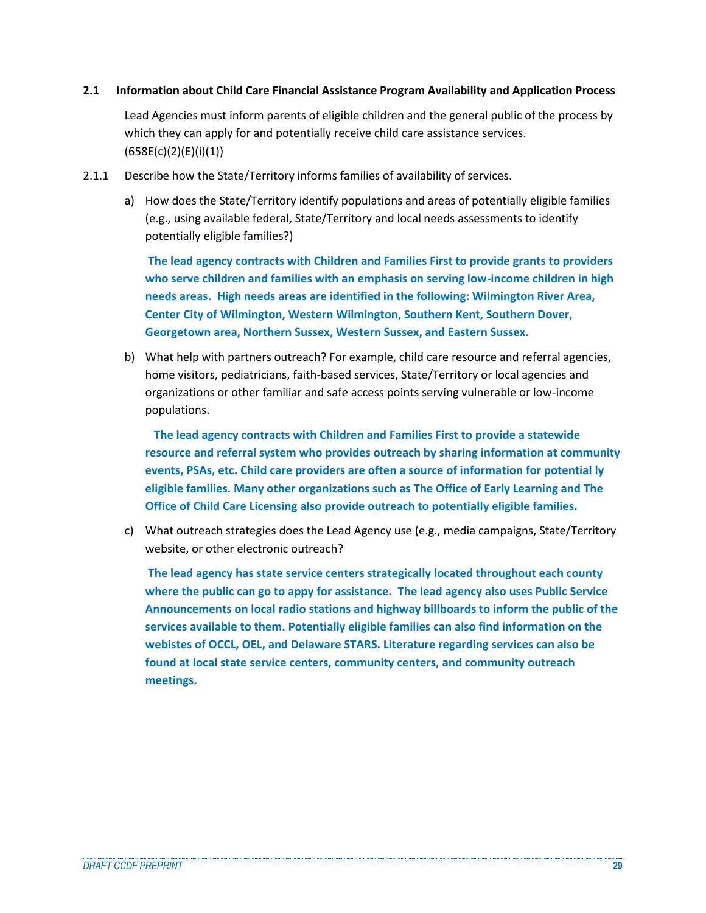### **2.1 Information about Child Care Financial Assistance Program Availability and Application Process**

Lead Agencies must inform parents of eligible children and the general public of the process by which they can apply for and potentially receive child care assistance services. (658E(c)(2)(E)(i)(1))

- 2.1.1 Describe how the State/Territory informs families of availability of services.
	- a) How does the State/Territory identify populations and areas of potentially eligible families (e.g., using available federal, State/Territory and local needs assessments to identify potentially eligible families?)

**The lead agency contracts with Children and Families First to provide grants to providers who serve children and families with an emphasis on serving low-income children in high needs areas. High needs areas are identified in the following: Wilmington River Area, Center City of Wilmington, Western Wilmington, Southern Kent, Southern Dover, Georgetown area, Northern Sussex, Western Sussex, and Eastern Sussex.**

b) What help with partners outreach? For example, child care resource and referral agencies, home visitors, pediatricians, faith-based services, State/Territory or local agencies and organizations or other familiar and safe access points serving vulnerable or low-income populations.

 **The lead agency contracts with Children and Families First to provide a statewide resource and referral system who provides outreach by sharing information at community events, PSAs, etc. Child care providers are often a source of information for potential ly eligible families. Many other organizations such as The Office of Early Learning and The Office of Child Care Licensing also provide outreach to potentially eligible families.** 

c) What outreach strategies does the Lead Agency use (e.g., media campaigns, State/Territory website, or other electronic outreach?

**The lead agency has state service centers strategically located throughout each county where the public can go to appy for assistance. The lead agency also uses Public Service Announcements on local radio stations and highway billboards to inform the public of the services available to them. Potentially eligible families can also find information on the webistes of OCCL, OEL, and Delaware STARS. Literature regarding services can also be found at local state service centers, community centers, and community outreach meetings.**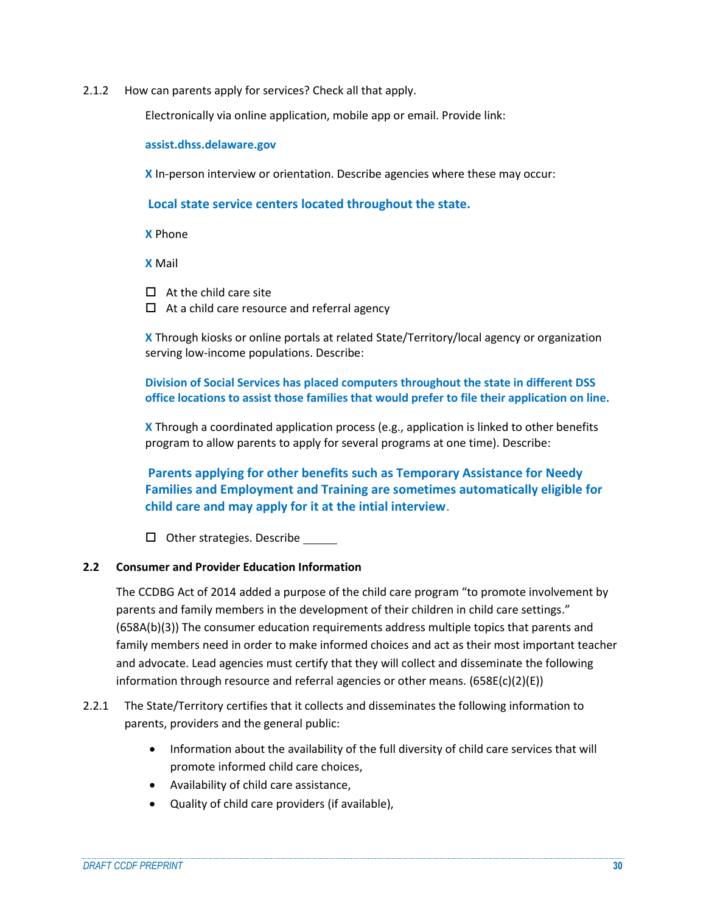2.1.2 How can parents apply for services? Check all that apply.

Electronically via online application, mobile app or email. Provide link:

**assist.dhss.delaware.gov**

**X** In-person interview or orientation. Describe agencies where these may occur:

**Local state service centers located throughout the state.**

**X** Phone

**X** Mail

 $\Box$  At the child care site

 $\Box$  At a child care resource and referral agency

**X** Through kiosks or online portals at related State/Territory/local agency or organization serving low-income populations. Describe:

**Division of Social Services has placed computers throughout the state in different DSS office locations to assist those families that would prefer to file their application on line.** 

**X** Through a coordinated application process (e.g., application is linked to other benefits program to allow parents to apply for several programs at one time). Describe:

**Parents applying for other benefits such as Temporary Assistance for Needy Families and Employment and Training are sometimes automatically eligible for child care and may apply for it at the intial interview**.

 $\Box$  Other strategies. Describe  $\Box$ 

## **2.2 Consumer and Provider Education Information**

The CCDBG Act of 2014 added a purpose of the child care program "to promote involvement by parents and family members in the development of their children in child care settings." (658A(b)(3)) The consumer education requirements address multiple topics that parents and family members need in order to make informed choices and act as their most important teacher and advocate. Lead agencies must certify that they will collect and disseminate the following information through resource and referral agencies or other means.  $(658E(c)(2)(E))$ 

- 2.2.1 The State/Territory certifies that it collects and disseminates the following information to parents, providers and the general public:
	- Information about the availability of the full diversity of child care services that will promote informed child care choices,
	- Availability of child care assistance,
	- Quality of child care providers (if available),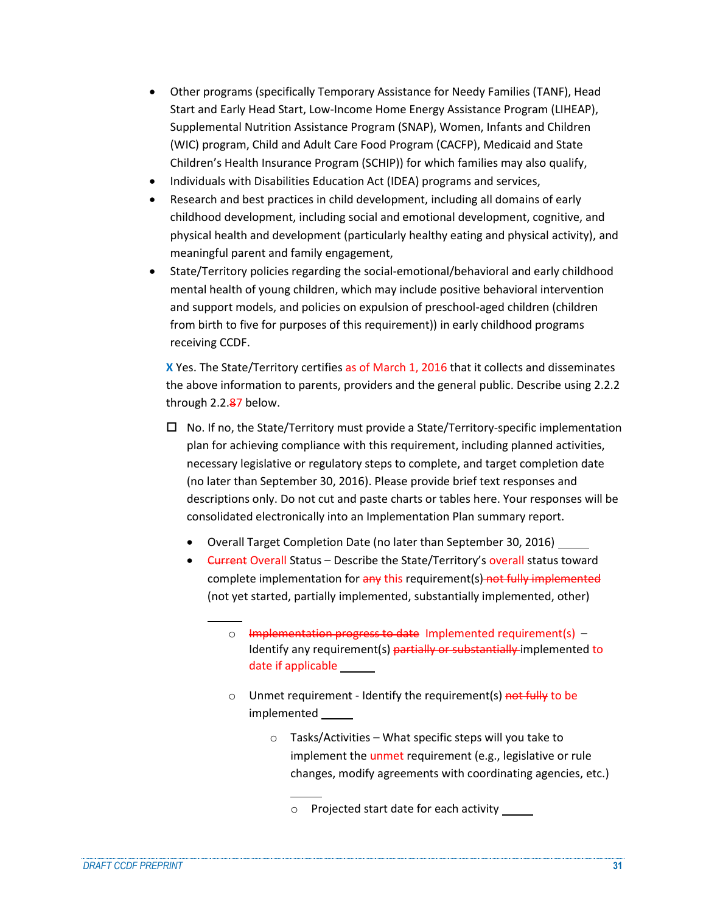- Other programs (specifically Temporary Assistance for Needy Families (TANF), Head Start and Early Head Start, Low-Income Home Energy Assistance Program (LIHEAP), Supplemental Nutrition Assistance Program (SNAP), Women, Infants and Children (WIC) program, Child and Adult Care Food Program (CACFP), Medicaid and State Children's Health Insurance Program (SCHIP)) for which families may also qualify,
- Individuals with Disabilities Education Act (IDEA) programs and services,
- Research and best practices in child development, including all domains of early childhood development, including social and emotional development, cognitive, and physical health and development (particularly healthy eating and physical activity), and meaningful parent and family engagement,
- State/Territory policies regarding the social-emotional/behavioral and early childhood mental health of young children, which may include positive behavioral intervention and support models, and policies on expulsion of preschool-aged children (children from birth to five for purposes of this requirement)) in early childhood programs receiving CCDF.

**X** Yes. The State/Territory certifies as of March 1, 2016 that it collects and disseminates the above information to parents, providers and the general public. Describe using 2.2.2 through 2.2.87 below.

- $\Box$  No. If no, the State/Territory must provide a State/Territory-specific implementation plan for achieving compliance with this requirement, including planned activities, necessary legislative or regulatory steps to complete, and target completion date (no later than September 30, 2016). Please provide brief text responses and descriptions only. Do not cut and paste charts or tables here. Your responses will be consolidated electronically into an Implementation Plan summary report.
	- Overall Target Completion Date (no later than September 30, 2016) [100]
	- **•** <del>Current</del> Overall Status Describe the State/Territory's overall status toward complete implementation for any this requirement(s) not fully implemented (not yet started, partially implemented, substantially implemented, other)
		- o Implementation progress to date Implemented requirement(s) Identify any requirement(s) partially or substantially implemented to date if applicable
		- $\circ$  Unmet requirement Identify the requirement(s) not fully to be implemented
			- $\circ$  Tasks/Activities What specific steps will you take to implement the unmet requirement (e.g., legislative or rule changes, modify agreements with coordinating agencies, etc.)

o Projected start date for each activity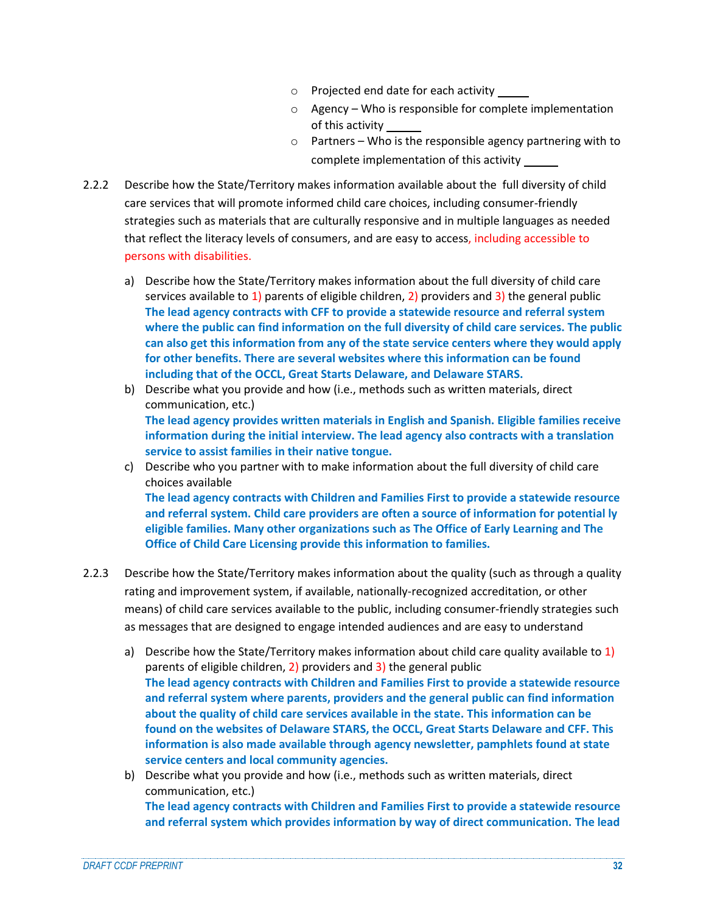- o Projected end date for each activity
- o Agency Who is responsible for complete implementation of this activity
- $\circ$  Partners Who is the responsible agency partnering with to complete implementation of this activity
- 2.2.2 Describe how the State/Territory makes information available about the full diversity of child care services that will promote informed child care choices, including consumer-friendly strategies such as materials that are culturally responsive and in multiple languages as needed that reflect the literacy levels of consumers, and are easy to access, including accessible to persons with disabilities.
	- a) Describe how the State/Territory makes information about the full diversity of child care services available to 1) parents of eligible children, 2) providers and 3) the general public **The lead agency contracts with CFF to provide a statewide resource and referral system where the public can find information on the full diversity of child care services. The public can also get this information from any of the state service centers where they would apply for other benefits. There are several websites where this information can be found including that of the OCCL, Great Starts Delaware, and Delaware STARS.**
	- b) Describe what you provide and how (i.e., methods such as written materials, direct communication, etc.) **The lead agency provides written materials in English and Spanish. Eligible families receive information during the initial interview. The lead agency also contracts with a translation service to assist families in their native tongue.**
	- c) Describe who you partner with to make information about the full diversity of child care choices available **The lead agency contracts with Children and Families First to provide a statewide resource and referral system. Child care providers are often a source of information for potential ly eligible families. Many other organizations such as The Office of Early Learning and The Office of Child Care Licensing provide this information to families.**
- 2.2.3 Describe how the State/Territory makes information about the quality (such as through a quality rating and improvement system, if available, nationally-recognized accreditation, or other means) of child care services available to the public, including consumer-friendly strategies such as messages that are designed to engage intended audiences and are easy to understand
	- a) Describe how the State/Territory makes information about child care quality available to 1) parents of eligible children, 2) providers and 3) the general public **The lead agency contracts with Children and Families First to provide a statewide resource and referral system where parents, providers and the general public can find information about the quality of child care services available in the state. This information can be found on the websites of Delaware STARS, the OCCL, Great Starts Delaware and CFF. This information is also made available through agency newsletter, pamphlets found at state service centers and local community agencies.**
	- b) Describe what you provide and how (i.e., methods such as written materials, direct communication, etc.) **The lead agency contracts with Children and Families First to provide a statewide resource and referral system which provides information by way of direct communication. The lead**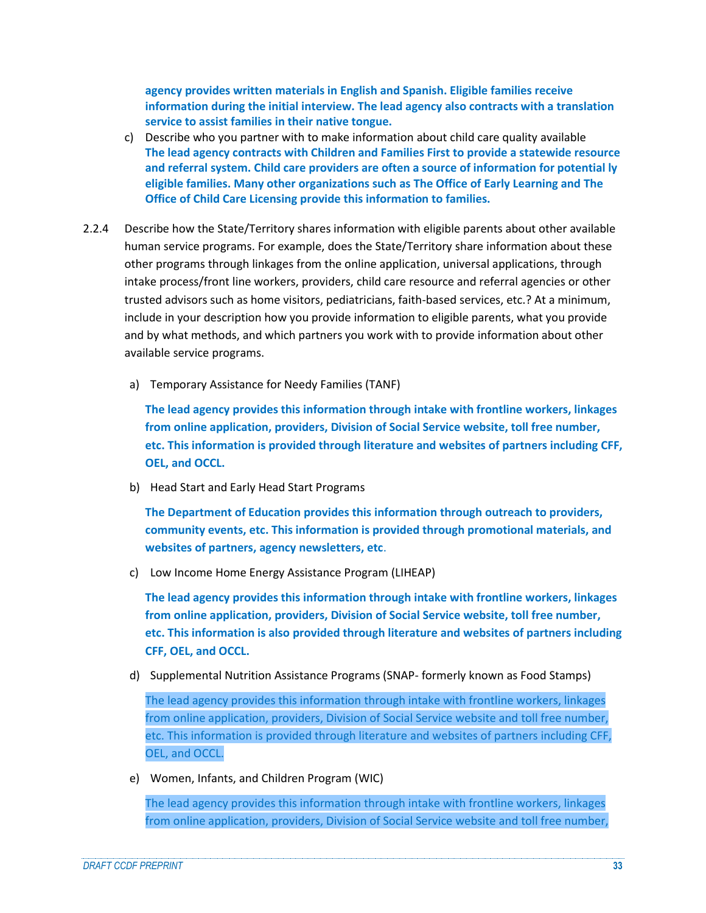**agency provides written materials in English and Spanish. Eligible families receive information during the initial interview. The lead agency also contracts with a translation service to assist families in their native tongue.**

- c) Describe who you partner with to make information about child care quality available **The lead agency contracts with Children and Families First to provide a statewide resource and referral system. Child care providers are often a source of information for potential ly eligible families. Many other organizations such as The Office of Early Learning and The Office of Child Care Licensing provide this information to families.**
- 2.2.4 Describe how the State/Territory shares information with eligible parents about other available human service programs. For example, does the State/Territory share information about these other programs through linkages from the online application, universal applications, through intake process/front line workers, providers, child care resource and referral agencies or other trusted advisors such as home visitors, pediatricians, faith-based services, etc.? At a minimum, include in your description how you provide information to eligible parents, what you provide and by what methods, and which partners you work with to provide information about other available service programs.
	- a) Temporary Assistance for Needy Families (TANF)

**The lead agency provides this information through intake with frontline workers, linkages from online application, providers, Division of Social Service website, toll free number, etc. This information is provided through literature and websites of partners including CFF, OEL, and OCCL.**

b) Head Start and Early Head Start Programs

**The Department of Education provides this information through outreach to providers, community events, etc. This information is provided through promotional materials, and websites of partners, agency newsletters, etc**.

c) Low Income Home Energy Assistance Program (LIHEAP)

**The lead agency provides this information through intake with frontline workers, linkages from online application, providers, Division of Social Service website, toll free number, etc. This information is also provided through literature and websites of partners including CFF, OEL, and OCCL.** 

d) Supplemental Nutrition Assistance Programs (SNAP- formerly known as Food Stamps)

The lead agency provides this information through intake with frontline workers, linkages from online application, providers, Division of Social Service website and toll free number, etc. This information is provided through literature and websites of partners including CFF, OEL, and OCCL.

e) Women, Infants, and Children Program (WIC)

The lead agency provides this information through intake with frontline workers, linkages from online application, providers, Division of Social Service website and toll free number,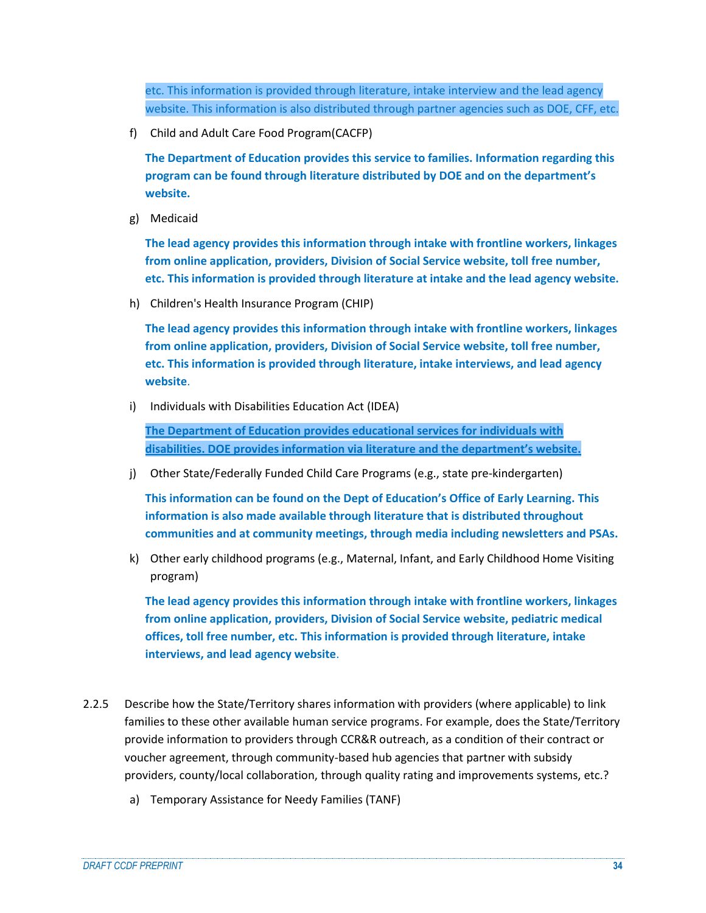etc. This information is provided through literature, intake interview and the lead agency website. This information is also distributed through partner agencies such as DOE, CFF, etc.

f) Child and Adult Care Food Program(CACFP)

**The Department of Education provides this service to families. Information regarding this program can be found through literature distributed by DOE and on the department's website.**

g) Medicaid

**The lead agency provides this information through intake with frontline workers, linkages from online application, providers, Division of Social Service website, toll free number, etc. This information is provided through literature at intake and the lead agency website.**

h) Children's Health Insurance Program (CHIP)

**The lead agency provides this information through intake with frontline workers, linkages from online application, providers, Division of Social Service website, toll free number, etc. This information is provided through literature, intake interviews, and lead agency website**.

i) Individuals with Disabilities Education Act (IDEA)

**The Department of Education provides educational services for individuals with disabilities. DOE provides information via literature and the department's website.**

j) Other State/Federally Funded Child Care Programs (e.g., state pre-kindergarten)

**This information can be found on the Dept of Education's Office of Early Learning. This information is also made available through literature that is distributed throughout communities and at community meetings, through media including newsletters and PSAs.**

k) Other early childhood programs (e.g., Maternal, Infant, and Early Childhood Home Visiting program)

**The lead agency provides this information through intake with frontline workers, linkages from online application, providers, Division of Social Service website, pediatric medical offices, toll free number, etc. This information is provided through literature, intake interviews, and lead agency website**.

- 2.2.5 Describe how the State/Territory shares information with providers (where applicable) to link families to these other available human service programs. For example, does the State/Territory provide information to providers through CCR&R outreach, as a condition of their contract or voucher agreement, through community-based hub agencies that partner with subsidy providers, county/local collaboration, through quality rating and improvements systems, etc.?
	- a) Temporary Assistance for Needy Families (TANF)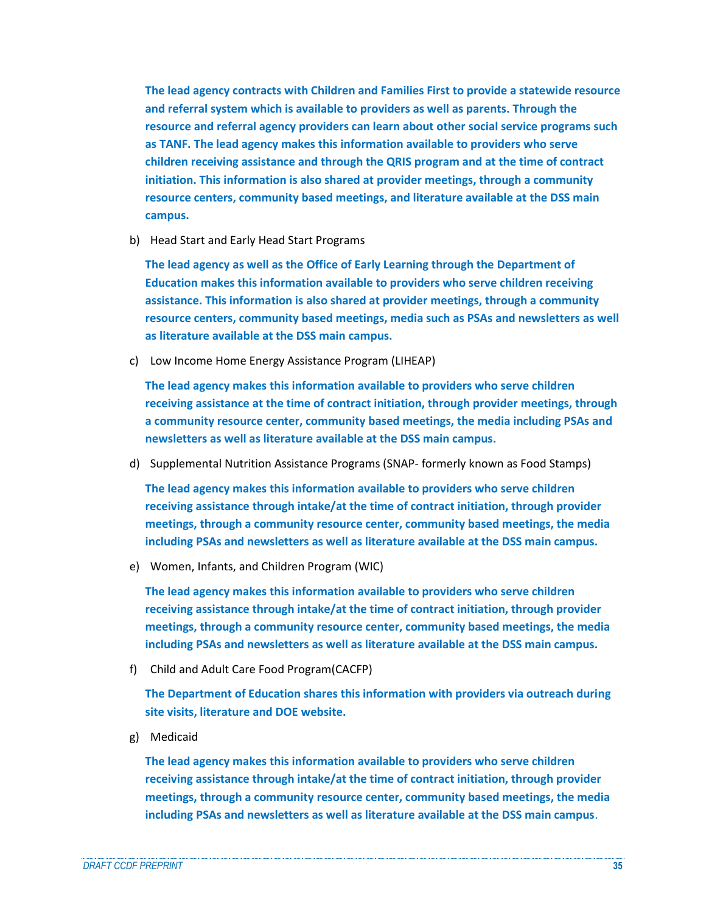**The lead agency contracts with Children and Families First to provide a statewide resource and referral system which is available to providers as well as parents. Through the resource and referral agency providers can learn about other social service programs such as TANF. The lead agency makes this information available to providers who serve children receiving assistance and through the QRIS program and at the time of contract initiation. This information is also shared at provider meetings, through a community resource centers, community based meetings, and literature available at the DSS main campus.** 

b) Head Start and Early Head Start Programs

**The lead agency as well as the Office of Early Learning through the Department of Education makes this information available to providers who serve children receiving assistance. This information is also shared at provider meetings, through a community resource centers, community based meetings, media such as PSAs and newsletters as well as literature available at the DSS main campus.** 

c) Low Income Home Energy Assistance Program (LIHEAP)

**The lead agency makes this information available to providers who serve children receiving assistance at the time of contract initiation, through provider meetings, through a community resource center, community based meetings, the media including PSAs and newsletters as well as literature available at the DSS main campus.** 

d) Supplemental Nutrition Assistance Programs (SNAP- formerly known as Food Stamps)

**The lead agency makes this information available to providers who serve children receiving assistance through intake/at the time of contract initiation, through provider meetings, through a community resource center, community based meetings, the media including PSAs and newsletters as well as literature available at the DSS main campus.**

e) Women, Infants, and Children Program (WIC)

**The lead agency makes this information available to providers who serve children receiving assistance through intake/at the time of contract initiation, through provider meetings, through a community resource center, community based meetings, the media including PSAs and newsletters as well as literature available at the DSS main campus.** 

f) Child and Adult Care Food Program(CACFP)

**The Department of Education shares this information with providers via outreach during site visits, literature and DOE website.**

g) Medicaid

**The lead agency makes this information available to providers who serve children receiving assistance through intake/at the time of contract initiation, through provider meetings, through a community resource center, community based meetings, the media including PSAs and newsletters as well as literature available at the DSS main campus**.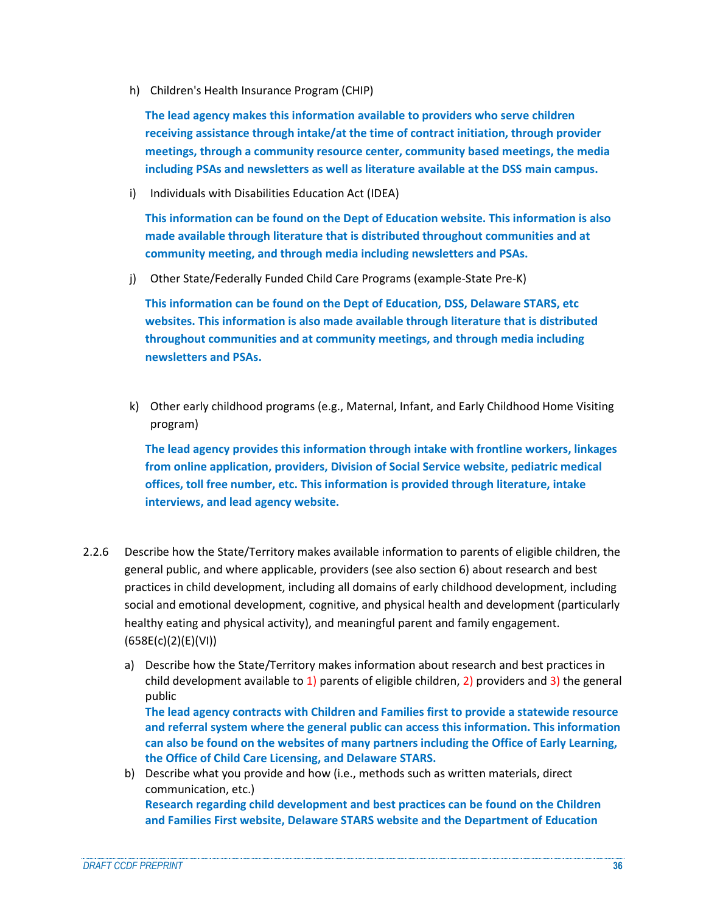h) Children's Health Insurance Program (CHIP)

**The lead agency makes this information available to providers who serve children receiving assistance through intake/at the time of contract initiation, through provider meetings, through a community resource center, community based meetings, the media including PSAs and newsletters as well as literature available at the DSS main campus.** 

i) Individuals with Disabilities Education Act (IDEA)

**This information can be found on the Dept of Education website. This information is also made available through literature that is distributed throughout communities and at community meeting, and through media including newsletters and PSAs.** 

j) Other State/Federally Funded Child Care Programs (example-State Pre-K)

**This information can be found on the Dept of Education, DSS, Delaware STARS, etc websites. This information is also made available through literature that is distributed throughout communities and at community meetings, and through media including newsletters and PSAs.**

k) Other early childhood programs (e.g., Maternal, Infant, and Early Childhood Home Visiting program)

**The lead agency provides this information through intake with frontline workers, linkages from online application, providers, Division of Social Service website, pediatric medical offices, toll free number, etc. This information is provided through literature, intake interviews, and lead agency website.** 

- 2.2.6 Describe how the State/Territory makes available information to parents of eligible children, the general public, and where applicable, providers (see also section 6) about research and best practices in child development, including all domains of early childhood development, including social and emotional development, cognitive, and physical health and development (particularly healthy eating and physical activity), and meaningful parent and family engagement. (658E(c)(2)(E)(VI))
	- a) Describe how the State/Territory makes information about research and best practices in child development available to 1) parents of eligible children, 2) providers and 3) the general public

**The lead agency contracts with Children and Families first to provide a statewide resource and referral system where the general public can access this information. This information can also be found on the websites of many partners including the Office of Early Learning, the Office of Child Care Licensing, and Delaware STARS.**

b) Describe what you provide and how (i.e., methods such as written materials, direct communication, etc.) **Research regarding child development and best practices can be found on the Children and Families First website, Delaware STARS website and the Department of Education**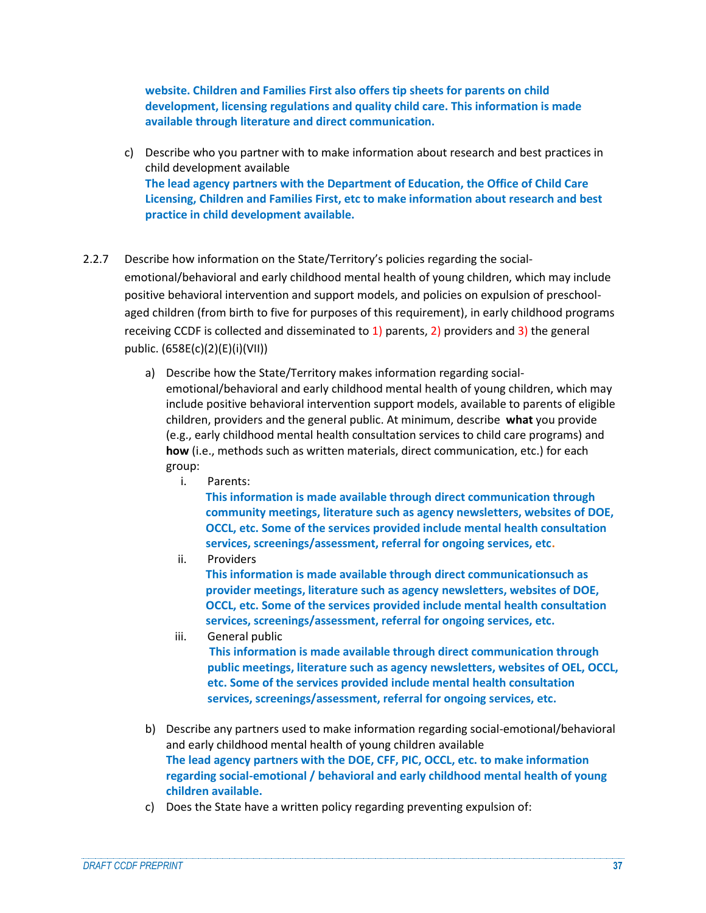**website. Children and Families First also offers tip sheets for parents on child development, licensing regulations and quality child care. This information is made available through literature and direct communication.** 

- c) Describe who you partner with to make information about research and best practices in child development available **The lead agency partners with the Department of Education, the Office of Child Care Licensing, Children and Families First, etc to make information about research and best practice in child development available.**
- 2.2.7 Describe how information on the State/Territory's policies regarding the socialemotional/behavioral and early childhood mental health of young children, which may include positive behavioral intervention and support models, and policies on expulsion of preschoolaged children (from birth to five for purposes of this requirement), in early childhood programs receiving CCDF is collected and disseminated to 1) parents,  $2$ ) providers and  $3$ ) the general public. (658E(c)(2)(E)(i)(VII))
	- a) Describe how the State/Territory makes information regarding socialemotional/behavioral and early childhood mental health of young children, which may include positive behavioral intervention support models, available to parents of eligible children, providers and the general public. At minimum, describe **what** you provide (e.g., early childhood mental health consultation services to child care programs) and **how** (i.e., methods such as written materials, direct communication, etc.) for each group:
		- i. Parents:

**This information is made available through direct communication through community meetings, literature such as agency newsletters, websites of DOE, OCCL, etc. Some of the services provided include mental health consultation services, screenings/assessment, referral for ongoing services, etc.**

- ii. Providers **This information is made available through direct communicationsuch as provider meetings, literature such as agency newsletters, websites of DOE, OCCL, etc. Some of the services provided include mental health consultation services, screenings/assessment, referral for ongoing services, etc.**
- iii. General public **This information is made available through direct communication through public meetings, literature such as agency newsletters, websites of OEL, OCCL, etc. Some of the services provided include mental health consultation services, screenings/assessment, referral for ongoing services, etc.**
- b) Describe any partners used to make information regarding social-emotional/behavioral and early childhood mental health of young children available **The lead agency partners with the DOE, CFF, PIC, OCCL, etc. to make information regarding social-emotional / behavioral and early childhood mental health of young children available.**
- c) Does the State have a written policy regarding preventing expulsion of: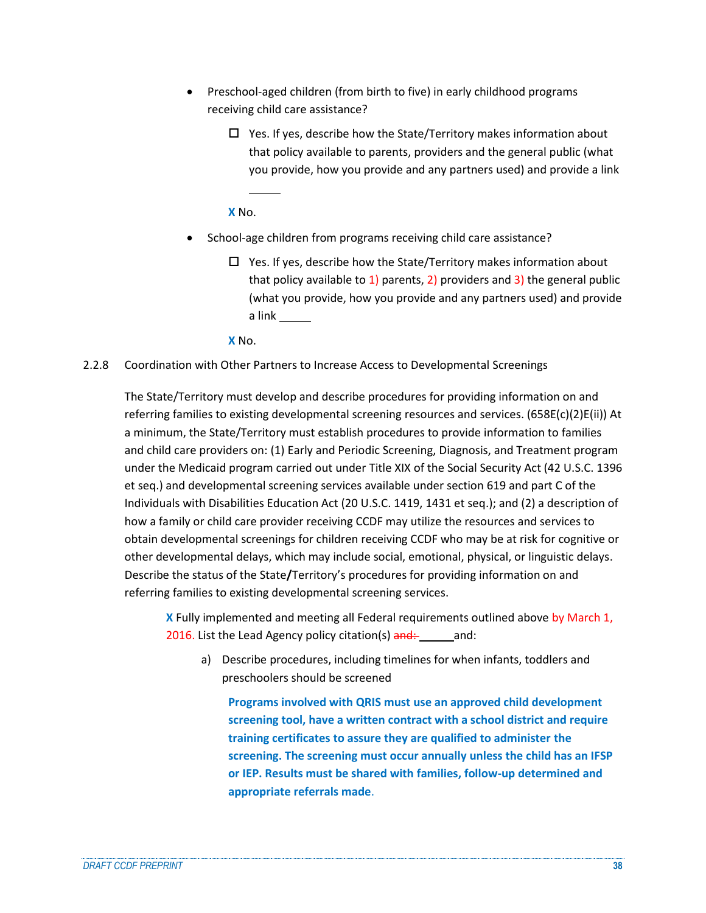- Preschool-aged children (from birth to five) in early childhood programs receiving child care assistance?
	- $\Box$  Yes. If yes, describe how the State/Territory makes information about that policy available to parents, providers and the general public (what you provide, how you provide and any partners used) and provide a link

**X** No.

- School-age children from programs receiving child care assistance?
	- $\Box$  Yes. If yes, describe how the State/Territory makes information about that policy available to 1) parents, 2) providers and 3) the general public (what you provide, how you provide and any partners used) and provide a link

**X** No.

2.2.8 Coordination with Other Partners to Increase Access to Developmental Screenings

The State/Territory must develop and describe procedures for providing information on and referring families to existing developmental screening resources and services. (658E(c)(2)E(ii)) At a minimum, the State/Territory must establish procedures to provide information to families and child care providers on: (1) Early and Periodic Screening, Diagnosis, and Treatment program under the Medicaid program carried out under Title XIX of the Social Security Act (42 U.S.C. 1396 et seq.) and developmental screening services available under section 619 and part C of the Individuals with Disabilities Education Act (20 U.S.C. 1419, 1431 et seq.); and (2) a description of how a family or child care provider receiving CCDF may utilize the resources and services to obtain developmental screenings for children receiving CCDF who may be at risk for cognitive or other developmental delays, which may include social, emotional, physical, or linguistic delays. Describe the status of the State**/**Territory's procedures for providing information on and referring families to existing developmental screening services.

**X** Fully implemented and meeting all Federal requirements outlined above by March 1, 2016. List the Lead Agency policy citation(s)  $\frac{\text{and}}{\text{and}}}$  and:

a) Describe procedures, including timelines for when infants, toddlers and preschoolers should be screened

**Programs involved with QRIS must use an approved child development screening tool, have a written contract with a school district and require training certificates to assure they are qualified to administer the screening. The screening must occur annually unless the child has an IFSP or IEP. Results must be shared with families, follow-up determined and appropriate referrals made**.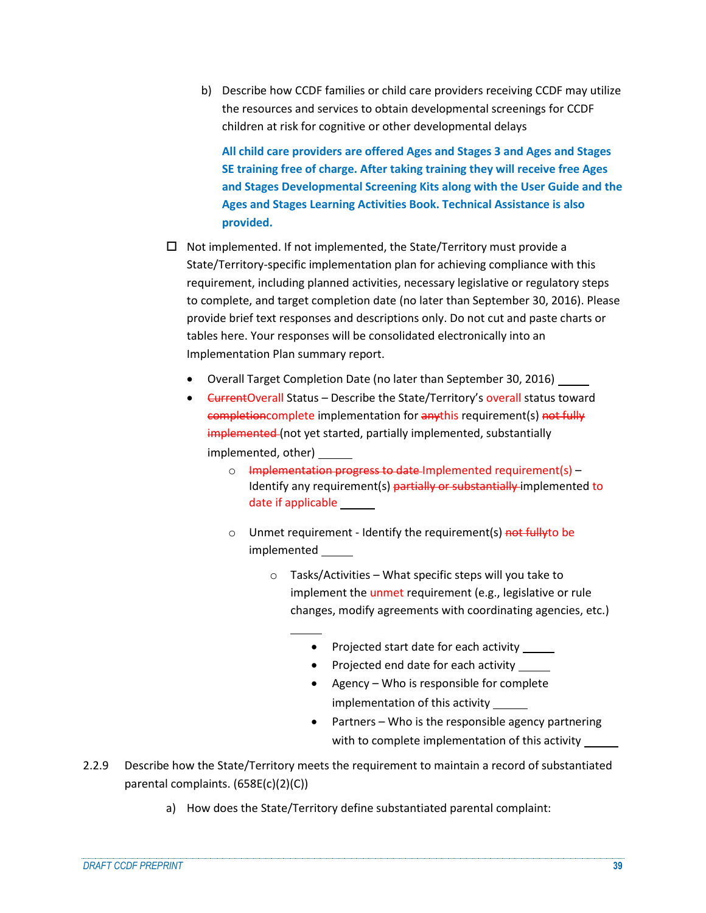b) Describe how CCDF families or child care providers receiving CCDF may utilize the resources and services to obtain developmental screenings for CCDF children at risk for cognitive or other developmental delays

**All child care providers are offered Ages and Stages 3 and Ages and Stages SE training free of charge. After taking training they will receive free Ages and Stages Developmental Screening Kits along with the User Guide and the Ages and Stages Learning Activities Book. Technical Assistance is also provided.**

- $\Box$  Not implemented. If not implemented, the State/Territory must provide a State/Territory-specific implementation plan for achieving compliance with this requirement, including planned activities, necessary legislative or regulatory steps to complete, and target completion date (no later than September 30, 2016). Please provide brief text responses and descriptions only. Do not cut and paste charts or tables here. Your responses will be consolidated electronically into an Implementation Plan summary report.
	- Overall Target Completion Date (no later than September 30, 2016)
	- CurrentOverall Status Describe the State/Territory's overall status toward completioncomplete implementation for anythis requirement(s) not fully implemented (not yet started, partially implemented, substantially implemented, other)
		- o Implementation progress to date Implemented requirement(s) Identify any requirement(s) partially or substantially implemented to date if applicable
		- o Unmet requirement Identify the requirement(s) not fullyto be implemented
			- $\circ$  Tasks/Activities What specific steps will you take to implement the unmet requirement (e.g., legislative or rule changes, modify agreements with coordinating agencies, etc.)
				- Projected start date for each activity \_\_
				- Projected end date for each activity \_\_\_\_
				- Agency Who is responsible for complete implementation of this activity
				- Partners Who is the responsible agency partnering with to complete implementation of this activity
- 2.2.9 Describe how the State/Territory meets the requirement to maintain a record of substantiated parental complaints. (658E(c)(2)(C))
	- a) How does the State/Territory define substantiated parental complaint: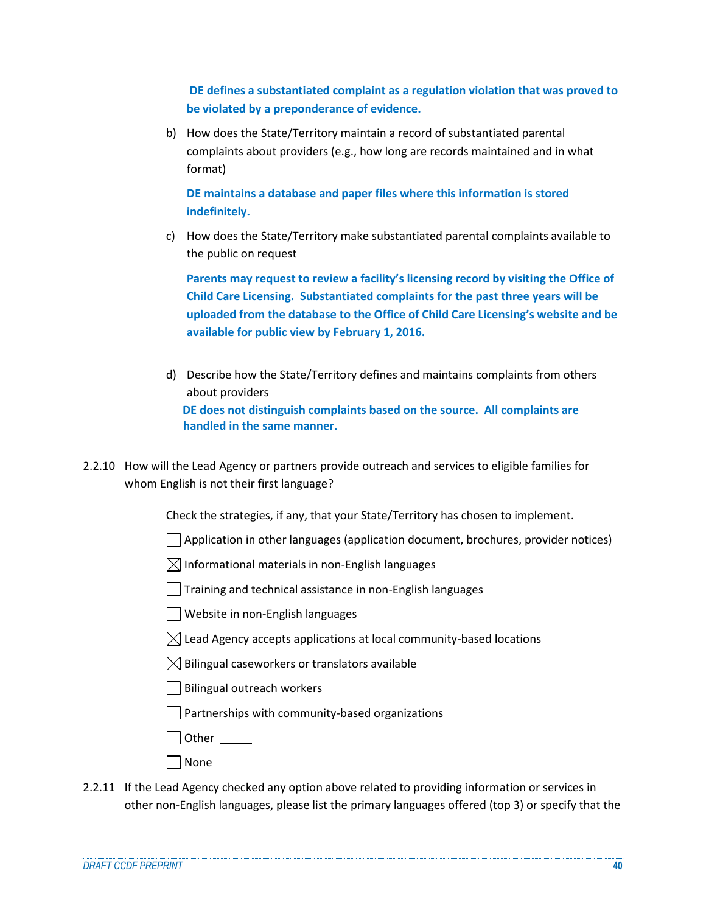**DE defines a substantiated complaint as a regulation violation that was proved to be violated by a preponderance of evidence.**

b) How does the State/Territory maintain a record of substantiated parental complaints about providers (e.g., how long are records maintained and in what format)

**DE maintains a database and paper files where this information is stored indefinitely.**

c) How does the State/Territory make substantiated parental complaints available to the public on request

**Parents may request to review a facility's licensing record by visiting the Office of Child Care Licensing. Substantiated complaints for the past three years will be uploaded from the database to the Office of Child Care Licensing's website and be available for public view by February 1, 2016.** 

- d) Describe how the State/Territory defines and maintains complaints from others about providers  **DE does not distinguish complaints based on the source. All complaints are handled in the same manner.**
- 2.2.10 How will the Lead Agency or partners provide outreach and services to eligible families for whom English is not their first language?

Check the strategies, if any, that your State/Territory has chosen to implement.

- $\Box$  Application in other languages (application document, brochures, provider notices)
- $\boxtimes$  Informational materials in non-English languages
- Training and technical assistance in non-English languages
- Website in non-English languages
- $\boxtimes$  Lead Agency accepts applications at local community-based locations
- $\boxtimes$  Bilingual caseworkers or translators available
- Bilingual outreach workers
- $\Box$  Partnerships with community-based organizations
- Other
- None
- 2.2.11 If the Lead Agency checked any option above related to providing information or services in other non-English languages, please list the primary languages offered (top 3) or specify that the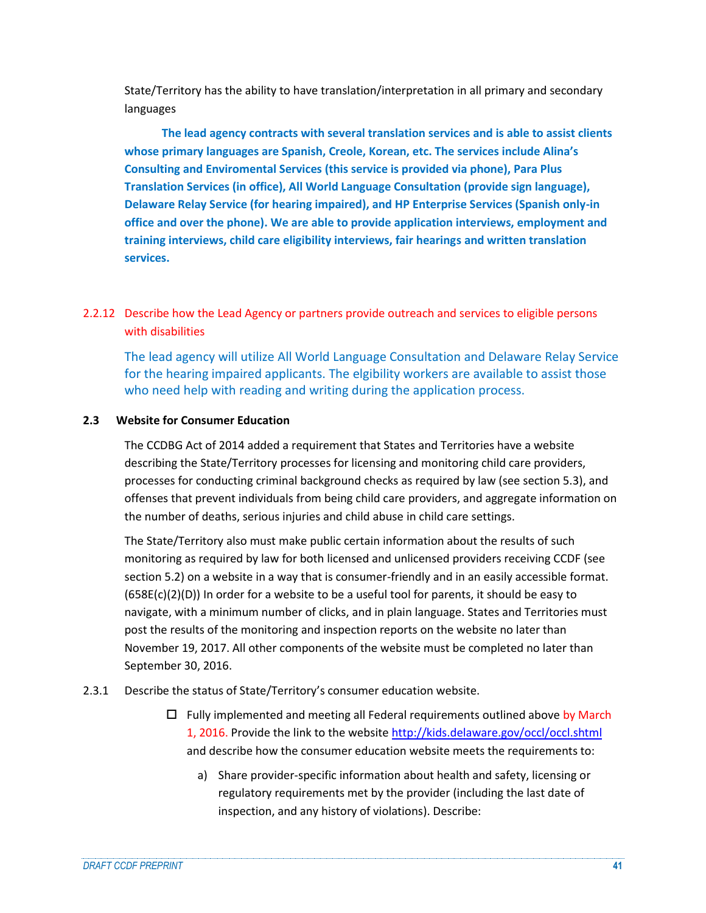State/Territory has the ability to have translation/interpretation in all primary and secondary languages

 **The lead agency contracts with several translation services and is able to assist clients whose primary languages are Spanish, Creole, Korean, etc. The services include Alina's Consulting and Enviromental Services (this service is provided via phone), Para Plus Translation Services (in office), All World Language Consultation (provide sign language), Delaware Relay Service (for hearing impaired), and HP Enterprise Services (Spanish only-in office and over the phone). We are able to provide application interviews, employment and training interviews, child care eligibility interviews, fair hearings and written translation services.**

2.2.12 Describe how the Lead Agency or partners provide outreach and services to eligible persons with disabilities

The lead agency will utilize All World Language Consultation and Delaware Relay Service for the hearing impaired applicants. The elgibility workers are available to assist those who need help with reading and writing during the application process.

### **2.3 Website for Consumer Education**

The CCDBG Act of 2014 added a requirement that States and Territories have a website describing the State/Territory processes for licensing and monitoring child care providers, processes for conducting criminal background checks as required by law (see section 5.3), and offenses that prevent individuals from being child care providers, and aggregate information on the number of deaths, serious injuries and child abuse in child care settings.

The State/Territory also must make public certain information about the results of such monitoring as required by law for both licensed and unlicensed providers receiving CCDF (see section 5.2) on a website in a way that is consumer-friendly and in an easily accessible format.  $(658E(c)(2)(D))$  In order for a website to be a useful tool for parents, it should be easy to navigate, with a minimum number of clicks, and in plain language. States and Territories must post the results of the monitoring and inspection reports on the website no later than November 19, 2017. All other components of the website must be completed no later than September 30, 2016.

- 2.3.1 Describe the status of State/Territory's consumer education website.
	- $\Box$  Fully implemented and meeting all Federal requirements outlined above by March 1, 2016. Provide the link to the websit[e http://kids.delaware.gov/occl/occl.shtml](http://kids.delaware.gov/occl/occl.shtml) and describe how the consumer education website meets the requirements to:
		- a) Share provider-specific information about health and safety, licensing or regulatory requirements met by the provider (including the last date of inspection, and any history of violations). Describe: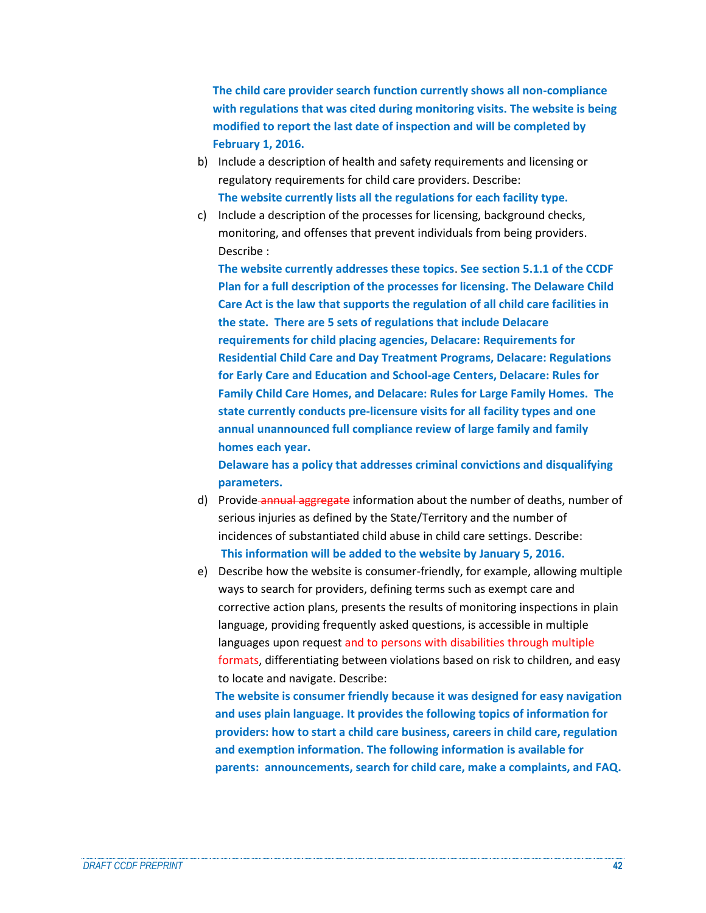**The child care provider search function currently shows all non-compliance with regulations that was cited during monitoring visits. The website is being modified to report the last date of inspection and will be completed by February 1, 2016.** 

- b) Include a description of health and safety requirements and licensing or regulatory requirements for child care providers. Describe: **The website currently lists all the regulations for each facility type.**
- c) Include a description of the processes for licensing, background checks, monitoring, and offenses that prevent individuals from being providers. Describe :

**The website currently addresses these topics**. **See section 5.1.1 of the CCDF Plan for a full description of the processes for licensing. The Delaware Child Care Act is the law that supports the regulation of all child care facilities in the state. There are 5 sets of regulations that include Delacare requirements for child placing agencies, Delacare: Requirements for Residential Child Care and Day Treatment Programs, Delacare: Regulations for Early Care and Education and School-age Centers, Delacare: Rules for Family Child Care Homes, and Delacare: Rules for Large Family Homes. The state currently conducts pre-licensure visits for all facility types and one annual unannounced full compliance review of large family and family homes each year.**

**Delaware has a policy that addresses criminal convictions and disqualifying parameters.**

- d) Provide annual aggregate information about the number of deaths, number of serious injuries as defined by the State/Territory and the number of incidences of substantiated child abuse in child care settings. Describe: **This information will be added to the website by January 5, 2016.**
- e) Describe how the website is consumer-friendly, for example, allowing multiple ways to search for providers, defining terms such as exempt care and corrective action plans, presents the results of monitoring inspections in plain language, providing frequently asked questions, is accessible in multiple languages upon request and to persons with disabilities through multiple formats, differentiating between violations based on risk to children, and easy to locate and navigate. Describe:

**The website is consumer friendly because it was designed for easy navigation and uses plain language. It provides the following topics of information for providers: how to start a child care business, careers in child care, regulation and exemption information. The following information is available for parents: announcements, search for child care, make a complaints, and FAQ.**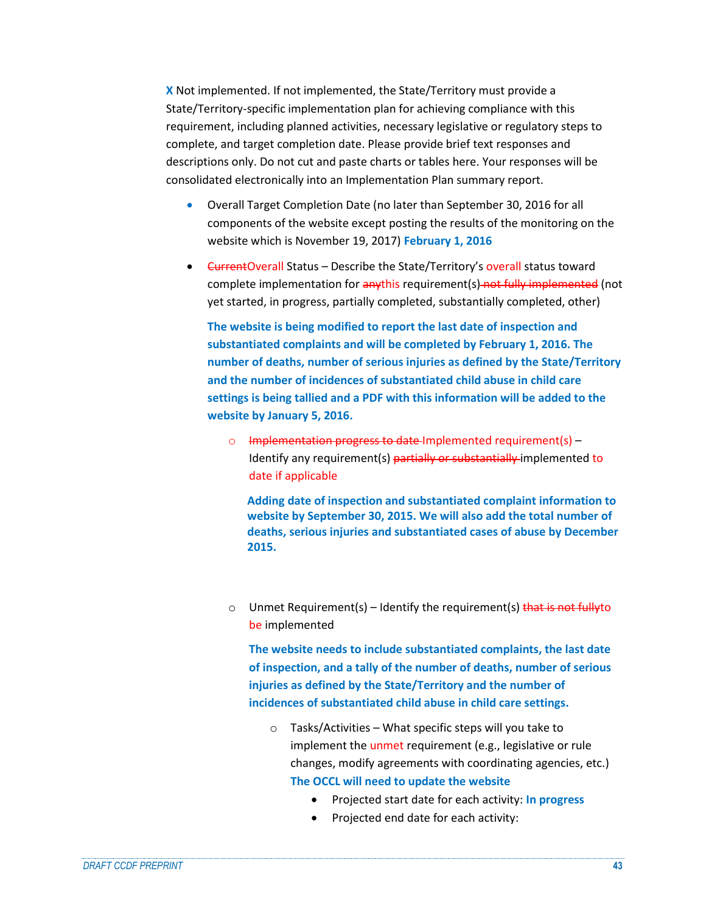**X** Not implemented. If not implemented, the State/Territory must provide a State/Territory-specific implementation plan for achieving compliance with this requirement, including planned activities, necessary legislative or regulatory steps to complete, and target completion date. Please provide brief text responses and descriptions only. Do not cut and paste charts or tables here. Your responses will be consolidated electronically into an Implementation Plan summary report.

- Overall Target Completion Date (no later than September 30, 2016 for all components of the website except posting the results of the monitoring on the website which is November 19, 2017) **February 1, 2016**
- **•** CurrentOverall Status Describe the State/Territory's overall status toward complete implementation for anythis requirement(s) not fully implemented (not yet started, in progress, partially completed, substantially completed, other)

**The website is being modified to report the last date of inspection and substantiated complaints and will be completed by February 1, 2016. The number of deaths, number of serious injuries as defined by the State/Territory and the number of incidences of substantiated child abuse in child care settings is being tallied and a PDF with this information will be added to the website by January 5, 2016.**

 $\circ$  Implementation progress to date Implemented requirement(s) – Identify any requirement(s) partially or substantially implemented to date if applicable

**Adding date of inspection and substantiated complaint information to website by September 30, 2015. We will also add the total number of deaths, serious injuries and substantiated cases of abuse by December 2015.** 

o Unmet Requirement(s) – Identify the requirement(s) that is not fully to be implemented

**The website needs to include substantiated complaints, the last date of inspection, and a tally of the number of deaths, number of serious injuries as defined by the State/Territory and the number of incidences of substantiated child abuse in child care settings.**

- $\circ$  Tasks/Activities What specific steps will you take to implement the unmet requirement (e.g., legislative or rule changes, modify agreements with coordinating agencies, etc.) **The OCCL will need to update the website**
	- Projected start date for each activity: **In progress**
	- Projected end date for each activity: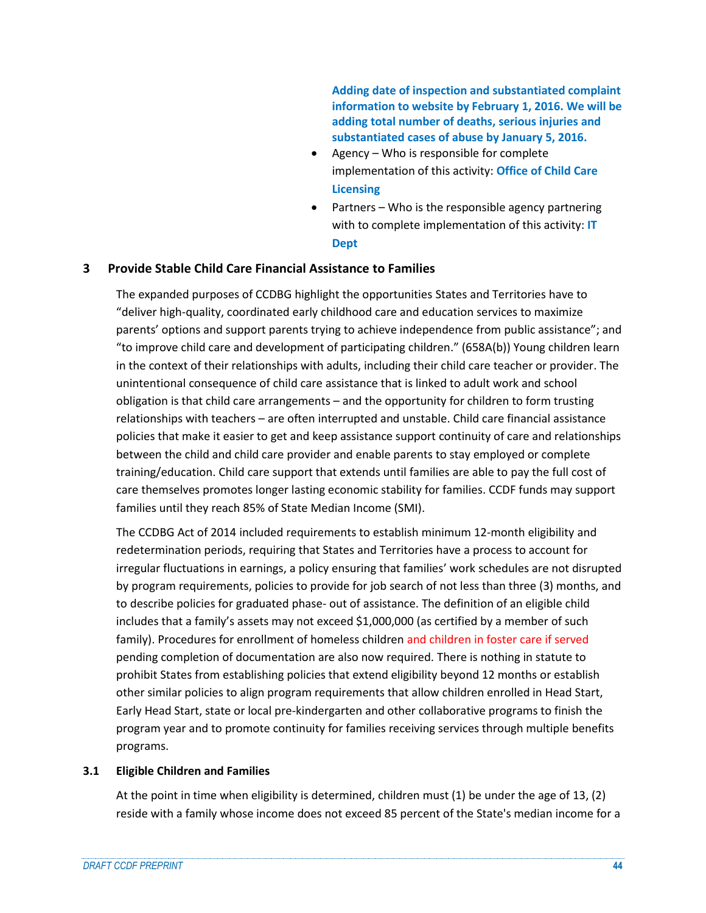**Adding date of inspection and substantiated complaint information to website by February 1, 2016. We will be adding total number of deaths, serious injuries and substantiated cases of abuse by January 5, 2016.** 

- Agency Who is responsible for complete implementation of this activity: **Office of Child Care Licensing**
- Partners Who is the responsible agency partnering with to complete implementation of this activity: **IT Dept**

### **3 Provide Stable Child Care Financial Assistance to Families**

The expanded purposes of CCDBG highlight the opportunities States and Territories have to "deliver high-quality, coordinated early childhood care and education services to maximize parents' options and support parents trying to achieve independence from public assistance"; and "to improve child care and development of participating children." (658A(b)) Young children learn in the context of their relationships with adults, including their child care teacher or provider. The unintentional consequence of child care assistance that is linked to adult work and school obligation is that child care arrangements – and the opportunity for children to form trusting relationships with teachers – are often interrupted and unstable. Child care financial assistance policies that make it easier to get and keep assistance support continuity of care and relationships between the child and child care provider and enable parents to stay employed or complete training/education. Child care support that extends until families are able to pay the full cost of care themselves promotes longer lasting economic stability for families. CCDF funds may support families until they reach 85% of State Median Income (SMI).

The CCDBG Act of 2014 included requirements to establish minimum 12-month eligibility and redetermination periods, requiring that States and Territories have a process to account for irregular fluctuations in earnings, a policy ensuring that families' work schedules are not disrupted by program requirements, policies to provide for job search of not less than three (3) months, and to describe policies for graduated phase- out of assistance. The definition of an eligible child includes that a family's assets may not exceed \$1,000,000 (as certified by a member of such family). Procedures for enrollment of homeless children and children in foster care if served pending completion of documentation are also now required. There is nothing in statute to prohibit States from establishing policies that extend eligibility beyond 12 months or establish other similar policies to align program requirements that allow children enrolled in Head Start, Early Head Start, state or local pre-kindergarten and other collaborative programs to finish the program year and to promote continuity for families receiving services through multiple benefits programs.

### **3.1 Eligible Children and Families**

At the point in time when eligibility is determined, children must (1) be under the age of 13, (2) reside with a family whose income does not exceed 85 percent of the State's median income for a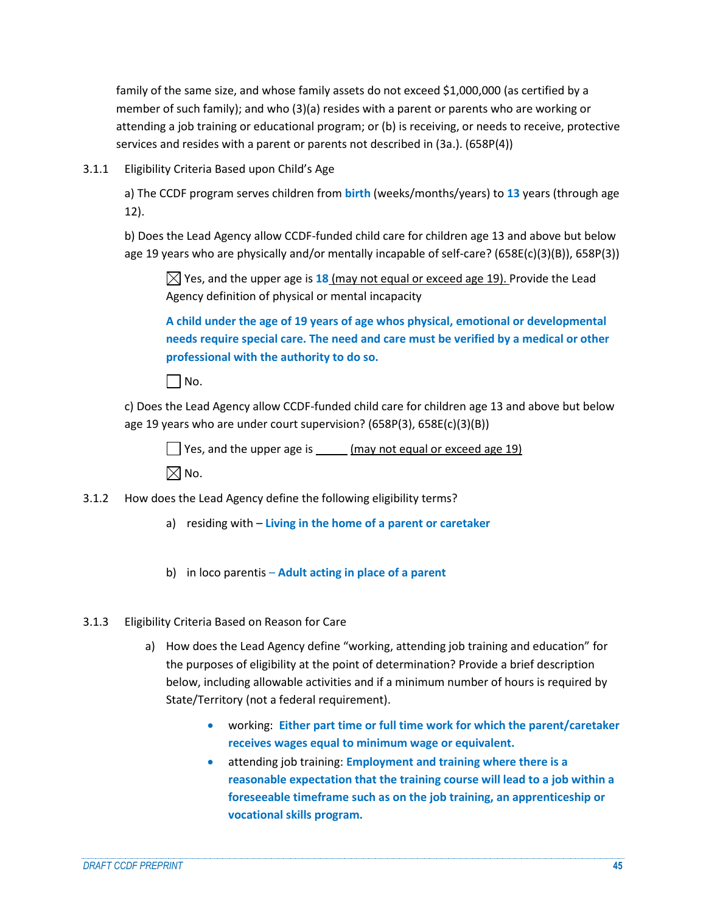family of the same size, and whose family assets do not exceed \$1,000,000 (as certified by a member of such family); and who (3)(a) resides with a parent or parents who are working or attending a job training or educational program; or (b) is receiving, or needs to receive, protective services and resides with a parent or parents not described in (3a.). (658P(4))

3.1.1 Eligibility Criteria Based upon Child's Age

a) The CCDF program serves children from **birth** (weeks/months/years) to **13** years (through age 12).

b) Does the Lead Agency allow CCDF-funded child care for children age 13 and above but below age 19 years who are physically and/or mentally incapable of self-care? (658E(c)(3)(B)), 658P(3))

 $\boxtimes$  Yes, and the upper age is 18 (may not equal or exceed age 19). Provide the Lead Agency definition of physical or mental incapacity

**A child under the age of 19 years of age whos physical, emotional or developmental needs require special care. The need and care must be verified by a medical or other professional with the authority to do so.**

 $\Box$  No.

c) Does the Lead Agency allow CCDF-funded child care for children age 13 and above but below age 19 years who are under court supervision? (658P(3), 658E(c)(3)(B))

Yes, and the upper age is \_\_\_\_\_\_ (may not equal or exceed age 19)  $\boxtimes$  No.

- 3.1.2 How does the Lead Agency define the following eligibility terms?
	- a) residing with **Living in the home of a parent or caretaker**
	- b) in loco parentis **Adult acting in place of a parent**

### 3.1.3 Eligibility Criteria Based on Reason for Care

- a) How does the Lead Agency define "working, attending job training and education" for the purposes of eligibility at the point of determination? Provide a brief description below, including allowable activities and if a minimum number of hours is required by State/Territory (not a federal requirement).
	- working: **Either part time or full time work for which the parent/caretaker receives wages equal to minimum wage or equivalent.**
	- attending job training: **Employment and training where there is a reasonable expectation that the training course will lead to a job within a foreseeable timeframe such as on the job training, an apprenticeship or vocational skills program.**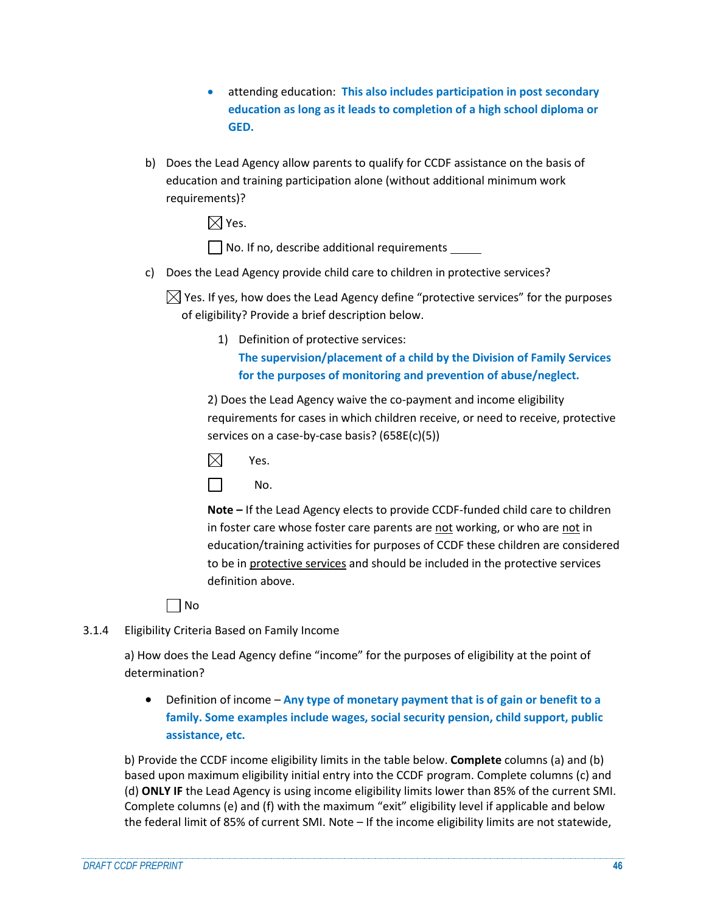- attending education: **This also includes participation in post secondary education as long as it leads to completion of a high school diploma or GED.**
- b) Does the Lead Agency allow parents to qualify for CCDF assistance on the basis of education and training participation alone (without additional minimum work requirements)?

 $\boxtimes$  Yes.

No. If no, describe additional requirements

c) Does the Lead Agency provide child care to children in protective services?

 $\boxtimes$  Yes. If yes, how does the Lead Agency define "protective services" for the purposes of eligibility? Provide a brief description below.

> 1) Definition of protective services: **The supervision/placement of a child by the Division of Family Services for the purposes of monitoring and prevention of abuse/neglect.**

2) Does the Lead Agency waive the co-payment and income eligibility requirements for cases in which children receive, or need to receive, protective services on a case-by-case basis? (658E(c)(5))

 $\boxtimes$ Yes.

 $\Box$ No.

**Note –** If the Lead Agency elects to provide CCDF-funded child care to children in foster care whose foster care parents are not working, or who are not in education/training activities for purposes of CCDF these children are considered to be in protective services and should be included in the protective services definition above.



# 3.1.4 Eligibility Criteria Based on Family Income

a) How does the Lead Agency define "income" for the purposes of eligibility at the point of determination?

 Definition of income – **Any type of monetary payment that is of gain or benefit to a family. Some examples include wages, social security pension, child support, public assistance, etc.** 

b) Provide the CCDF income eligibility limits in the table below. **Complete** columns (a) and (b) based upon maximum eligibility initial entry into the CCDF program. Complete columns (c) and (d) **ONLY IF** the Lead Agency is using income eligibility limits lower than 85% of the current SMI. Complete columns (e) and (f) with the maximum "exit" eligibility level if applicable and below the federal limit of 85% of current SMI. Note – If the income eligibility limits are not statewide,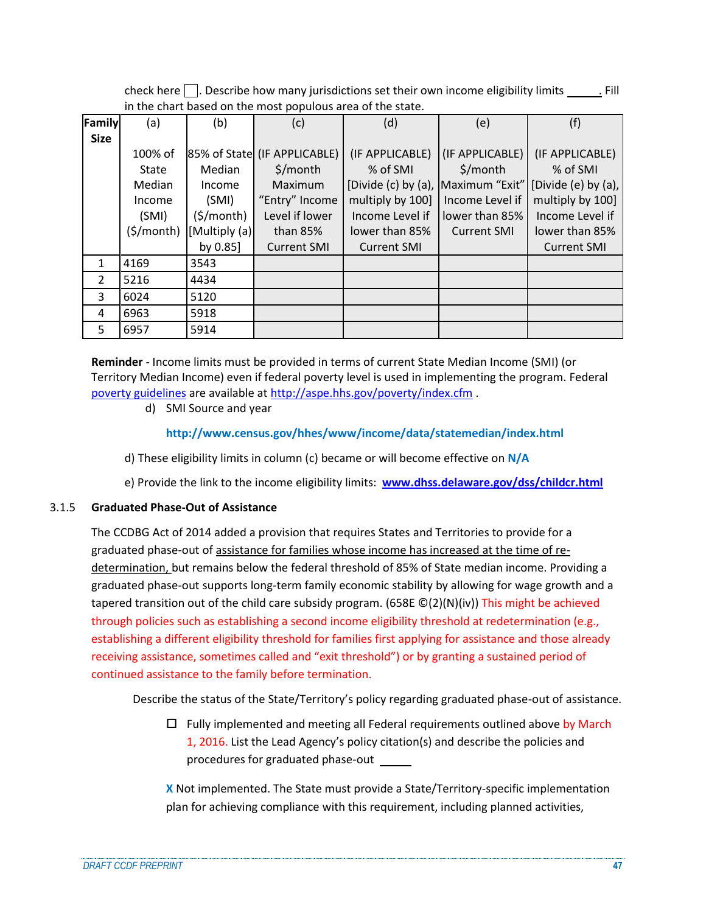| check here $\Box$ . Describe how many jurisdictions set their own income eligibility limits | $\overline{\phantom{a}}$ . Fill |
|---------------------------------------------------------------------------------------------|---------------------------------|
| in the chart based on the most populous area of the state.                                  |                                 |

| Family         | (a)                          | (b)                        | (c)                          | (d)                      | (e)                | (f)                 |
|----------------|------------------------------|----------------------------|------------------------------|--------------------------|--------------------|---------------------|
| <b>Size</b>    |                              |                            |                              |                          |                    |                     |
|                | 100% of                      |                            | 85% of State (IF APPLICABLE) | (IF APPLICABLE)          | (IF APPLICABLE)    | (IF APPLICABLE)     |
|                | State                        | Median                     | \$/month                     | % of SMI                 | \$/month           | % of SMI            |
|                | Median                       | Income                     | Maximum                      | [Divide $(c)$ by $(a)$ , | Maximum "Exit"     | [Divide (e) by (a), |
|                | Income                       | (SMI)                      | "Entry" Income               | multiply by 100]         | Income Level if    | multiply by 100]    |
|                | (SMI)                        | $(\frac{5}{\text{month}})$ | Level if lower               | Income Level if          | lower than 85%     | Income Level if     |
|                | $(\frac{\xi}{\text{month}})$ | [Multiply (a)]             | than 85%                     | lower than 85%           | <b>Current SMI</b> | lower than 85%      |
|                |                              | by 0.85]                   | <b>Current SMI</b>           | <b>Current SMI</b>       |                    | <b>Current SMI</b>  |
| 1              | 4169                         | 3543                       |                              |                          |                    |                     |
| $\overline{2}$ | 5216                         | 4434                       |                              |                          |                    |                     |
| 3              | 6024                         | 5120                       |                              |                          |                    |                     |
| 4              | 6963                         | 5918                       |                              |                          |                    |                     |
| 5              | 6957                         | 5914                       |                              |                          |                    |                     |

**Reminder** - Income limits must be provided in terms of current State Median Income (SMI) (or Territory Median Income) even if federal poverty level is used in implementing the program. Federal [poverty guidelines](file:///C:/Users/dawn.ramsburg/AppData/Local/Microsoft/Windows/Temporary%20Internet%20Files/Content.Outlook/736F2SJA/poverty%20guidelines) are available a[t http://aspe.hhs.gov/poverty/index.cfm](http://aspe.hhs.gov/poverty/index.cfm) .

d) SMI Source and year

**http://www.census.gov/hhes/www/income/data/statemedian/index.html**

d) These eligibility limits in column (c) became or will become effective on **N/A**

e) Provide the link to the income eligibility limits: **[www.dhss.delaware.gov/dss/childcr.html](http://www.dhss.delaware.gov/dss/childcr.html)**

### 3.1.5 **Graduated Phase-Out of Assistance**

The CCDBG Act of 2014 added a provision that requires States and Territories to provide for a graduated phase-out of assistance for families whose income has increased at the time of redetermination, but remains below the federal threshold of 85% of State median income. Providing a graduated phase-out supports long-term family economic stability by allowing for wage growth and a tapered transition out of the child care subsidy program. (658E ©(2)(N)(iv)) This might be achieved through policies such as establishing a second income eligibility threshold at redetermination (e.g., establishing a different eligibility threshold for families first applying for assistance and those already receiving assistance, sometimes called and "exit threshold") or by granting a sustained period of continued assistance to the family before termination.

Describe the status of the State/Territory's policy regarding graduated phase-out of assistance.

 $\Box$  Fully implemented and meeting all Federal requirements outlined above by March 1, 2016. List the Lead Agency's policy citation(s) and describe the policies and procedures for graduated phase-out

**X** Not implemented. The State must provide a State/Territory-specific implementation plan for achieving compliance with this requirement, including planned activities,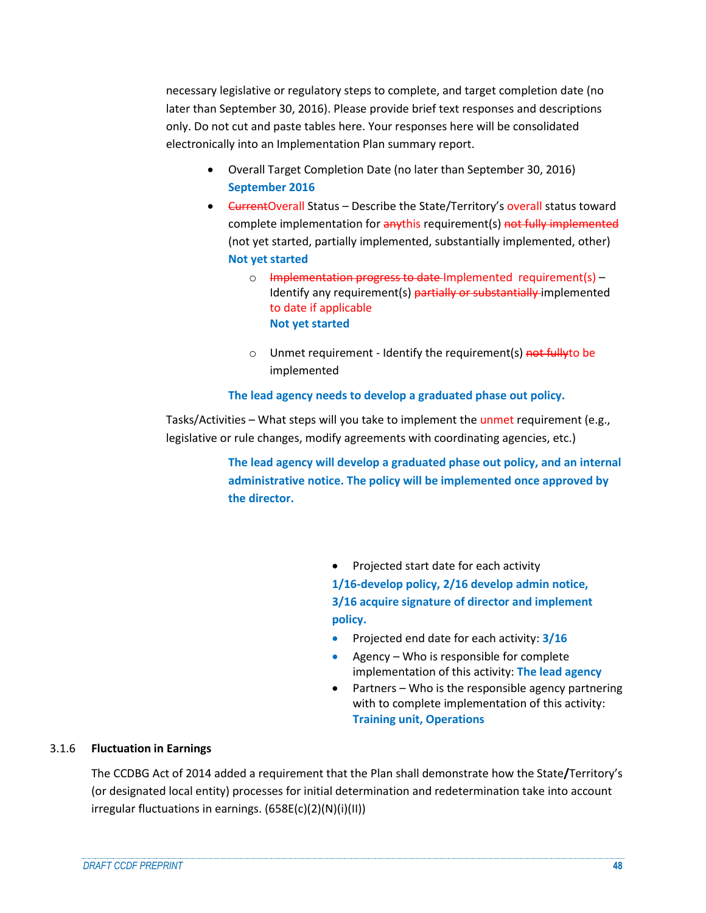necessary legislative or regulatory steps to complete, and target completion date (no later than September 30, 2016). Please provide brief text responses and descriptions only. Do not cut and paste tables here. Your responses here will be consolidated electronically into an Implementation Plan summary report.

- Overall Target Completion Date (no later than September 30, 2016) **September 2016**
- **•** <del>Current</del>Overall Status Describe the State/Territory's overall status toward complete implementation for anythis requirement(s) not fully implemented (not yet started, partially implemented, substantially implemented, other) **Not yet started**
	- o Implementation progress to date Implemented requirement(s) Identify any requirement(s) partially or substantially implemented to date if applicable **Not yet started**
	- o Unmet requirement Identify the requirement(s) not fullyto be implemented

### **The lead agency needs to develop a graduated phase out policy.**

Tasks/Activities – What steps will you take to implement the unmet requirement (e.g., legislative or rule changes, modify agreements with coordinating agencies, etc.)

> **The lead agency will develop a graduated phase out policy, and an internal administrative notice. The policy will be implemented once approved by the director.**

- Projected start date for each activity **1/16-develop policy, 2/16 develop admin notice, 3/16 acquire signature of director and implement policy.**
- **•** Projected end date for each activity: 3/16
- Agency Who is responsible for complete implementation of this activity: **The lead agency**
- Partners Who is the responsible agency partnering with to complete implementation of this activity: **Training unit, Operations**

# 3.1.6 **Fluctuation in Earnings**

The CCDBG Act of 2014 added a requirement that the Plan shall demonstrate how the State**/**Territory's (or designated local entity) processes for initial determination and redetermination take into account irregular fluctuations in earnings. (658E(c)(2)(N)(i)(II))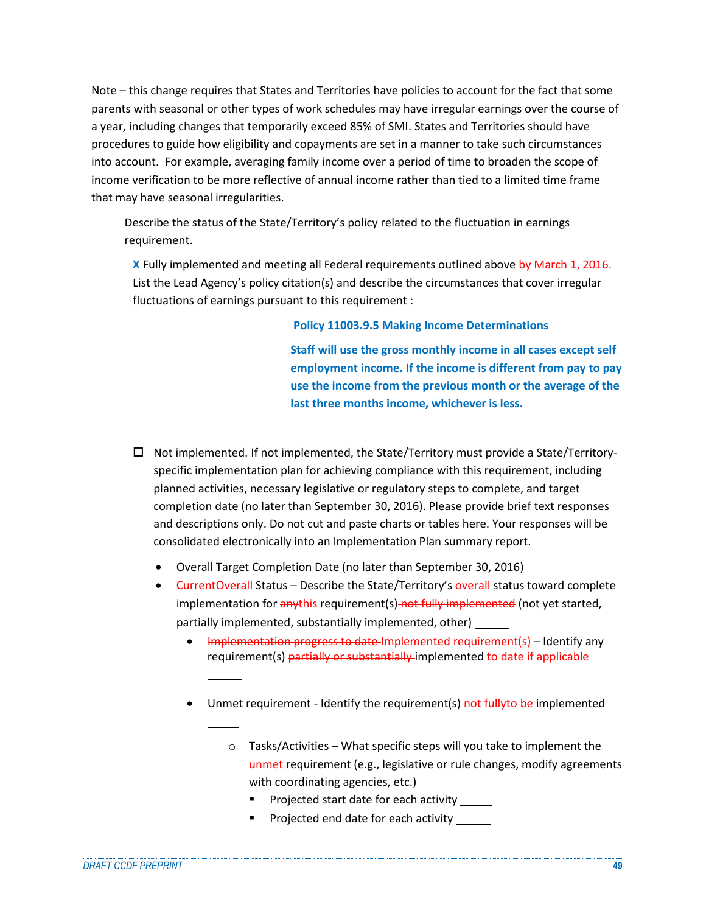Note – this change requires that States and Territories have policies to account for the fact that some parents with seasonal or other types of work schedules may have irregular earnings over the course of a year, including changes that temporarily exceed 85% of SMI. States and Territories should have procedures to guide how eligibility and copayments are set in a manner to take such circumstances into account. For example, averaging family income over a period of time to broaden the scope of income verification to be more reflective of annual income rather than tied to a limited time frame that may have seasonal irregularities.

Describe the status of the State/Territory's policy related to the fluctuation in earnings requirement.

**X** Fully implemented and meeting all Federal requirements outlined above by March 1, 2016. List the Lead Agency's policy citation(s) and describe the circumstances that cover irregular fluctuations of earnings pursuant to this requirement :

### **Policy 11003.9.5 Making Income Determinations**

**Staff will use the gross monthly income in all cases except self employment income. If the income is different from pay to pay use the income from the previous month or the average of the last three months income, whichever is less.**

- $\Box$  Not implemented. If not implemented, the State/Territory must provide a State/Territoryspecific implementation plan for achieving compliance with this requirement, including planned activities, necessary legislative or regulatory steps to complete, and target completion date (no later than September 30, 2016). Please provide brief text responses and descriptions only. Do not cut and paste charts or tables here. Your responses will be consolidated electronically into an Implementation Plan summary report.
	- Overall Target Completion Date (no later than September 30, 2016)
	- CurrentOverall Status Describe the State/Territory's overall status toward complete implementation for anythis requirement(s) not fully implemented (not yet started, partially implemented, substantially implemented, other)
		- Implementation progress to date Implemented requirement(s) Identify any requirement(s) partially or substantially implemented to date if applicable
		- Unmet requirement Identify the requirement(s) not fully to be implemented
			- $\circ$  Tasks/Activities What specific steps will you take to implement the unmet requirement (e.g., legislative or rule changes, modify agreements with coordinating agencies, etc.)
				- Projected start date for each activity
				- Projected end date for each activity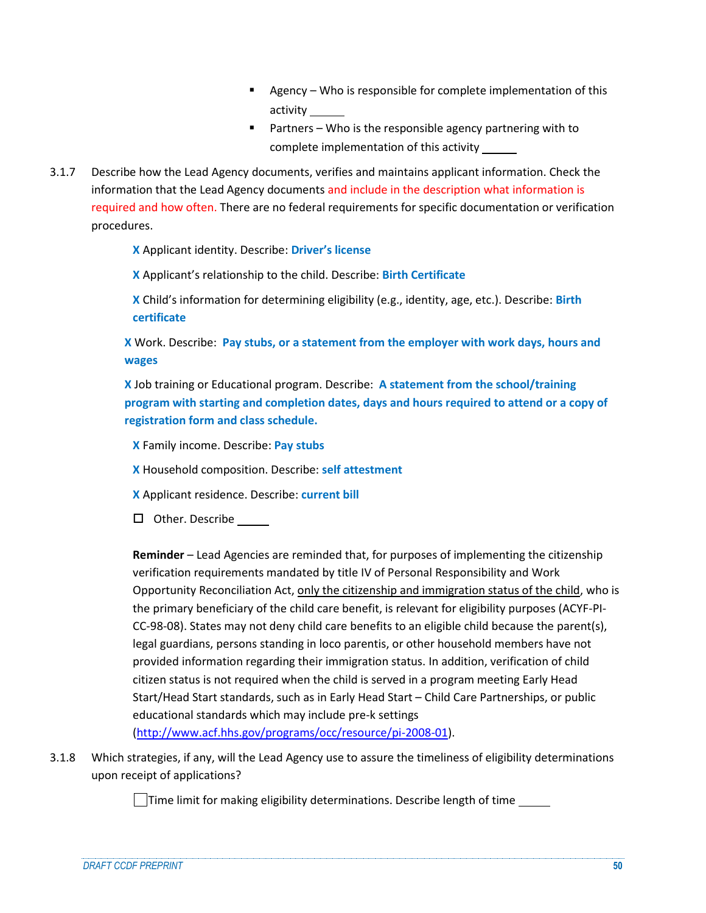- Agency Who is responsible for complete implementation of this activity \_\_\_\_\_
- Partners Who is the responsible agency partnering with to complete implementation of this activity
- 3.1.7 Describe how the Lead Agency documents, verifies and maintains applicant information. Check the information that the Lead Agency documents and include in the description what information is required and how often. There are no federal requirements for specific documentation or verification procedures.

**X** Applicant identity. Describe: **Driver's license**

**X** Applicant's relationship to the child. Describe: **Birth Certificate**

**X** Child's information for determining eligibility (e.g., identity, age, etc.). Describe: **Birth certificate**

**X** Work. Describe: **Pay stubs, or a statement from the employer with work days, hours and wages**

**X** Job training or Educational program. Describe: **A statement from the school/training program with starting and completion dates, days and hours required to attend or a copy of registration form and class schedule.** 

**X** Family income. Describe: **Pay stubs**

**X** Household composition. Describe: **self attestment**

**X** Applicant residence. Describe: **current bill**

□ Other. Describe

**Reminder** – Lead Agencies are reminded that, for purposes of implementing the citizenship verification requirements mandated by title IV of Personal Responsibility and Work Opportunity Reconciliation Act, only the citizenship and immigration status of the child, who is the primary beneficiary of the child care benefit, is relevant for eligibility purposes (ACYF-PI-CC-98-08). States may not deny child care benefits to an eligible child because the parent(s), legal guardians, persons standing in loco parentis, or other household members have not provided information regarding their immigration status. In addition, verification of child citizen status is not required when the child is served in a program meeting Early Head Start/Head Start standards, such as in Early Head Start – Child Care Partnerships, or public educational standards which may include pre-k settings [\(http://www.acf.hhs.gov/programs/occ/resource/pi-2008-01\)](http://www.acf.hhs.gov/programs/occ/resource/pi-2008-01).

3.1.8 Which strategies, if any, will the Lead Agency use to assure the timeliness of eligibility determinations upon receipt of applications?

 $\Box$  Time limit for making eligibility determinations. Describe length of time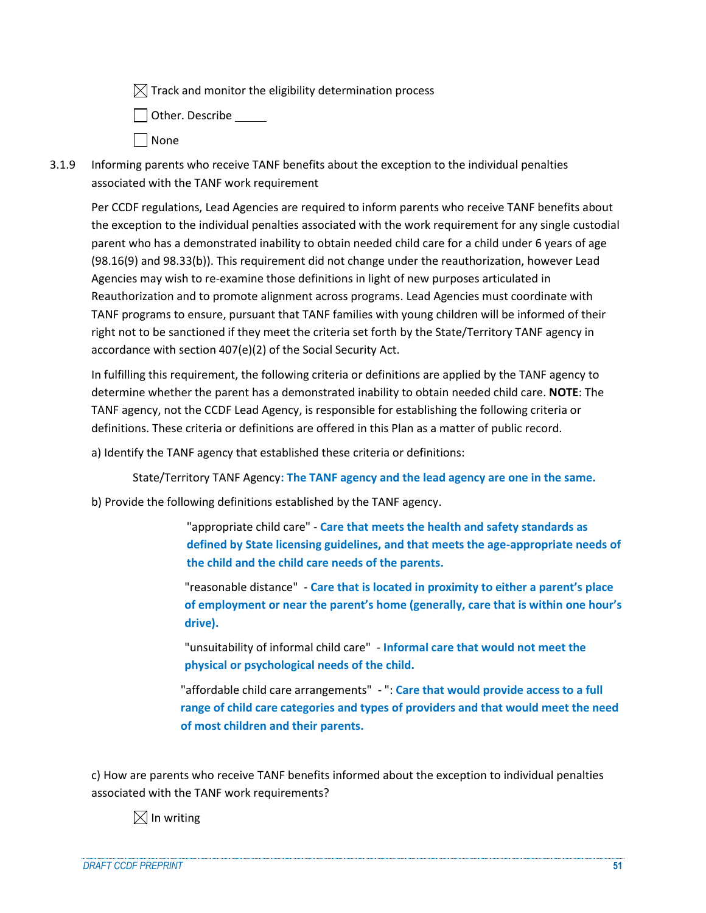$\boxtimes$  Track and monitor the eligibility determination process

Other. Describe

| N∩n |
|-----|
|-----|

3.1.9 Informing parents who receive TANF benefits about the exception to the individual penalties associated with the TANF work requirement

Per CCDF regulations, Lead Agencies are required to inform parents who receive TANF benefits about the exception to the individual penalties associated with the work requirement for any single custodial parent who has a demonstrated inability to obtain needed child care for a child under 6 years of age (98.16(9) and 98.33(b)). This requirement did not change under the reauthorization, however Lead Agencies may wish to re-examine those definitions in light of new purposes articulated in Reauthorization and to promote alignment across programs. Lead Agencies must coordinate with TANF programs to ensure, pursuant that TANF families with young children will be informed of their right not to be sanctioned if they meet the criteria set forth by the State/Territory TANF agency in accordance with section 407(e)(2) of the Social Security Act.

In fulfilling this requirement, the following criteria or definitions are applied by the TANF agency to determine whether the parent has a demonstrated inability to obtain needed child care. **NOTE**: The TANF agency, not the CCDF Lead Agency, is responsible for establishing the following criteria or definitions. These criteria or definitions are offered in this Plan as a matter of public record.

a) Identify the TANF agency that established these criteria or definitions:

State/Territory TANF Agency**: The TANF agency and the lead agency are one in the same.**

b) Provide the following definitions established by the TANF agency.

"appropriate child care" - **Care that meets the health and safety standards as defined by State licensing guidelines, and that meets the age-appropriate needs of the child and the child care needs of the parents.**

"reasonable distance" - **Care that is located in proximity to either a parent's place of employment or near the parent's home (generally, care that is within one hour's drive).**

"unsuitability of informal child care" - **Informal care that would not meet the physical or psychological needs of the child.**

"affordable child care arrangements" - ": **Care that would provide access to a full range of child care categories and types of providers and that would meet the need of most children and their parents.** 

c) How are parents who receive TANF benefits informed about the exception to individual penalties associated with the TANF work requirements?

 $\boxtimes$  In writing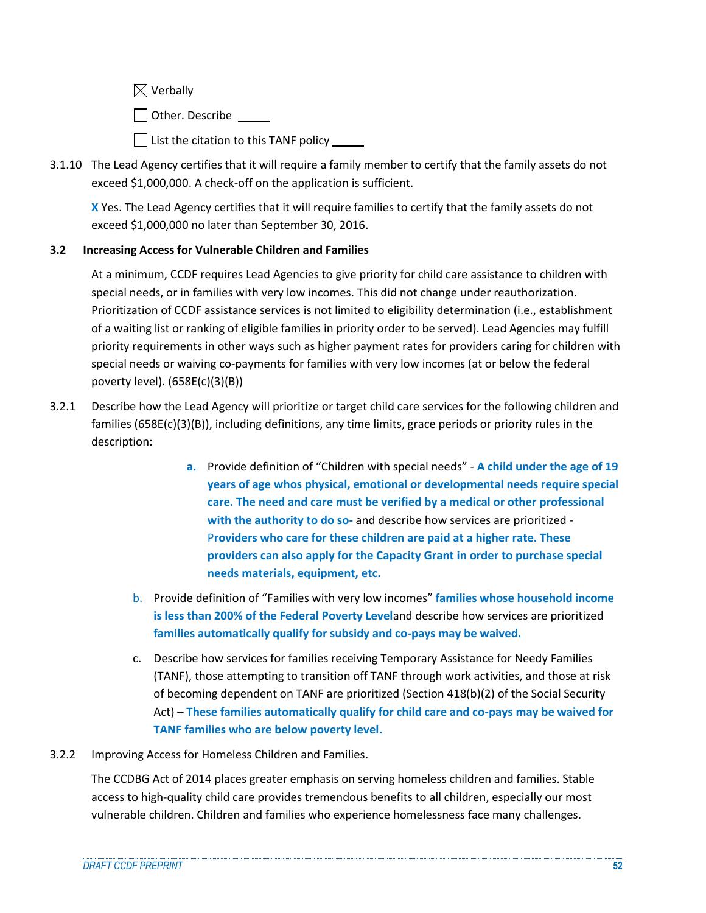$\boxtimes$  Verbally

Other. Describe

 $\vert \ \vert$  List the citation to this TANF policy

3.1.10 The Lead Agency certifies that it will require a family member to certify that the family assets do not exceed \$1,000,000. A check-off on the application is sufficient.

**X** Yes. The Lead Agency certifies that it will require families to certify that the family assets do not exceed \$1,000,000 no later than September 30, 2016.

# **3.2 Increasing Access for Vulnerable Children and Families**

At a minimum, CCDF requires Lead Agencies to give priority for child care assistance to children with special needs, or in families with very low incomes. This did not change under reauthorization. Prioritization of CCDF assistance services is not limited to eligibility determination (i.e., establishment of a waiting list or ranking of eligible families in priority order to be served). Lead Agencies may fulfill priority requirements in other ways such as higher payment rates for providers caring for children with special needs or waiving co-payments for families with very low incomes (at or below the federal poverty level). (658E(c)(3)(B))

- 3.2.1 Describe how the Lead Agency will prioritize or target child care services for the following children and families (658E(c)(3)(B)), including definitions, any time limits, grace periods or priority rules in the description:
	- **a.** Provide definition of "Children with special needs" **A child under the age of 19 years of age whos physical, emotional or developmental needs require special care. The need and care must be verified by a medical or other professional with the authority to do so-** and describe how services are prioritized - P**roviders who care for these children are paid at a higher rate. These providers can also apply for the Capacity Grant in order to purchase special needs materials, equipment, etc.**
	- b. Provide definition of "Families with very low incomes" **families whose household income is less than 200% of the Federal Poverty Level**and describe how services are prioritized **families automatically qualify for subsidy and co-pays may be waived.**
	- c. Describe how services for families receiving Temporary Assistance for Needy Families (TANF), those attempting to transition off TANF through work activities, and those at risk of becoming dependent on TANF are prioritized (Section 418(b)(2) of the Social Security Act) – **These families automatically qualify for child care and co-pays may be waived for TANF families who are below poverty level.**
- 3.2.2 Improving Access for Homeless Children and Families.

The CCDBG Act of 2014 places greater emphasis on serving homeless children and families. Stable access to high-quality child care provides tremendous benefits to all children, especially our most vulnerable children. Children and families who experience homelessness face many challenges.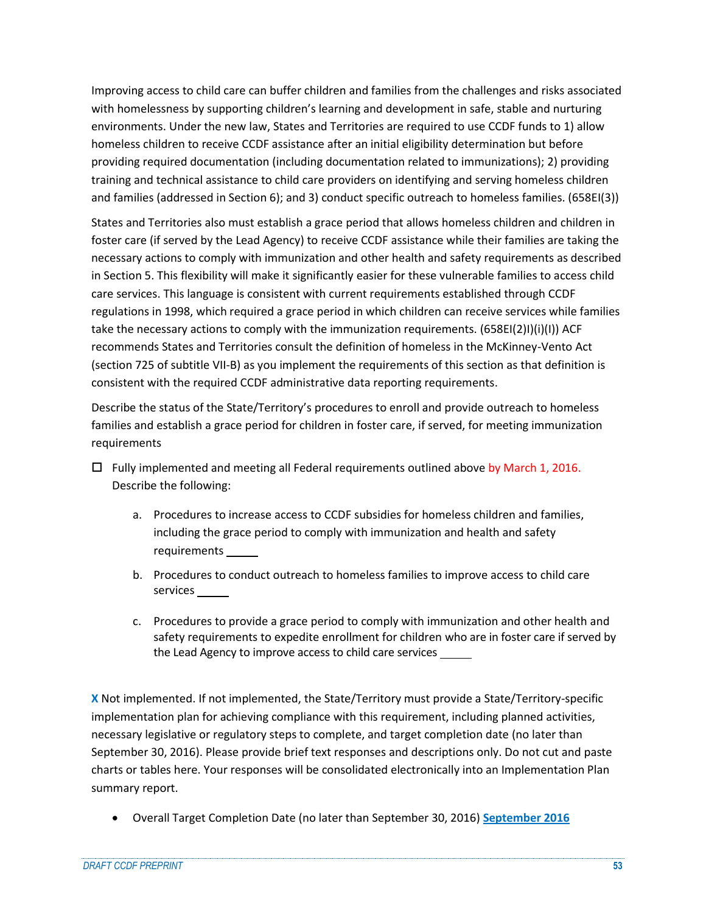Improving access to child care can buffer children and families from the challenges and risks associated with homelessness by supporting children's learning and development in safe, stable and nurturing environments. Under the new law, States and Territories are required to use CCDF funds to 1) allow homeless children to receive CCDF assistance after an initial eligibility determination but before providing required documentation (including documentation related to immunizations); 2) providing training and technical assistance to child care providers on identifying and serving homeless children and families (addressed in Section 6); and 3) conduct specific outreach to homeless families. (658EI(3))

States and Territories also must establish a grace period that allows homeless children and children in foster care (if served by the Lead Agency) to receive CCDF assistance while their families are taking the necessary actions to comply with immunization and other health and safety requirements as described in Section 5. This flexibility will make it significantly easier for these vulnerable families to access child care services. This language is consistent with current requirements established through CCDF regulations in 1998, which required a grace period in which children can receive services while families take the necessary actions to comply with the immunization requirements. (658EI(2)I)(i)(I)) ACF recommends States and Territories consult the definition of homeless in the McKinney-Vento Act (section 725 of subtitle VII-B) as you implement the requirements of this section as that definition is consistent with the required CCDF administrative data reporting requirements.

Describe the status of the State/Territory's procedures to enroll and provide outreach to homeless families and establish a grace period for children in foster care, if served, for meeting immunization requirements

- $\Box$  Fully implemented and meeting all Federal requirements outlined above by March 1, 2016. Describe the following:
	- a. Procedures to increase access to CCDF subsidies for homeless children and families, including the grace period to comply with immunization and health and safety requirements
	- b. Procedures to conduct outreach to homeless families to improve access to child care services
	- c. Procedures to provide a grace period to comply with immunization and other health and safety requirements to expedite enrollment for children who are in foster care if served by the Lead Agency to improve access to child care services

**X** Not implemented. If not implemented, the State/Territory must provide a State/Territory-specific implementation plan for achieving compliance with this requirement, including planned activities, necessary legislative or regulatory steps to complete, and target completion date (no later than September 30, 2016). Please provide brief text responses and descriptions only. Do not cut and paste charts or tables here. Your responses will be consolidated electronically into an Implementation Plan summary report.

Overall Target Completion Date (no later than September 30, 2016) **September 2016**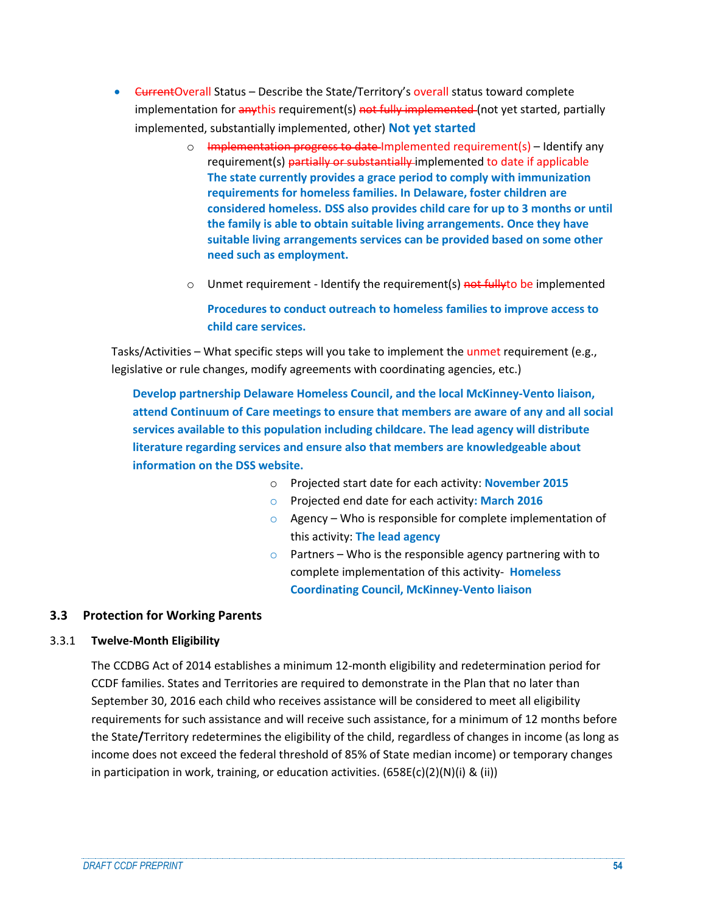- <del>Current</del>Overall Status Describe the State/Territory's overall status toward complete implementation for anythis requirement(s) not fully implemented (not yet started, partially implemented, substantially implemented, other) **Not yet started**
	- $\circ$  Implementation progress to date-Implemented requirement(s) Identify any requirement(s) partially or substantially implemented to date if applicable **The state currently provides a grace period to comply with immunization requirements for homeless families. In Delaware, foster children are considered homeless. DSS also provides child care for up to 3 months or until the family is able to obtain suitable living arrangements. Once they have suitable living arrangements services can be provided based on some other need such as employment.**
	- $\circ$  Unmet requirement Identify the requirement(s) not fully to be implemented **Procedures to conduct outreach to homeless families to improve access to child care services.**

Tasks/Activities – What specific steps will you take to implement the unmet requirement (e.g., legislative or rule changes, modify agreements with coordinating agencies, etc.)

**Develop partnership Delaware Homeless Council, and the local McKinney-Vento liaison, attend Continuum of Care meetings to ensure that members are aware of any and all social services available to this population including childcare. The lead agency will distribute literature regarding services and ensure also that members are knowledgeable about information on the DSS website.**

- o Projected start date for each activity: **November 2015**
- o Projected end date for each activity**: March 2016**
- $\circ$  Agency Who is responsible for complete implementation of this activity: **The lead agency**
- $\circ$  Partners Who is the responsible agency partnering with to complete implementation of this activity- **Homeless Coordinating Council, McKinney-Vento liaison**

# **3.3 Protection for Working Parents**

### 3.3.1 **Twelve-Month Eligibility**

The CCDBG Act of 2014 establishes a minimum 12-month eligibility and redetermination period for CCDF families. States and Territories are required to demonstrate in the Plan that no later than September 30, 2016 each child who receives assistance will be considered to meet all eligibility requirements for such assistance and will receive such assistance, for a minimum of 12 months before the State**/**Territory redetermines the eligibility of the child, regardless of changes in income (as long as income does not exceed the federal threshold of 85% of State median income) or temporary changes in participation in work, training, or education activities. (658E(c)(2)(N)(i) & (ii))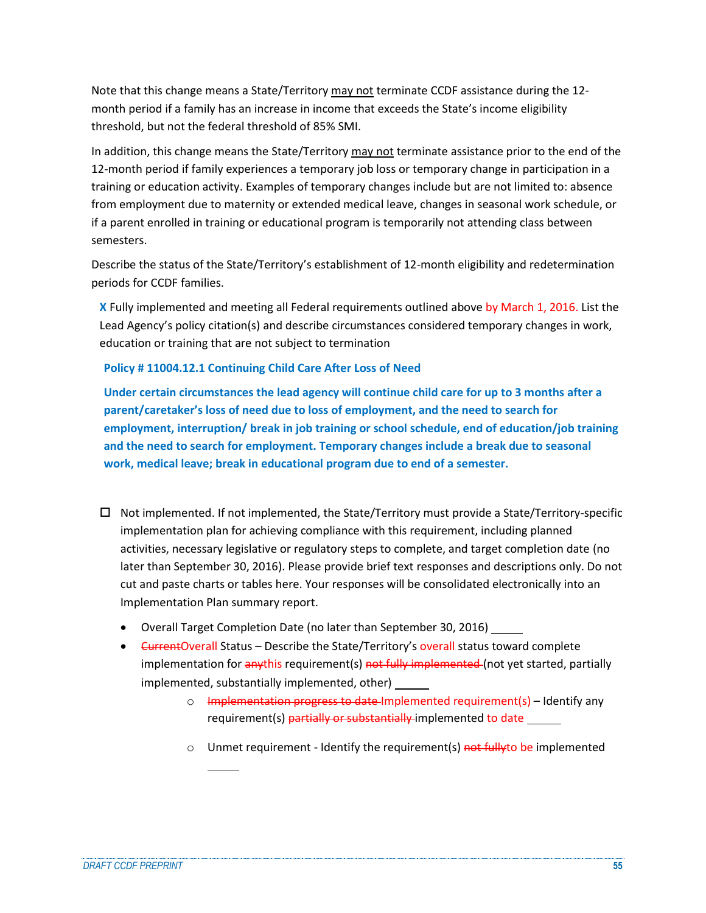Note that this change means a State/Territory may not terminate CCDF assistance during the 12 month period if a family has an increase in income that exceeds the State's income eligibility threshold, but not the federal threshold of 85% SMI.

In addition, this change means the State/Territory may not terminate assistance prior to the end of the 12-month period if family experiences a temporary job loss or temporary change in participation in a training or education activity. Examples of temporary changes include but are not limited to: absence from employment due to maternity or extended medical leave, changes in seasonal work schedule, or if a parent enrolled in training or educational program is temporarily not attending class between semesters.

Describe the status of the State/Territory's establishment of 12-month eligibility and redetermination periods for CCDF families.

**X** Fully implemented and meeting all Federal requirements outlined above by March 1, 2016. List the Lead Agency's policy citation(s) and describe circumstances considered temporary changes in work, education or training that are not subject to termination

### **Policy # 11004.12.1 Continuing Child Care After Loss of Need**

**Under certain circumstances the lead agency will continue child care for up to 3 months after a parent/caretaker's loss of need due to loss of employment, and the need to search for employment, interruption/ break in job training or school schedule, end of education/job training and the need to search for employment. Temporary changes include a break due to seasonal work, medical leave; break in educational program due to end of a semester.**

- $\Box$  Not implemented. If not implemented, the State/Territory must provide a State/Territory-specific implementation plan for achieving compliance with this requirement, including planned activities, necessary legislative or regulatory steps to complete, and target completion date (no later than September 30, 2016). Please provide brief text responses and descriptions only. Do not cut and paste charts or tables here. Your responses will be consolidated electronically into an Implementation Plan summary report.
	- Overall Target Completion Date (no later than September 30, 2016)
	- CurrentOverall Status Describe the State/Territory's overall status toward complete implementation for anythis requirement(s) not fully implemented (not yet started, partially implemented, substantially implemented, other)
		- $\circ$  Implementation progress to date-Implemented requirement(s) Identify any requirement(s) partially or substantially implemented to date
		- $\circ$  Unmet requirement Identify the requirement(s) not fully to be implemented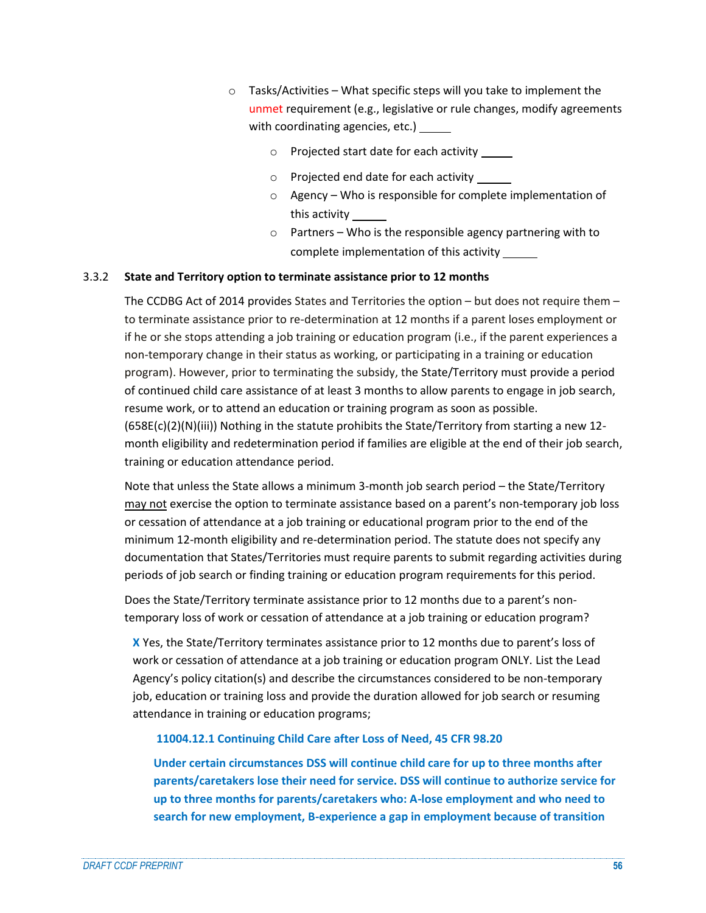- $\circ$  Tasks/Activities What specific steps will you take to implement the unmet requirement (e.g., legislative or rule changes, modify agreements with coordinating agencies, etc.) \_
	- o Projected start date for each activity
	- o Projected end date for each activity
	- o Agency Who is responsible for complete implementation of this activity
	- o Partners Who is the responsible agency partnering with to complete implementation of this activity

### 3.3.2 **State and Territory option to terminate assistance prior to 12 months**

The CCDBG Act of 2014 provides States and Territories the option – but does not require them – to terminate assistance prior to re-determination at 12 months if a parent loses employment or if he or she stops attending a job training or education program (i.e., if the parent experiences a non-temporary change in their status as working, or participating in a training or education program). However, prior to terminating the subsidy, the State/Territory must provide a period of continued child care assistance of at least 3 months to allow parents to engage in job search, resume work, or to attend an education or training program as soon as possible.  $(658E(c)(2)(N)(iii))$  Nothing in the statute prohibits the State/Territory from starting a new 12month eligibility and redetermination period if families are eligible at the end of their job search, training or education attendance period.

Note that unless the State allows a minimum 3-month job search period – the State/Territory may not exercise the option to terminate assistance based on a parent's non-temporary job loss or cessation of attendance at a job training or educational program prior to the end of the minimum 12-month eligibility and re-determination period. The statute does not specify any documentation that States/Territories must require parents to submit regarding activities during periods of job search or finding training or education program requirements for this period.

Does the State/Territory terminate assistance prior to 12 months due to a parent's nontemporary loss of work or cessation of attendance at a job training or education program?

**X** Yes, the State/Territory terminates assistance prior to 12 months due to parent's loss of work or cessation of attendance at a job training or education program ONLY. List the Lead Agency's policy citation(s) and describe the circumstances considered to be non-temporary job, education or training loss and provide the duration allowed for job search or resuming attendance in training or education programs;

### **11004.12.1 Continuing Child Care after Loss of Need, 45 CFR 98.20**

**Under certain circumstances DSS will continue child care for up to three months after parents/caretakers lose their need for service. DSS will continue to authorize service for up to three months for parents/caretakers who: A-lose employment and who need to search for new employment, B-experience a gap in employment because of transition**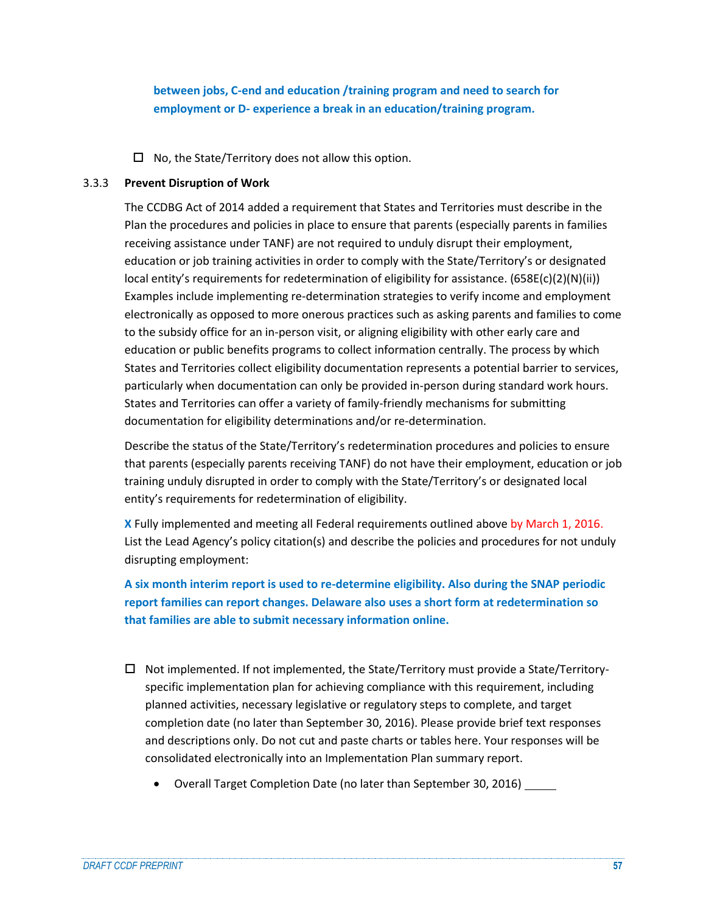**between jobs, C-end and education /training program and need to search for employment or D- experience a break in an education/training program.**

 $\Box$  No, the State/Territory does not allow this option.

#### 3.3.3 **Prevent Disruption of Work**

The CCDBG Act of 2014 added a requirement that States and Territories must describe in the Plan the procedures and policies in place to ensure that parents (especially parents in families receiving assistance under TANF) are not required to unduly disrupt their employment, education or job training activities in order to comply with the State/Territory's or designated local entity's requirements for redetermination of eligibility for assistance. (658E(c)(2)(N)(ii)) Examples include implementing re-determination strategies to verify income and employment electronically as opposed to more onerous practices such as asking parents and families to come to the subsidy office for an in-person visit, or aligning eligibility with other early care and education or public benefits programs to collect information centrally. The process by which States and Territories collect eligibility documentation represents a potential barrier to services, particularly when documentation can only be provided in-person during standard work hours. States and Territories can offer a variety of family-friendly mechanisms for submitting documentation for eligibility determinations and/or re-determination.

Describe the status of the State/Territory's redetermination procedures and policies to ensure that parents (especially parents receiving TANF) do not have their employment, education or job training unduly disrupted in order to comply with the State/Territory's or designated local entity's requirements for redetermination of eligibility.

**X** Fully implemented and meeting all Federal requirements outlined above by March 1, 2016. List the Lead Agency's policy citation(s) and describe the policies and procedures for not unduly disrupting employment:

**A six month interim report is used to re-determine eligibility. Also during the SNAP periodic report families can report changes. Delaware also uses a short form at redetermination so that families are able to submit necessary information online.**

- $\Box$  Not implemented. If not implemented, the State/Territory must provide a State/Territoryspecific implementation plan for achieving compliance with this requirement, including planned activities, necessary legislative or regulatory steps to complete, and target completion date (no later than September 30, 2016). Please provide brief text responses and descriptions only. Do not cut and paste charts or tables here. Your responses will be consolidated electronically into an Implementation Plan summary report.
	- Overall Target Completion Date (no later than September 30, 2016)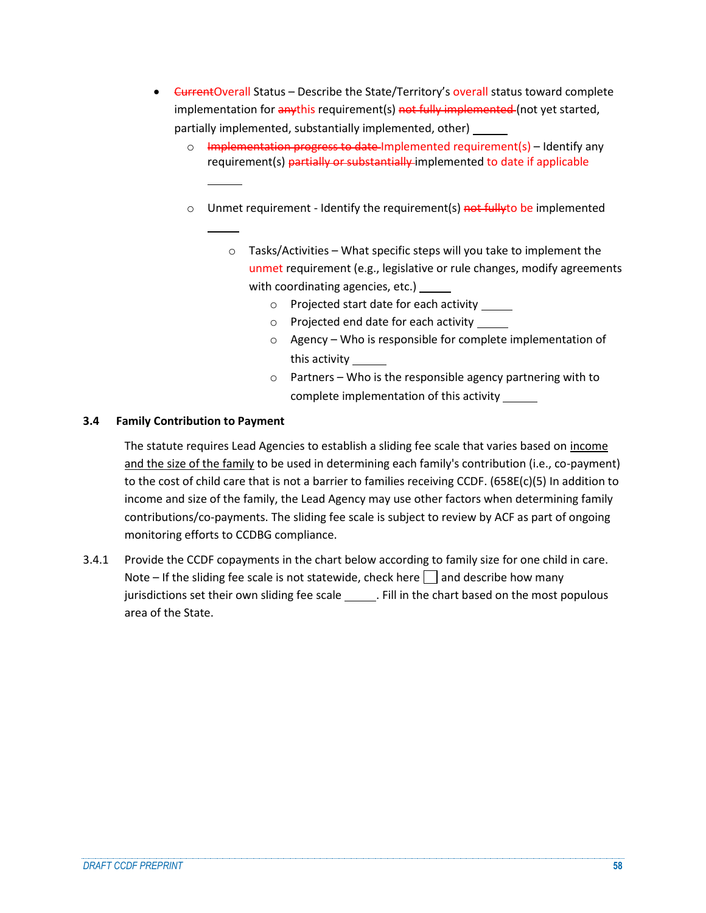- <del>Current</del>Overall Status Describe the State/Territory's overall status toward complete implementation for anythis requirement(s) not fully implemented (not yet started, partially implemented, substantially implemented, other) \_\_\_\_\_
	- o Implementation progress to date Implemented requirement(s) Identify any requirement(s) partially or substantially implemented to date if applicable
	- $\circ$  Unmet requirement Identify the requirement(s) not fully to be implemented
		- $\circ$  Tasks/Activities What specific steps will you take to implement the unmet requirement (e.g., legislative or rule changes, modify agreements with coordinating agencies, etc.)
			- o Projected start date for each activity
			- o Projected end date for each activity
			- o Agency Who is responsible for complete implementation of this activity
			- $\circ$  Partners Who is the responsible agency partnering with to complete implementation of this activity

### **3.4 Family Contribution to Payment**

The statute requires Lead Agencies to establish a sliding fee scale that varies based on income and the size of the family to be used in determining each family's contribution (i.e., co-payment) to the cost of child care that is not a barrier to families receiving CCDF. (658E(c)(5) In addition to income and size of the family, the Lead Agency may use other factors when determining family contributions/co-payments. The sliding fee scale is subject to review by ACF as part of ongoing monitoring efforts to CCDBG compliance.

3.4.1 Provide the CCDF copayments in the chart below according to family size for one child in care. Note – If the sliding fee scale is not statewide, check here  $\vert \cdot \vert$  and describe how many jurisdictions set their own sliding fee scale . Fill in the chart based on the most populous area of the State.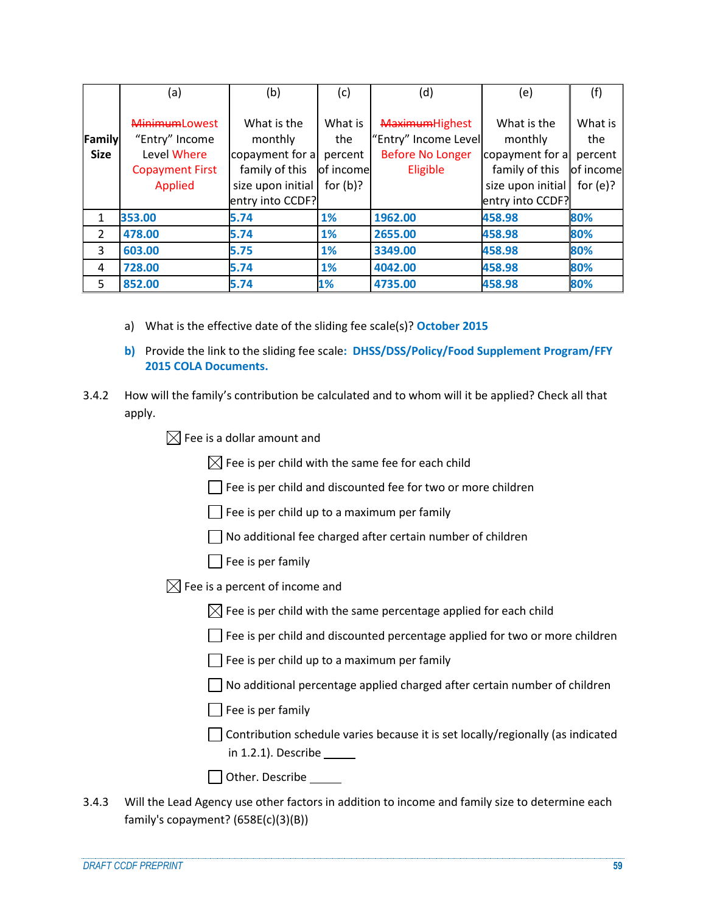|                       | (a)                                                                                               | (b)                                                                                                  | (c)                                                   | (d)                                                                                  | (e)                                                                                                  | (f)                                                   |
|-----------------------|---------------------------------------------------------------------------------------------------|------------------------------------------------------------------------------------------------------|-------------------------------------------------------|--------------------------------------------------------------------------------------|------------------------------------------------------------------------------------------------------|-------------------------------------------------------|
| Family<br><b>Size</b> | <b>MinimumLowest</b><br>"Entry" Income<br>Level Where<br><b>Copayment First</b><br><b>Applied</b> | What is the<br>monthly<br>copayment for a<br>family of this<br>size upon initial<br>entry into CCDF? | What is<br>the<br>percent<br>of income<br>for $(b)$ ? | <b>MaximumHighest</b><br>"Entry" Income Level<br><b>Before No Longer</b><br>Eligible | What is the<br>monthly<br>copayment for a<br>family of this<br>size upon initial<br>entry into CCDF? | What is<br>the<br>percent<br>of income<br>for $(e)$ ? |
| 1                     | 353.00                                                                                            | 5.74                                                                                                 | 1%                                                    | 1962.00                                                                              | 458.98                                                                                               | 80%                                                   |
| $\overline{2}$        | 478.00                                                                                            | 5.74                                                                                                 | 1%                                                    | 2655.00                                                                              | 458.98                                                                                               | 80%                                                   |
| 3                     | 603.00                                                                                            | 5.75                                                                                                 | 1%                                                    | 3349.00                                                                              | 458.98                                                                                               | 80%                                                   |
| 4                     | 728.00                                                                                            | 5.74                                                                                                 | 1%                                                    | 4042.00                                                                              | 458.98                                                                                               | 80%                                                   |
| 5                     | 852.00                                                                                            | 5.74                                                                                                 | 1%                                                    | 4735.00                                                                              | 458.98                                                                                               | 80%                                                   |

- a) What is the effective date of the sliding fee scale(s)? **October 2015**
- **b)** Provide the link to the sliding fee scale**: DHSS/DSS/Policy/Food Supplement Program/FFY 2015 COLA Documents.**
- 3.4.2 How will the family's contribution be calculated and to whom will it be applied? Check all that apply.

 $\boxtimes$  Fee is a dollar amount and

 $\boxtimes$  Fee is per child with the same fee for each child

Fee is per child and discounted fee for two or more children

 $\Box$  Fee is per child up to a maximum per family

No additional fee charged after certain number of children

 $\Box$  Fee is per family

 $\boxtimes$  Fee is a percent of income and

 $\boxtimes$  Fee is per child with the same percentage applied for each child

 $\Box$  Fee is per child and discounted percentage applied for two or more children

 $\Box$  Fee is per child up to a maximum per family

 $\Box$  No additional percentage applied charged after certain number of children

 $\Box$  Fee is per family

Contribution schedule varies because it is set locally/regionally (as indicated in 1.2.1). Describe

Other. Describe \_\_\_\_\_\_

| 3.4.3 | Will the Lead Agency use other factors in addition to income and family size to determine each |
|-------|------------------------------------------------------------------------------------------------|
|       | family's copayment? $(658E(c)(3)(B))$                                                          |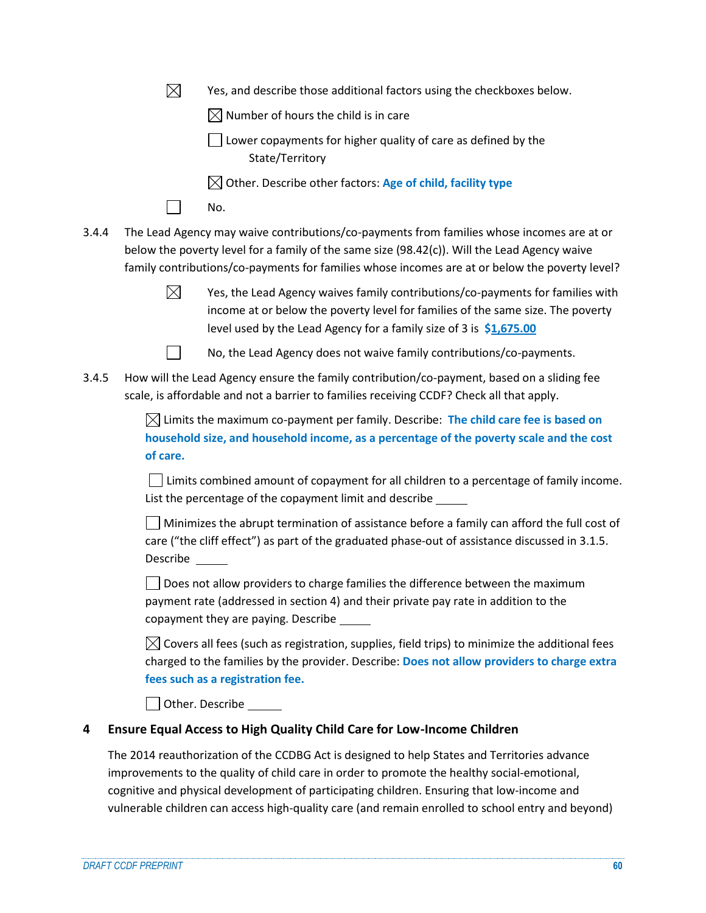|       | $\boxtimes$ | Yes, and describe those additional factors using the checkboxes below.                                                                                                                                                                                                                      |
|-------|-------------|---------------------------------------------------------------------------------------------------------------------------------------------------------------------------------------------------------------------------------------------------------------------------------------------|
|       |             | $\boxtimes$ Number of hours the child is in care                                                                                                                                                                                                                                            |
|       |             | Lower copayments for higher quality of care as defined by the<br>State/Territory                                                                                                                                                                                                            |
|       |             | $\boxtimes$ Other. Describe other factors: Age of child, facility type                                                                                                                                                                                                                      |
|       |             | No.                                                                                                                                                                                                                                                                                         |
| 3.4.4 |             | The Lead Agency may waive contributions/co-payments from families whose incomes are at or<br>below the poverty level for a family of the same size (98.42(c)). Will the Lead Agency waive<br>family contributions/co-payments for families whose incomes are at or below the poverty level? |
|       | $\boxtimes$ | Yes, the Lead Agency waives family contributions/co-payments for families with<br>income at or below the poverty level for families of the same size. The poverty<br>level used by the Lead Agency for a family size of 3 is \$1,675.00                                                     |
|       |             | No, the Lead Agency does not waive family contributions/co-payments.                                                                                                                                                                                                                        |
| 3.4.5 |             | How will the Lead Agency ensure the family contribution/co-payment, based on a sliding fee<br>scale, is affordable and not a barrier to families receiving CCDF? Check all that apply.                                                                                                      |
|       | of care.    | $\boxtimes$ Limits the maximum co-payment per family. Describe: The child care fee is based on<br>household size, and household income, as a percentage of the poverty scale and the cost                                                                                                   |
|       |             | Limits combined amount of copayment for all children to a percentage of family income.<br>List the percentage of the copayment limit and describe _____                                                                                                                                     |
|       | Describe    | Minimizes the abrupt termination of assistance before a family can afford the full cost of<br>care ("the cliff effect") as part of the graduated phase-out of assistance discussed in 3.1.5.                                                                                                |
|       |             | Does not allow providers to charge families the difference between the maximum<br>payment rate (addressed in section 4) and their private pay rate in addition to the<br>copayment they are paying. Describe                                                                                |
|       |             | $\boxtimes$ Covers all fees (such as registration, supplies, field trips) to minimize the additional fees<br>charged to the families by the provider. Describe: Does not allow providers to charge extra<br>fees such as a registration fee.                                                |
|       |             | Other. Describe                                                                                                                                                                                                                                                                             |
| 4     |             | Ensure Equal Access to High Quality Child Care for Low-Income Children                                                                                                                                                                                                                      |
|       |             |                                                                                                                                                                                                                                                                                             |

The 2014 reauthorization of the CCDBG Act is designed to help States and Territories advance improvements to the quality of child care in order to promote the healthy social-emotional, cognitive and physical development of participating children. Ensuring that low-income and vulnerable children can access high-quality care (and remain enrolled to school entry and beyond)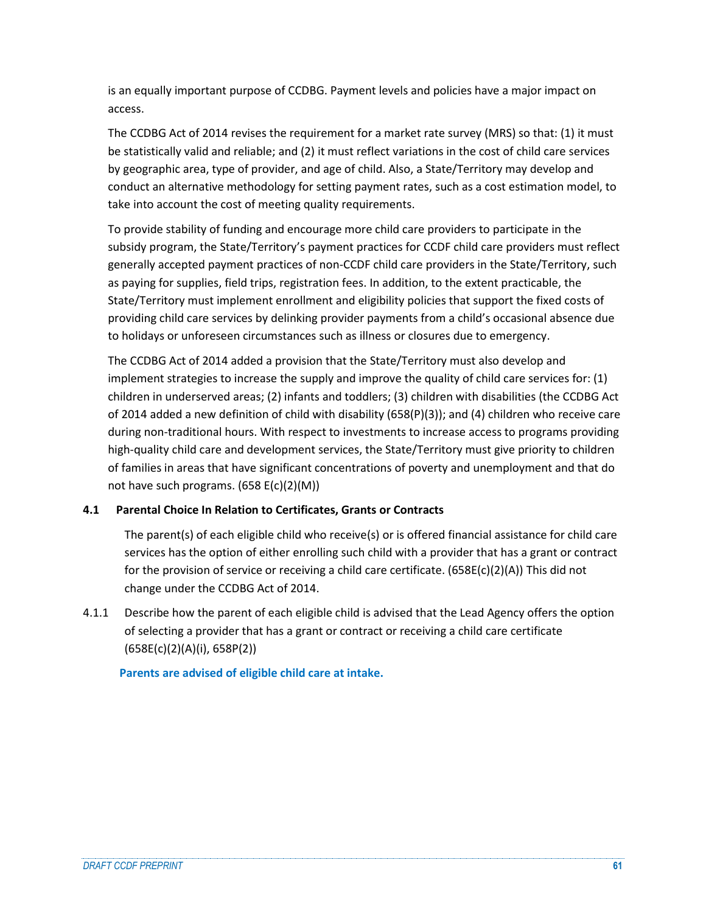is an equally important purpose of CCDBG. Payment levels and policies have a major impact on access.

The CCDBG Act of 2014 revises the requirement for a market rate survey (MRS) so that: (1) it must be statistically valid and reliable; and (2) it must reflect variations in the cost of child care services by geographic area, type of provider, and age of child. Also, a State/Territory may develop and conduct an alternative methodology for setting payment rates, such as a cost estimation model, to take into account the cost of meeting quality requirements.

To provide stability of funding and encourage more child care providers to participate in the subsidy program, the State/Territory's payment practices for CCDF child care providers must reflect generally accepted payment practices of non-CCDF child care providers in the State/Territory, such as paying for supplies, field trips, registration fees. In addition, to the extent practicable, the State/Territory must implement enrollment and eligibility policies that support the fixed costs of providing child care services by delinking provider payments from a child's occasional absence due to holidays or unforeseen circumstances such as illness or closures due to emergency.

The CCDBG Act of 2014 added a provision that the State/Territory must also develop and implement strategies to increase the supply and improve the quality of child care services for: (1) children in underserved areas; (2) infants and toddlers; (3) children with disabilities (the CCDBG Act of 2014 added a new definition of child with disability (658(P)(3)); and (4) children who receive care during non-traditional hours. With respect to investments to increase access to programs providing high-quality child care and development services, the State/Territory must give priority to children of families in areas that have significant concentrations of poverty and unemployment and that do not have such programs. (658 E(c)(2)(M))

# **4.1 Parental Choice In Relation to Certificates, Grants or Contracts**

The parent(s) of each eligible child who receive(s) or is offered financial assistance for child care services has the option of either enrolling such child with a provider that has a grant or contract for the provision of service or receiving a child care certificate. ( $658E(c)(2)(A)$ ) This did not change under the CCDBG Act of 2014.

4.1.1 Describe how the parent of each eligible child is advised that the Lead Agency offers the option of selecting a provider that has a grant or contract or receiving a child care certificate (658E(c)(2)(A)(i), 658P(2))

 **Parents are advised of eligible child care at intake.**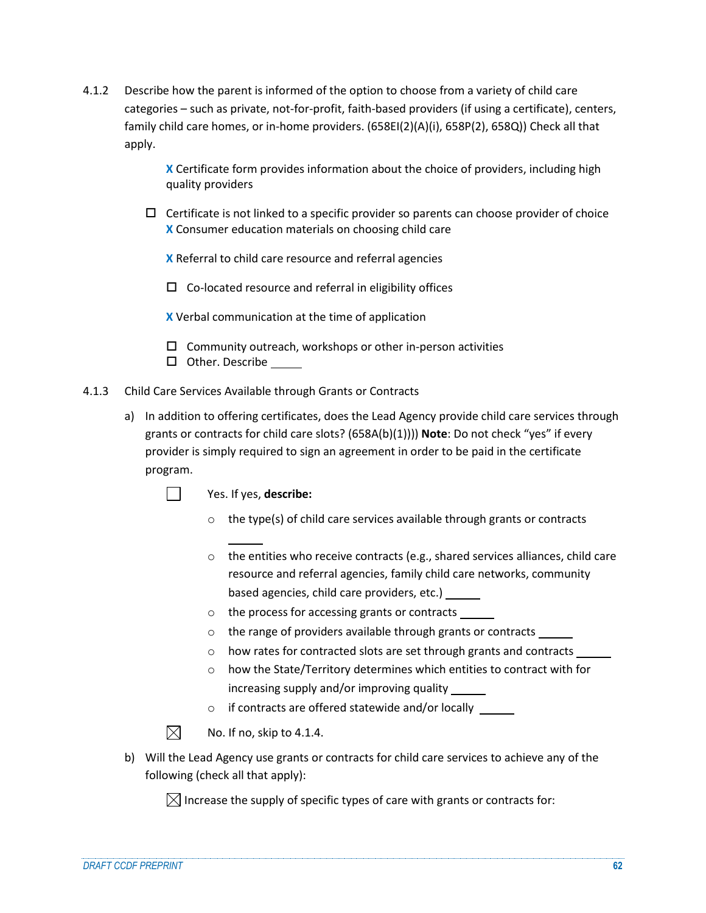4.1.2 Describe how the parent is informed of the option to choose from a variety of child care categories – such as private, not-for-profit, faith-based providers (if using a certificate), centers, family child care homes, or in-home providers. (658EI(2)(A)(i), 658P(2), 658Q)) Check all that apply.

> **X** Certificate form provides information about the choice of providers, including high quality providers

- $\Box$  Certificate is not linked to a specific provider so parents can choose provider of choice **X** Consumer education materials on choosing child care
	- **X** Referral to child care resource and referral agencies
	- $\Box$  Co-located resource and referral in eligibility offices
	- **X** Verbal communication at the time of application
	- $\Box$  Community outreach, workshops or other in-person activities
	- □ Other. Describe
- 4.1.3 Child Care Services Available through Grants or Contracts
	- a) In addition to offering certificates, does the Lead Agency provide child care services through grants or contracts for child care slots? (658A(b)(1)))) **Note**: Do not check "yes" if every provider is simply required to sign an agreement in order to be paid in the certificate program.
		- $\Box$ Yes. If yes, **describe:**
			- o the type(s) of child care services available through grants or contracts
			- $\circ$  the entities who receive contracts (e.g., shared services alliances, child care resource and referral agencies, family child care networks, community based agencies, child care providers, etc.)
			- o the process for accessing grants or contracts
			- o the range of providers available through grants or contracts
			- $\circ$  how rates for contracted slots are set through grants and contracts
			- $\circ$  how the State/Territory determines which entities to contract with for increasing supply and/or improving quality
			- o if contracts are offered statewide and/or locally

 $\boxtimes$ No. If no, skip to 4.1.4.

b) Will the Lead Agency use grants or contracts for child care services to achieve any of the following (check all that apply):

 $\boxtimes$  Increase the supply of specific types of care with grants or contracts for: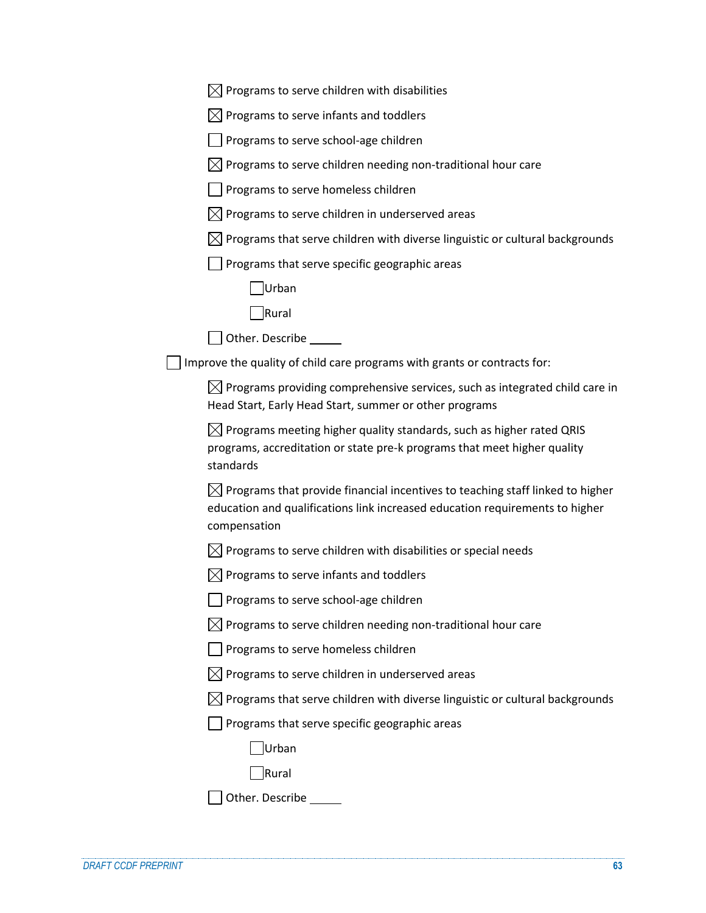|  | $\boxtimes$ Programs to serve children with disabilities |  |  |  |  |
|--|----------------------------------------------------------|--|--|--|--|
|--|----------------------------------------------------------|--|--|--|--|

| $\boxtimes$ Programs to serve infants and toddlers |  |
|----------------------------------------------------|--|
|----------------------------------------------------|--|

|  |  | Programs to serve school-age children |  |
|--|--|---------------------------------------|--|
|  |  |                                       |  |

 $\boxtimes$  Programs to serve children needing non-traditional hour care

Programs to serve homeless children

 $\boxtimes$  Programs to serve children in underserved areas

 $\boxtimes$  Programs that serve children with diverse linguistic or cultural backgrounds

 $\Box$  Programs that serve specific geographic areas

| <b>Illrban</b> |  |
|----------------|--|
|----------------|--|

Rural

| Other. Describe |
|-----------------|
|-----------------|

 $\Box$  Improve the quality of child care programs with grants or contracts for:

 $\boxtimes$  Programs providing comprehensive services, such as integrated child care in Head Start, Early Head Start, summer or other programs

 $\boxtimes$  Programs meeting higher quality standards, such as higher rated QRIS programs, accreditation or state pre-k programs that meet higher quality standards

 $\boxtimes$  Programs that provide financial incentives to teaching staff linked to higher education and qualifications link increased education requirements to higher compensation

 $\boxtimes$  Programs to serve children with disabilities or special needs

 $\boxtimes$  Programs to serve infants and toddlers

Programs to serve school-age children

 $\boxtimes$  Programs to serve children needing non-traditional hour care

 $\Box$  Programs to serve homeless children

 $\boxtimes$  Programs to serve children in underserved areas

 $\boxtimes$  Programs that serve children with diverse linguistic or cultural backgrounds

 $\Box$  Programs that serve specific geographic areas

Rural

Other. Describe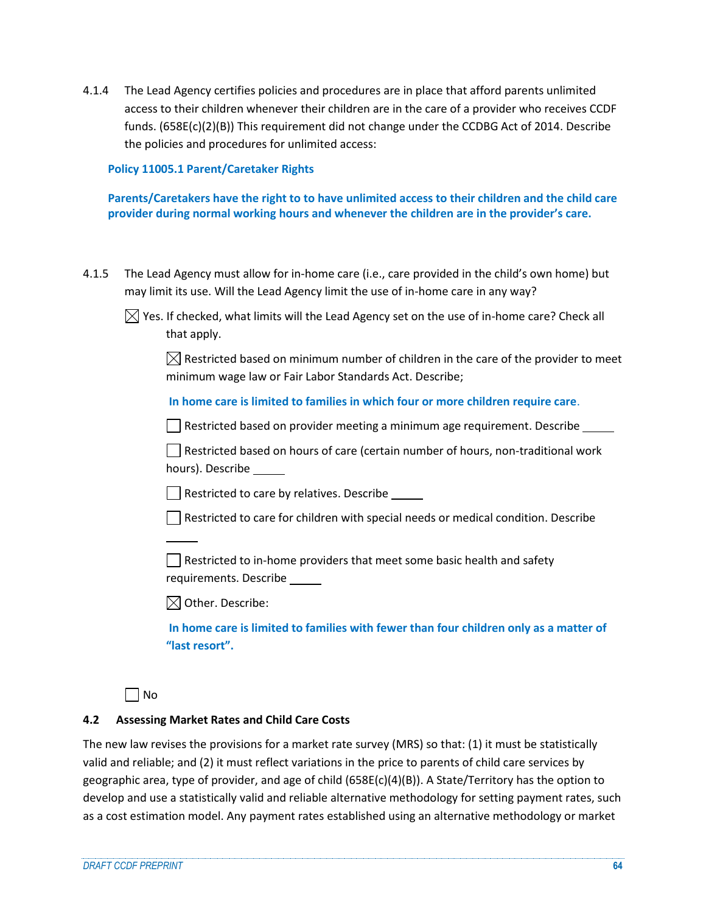4.1.4 The Lead Agency certifies policies and procedures are in place that afford parents unlimited access to their children whenever their children are in the care of a provider who receives CCDF funds. (658E(c)(2)(B)) This requirement did not change under the CCDBG Act of 2014. Describe the policies and procedures for unlimited access:

#### **Policy 11005.1 Parent/Caretaker Rights**

**Parents/Caretakers have the right to to have unlimited access to their children and the child care provider during normal working hours and whenever the children are in the provider's care.**

- 4.1.5 The Lead Agency must allow for in-home care (i.e., care provided in the child's own home) but may limit its use. Will the Lead Agency limit the use of in-home care in any way?
	- $\boxtimes$  Yes. If checked, what limits will the Lead Agency set on the use of in-home care? Check all that apply.

 $\boxtimes$  Restricted based on minimum number of children in the care of the provider to meet minimum wage law or Fair Labor Standards Act. Describe;

**In home care is limited to families in which four or more children require care**.

 $\vert\,\,\,\vert$  Restricted based on provider meeting a minimum age requirement. Describe

Restricted based on hours of care (certain number of hours, non-traditional work hours). Describe

Restricted to care by relatives. Describe

 $\Box$  Restricted to care for children with special needs or medical condition. Describe

Restricted to in-home providers that meet some basic health and safety requirements. Describe

 $\boxtimes$  Other. Describe:

**In home care is limited to families with fewer than four children only as a matter of "last resort".**

 $\Box$  No

### **4.2 Assessing Market Rates and Child Care Costs**

The new law revises the provisions for a market rate survey (MRS) so that: (1) it must be statistically valid and reliable; and (2) it must reflect variations in the price to parents of child care services by geographic area, type of provider, and age of child (658E(c)(4)(B)). A State/Territory has the option to develop and use a statistically valid and reliable alternative methodology for setting payment rates, such as a cost estimation model. Any payment rates established using an alternative methodology or market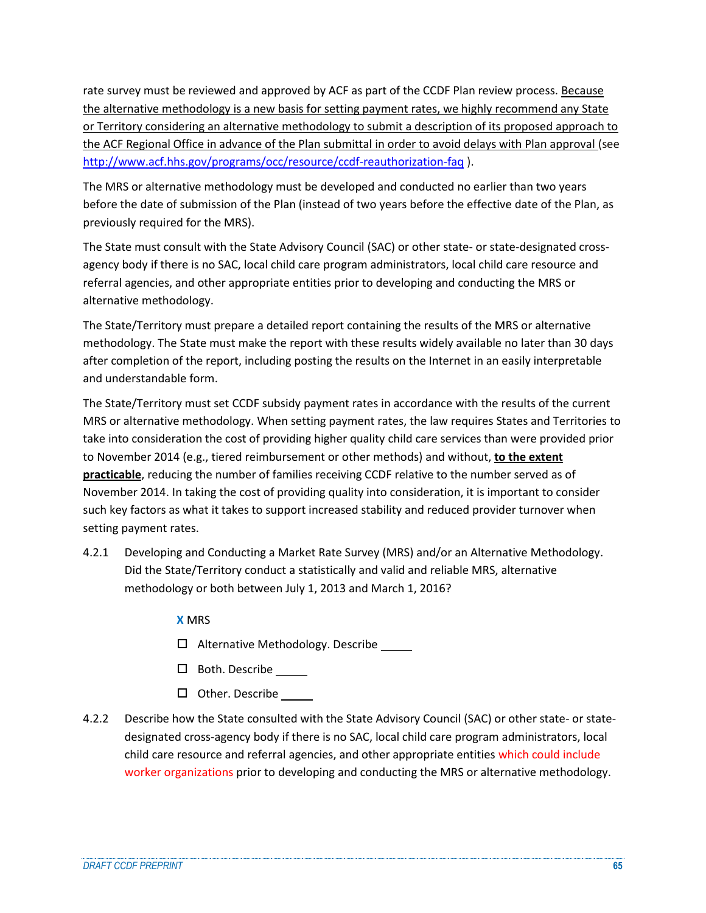rate survey must be reviewed and approved by ACF as part of the CCDF Plan review process. Because the alternative methodology is a new basis for setting payment rates, we highly recommend any State or Territory considering an alternative methodology to submit a description of its proposed approach to the ACF Regional Office in advance of the Plan submittal in order to avoid delays with Plan approval (see <http://www.acf.hhs.gov/programs/occ/resource/ccdf-reauthorization-faq> ).

The MRS or alternative methodology must be developed and conducted no earlier than two years before the date of submission of the Plan (instead of two years before the effective date of the Plan, as previously required for the MRS).

The State must consult with the State Advisory Council (SAC) or other state- or state-designated crossagency body if there is no SAC, local child care program administrators, local child care resource and referral agencies, and other appropriate entities prior to developing and conducting the MRS or alternative methodology.

The State/Territory must prepare a detailed report containing the results of the MRS or alternative methodology. The State must make the report with these results widely available no later than 30 days after completion of the report, including posting the results on the Internet in an easily interpretable and understandable form.

The State/Territory must set CCDF subsidy payment rates in accordance with the results of the current MRS or alternative methodology. When setting payment rates, the law requires States and Territories to take into consideration the cost of providing higher quality child care services than were provided prior to November 2014 (e.g., tiered reimbursement or other methods) and without, **to the extent practicable**, reducing the number of families receiving CCDF relative to the number served as of November 2014. In taking the cost of providing quality into consideration, it is important to consider such key factors as what it takes to support increased stability and reduced provider turnover when setting payment rates.

4.2.1 Developing and Conducting a Market Rate Survey (MRS) and/or an Alternative Methodology. Did the State/Territory conduct a statistically and valid and reliable MRS, alternative methodology or both between July 1, 2013 and March 1, 2016?

# **X** MRS

- □ Alternative Methodology. Describe
- $\Box$  Both. Describe  $\Box$
- $\square$  Other. Describe
- 4.2.2 Describe how the State consulted with the State Advisory Council (SAC) or other state- or statedesignated cross-agency body if there is no SAC, local child care program administrators, local child care resource and referral agencies, and other appropriate entities which could include worker organizations prior to developing and conducting the MRS or alternative methodology.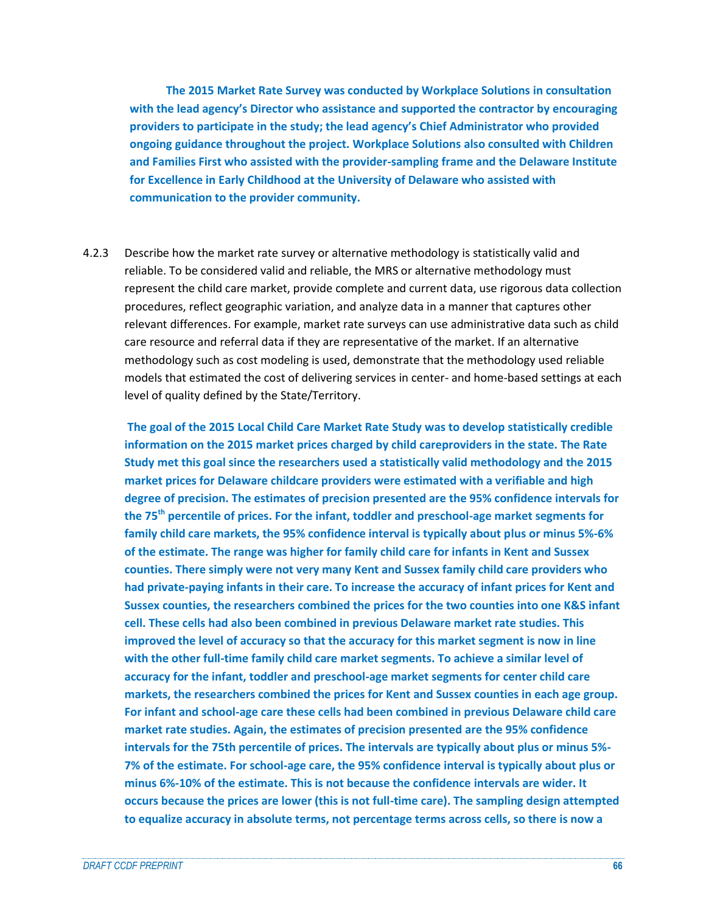**The 2015 Market Rate Survey was conducted by Workplace Solutions in consultation with the lead agency's Director who assistance and supported the contractor by encouraging providers to participate in the study; the lead agency's Chief Administrator who provided ongoing guidance throughout the project. Workplace Solutions also consulted with Children and Families First who assisted with the provider-sampling frame and the Delaware Institute for Excellence in Early Childhood at the University of Delaware who assisted with communication to the provider community.** 

4.2.3 Describe how the market rate survey or alternative methodology is statistically valid and reliable. To be considered valid and reliable, the MRS or alternative methodology must represent the child care market, provide complete and current data, use rigorous data collection procedures, reflect geographic variation, and analyze data in a manner that captures other relevant differences. For example, market rate surveys can use administrative data such as child care resource and referral data if they are representative of the market. If an alternative methodology such as cost modeling is used, demonstrate that the methodology used reliable models that estimated the cost of delivering services in center- and home-based settings at each level of quality defined by the State/Territory.

**The goal of the 2015 Local Child Care Market Rate Study was to develop statistically credible information on the 2015 market prices charged by child careproviders in the state. The Rate Study met this goal since the researchers used a statistically valid methodology and the 2015 market prices for Delaware childcare providers were estimated with a verifiable and high degree of precision. The estimates of precision presented are the 95% confidence intervals for the 75th percentile of prices. For the infant, toddler and preschool-age market segments for family child care markets, the 95% confidence interval is typically about plus or minus 5%-6% of the estimate. The range was higher for family child care for infants in Kent and Sussex counties. There simply were not very many Kent and Sussex family child care providers who had private-paying infants in their care. To increase the accuracy of infant prices for Kent and Sussex counties, the researchers combined the prices for the two counties into one K&S infant cell. These cells had also been combined in previous Delaware market rate studies. This improved the level of accuracy so that the accuracy for this market segment is now in line with the other full-time family child care market segments. To achieve a similar level of accuracy for the infant, toddler and preschool-age market segments for center child care markets, the researchers combined the prices for Kent and Sussex counties in each age group. For infant and school-age care these cells had been combined in previous Delaware child care market rate studies. Again, the estimates of precision presented are the 95% confidence intervals for the 75th percentile of prices. The intervals are typically about plus or minus 5%- 7% of the estimate. For school-age care, the 95% confidence interval is typically about plus or minus 6%-10% of the estimate. This is not because the confidence intervals are wider. It occurs because the prices are lower (this is not full-time care). The sampling design attempted to equalize accuracy in absolute terms, not percentage terms across cells, so there is now a**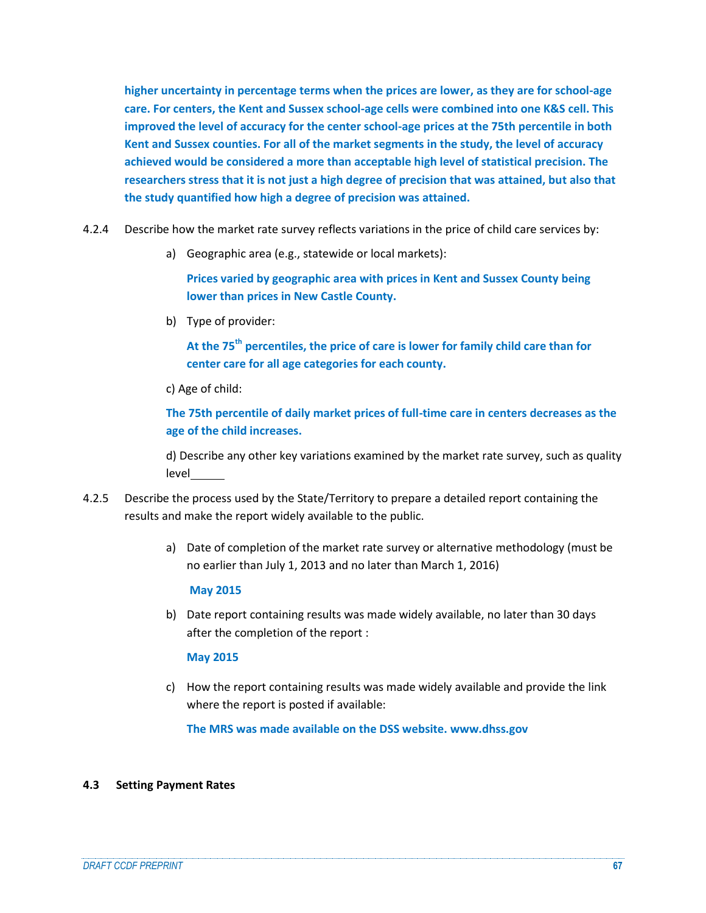**higher uncertainty in percentage terms when the prices are lower, as they are for school-age care. For centers, the Kent and Sussex school-age cells were combined into one K&S cell. This improved the level of accuracy for the center school-age prices at the 75th percentile in both Kent and Sussex counties. For all of the market segments in the study, the level of accuracy achieved would be considered a more than acceptable high level of statistical precision. The researchers stress that it is not just a high degree of precision that was attained, but also that the study quantified how high a degree of precision was attained.** 

- 4.2.4 Describe how the market rate survey reflects variations in the price of child care services by:
	- a) Geographic area (e.g., statewide or local markets):

**Prices varied by geographic area with prices in Kent and Sussex County being lower than prices in New Castle County.**

b) Type of provider:

**At the 75th percentiles, the price of care is lower for family child care than for center care for all age categories for each county.**

c) Age of child:

**The 75th percentile of daily market prices of full-time care in centers decreases as the age of the child increases.**

d) Describe any other key variations examined by the market rate survey, such as quality level

- 4.2.5 Describe the process used by the State/Territory to prepare a detailed report containing the results and make the report widely available to the public.
	- a) Date of completion of the market rate survey or alternative methodology (must be no earlier than July 1, 2013 and no later than March 1, 2016)

**May 2015**

b) Date report containing results was made widely available, no later than 30 days after the completion of the report :

**May 2015**

c) How the report containing results was made widely available and provide the link where the report is posted if available:

**The MRS was made available on the DSS website. www.dhss.gov**

#### **4.3 Setting Payment Rates**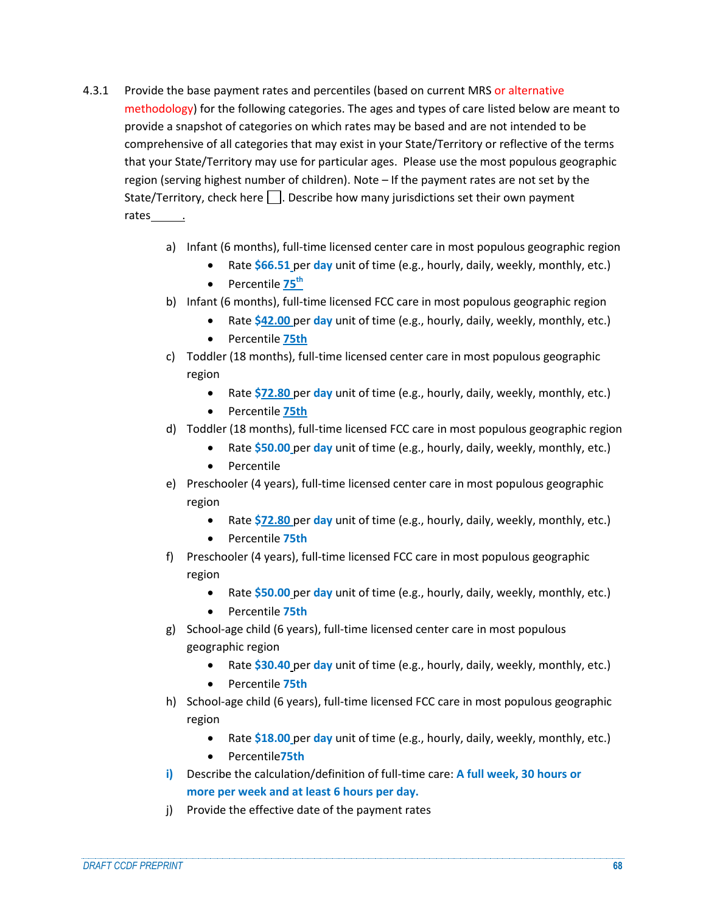- 4.3.1 Provide the base payment rates and percentiles (based on current MRS or alternative methodology) for the following categories. The ages and types of care listed below are meant to provide a snapshot of categories on which rates may be based and are not intended to be comprehensive of all categories that may exist in your State/Territory or reflective of the terms that your State/Territory may use for particular ages. Please use the most populous geographic region (serving highest number of children). Note – If the payment rates are not set by the State/Territory, check here  $\Box$ . Describe how many jurisdictions set their own payment rates ...
	- a) Infant (6 months), full-time licensed center care in most populous geographic region
		- Rate **\$66.51** per **day** unit of time (e.g., hourly, daily, weekly, monthly, etc.)
		- Percentile **75th**
	- b) Infant (6 months), full-time licensed FCC care in most populous geographic region
		- Rate **\$42.00** per **day** unit of time (e.g., hourly, daily, weekly, monthly, etc.)
		- Percentile **75th**
	- c) Toddler (18 months), full-time licensed center care in most populous geographic region
		- Rate **\$72.80** per **day** unit of time (e.g., hourly, daily, weekly, monthly, etc.)
		- Percentile **75th**
	- d) Toddler (18 months), full-time licensed FCC care in most populous geographic region
		- Rate **\$50.00** per **day** unit of time (e.g., hourly, daily, weekly, monthly, etc.)
		- Percentile
	- e) Preschooler (4 years), full-time licensed center care in most populous geographic region
		- Rate **\$72.80** per **day** unit of time (e.g., hourly, daily, weekly, monthly, etc.)
		- Percentile **75th**
	- f) Preschooler (4 years), full-time licensed FCC care in most populous geographic region
		- Rate **\$50.00** per **day** unit of time (e.g., hourly, daily, weekly, monthly, etc.)
		- Percentile **75th**
	- g) School-age child (6 years), full-time licensed center care in most populous geographic region
		- Rate **\$30.40** per **day** unit of time (e.g., hourly, daily, weekly, monthly, etc.)
		- Percentile **75th**
	- h) School-age child (6 years), full-time licensed FCC care in most populous geographic region
		- Rate **\$18.00** per **day** unit of time (e.g., hourly, daily, weekly, monthly, etc.)
		- Percentile**75th**
	- **i)** Describe the calculation/definition of full-time care: **A full week, 30 hours or more per week and at least 6 hours per day.**
	- j) Provide the effective date of the payment rates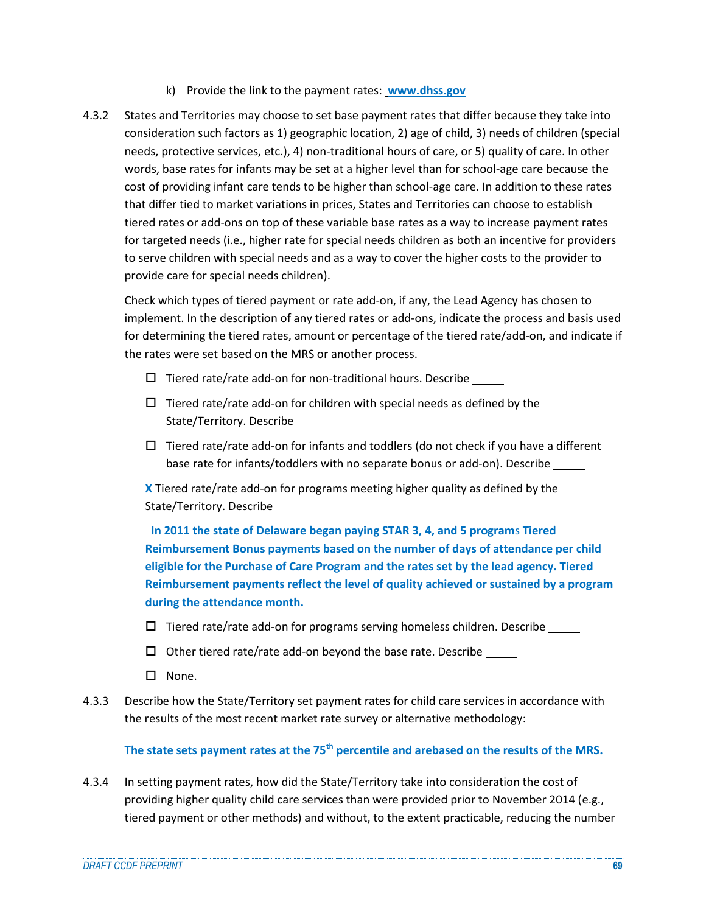- k) Provide the link to the payment rates: **www.dhss.gov**
- 4.3.2 States and Territories may choose to set base payment rates that differ because they take into consideration such factors as 1) geographic location, 2) age of child, 3) needs of children (special needs, protective services, etc.), 4) non-traditional hours of care, or 5) quality of care. In other words, base rates for infants may be set at a higher level than for school-age care because the cost of providing infant care tends to be higher than school-age care. In addition to these rates that differ tied to market variations in prices, States and Territories can choose to establish tiered rates or add-ons on top of these variable base rates as a way to increase payment rates for targeted needs (i.e., higher rate for special needs children as both an incentive for providers to serve children with special needs and as a way to cover the higher costs to the provider to provide care for special needs children).

Check which types of tiered payment or rate add-on, if any, the Lead Agency has chosen to implement. In the description of any tiered rates or add-ons, indicate the process and basis used for determining the tiered rates, amount or percentage of the tiered rate/add-on, and indicate if the rates were set based on the MRS or another process.

- $\square$  Tiered rate/rate add-on for non-traditional hours. Describe  $\square$
- $\Box$  Tiered rate/rate add-on for children with special needs as defined by the State/Territory. Describe
- $\Box$  Tiered rate/rate add-on for infants and toddlers (do not check if you have a different base rate for infants/toddlers with no separate bonus or add-on). Describe

**X** Tiered rate/rate add-on for programs meeting higher quality as defined by the State/Territory. Describe

 **In 2011 the state of Delaware began paying STAR 3, 4, and 5 program**s **Tiered Reimbursement Bonus payments based on the number of days of attendance per child eligible for the Purchase of Care Program and the rates set by the lead agency. Tiered Reimbursement payments reflect the level of quality achieved or sustained by a program during the attendance month.**

- $\square$  Tiered rate/rate add-on for programs serving homeless children. Describe  $\rule{1em}{0.15mm}$
- $\Box$  Other tiered rate/rate add-on beyond the base rate. Describe
- $\Box$  None.
- 4.3.3 Describe how the State/Territory set payment rates for child care services in accordance with the results of the most recent market rate survey or alternative methodology:

# **The state sets payment rates at the 75th percentile and arebased on the results of the MRS.**

4.3.4 In setting payment rates, how did the State/Territory take into consideration the cost of providing higher quality child care services than were provided prior to November 2014 (e.g., tiered payment or other methods) and without, to the extent practicable, reducing the number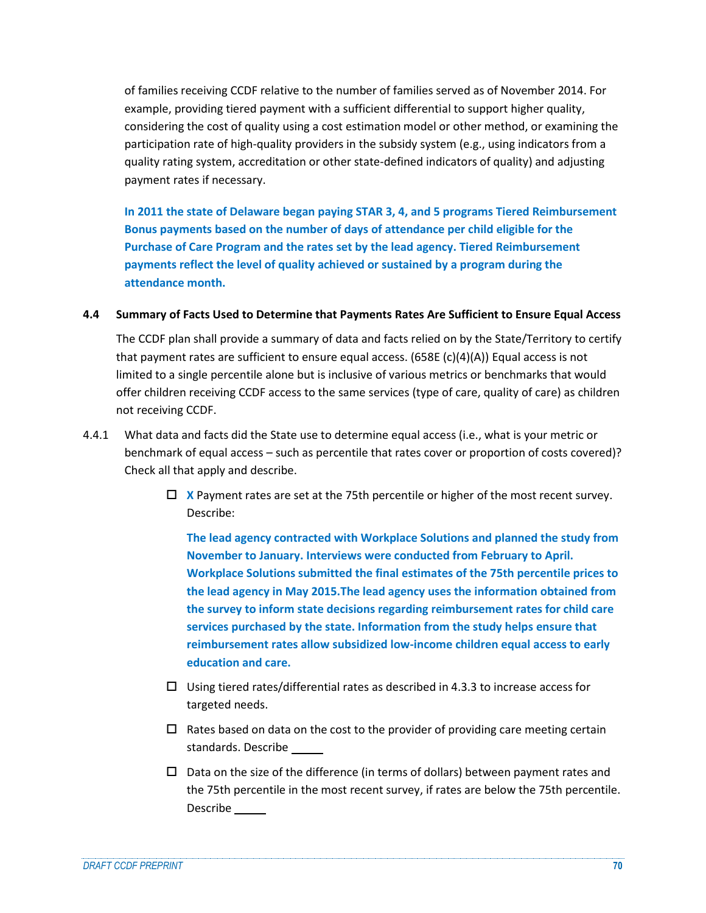of families receiving CCDF relative to the number of families served as of November 2014. For example, providing tiered payment with a sufficient differential to support higher quality, considering the cost of quality using a cost estimation model or other method, or examining the participation rate of high-quality providers in the subsidy system (e.g., using indicators from a quality rating system, accreditation or other state-defined indicators of quality) and adjusting payment rates if necessary.

**In 2011 the state of Delaware began paying STAR 3, 4, and 5 programs Tiered Reimbursement Bonus payments based on the number of days of attendance per child eligible for the Purchase of Care Program and the rates set by the lead agency. Tiered Reimbursement payments reflect the level of quality achieved or sustained by a program during the attendance month.**

#### **4.4 Summary of Facts Used to Determine that Payments Rates Are Sufficient to Ensure Equal Access**

The CCDF plan shall provide a summary of data and facts relied on by the State/Territory to certify that payment rates are sufficient to ensure equal access. (658E (c)(4)(A)) Equal access is not limited to a single percentile alone but is inclusive of various metrics or benchmarks that would offer children receiving CCDF access to the same services (type of care, quality of care) as children not receiving CCDF.

- 4.4.1 What data and facts did the State use to determine equal access (i.e., what is your metric or benchmark of equal access – such as percentile that rates cover or proportion of costs covered)? Check all that apply and describe.
	- **X** Payment rates are set at the 75th percentile or higher of the most recent survey. Describe:

**The lead agency contracted with Workplace Solutions and planned the study from November to January. Interviews were conducted from February to April. Workplace Solutions submitted the final estimates of the 75th percentile prices to the lead agency in May 2015.The lead agency uses the information obtained from the survey to inform state decisions regarding reimbursement rates for child care services purchased by the state. Information from the study helps ensure that reimbursement rates allow subsidized low-income children equal access to early education and care.**

- $\Box$  Using tiered rates/differential rates as described in 4.3.3 to increase access for targeted needs.
- $\Box$  Rates based on data on the cost to the provider of providing care meeting certain standards. Describe
- $\square$  Data on the size of the difference (in terms of dollars) between payment rates and the 75th percentile in the most recent survey, if rates are below the 75th percentile. Describe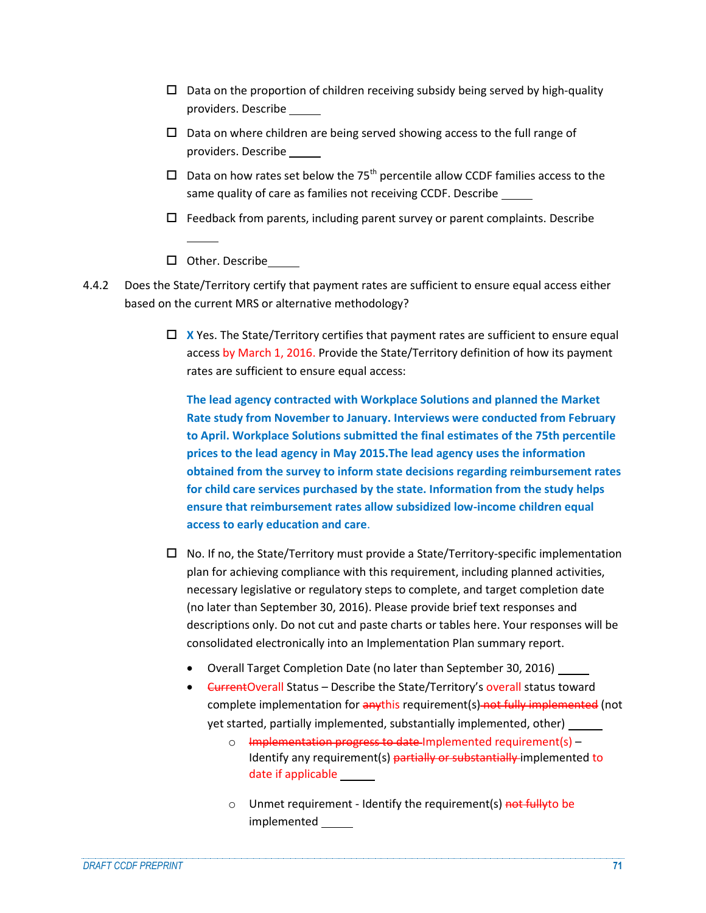- $\square$  Data on the proportion of children receiving subsidy being served by high-quality providers. Describe
- $\square$  Data on where children are being served showing access to the full range of providers. Describe
- $\Box$  Data on how rates set below the 75<sup>th</sup> percentile allow CCDF families access to the same quality of care as families not receiving CCDF. Describe
- $\Box$  Feedback from parents, including parent survey or parent complaints. Describe
- □ Other. Describe
- 4.4.2 Does the State/Territory certify that payment rates are sufficient to ensure equal access either based on the current MRS or alternative methodology?
	- $\Box$  **X** Yes. The State/Territory certifies that payment rates are sufficient to ensure equal access by March 1, 2016. Provide the State/Territory definition of how its payment rates are sufficient to ensure equal access:

**The lead agency contracted with Workplace Solutions and planned the Market Rate study from November to January. Interviews were conducted from February to April. Workplace Solutions submitted the final estimates of the 75th percentile prices to the lead agency in May 2015.The lead agency uses the information obtained from the survey to inform state decisions regarding reimbursement rates for child care services purchased by the state. Information from the study helps ensure that reimbursement rates allow subsidized low-income children equal access to early education and care**.

- $\Box$  No. If no, the State/Territory must provide a State/Territory-specific implementation plan for achieving compliance with this requirement, including planned activities, necessary legislative or regulatory steps to complete, and target completion date (no later than September 30, 2016). Please provide brief text responses and descriptions only. Do not cut and paste charts or tables here. Your responses will be consolidated electronically into an Implementation Plan summary report.
	- Overall Target Completion Date (no later than September 30, 2016)
	- **•** <del>Current</del>Overall Status Describe the State/Territory's overall status toward complete implementation for anythis requirement(s) not fully implemented (not yet started, partially implemented, substantially implemented, other)
		- o Implementation progress to date Implemented requirement(s) Identify any requirement(s) partially or substantially implemented to date if applicable
		- o Unmet requirement Identify the requirement(s) not fullyto be implemented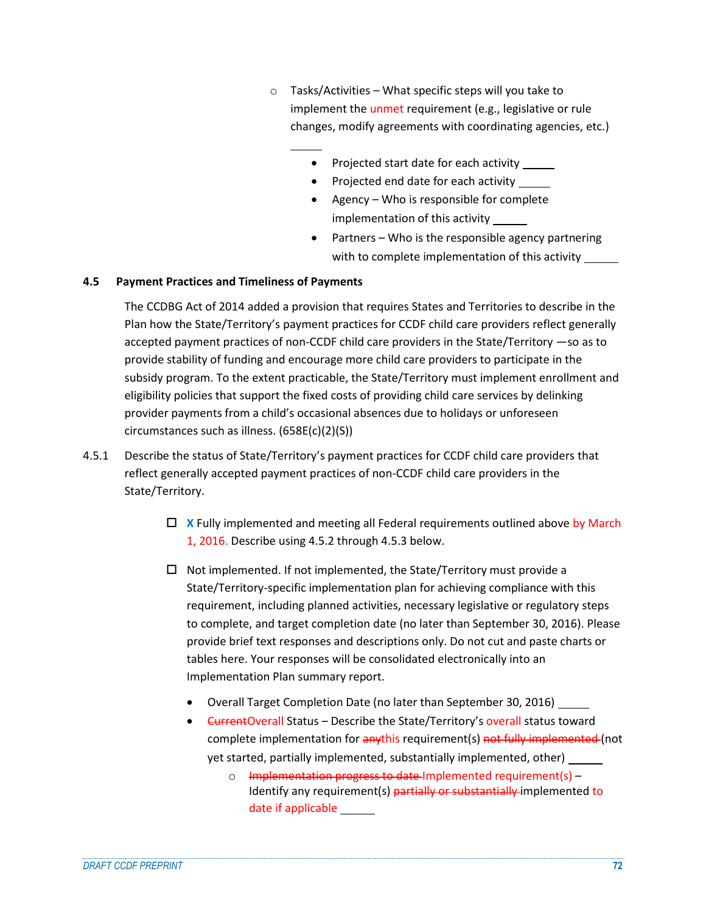- $\circ$  Tasks/Activities What specific steps will you take to implement the unmet requirement (e.g., legislative or rule changes, modify agreements with coordinating agencies, etc.)
	- Projected start date for each activity \_\_\_\_\_
	- Projected end date for each activity
	- Agency Who is responsible for complete implementation of this activity
	- Partners Who is the responsible agency partnering with to complete implementation of this activity

### **4.5 Payment Practices and Timeliness of Payments**

The CCDBG Act of 2014 added a provision that requires States and Territories to describe in the Plan how the State/Territory's payment practices for CCDF child care providers reflect generally accepted payment practices of non-CCDF child care providers in the State/Territory —so as to provide stability of funding and encourage more child care providers to participate in the subsidy program. To the extent practicable, the State/Territory must implement enrollment and eligibility policies that support the fixed costs of providing child care services by delinking provider payments from a child's occasional absences due to holidays or unforeseen circumstances such as illness. (658E(c)(2)(S))

- 4.5.1 Describe the status of State/Territory's payment practices for CCDF child care providers that reflect generally accepted payment practices of non-CCDF child care providers in the State/Territory.
	- **X** Fully implemented and meeting all Federal requirements outlined above by March 1, 2016. Describe using 4.5.2 through 4.5.3 below.
	- $\Box$  Not implemented. If not implemented, the State/Territory must provide a State/Territory-specific implementation plan for achieving compliance with this requirement, including planned activities, necessary legislative or regulatory steps to complete, and target completion date (no later than September 30, 2016). Please provide brief text responses and descriptions only. Do not cut and paste charts or tables here. Your responses will be consolidated electronically into an Implementation Plan summary report.
		- Overall Target Completion Date (no later than September 30, 2016)
		- **CurrentOverall Status Describe the State/Territory's overall status toward** complete implementation for anythis requirement(s) not fully implemented (not yet started, partially implemented, substantially implemented, other)
			- o Implementation progress to date Implemented requirement(s) Identify any requirement(s) partially or substantially implemented to date if applicable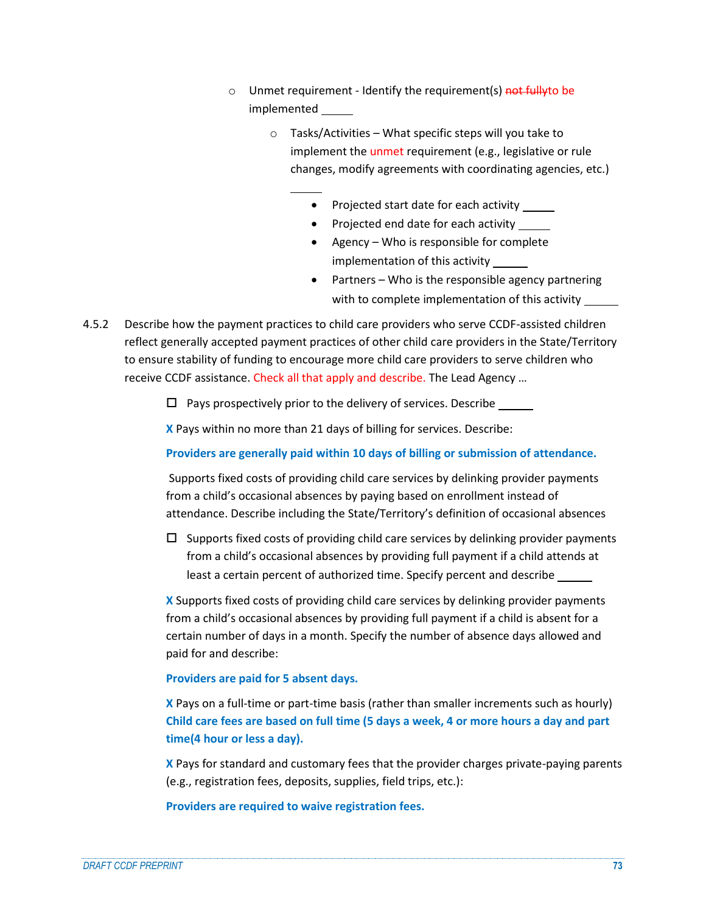- o Unmet requirement Identify the requirement(s) not fullyto be implemented
	- o Tasks/Activities What specific steps will you take to implement the unmet requirement (e.g., legislative or rule changes, modify agreements with coordinating agencies, etc.)
		- Projected start date for each activity \_\_\_
		- Projected end date for each activity
		- Agency Who is responsible for complete implementation of this activity
		- Partners Who is the responsible agency partnering with to complete implementation of this activity
- 4.5.2 Describe how the payment practices to child care providers who serve CCDF-assisted children reflect generally accepted payment practices of other child care providers in the State/Territory to ensure stability of funding to encourage more child care providers to serve children who receive CCDF assistance. Check all that apply and describe. The Lead Agency ...

 $\square$  Pays prospectively prior to the delivery of services. Describe  $\square$ 

**X** Pays within no more than 21 days of billing for services. Describe:

**Providers are generally paid within 10 days of billing or submission of attendance.**

Supports fixed costs of providing child care services by delinking provider payments from a child's occasional absences by paying based on enrollment instead of attendance. Describe including the State/Territory's definition of occasional absences

 $\square$  Supports fixed costs of providing child care services by delinking provider payments from a child's occasional absences by providing full payment if a child attends at least a certain percent of authorized time. Specify percent and describe

**X** Supports fixed costs of providing child care services by delinking provider payments from a child's occasional absences by providing full payment if a child is absent for a certain number of days in a month. Specify the number of absence days allowed and paid for and describe:

#### **Providers are paid for 5 absent days.**

**X** Pays on a full-time or part-time basis (rather than smaller increments such as hourly) **Child care fees are based on full time (5 days a week, 4 or more hours a day and part time(4 hour or less a day).** 

**X** Pays for standard and customary fees that the provider charges private-paying parents (e.g., registration fees, deposits, supplies, field trips, etc.):

**Providers are required to waive registration fees.**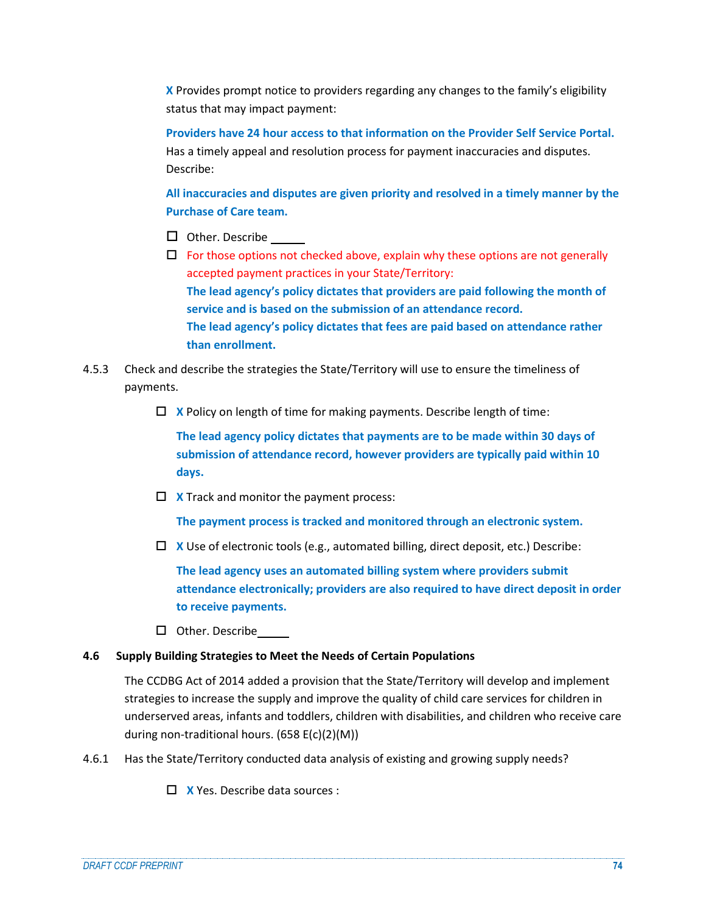**X** Provides prompt notice to providers regarding any changes to the family's eligibility status that may impact payment:

**Providers have 24 hour access to that information on the Provider Self Service Portal.** Has a timely appeal and resolution process for payment inaccuracies and disputes. Describe:

**All inaccuracies and disputes are given priority and resolved in a timely manner by the Purchase of Care team.**

- $\Box$  Other. Describe
- $\Box$  For those options not checked above, explain why these options are not generally accepted payment practices in your State/Territory: **The lead agency's policy dictates that providers are paid following the month of service and is based on the submission of an attendance record. The lead agency's policy dictates that fees are paid based on attendance rather than enrollment.**
- 4.5.3 Check and describe the strategies the State/Territory will use to ensure the timeliness of payments.
	- **X** Policy on length of time for making payments. Describe length of time:

**The lead agency policy dictates that payments are to be made within 30 days of submission of attendance record, however providers are typically paid within 10 days.**

**X** Track and monitor the payment process:

**The payment process is tracked and monitored through an electronic system.**

 $\Box$  **X** Use of electronic tools (e.g., automated billing, direct deposit, etc.) Describe:

**The lead agency uses an automated billing system where providers submit attendance electronically; providers are also required to have direct deposit in order to receive payments.**

□ Other. Describe

#### **4.6 Supply Building Strategies to Meet the Needs of Certain Populations**

The CCDBG Act of 2014 added a provision that the State/Territory will develop and implement strategies to increase the supply and improve the quality of child care services for children in underserved areas, infants and toddlers, children with disabilities, and children who receive care during non-traditional hours. (658 E(c)(2)(M))

- 4.6.1 Has the State/Territory conducted data analysis of existing and growing supply needs?
	- **X** Yes. Describe data sources :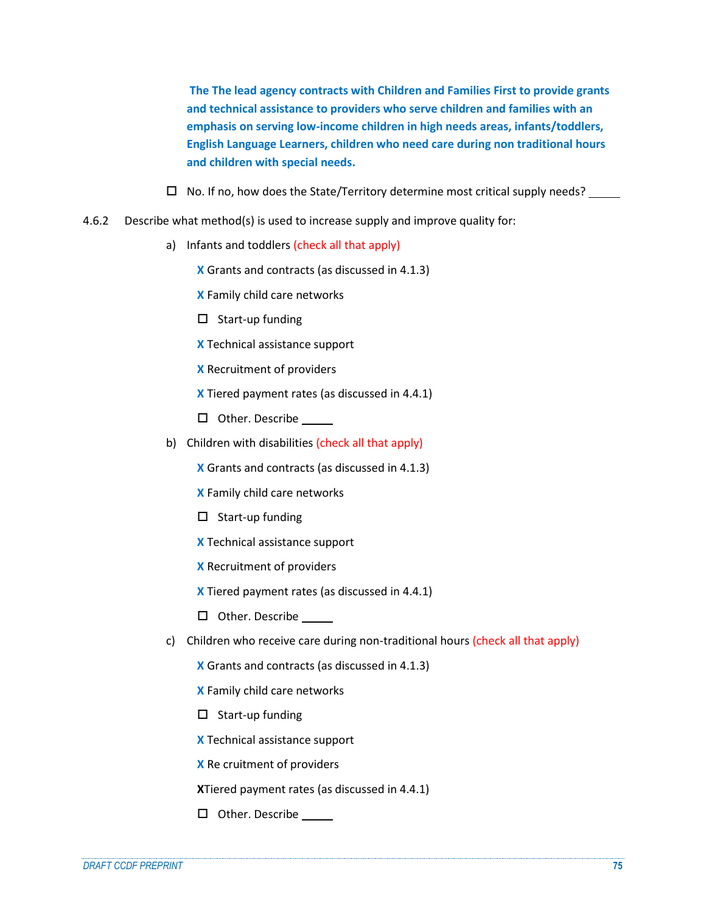**The The lead agency contracts with Children and Families First to provide grants and technical assistance to providers who serve children and families with an emphasis on serving low-income children in high needs areas, infants/toddlers, English Language Learners, children who need care during non traditional hours and children with special needs.** 

- $\Box$  No. If no, how does the State/Territory determine most critical supply needs?
- 4.6.2 Describe what method(s) is used to increase supply and improve quality for:
	- a) Infants and toddlers (check all that apply)

**X** Grants and contracts (as discussed in 4.1.3)

**X** Family child care networks

 $\square$  Start-up funding

**X** Technical assistance support

**X** Recruitment of providers

**X** Tiered payment rates (as discussed in 4.4.1)

 $\Box$  Other. Describe  $\Box$ 

b) Children with disabilities (check all that apply)

**X** Grants and contracts (as discussed in 4.1.3)

- **X** Family child care networks
- $\square$  Start-up funding
- **X** Technical assistance support
- **X** Recruitment of providers
- **X** Tiered payment rates (as discussed in 4.4.1)
- $\square$  Other. Describe  $\rule{1em}{0.15mm}$
- c) Children who receive care during non-traditional hours (check all that apply)
	- **X** Grants and contracts (as discussed in 4.1.3)
	- **X** Family child care networks
	- $\square$  Start-up funding
	- **X** Technical assistance support
	- **X** Re cruitment of providers
	- **X**Tiered payment rates (as discussed in 4.4.1)
	- □ Other. Describe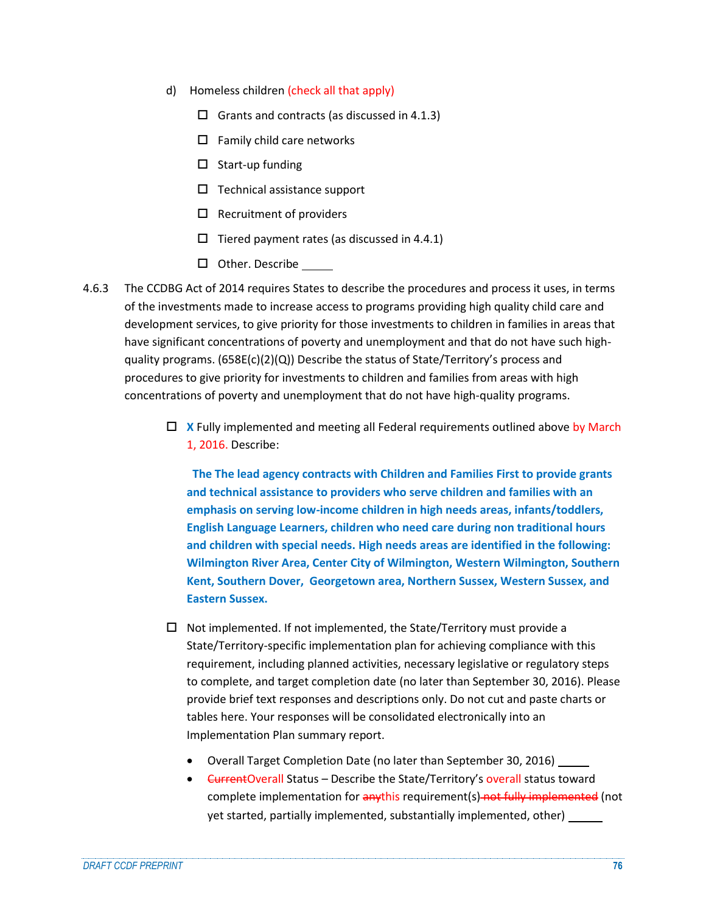- d) Homeless children (check all that apply)
	- $\Box$  Grants and contracts (as discussed in 4.1.3)
	- $\Box$  Family child care networks
	- $\square$  Start-up funding
	- $\square$  Technical assistance support
	- $\square$  Recruitment of providers
	- $\Box$  Tiered payment rates (as discussed in 4.4.1)
	- □ Other. Describe
- 4.6.3 The CCDBG Act of 2014 requires States to describe the procedures and process it uses, in terms of the investments made to increase access to programs providing high quality child care and development services, to give priority for those investments to children in families in areas that have significant concentrations of poverty and unemployment and that do not have such highquality programs. (658E(c)(2)(Q)) Describe the status of State/Territory's process and procedures to give priority for investments to children and families from areas with high concentrations of poverty and unemployment that do not have high-quality programs.
	- **X** Fully implemented and meeting all Federal requirements outlined above by March 1, 2016. Describe:

**The The lead agency contracts with Children and Families First to provide grants and technical assistance to providers who serve children and families with an emphasis on serving low-income children in high needs areas, infants/toddlers, English Language Learners, children who need care during non traditional hours and children with special needs. High needs areas are identified in the following: Wilmington River Area, Center City of Wilmington, Western Wilmington, Southern Kent, Southern Dover, Georgetown area, Northern Sussex, Western Sussex, and Eastern Sussex.**

- $\Box$  Not implemented. If not implemented, the State/Territory must provide a State/Territory-specific implementation plan for achieving compliance with this requirement, including planned activities, necessary legislative or regulatory steps to complete, and target completion date (no later than September 30, 2016). Please provide brief text responses and descriptions only. Do not cut and paste charts or tables here. Your responses will be consolidated electronically into an Implementation Plan summary report.
	- Overall Target Completion Date (no later than September 30, 2016)
	- **•** <del>Current</del>Overall Status Describe the State/Territory's overall status toward complete implementation for anythis requirement(s) not fully implemented (not yet started, partially implemented, substantially implemented, other)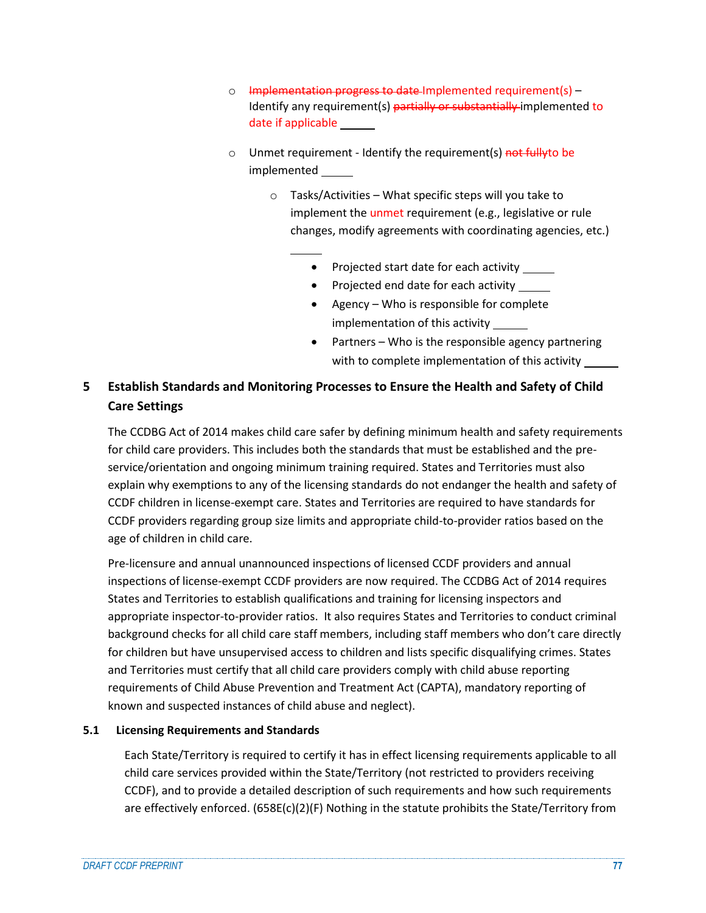- o Implementation progress to date Implemented requirement(s) Identify any requirement(s) partially or substantially implemented to date if applicable
- o Unmet requirement Identify the requirement(s) not fullyto be implemented
	- o Tasks/Activities What specific steps will you take to implement the unmet requirement (e.g., legislative or rule changes, modify agreements with coordinating agencies, etc.)
		- Projected start date for each activity
		- Projected end date for each activity \_\_\_\_\_
		- Agency Who is responsible for complete implementation of this activity
		- Partners Who is the responsible agency partnering with to complete implementation of this activity

# **5 Establish Standards and Monitoring Processes to Ensure the Health and Safety of Child Care Settings**

The CCDBG Act of 2014 makes child care safer by defining minimum health and safety requirements for child care providers. This includes both the standards that must be established and the preservice/orientation and ongoing minimum training required. States and Territories must also explain why exemptions to any of the licensing standards do not endanger the health and safety of CCDF children in license-exempt care. States and Territories are required to have standards for CCDF providers regarding group size limits and appropriate child-to-provider ratios based on the age of children in child care.

Pre-licensure and annual unannounced inspections of licensed CCDF providers and annual inspections of license-exempt CCDF providers are now required. The CCDBG Act of 2014 requires States and Territories to establish qualifications and training for licensing inspectors and appropriate inspector-to-provider ratios. It also requires States and Territories to conduct criminal background checks for all child care staff members, including staff members who don't care directly for children but have unsupervised access to children and lists specific disqualifying crimes. States and Territories must certify that all child care providers comply with child abuse reporting requirements of Child Abuse Prevention and Treatment Act (CAPTA), mandatory reporting of known and suspected instances of child abuse and neglect).

### **5.1 Licensing Requirements and Standards**

Each State/Territory is required to certify it has in effect licensing requirements applicable to all child care services provided within the State/Territory (not restricted to providers receiving CCDF), and to provide a detailed description of such requirements and how such requirements are effectively enforced. (658E(c)(2)(F) Nothing in the statute prohibits the State/Territory from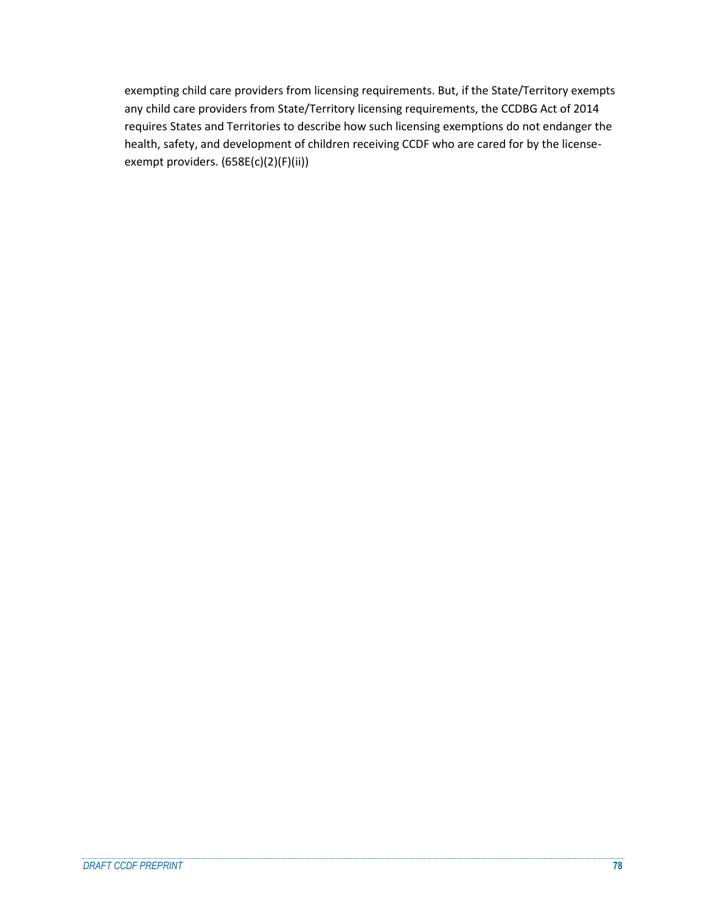exempting child care providers from licensing requirements. But, if the State/Territory exempts any child care providers from State/Territory licensing requirements, the CCDBG Act of 2014 requires States and Territories to describe how such licensing exemptions do not endanger the health, safety, and development of children receiving CCDF who are cared for by the licenseexempt providers. (658E(c)(2)(F)(ii))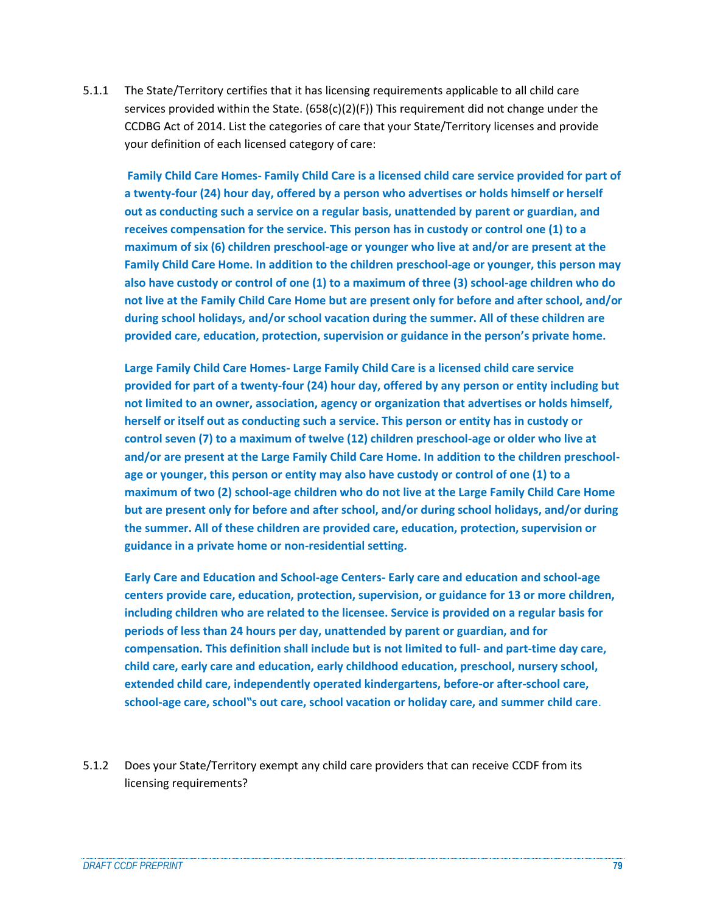5.1.1 The State/Territory certifies that it has licensing requirements applicable to all child care services provided within the State.  $(658(c)(2)(F))$  This requirement did not change under the CCDBG Act of 2014. List the categories of care that your State/Territory licenses and provide your definition of each licensed category of care:

**Family Child Care Homes- Family Child Care is a licensed child care service provided for part of a twenty-four (24) hour day, offered by a person who advertises or holds himself or herself out as conducting such a service on a regular basis, unattended by parent or guardian, and receives compensation for the service. This person has in custody or control one (1) to a maximum of six (6) children preschool-age or younger who live at and/or are present at the Family Child Care Home. In addition to the children preschool-age or younger, this person may also have custody or control of one (1) to a maximum of three (3) school-age children who do not live at the Family Child Care Home but are present only for before and after school, and/or during school holidays, and/or school vacation during the summer. All of these children are provided care, education, protection, supervision or guidance in the person's private home.** 

**Large Family Child Care Homes- Large Family Child Care is a licensed child care service provided for part of a twenty-four (24) hour day, offered by any person or entity including but not limited to an owner, association, agency or organization that advertises or holds himself, herself or itself out as conducting such a service. This person or entity has in custody or control seven (7) to a maximum of twelve (12) children preschool-age or older who live at and/or are present at the Large Family Child Care Home. In addition to the children preschoolage or younger, this person or entity may also have custody or control of one (1) to a maximum of two (2) school-age children who do not live at the Large Family Child Care Home but are present only for before and after school, and/or during school holidays, and/or during the summer. All of these children are provided care, education, protection, supervision or guidance in a private home or non-residential setting.** 

**Early Care and Education and School-age Centers- Early care and education and school-age centers provide care, education, protection, supervision, or guidance for 13 or more children, including children who are related to the licensee. Service is provided on a regular basis for periods of less than 24 hours per day, unattended by parent or guardian, and for compensation. This definition shall include but is not limited to full- and part-time day care, child care, early care and education, early childhood education, preschool, nursery school, extended child care, independently operated kindergartens, before-or after-school care, school-age care, school"s out care, school vacation or holiday care, and summer child care**.

5.1.2 Does your State/Territory exempt any child care providers that can receive CCDF from its licensing requirements?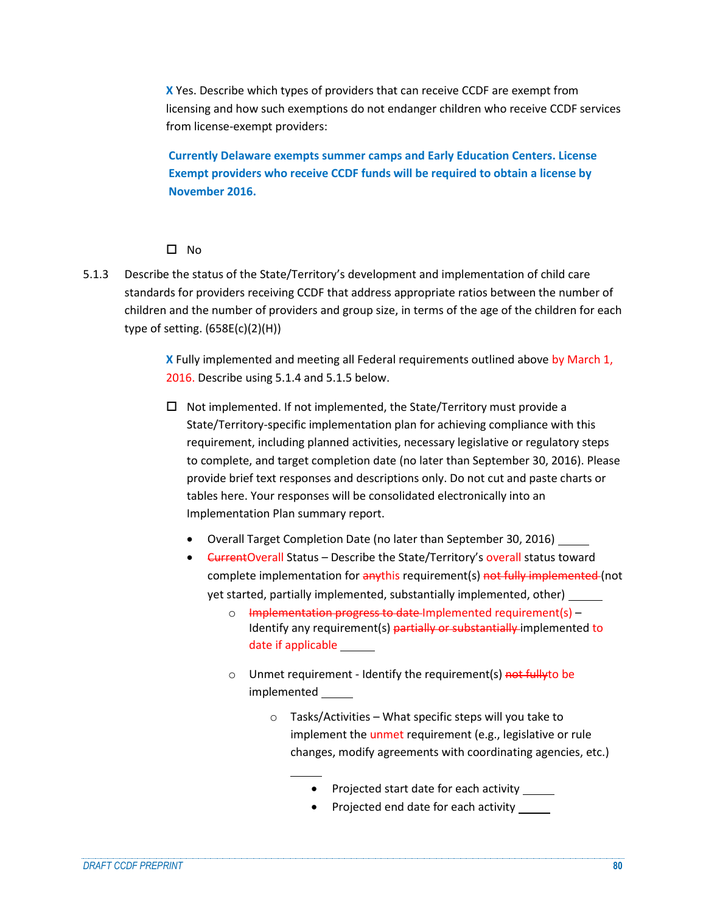**X** Yes. Describe which types of providers that can receive CCDF are exempt from licensing and how such exemptions do not endanger children who receive CCDF services from license-exempt providers:

**Currently Delaware exempts summer camps and Early Education Centers. License Exempt providers who receive CCDF funds will be required to obtain a license by November 2016.**

### $\square$  No

5.1.3 Describe the status of the State/Territory's development and implementation of child care standards for providers receiving CCDF that address appropriate ratios between the number of children and the number of providers and group size, in terms of the age of the children for each type of setting. (658E(c)(2)(H))

> **X** Fully implemented and meeting all Federal requirements outlined above by March 1, 2016. Describe using 5.1.4 and 5.1.5 below.

- $\Box$  Not implemented. If not implemented, the State/Territory must provide a State/Territory-specific implementation plan for achieving compliance with this requirement, including planned activities, necessary legislative or regulatory steps to complete, and target completion date (no later than September 30, 2016). Please provide brief text responses and descriptions only. Do not cut and paste charts or tables here. Your responses will be consolidated electronically into an Implementation Plan summary report.
	- Overall Target Completion Date (no later than September 30, 2016)
	- **•** <del>Current</del>Overall Status Describe the State/Territory's overall status toward complete implementation for anythis requirement(s) not fully implemented (not yet started, partially implemented, substantially implemented, other)
		- o Implementation progress to date Implemented requirement(s) Identify any requirement(s) partially or substantially implemented to date if applicable
		- o Unmet requirement Identify the requirement(s) not fully to be implemented
			- o Tasks/Activities What specific steps will you take to implement the unmet requirement (e.g., legislative or rule changes, modify agreements with coordinating agencies, etc.)
				- Projected start date for each activity \_\_\_\_\_
				- Projected end date for each activity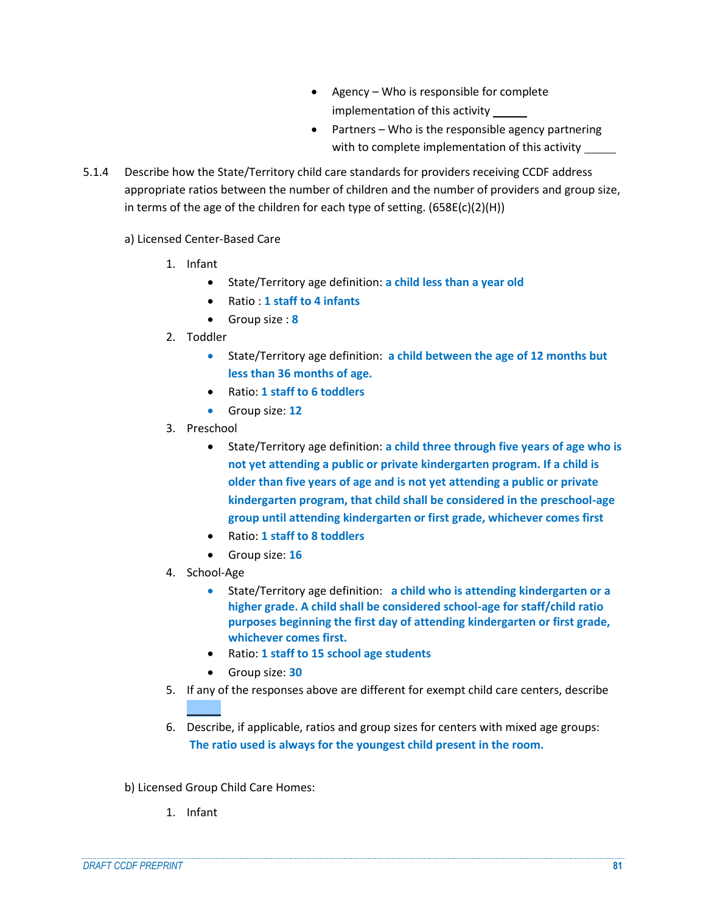- Agency Who is responsible for complete implementation of this activity
- Partners Who is the responsible agency partnering with to complete implementation of this activity
- 5.1.4 Describe how the State/Territory child care standards for providers receiving CCDF address appropriate ratios between the number of children and the number of providers and group size, in terms of the age of the children for each type of setting. (658E(c)(2)(H))
	- a) Licensed Center-Based Care
		- 1. Infant
			- State/Territory age definition: **a child less than a year old**
			- Ratio : **1 staff to 4 infants**
			- Group size : **8**
		- 2. Toddler
			- State/Territory age definition: **a child between the age of 12 months but less than 36 months of age.**
			- Ratio: **1 staff to 6 toddlers**
			- Group size: **12**
		- 3. Preschool
			- State/Territory age definition: **a child three through five years of age who is not yet attending a public or private kindergarten program. If a child is older than five years of age and is not yet attending a public or private kindergarten program, that child shall be considered in the preschool-age group until attending kindergarten or first grade, whichever comes first**
			- Ratio: **1 staff to 8 toddlers**
			- Group size: **16**
		- 4. School-Age
			- State/Territory age definition: **a child who is attending kindergarten or a higher grade. A child shall be considered school-age for staff/child ratio purposes beginning the first day of attending kindergarten or first grade, whichever comes first.**
			- Ratio: **1 staff to 15 school age students**
			- Group size: **30**
		- 5. If any of the responses above are different for exempt child care centers, describe
		- 6. Describe, if applicable, ratios and group sizes for centers with mixed age groups: **The ratio used is always for the youngest child present in the room.**

b) Licensed Group Child Care Homes:

1. Infant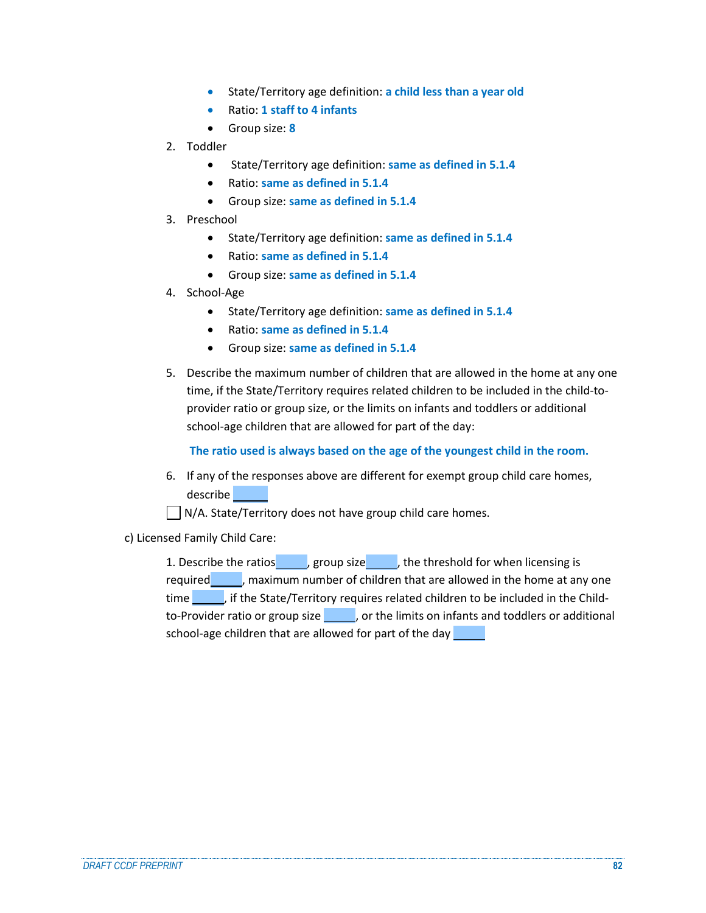- State/Territory age definition: **a child less than a year old**
- Ratio: **1 staff to 4 infants**
- Group size: **8**
- 2. Toddler
	- State/Territory age definition: **same as defined in 5.1.4**
	- Ratio: **same as defined in 5.1.4**
	- Group size: **same as defined in 5.1.4**
- 3. Preschool
	- State/Territory age definition: **same as defined in 5.1.4**
	- Ratio: **same as defined in 5.1.4**
	- Group size: **same as defined in 5.1.4**
- 4. School-Age
	- State/Territory age definition: **same as defined in 5.1.4**
	- Ratio: **same as defined in 5.1.4**
	- Group size: **same as defined in 5.1.4**
- 5. Describe the maximum number of children that are allowed in the home at any one time, if the State/Territory requires related children to be included in the child-toprovider ratio or group size, or the limits on infants and toddlers or additional school-age children that are allowed for part of the day:

### **The ratio used is always based on the age of the youngest child in the room.**

- 6. If any of the responses above are different for exempt group child care homes, describe
- $\Box$  N/A. State/Territory does not have group child care homes.

c) Licensed Family Child Care:

1. Describe the ratios and proup size the threshold for when licensing is required , maximum number of children that are allowed in the home at any one time  $\Box$ , if the State/Territory requires related children to be included in the Childto-Provider ratio or group size , or the limits on infants and toddlers or additional school-age children that are allowed for part of the day **cannot**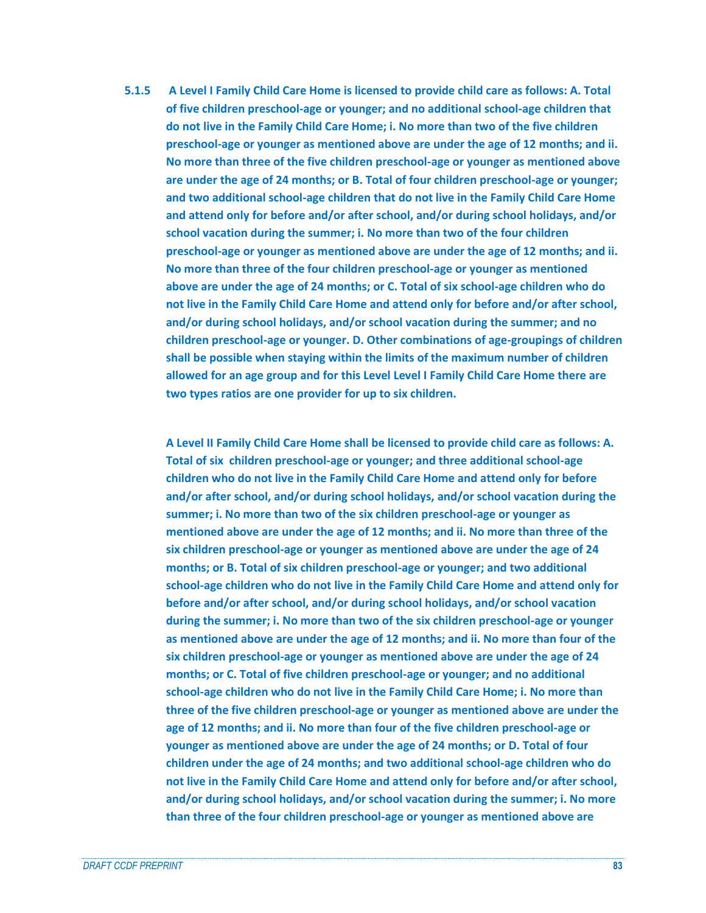**5.1.5 A Level I Family Child Care Home is licensed to provide child care as follows: A. Total of five children preschool-age or younger; and no additional school-age children that do not live in the Family Child Care Home; i. No more than two of the five children preschool-age or younger as mentioned above are under the age of 12 months; and ii. No more than three of the five children preschool-age or younger as mentioned above are under the age of 24 months; or B. Total of four children preschool-age or younger; and two additional school-age children that do not live in the Family Child Care Home and attend only for before and/or after school, and/or during school holidays, and/or school vacation during the summer; i. No more than two of the four children preschool-age or younger as mentioned above are under the age of 12 months; and ii. No more than three of the four children preschool-age or younger as mentioned above are under the age of 24 months; or C. Total of six school-age children who do not live in the Family Child Care Home and attend only for before and/or after school, and/or during school holidays, and/or school vacation during the summer; and no children preschool-age or younger. D. Other combinations of age-groupings of children shall be possible when staying within the limits of the maximum number of children allowed for an age group and for this Level Level I Family Child Care Home there are two types ratios are one provider for up to six children.** 

**A Level II Family Child Care Home shall be licensed to provide child care as follows: A. Total of six children preschool-age or younger; and three additional school-age children who do not live in the Family Child Care Home and attend only for before and/or after school, and/or during school holidays, and/or school vacation during the summer; i. No more than two of the six children preschool-age or younger as mentioned above are under the age of 12 months; and ii. No more than three of the six children preschool-age or younger as mentioned above are under the age of 24 months; or B. Total of six children preschool-age or younger; and two additional school-age children who do not live in the Family Child Care Home and attend only for before and/or after school, and/or during school holidays, and/or school vacation during the summer; i. No more than two of the six children preschool-age or younger as mentioned above are under the age of 12 months; and ii. No more than four of the six children preschool-age or younger as mentioned above are under the age of 24 months; or C. Total of five children preschool-age or younger; and no additional school-age children who do not live in the Family Child Care Home; i. No more than three of the five children preschool-age or younger as mentioned above are under the age of 12 months; and ii. No more than four of the five children preschool-age or younger as mentioned above are under the age of 24 months; or D. Total of four children under the age of 24 months; and two additional school-age children who do not live in the Family Child Care Home and attend only for before and/or after school, and/or during school holidays, and/or school vacation during the summer; i. No more than three of the four children preschool-age or younger as mentioned above are**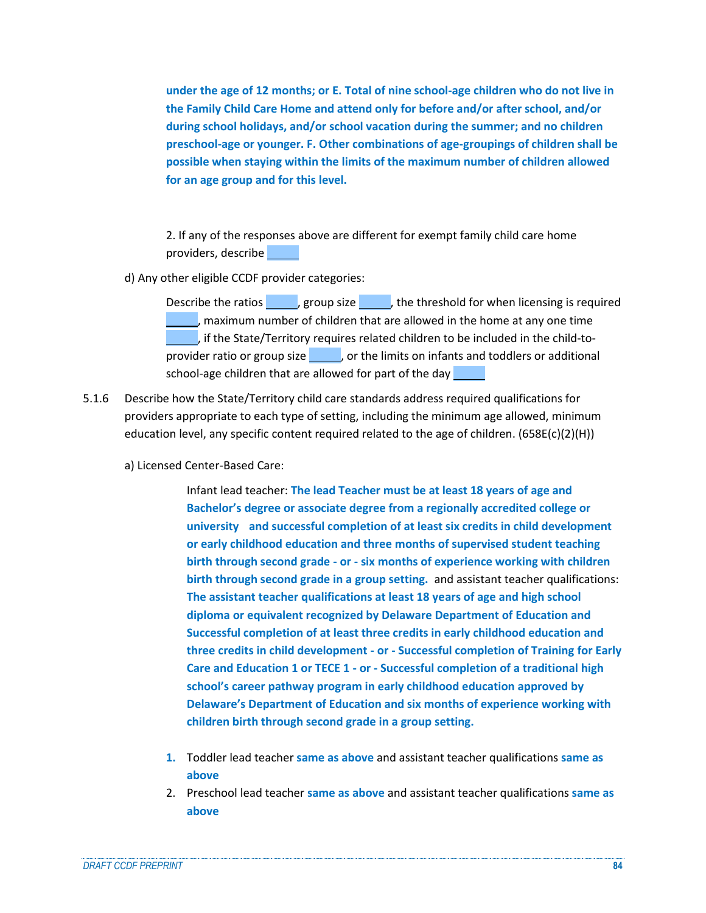**under the age of 12 months; or E. Total of nine school-age children who do not live in the Family Child Care Home and attend only for before and/or after school, and/or during school holidays, and/or school vacation during the summer; and no children preschool-age or younger. F. Other combinations of age-groupings of children shall be possible when staying within the limits of the maximum number of children allowed for an age group and for this level.**

2. If any of the responses above are different for exempt family child care home providers, describe

d) Any other eligible CCDF provider categories:

Describe the ratios expressive provide is required to the threshold for when licensing is required , maximum number of children that are allowed in the home at any one time , if the State/Territory requires related children to be included in the child-toprovider ratio or group size  $\frac{1}{2}$ , or the limits on infants and toddlers or additional school-age children that are allowed for part of the day

- 5.1.6 Describe how the State/Territory child care standards address required qualifications for providers appropriate to each type of setting, including the minimum age allowed, minimum education level, any specific content required related to the age of children. (658E(c)(2)(H))
	- a) Licensed Center-Based Care:

Infant lead teacher: **The lead Teacher must be at least 18 years of age and Bachelor's degree or associate degree from a regionally accredited college or university and successful completion of at least six credits in child development or early childhood education and three months of supervised student teaching birth through second grade - or - six months of experience working with children birth through second grade in a group setting.** and assistant teacher qualifications: **The assistant teacher qualifications at least 18 years of age and high school diploma or equivalent recognized by Delaware Department of Education and Successful completion of at least three credits in early childhood education and three credits in child development - or - Successful completion of Training for Early Care and Education 1 or TECE 1 - or - Successful completion of a traditional high school's career pathway program in early childhood education approved by Delaware's Department of Education and six months of experience working with children birth through second grade in a group setting.**

- **1.** Toddler lead teacher **same as above** and assistant teacher qualifications **same as above**
- 2. Preschool lead teacher **same as above** and assistant teacher qualifications **same as above**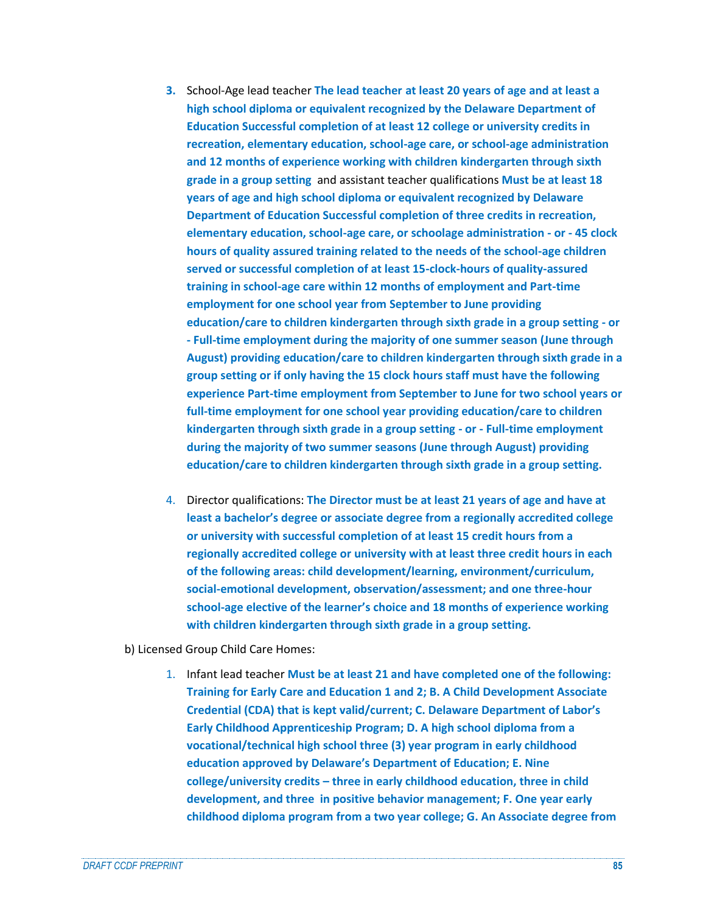- **3.** School-Age lead teacher **The lead teacher at least 20 years of age and at least a high school diploma or equivalent recognized by the Delaware Department of Education Successful completion of at least 12 college or university credits in recreation, elementary education, school-age care, or school-age administration and 12 months of experience working with children kindergarten through sixth grade in a group setting** and assistant teacher qualifications **Must be at least 18 years of age and high school diploma or equivalent recognized by Delaware Department of Education Successful completion of three credits in recreation, elementary education, school-age care, or schoolage administration - or - 45 clock hours of quality assured training related to the needs of the school-age children served or successful completion of at least 15-clock-hours of quality-assured training in school-age care within 12 months of employment and Part-time employment for one school year from September to June providing education/care to children kindergarten through sixth grade in a group setting - or - Full-time employment during the majority of one summer season (June through August) providing education/care to children kindergarten through sixth grade in a group setting or if only having the 15 clock hours staff must have the following experience Part-time employment from September to June for two school years or full-time employment for one school year providing education/care to children kindergarten through sixth grade in a group setting - or - Full-time employment during the majority of two summer seasons (June through August) providing education/care to children kindergarten through sixth grade in a group setting.**
- 4. Director qualifications: **The Director must be at least 21 years of age and have at least a bachelor's degree or associate degree from a regionally accredited college or university with successful completion of at least 15 credit hours from a regionally accredited college or university with at least three credit hours in each of the following areas: child development/learning, environment/curriculum, social-emotional development, observation/assessment; and one three-hour school-age elective of the learner's choice and 18 months of experience working with children kindergarten through sixth grade in a group setting.**
- b) Licensed Group Child Care Homes:
	- 1. Infant lead teacher **Must be at least 21 and have completed one of the following: Training for Early Care and Education 1 and 2; B. A Child Development Associate Credential (CDA) that is kept valid/current; C. Delaware Department of Labor's Early Childhood Apprenticeship Program; D. A high school diploma from a vocational/technical high school three (3) year program in early childhood education approved by Delaware's Department of Education; E. Nine college/university credits – three in early childhood education, three in child development, and three in positive behavior management; F. One year early childhood diploma program from a two year college; G. An Associate degree from**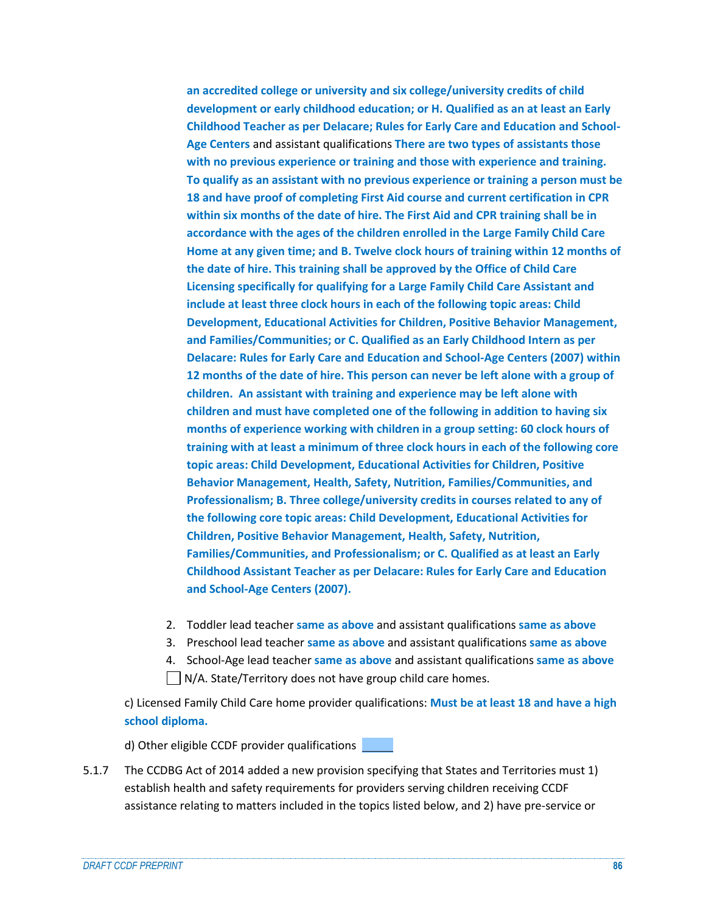**an accredited college or university and six college/university credits of child development or early childhood education; or H. Qualified as an at least an Early Childhood Teacher as per Delacare; Rules for Early Care and Education and School-Age Centers** and assistant qualifications **There are two types of assistants those with no previous experience or training and those with experience and training. To qualify as an assistant with no previous experience or training a person must be 18 and have proof of completing First Aid course and current certification in CPR within six months of the date of hire. The First Aid and CPR training shall be in accordance with the ages of the children enrolled in the Large Family Child Care Home at any given time; and B. Twelve clock hours of training within 12 months of the date of hire. This training shall be approved by the Office of Child Care Licensing specifically for qualifying for a Large Family Child Care Assistant and include at least three clock hours in each of the following topic areas: Child Development, Educational Activities for Children, Positive Behavior Management, and Families/Communities; or C. Qualified as an Early Childhood Intern as per Delacare: Rules for Early Care and Education and School-Age Centers (2007) within 12 months of the date of hire. This person can never be left alone with a group of children. An assistant with training and experience may be left alone with children and must have completed one of the following in addition to having six months of experience working with children in a group setting: 60 clock hours of training with at least a minimum of three clock hours in each of the following core topic areas: Child Development, Educational Activities for Children, Positive Behavior Management, Health, Safety, Nutrition, Families/Communities, and Professionalism; B. Three college/university credits in courses related to any of the following core topic areas: Child Development, Educational Activities for Children, Positive Behavior Management, Health, Safety, Nutrition, Families/Communities, and Professionalism; or C. Qualified as at least an Early Childhood Assistant Teacher as per Delacare: Rules for Early Care and Education and School-Age Centers (2007).**

- 2. Toddler lead teacher **same as above** and assistant qualifications **same as above**
- 3. Preschool lead teacher **same as above** and assistant qualifications **same as above**

4. School-Age lead teacher **same as above** and assistant qualifications **same as above**  $\Box$  N/A. State/Territory does not have group child care homes.

c) Licensed Family Child Care home provider qualifications: **Must be at least 18 and have a high school diploma.**

d) Other eligible CCDF provider qualifications

5.1.7 The CCDBG Act of 2014 added a new provision specifying that States and Territories must 1) establish health and safety requirements for providers serving children receiving CCDF assistance relating to matters included in the topics listed below, and 2) have pre-service or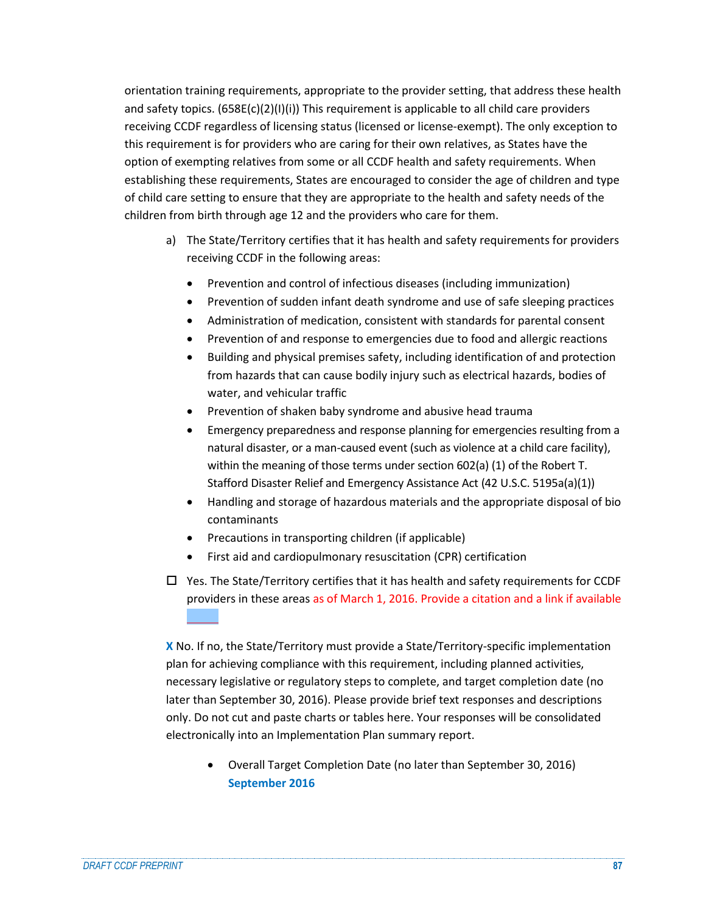orientation training requirements, appropriate to the provider setting, that address these health and safety topics.  $(658E(c)(2)(1)(i))$  This requirement is applicable to all child care providers receiving CCDF regardless of licensing status (licensed or license-exempt). The only exception to this requirement is for providers who are caring for their own relatives, as States have the option of exempting relatives from some or all CCDF health and safety requirements. When establishing these requirements, States are encouraged to consider the age of children and type of child care setting to ensure that they are appropriate to the health and safety needs of the children from birth through age 12 and the providers who care for them.

- a) The State/Territory certifies that it has health and safety requirements for providers receiving CCDF in the following areas:
	- Prevention and control of infectious diseases (including immunization)
	- Prevention of sudden infant death syndrome and use of safe sleeping practices
	- Administration of medication, consistent with standards for parental consent
	- Prevention of and response to emergencies due to food and allergic reactions
	- Building and physical premises safety, including identification of and protection from hazards that can cause bodily injury such as electrical hazards, bodies of water, and vehicular traffic
	- Prevention of shaken baby syndrome and abusive head trauma
	- Emergency preparedness and response planning for emergencies resulting from a natural disaster, or a man-caused event (such as violence at a child care facility), within the meaning of those terms under section 602(a) (1) of the Robert T. Stafford Disaster Relief and Emergency Assistance Act (42 U.S.C. 5195a(a)(1))
	- Handling and storage of hazardous materials and the appropriate disposal of bio contaminants
	- Precautions in transporting children (if applicable)
	- First aid and cardiopulmonary resuscitation (CPR) certification
- $\Box$  Yes. The State/Territory certifies that it has health and safety requirements for CCDF providers in these areas as of March 1, 2016. Provide a citation and a link if available

**X** No. If no, the State/Territory must provide a State/Territory-specific implementation plan for achieving compliance with this requirement, including planned activities, necessary legislative or regulatory steps to complete, and target completion date (no later than September 30, 2016). Please provide brief text responses and descriptions only. Do not cut and paste charts or tables here. Your responses will be consolidated electronically into an Implementation Plan summary report.

 Overall Target Completion Date (no later than September 30, 2016) **September 2016**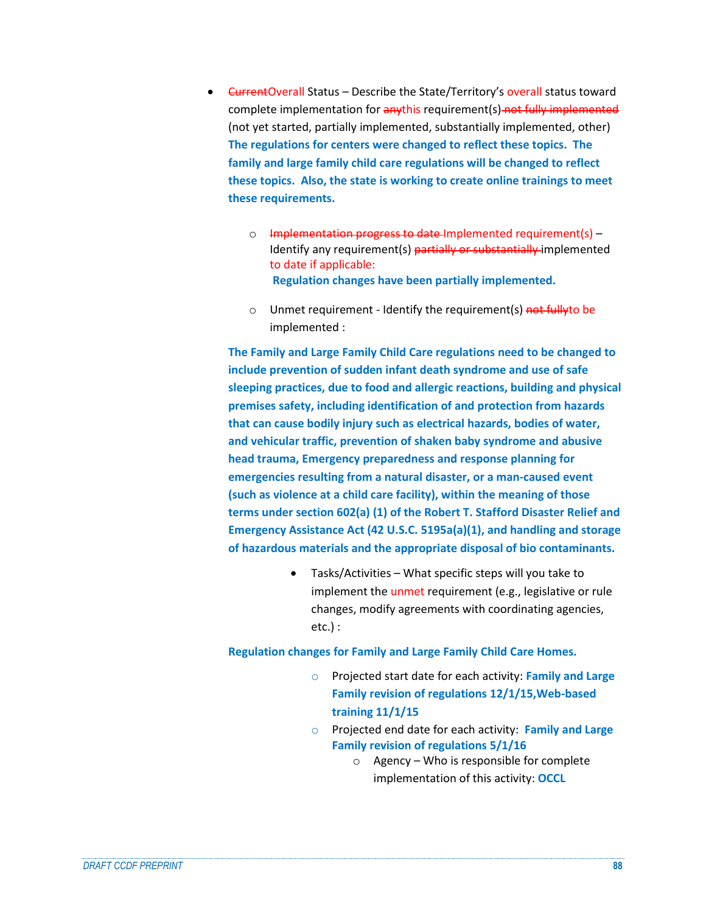- **•** <del>Current</del>Overall Status Describe the State/Territory's overall status toward complete implementation for anythis requirement(s) not fully implemented (not yet started, partially implemented, substantially implemented, other) **The regulations for centers were changed to reflect these topics. The family and large family child care regulations will be changed to reflect these topics. Also, the state is working to create online trainings to meet these requirements.** 
	- o Implementation progress to date Implemented requirement(s) Identify any requirement(s) partially or substantially implemented to date if applicable: **Regulation changes have been partially implemented.**
	- o Unmet requirement Identify the requirement(s) not fullyto be implemented :

**The Family and Large Family Child Care regulations need to be changed to include prevention of sudden infant death syndrome and use of safe sleeping practices, due to food and allergic reactions, building and physical premises safety, including identification of and protection from hazards that can cause bodily injury such as electrical hazards, bodies of water, and vehicular traffic, prevention of shaken baby syndrome and abusive head trauma, Emergency preparedness and response planning for emergencies resulting from a natural disaster, or a man‐caused event (such as violence at a child care facility), within the meaning of those terms under section 602(a) (1) of the Robert T. Stafford Disaster Relief and Emergency Assistance Act (42 U.S.C. 5195a(a)(1), and handling and storage of hazardous materials and the appropriate disposal of bio contaminants.**

> Tasks/Activities – What specific steps will you take to implement the unmet requirement (e.g., legislative or rule changes, modify agreements with coordinating agencies, etc.) :

#### **Regulation changes for Family and Large Family Child Care Homes.**

- o Projected start date for each activity: **Family and Large Family revision of regulations 12/1/15,Web-based training 11/1/15**
- o Projected end date for each activity: **Family and Large Family revision of regulations 5/1/16**
	- o Agency Who is responsible for complete implementation of this activity: **OCCL**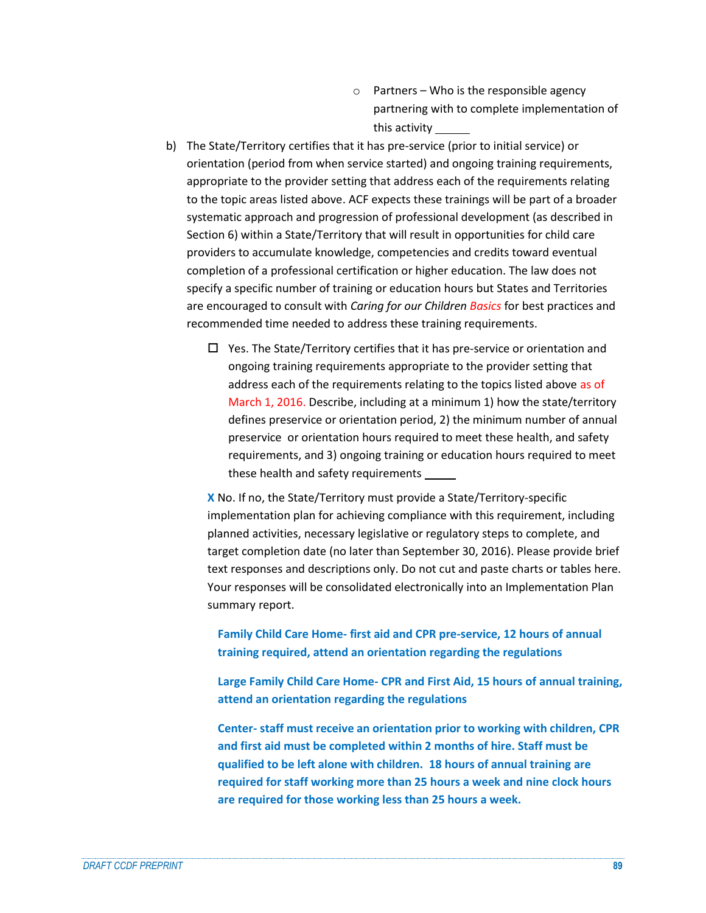- $\circ$  Partners Who is the responsible agency partnering with to complete implementation of this activity
- b) The State/Territory certifies that it has pre-service (prior to initial service) or orientation (period from when service started) and ongoing training requirements, appropriate to the provider setting that address each of the requirements relating to the topic areas listed above. ACF expects these trainings will be part of a broader systematic approach and progression of professional development (as described in Section 6) within a State/Territory that will result in opportunities for child care providers to accumulate knowledge, competencies and credits toward eventual completion of a professional certification or higher education. The law does not specify a specific number of training or education hours but States and Territories are encouraged to consult with *Caring for our Children Basics* for best practices and recommended time needed to address these training requirements.
	- $\Box$  Yes. The State/Territory certifies that it has pre-service or orientation and ongoing training requirements appropriate to the provider setting that address each of the requirements relating to the topics listed above as of March 1, 2016. Describe, including at a minimum 1) how the state/territory defines preservice or orientation period, 2) the minimum number of annual preservice or orientation hours required to meet these health, and safety requirements, and 3) ongoing training or education hours required to meet these health and safety requirements

**X** No. If no, the State/Territory must provide a State/Territory-specific implementation plan for achieving compliance with this requirement, including planned activities, necessary legislative or regulatory steps to complete, and target completion date (no later than September 30, 2016). Please provide brief text responses and descriptions only. Do not cut and paste charts or tables here. Your responses will be consolidated electronically into an Implementation Plan summary report.

**Family Child Care Home- first aid and CPR pre-service, 12 hours of annual training required, attend an orientation regarding the regulations**

**Large Family Child Care Home- CPR and First Aid, 15 hours of annual training, attend an orientation regarding the regulations**

**Center- staff must receive an orientation prior to working with children, CPR and first aid must be completed within 2 months of hire. Staff must be qualified to be left alone with children. 18 hours of annual training are required for staff working more than 25 hours a week and nine clock hours are required for those working less than 25 hours a week.**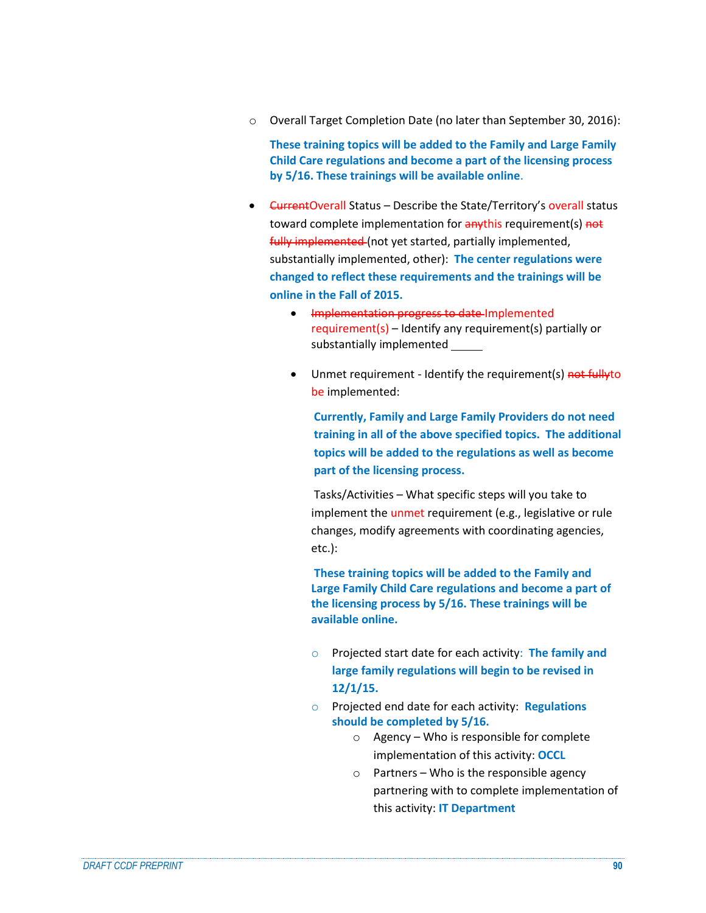o Overall Target Completion Date (no later than September 30, 2016):

**These training topics will be added to the Family and Large Family Child Care regulations and become a part of the licensing process by 5/16. These trainings will be available online**.

- **•** <del>Current</del>Overall Status Describe the State/Territory's overall status toward complete implementation for anythis requirement(s) not fully implemented (not yet started, partially implemented, substantially implemented, other): **The center regulations were changed to reflect these requirements and the trainings will be online in the Fall of 2015.** 
	- **Implementation progress to date Implemented** requirement(s) – Identify any requirement(s) partially or substantially implemented
	- Unmet requirement Identify the requirement(s) not fully to be implemented:

**Currently, Family and Large Family Providers do not need training in all of the above specified topics. The additional topics will be added to the regulations as well as become part of the licensing process.**

Tasks/Activities – What specific steps will you take to implement the unmet requirement (e.g., legislative or rule changes, modify agreements with coordinating agencies, etc.):

**These training topics will be added to the Family and Large Family Child Care regulations and become a part of the licensing process by 5/16. These trainings will be available online.**

- o Projected start date for each activity: **The family and large family regulations will begin to be revised in 12/1/15.**
- o Projected end date for each activity: **Regulations should be completed by 5/16.**
	- o Agency Who is responsible for complete implementation of this activity: **OCCL**
	- $\circ$  Partners Who is the responsible agency partnering with to complete implementation of this activity: **IT Department**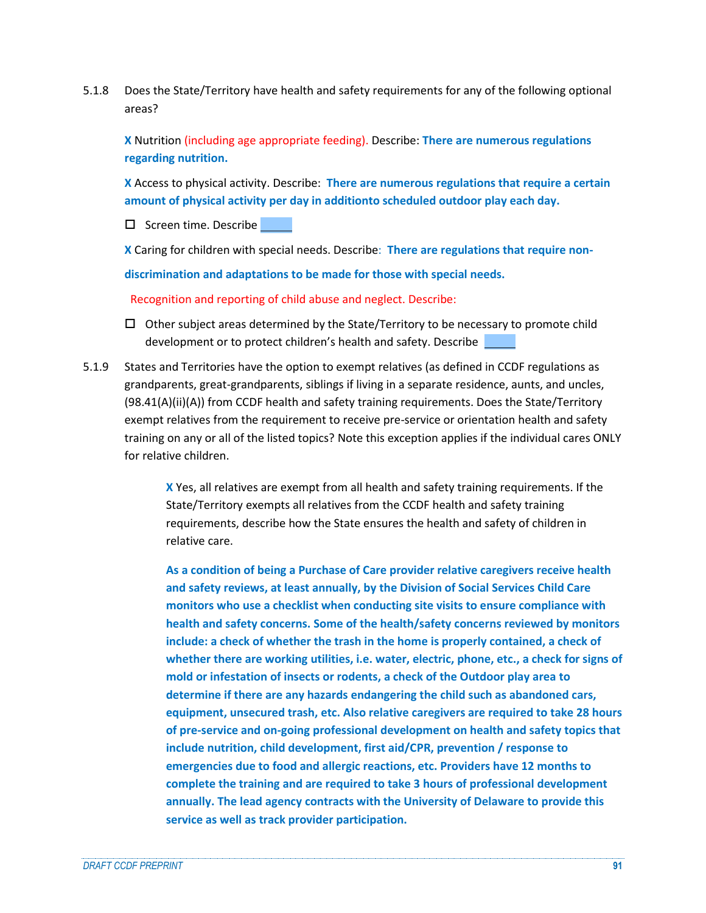5.1.8 Does the State/Territory have health and safety requirements for any of the following optional areas?

**X** Nutrition (including age appropriate feeding). Describe: **There are numerous regulations regarding nutrition.**

**X** Access to physical activity. Describe: **There are numerous regulations that require a certain amount of physical activity per day in additionto scheduled outdoor play each day.**

 $\Box$  Screen time. Describe

**X** Caring for children with special needs. Describe: **There are regulations that require non-**

**discrimination and adaptations to be made for those with special needs.**

Recognition and reporting of child abuse and neglect. Describe:

- $\Box$  Other subject areas determined by the State/Territory to be necessary to promote child development or to protect children's health and safety. Describe
- 5.1.9 States and Territories have the option to exempt relatives (as defined in CCDF regulations as grandparents, great-grandparents, siblings if living in a separate residence, aunts, and uncles, (98.41(A)(ii)(A)) from CCDF health and safety training requirements. Does the State/Territory exempt relatives from the requirement to receive pre-service or orientation health and safety training on any or all of the listed topics? Note this exception applies if the individual cares ONLY for relative children.

**X** Yes, all relatives are exempt from all health and safety training requirements. If the State/Territory exempts all relatives from the CCDF health and safety training requirements, describe how the State ensures the health and safety of children in relative care.

**As a condition of being a Purchase of Care provider relative caregivers receive health and safety reviews, at least annually, by the Division of Social Services Child Care monitors who use a checklist when conducting site visits to ensure compliance with health and safety concerns. Some of the health/safety concerns reviewed by monitors include: a check of whether the trash in the home is properly contained, a check of whether there are working utilities, i.e. water, electric, phone, etc., a check for signs of mold or infestation of insects or rodents, a check of the Outdoor play area to determine if there are any hazards endangering the child such as abandoned cars, equipment, unsecured trash, etc. Also relative caregivers are required to take 28 hours of pre-service and on-going professional development on health and safety topics that include nutrition, child development, first aid/CPR, prevention / response to emergencies due to food and allergic reactions, etc. Providers have 12 months to complete the training and are required to take 3 hours of professional development annually. The lead agency contracts with the University of Delaware to provide this service as well as track provider participation.**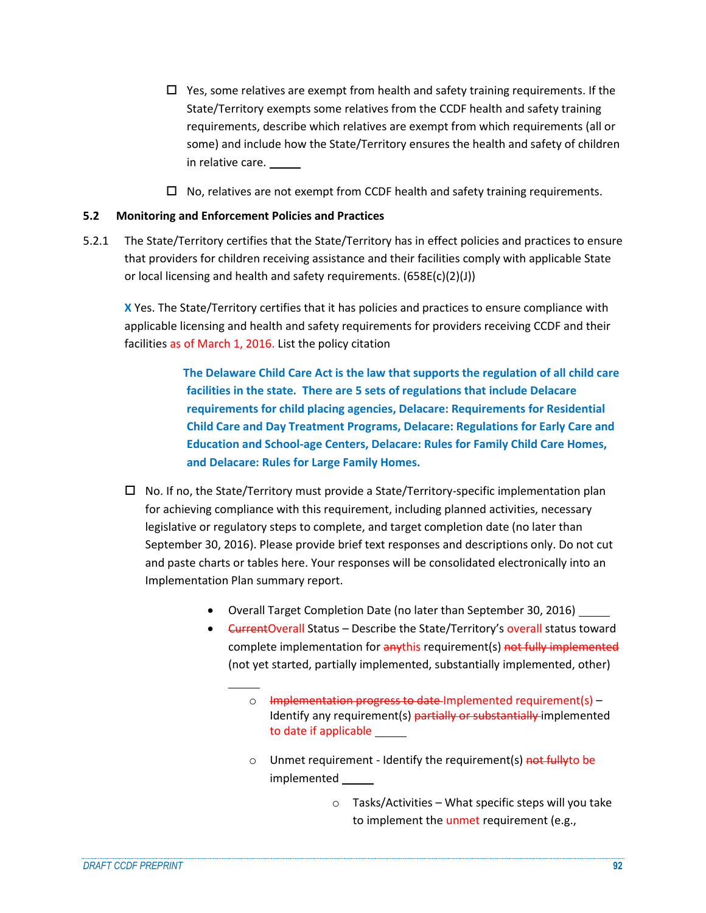- $\Box$  Yes, some relatives are exempt from health and safety training requirements. If the State/Territory exempts some relatives from the CCDF health and safety training requirements, describe which relatives are exempt from which requirements (all or some) and include how the State/Territory ensures the health and safety of children in relative care.
- $\Box$  No, relatives are not exempt from CCDF health and safety training requirements.

### **5.2 Monitoring and Enforcement Policies and Practices**

5.2.1 The State/Territory certifies that the State/Territory has in effect policies and practices to ensure that providers for children receiving assistance and their facilities comply with applicable State or local licensing and health and safety requirements. (658E(c)(2)(J))

**X** Yes. The State/Territory certifies that it has policies and practices to ensure compliance with applicable licensing and health and safety requirements for providers receiving CCDF and their facilities as of March 1, 2016. List the policy citation

> **The Delaware Child Care Act is the law that supports the regulation of all child care facilities in the state. There are 5 sets of regulations that include Delacare requirements for child placing agencies, Delacare: Requirements for Residential Child Care and Day Treatment Programs, Delacare: Regulations for Early Care and Education and School-age Centers, Delacare: Rules for Family Child Care Homes, and Delacare: Rules for Large Family Homes.**

- $\Box$  No. If no, the State/Territory must provide a State/Territory-specific implementation plan for achieving compliance with this requirement, including planned activities, necessary legislative or regulatory steps to complete, and target completion date (no later than September 30, 2016). Please provide brief text responses and descriptions only. Do not cut and paste charts or tables here. Your responses will be consolidated electronically into an Implementation Plan summary report.
	- Overall Target Completion Date (no later than September 30, 2016)
	- CurrentOverall Status Describe the State/Territory's overall status toward complete implementation for anythis requirement(s) not fully implemented (not yet started, partially implemented, substantially implemented, other)
		- o Implementation progress to date Implemented requirement(s) Identify any requirement(s) partially or substantially implemented to date if applicable
		- o Unmet requirement Identify the requirement(s) not fully to be implemented
			- $\circ$  Tasks/Activities What specific steps will you take to implement the unmet requirement (e.g.,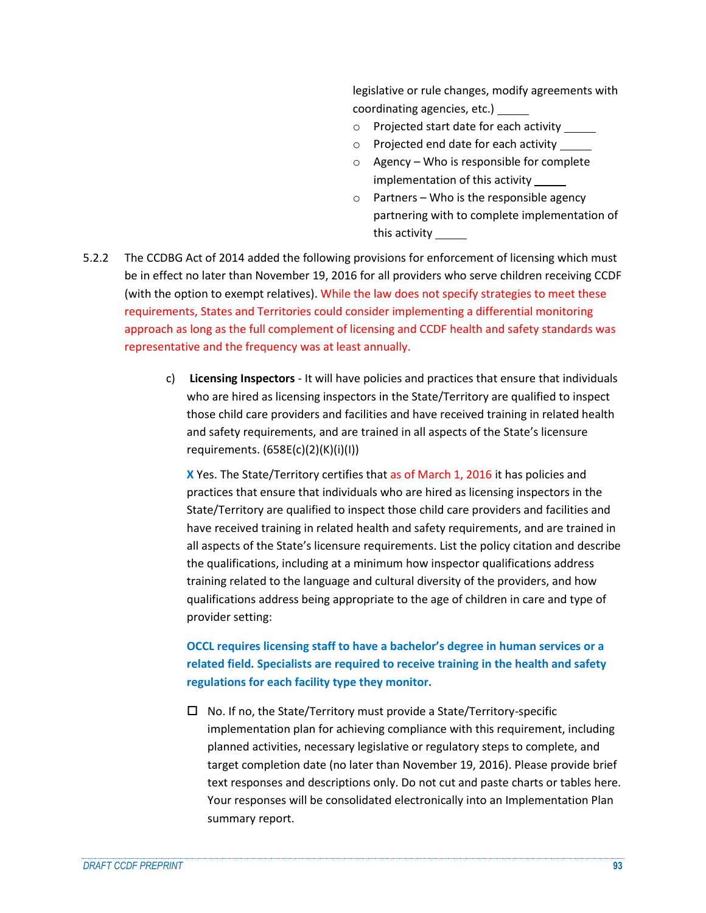legislative or rule changes, modify agreements with coordinating agencies, etc.)

- o Projected start date for each activity
- o Projected end date for each activity
- o Agency Who is responsible for complete implementation of this activity
- $\circ$  Partners Who is the responsible agency partnering with to complete implementation of this activity
- 5.2.2 The CCDBG Act of 2014 added the following provisions for enforcement of licensing which must be in effect no later than November 19, 2016 for all providers who serve children receiving CCDF (with the option to exempt relatives). While the law does not specify strategies to meet these requirements, States and Territories could consider implementing a differential monitoring approach as long as the full complement of licensing and CCDF health and safety standards was representative and the frequency was at least annually.
	- c) **Licensing Inspectors** It will have policies and practices that ensure that individuals who are hired as licensing inspectors in the State/Territory are qualified to inspect those child care providers and facilities and have received training in related health and safety requirements, and are trained in all aspects of the State's licensure requirements. (658E(c)(2)(K)(i)(I))

**X** Yes. The State/Territory certifies that as of March 1, 2016 it has policies and practices that ensure that individuals who are hired as licensing inspectors in the State/Territory are qualified to inspect those child care providers and facilities and have received training in related health and safety requirements, and are trained in all aspects of the State's licensure requirements. List the policy citation and describe the qualifications, including at a minimum how inspector qualifications address training related to the language and cultural diversity of the providers, and how qualifications address being appropriate to the age of children in care and type of provider setting:

# **OCCL requires licensing staff to have a bachelor's degree in human services or a related field. Specialists are required to receive training in the health and safety regulations for each facility type they monitor.**

 $\square$  No. If no, the State/Territory must provide a State/Territory-specific implementation plan for achieving compliance with this requirement, including planned activities, necessary legislative or regulatory steps to complete, and target completion date (no later than November 19, 2016). Please provide brief text responses and descriptions only. Do not cut and paste charts or tables here. Your responses will be consolidated electronically into an Implementation Plan summary report.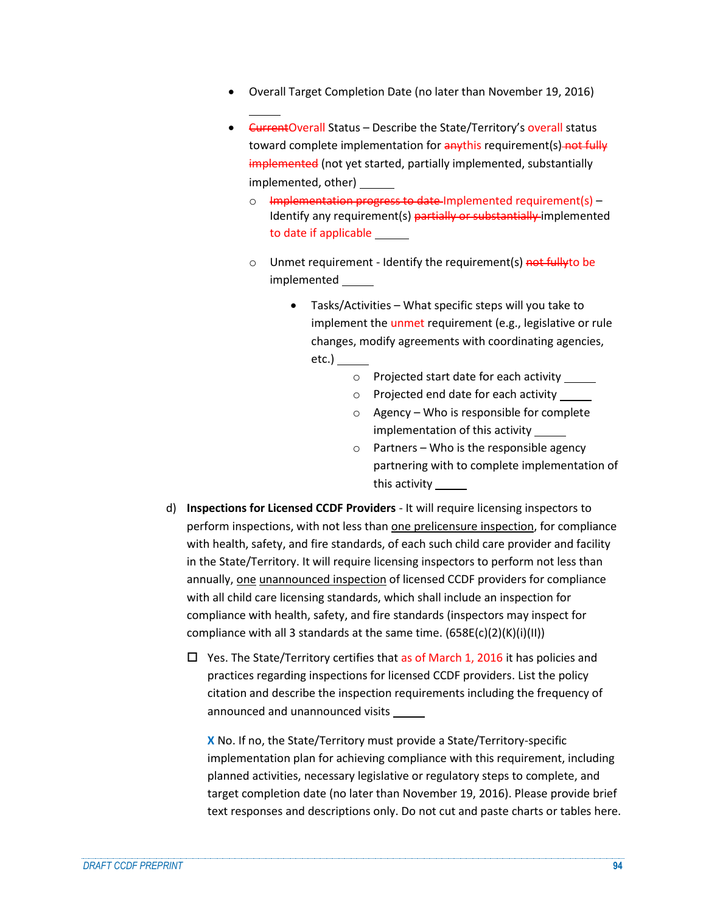- Overall Target Completion Date (no later than November 19, 2016)
- **•** <del>Current</del>Overall Status Describe the State/Territory's overall status toward complete implementation for anythis requirement(s) not fully implemented (not yet started, partially implemented, substantially implemented, other)
	- o Implementation progress to date Implemented requirement(s) Identify any requirement(s) partially or substantially implemented to date if applicable
	- o Unmet requirement Identify the requirement(s) not fully to be implemented
		- Tasks/Activities What specific steps will you take to implement the unmet requirement (e.g., legislative or rule changes, modify agreements with coordinating agencies, etc.)
			- o Projected start date for each activity
			- o Projected end date for each activity
			- o Agency Who is responsible for complete implementation of this activity
			- o Partners Who is the responsible agency partnering with to complete implementation of this activity
- d) **Inspections for Licensed CCDF Providers** It will require licensing inspectors to perform inspections, with not less than one prelicensure inspection, for compliance with health, safety, and fire standards, of each such child care provider and facility in the State/Territory. It will require licensing inspectors to perform not less than annually, one unannounced inspection of licensed CCDF providers for compliance with all child care licensing standards, which shall include an inspection for compliance with health, safety, and fire standards (inspectors may inspect for compliance with all 3 standards at the same time. (658E(c)(2)(K)(i)(II))
	- $\Box$  Yes. The State/Territory certifies that as of March 1, 2016 it has policies and practices regarding inspections for licensed CCDF providers. List the policy citation and describe the inspection requirements including the frequency of announced and unannounced visits

**X** No. If no, the State/Territory must provide a State/Territory-specific implementation plan for achieving compliance with this requirement, including planned activities, necessary legislative or regulatory steps to complete, and target completion date (no later than November 19, 2016). Please provide brief text responses and descriptions only. Do not cut and paste charts or tables here.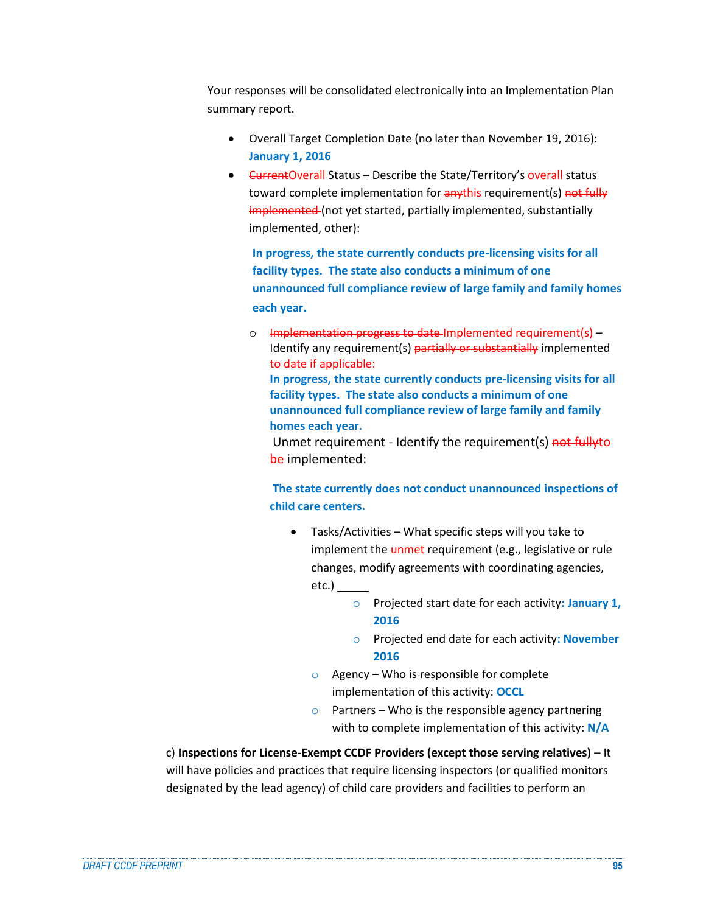Your responses will be consolidated electronically into an Implementation Plan summary report.

- Overall Target Completion Date (no later than November 19, 2016): **January 1, 2016**
- **•** CurrentOverall Status Describe the State/Territory's overall status toward complete implementation for anythis requirement(s) not fully implemented (not yet started, partially implemented, substantially implemented, other):

**In progress, the state currently conducts pre-licensing visits for all facility types. The state also conducts a minimum of one unannounced full compliance review of large family and family homes each year.**

o Implementation progress to date Implemented requirement(s) – Identify any requirement(s) partially or substantially implemented to date if applicable: **In progress, the state currently conducts pre-licensing visits for all** 

**facility types. The state also conducts a minimum of one unannounced full compliance review of large family and family homes each year.**

Unmet requirement - Identify the requirement(s) not fully to be implemented:

**The state currently does not conduct unannounced inspections of child care centers.**

- Tasks/Activities What specific steps will you take to implement the unmet requirement (e.g., legislative or rule changes, modify agreements with coordinating agencies,  $etc.)$   $\overline{\phantom{0}}$ 
	- o Projected start date for each activity**: January 1, 2016**
	- o Projected end date for each activity**: November 2016**
	- $\circ$  Agency Who is responsible for complete implementation of this activity: **OCCL**
	- $\circ$  Partners Who is the responsible agency partnering with to complete implementation of this activity: **N/A**

c) **Inspections for License-Exempt CCDF Providers (except those serving relatives)** – It will have policies and practices that require licensing inspectors (or qualified monitors designated by the lead agency) of child care providers and facilities to perform an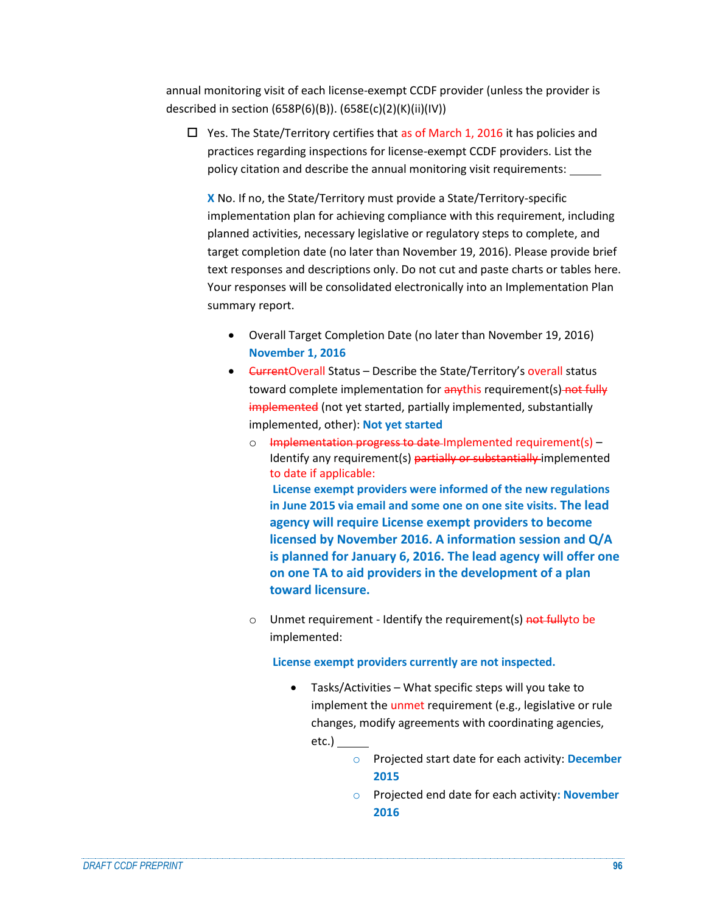annual monitoring visit of each license-exempt CCDF provider (unless the provider is described in section (658P(6)(B)). (658E(c)(2)(K)(ii)(IV))

 $\Box$  Yes. The State/Territory certifies that as of March 1, 2016 it has policies and practices regarding inspections for license-exempt CCDF providers. List the policy citation and describe the annual monitoring visit requirements:

**X** No. If no, the State/Territory must provide a State/Territory-specific implementation plan for achieving compliance with this requirement, including planned activities, necessary legislative or regulatory steps to complete, and target completion date (no later than November 19, 2016). Please provide brief text responses and descriptions only. Do not cut and paste charts or tables here. Your responses will be consolidated electronically into an Implementation Plan summary report.

- Overall Target Completion Date (no later than November 19, 2016) **November 1, 2016**
- **•** <del>Current</del>Overall Status Describe the State/Territory's overall status toward complete implementation for anythis requirement(s) not fully implemented (not yet started, partially implemented, substantially implemented, other): **Not yet started**
	- o Implementation progress to date-Implemented requirement(s) -Identify any requirement(s) partially or substantially implemented to date if applicable: **License exempt providers were informed of the new regulations in June 2015 via email and some one on one site visits. The lead agency will require License exempt providers to become licensed by November 2016. A information session and Q/A is planned for January 6, 2016. The lead agency will offer one on one TA to aid providers in the development of a plan**
	- o Unmet requirement Identify the requirement(s) not fullyto be implemented:

**License exempt providers currently are not inspected.**

**toward licensure.**

- Tasks/Activities What specific steps will you take to implement the unmet requirement (e.g., legislative or rule changes, modify agreements with coordinating agencies, etc.)
	- o Projected start date for each activity: **December 2015**
	- o Projected end date for each activity**: November 2016**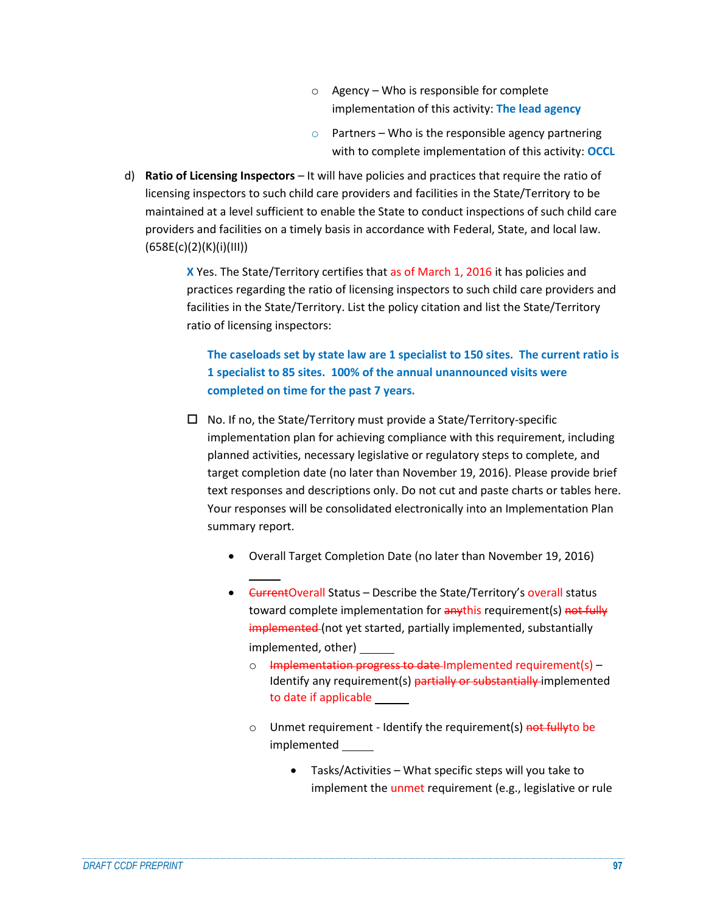- $\circ$  Agency Who is responsible for complete implementation of this activity: **The lead agency**
- $\circ$  Partners Who is the responsible agency partnering with to complete implementation of this activity: **OCCL**
- d) **Ratio of Licensing Inspectors**  It will have policies and practices that require the ratio of licensing inspectors to such child care providers and facilities in the State/Territory to be maintained at a level sufficient to enable the State to conduct inspections of such child care providers and facilities on a timely basis in accordance with Federal, State, and local law. (658E(c)(2)(K)(i)(III))

**X** Yes. The State/Territory certifies that as of March 1, 2016 it has policies and practices regarding the ratio of licensing inspectors to such child care providers and facilities in the State/Territory. List the policy citation and list the State/Territory ratio of licensing inspectors:

**The caseloads set by state law are 1 specialist to 150 sites. The current ratio is 1 specialist to 85 sites. 100% of the annual unannounced visits were completed on time for the past 7 years.** 

- $\Box$  No. If no, the State/Territory must provide a State/Territory-specific implementation plan for achieving compliance with this requirement, including planned activities, necessary legislative or regulatory steps to complete, and target completion date (no later than November 19, 2016). Please provide brief text responses and descriptions only. Do not cut and paste charts or tables here. Your responses will be consolidated electronically into an Implementation Plan summary report.
	- Overall Target Completion Date (no later than November 19, 2016)
	- <del>Current</del>Overall Status Describe the State/Territory's overall status toward complete implementation for anythis requirement(s) not fully implemented (not yet started, partially implemented, substantially implemented, other)
		- o Implementation progress to date Implemented requirement(s) -Identify any requirement(s) partially or substantially implemented to date if applicable
		- o Unmet requirement Identify the requirement(s) not fully to be implemented
			- Tasks/Activities What specific steps will you take to implement the unmet requirement (e.g., legislative or rule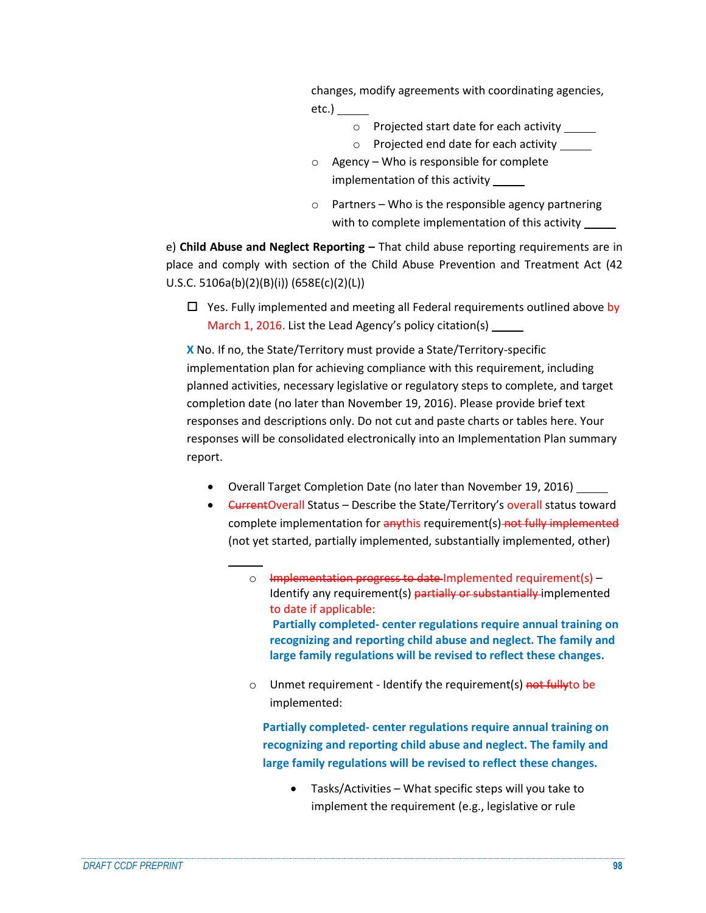changes, modify agreements with coordinating agencies, etc.)

- o Projected start date for each activity
- o Projected end date for each activity
- $\circ$  Agency Who is responsible for complete implementation of this activity
- $\circ$  Partners Who is the responsible agency partnering with to complete implementation of this activity

e) **Child Abuse and Neglect Reporting –** That child abuse reporting requirements are in place and comply with section of the Child Abuse Prevention and Treatment Act (42 U.S.C. 5106a(b)(2)(B)(i)) (658E(c)(2)(L))

 $\Box$  Yes. Fully implemented and meeting all Federal requirements outlined above by March 1, 2016. List the Lead Agency's policy citation(s)

**X** No. If no, the State/Territory must provide a State/Territory-specific implementation plan for achieving compliance with this requirement, including planned activities, necessary legislative or regulatory steps to complete, and target completion date (no later than November 19, 2016). Please provide brief text responses and descriptions only. Do not cut and paste charts or tables here. Your responses will be consolidated electronically into an Implementation Plan summary report.

- Overall Target Completion Date (no later than November 19, 2016) [Co.
- <del>Current</del>Overall Status Describe the State/Territory's overall status toward complete implementation for anythis requirement(s) not fully implemented (not yet started, partially implemented, substantially implemented, other)

o Unmet requirement - Identify the requirement(s) not fullyto be implemented:

**Partially completed- center regulations require annual training on recognizing and reporting child abuse and neglect. The family and large family regulations will be revised to reflect these changes.**

 Tasks/Activities – What specific steps will you take to implement the requirement (e.g., legislative or rule

o Implementation progress to date Implemented requirement(s) – Identify any requirement(s) partially or substantially implemented to date if applicable: **Partially completed- center regulations require annual training on recognizing and reporting child abuse and neglect. The family and large family regulations will be revised to reflect these changes.**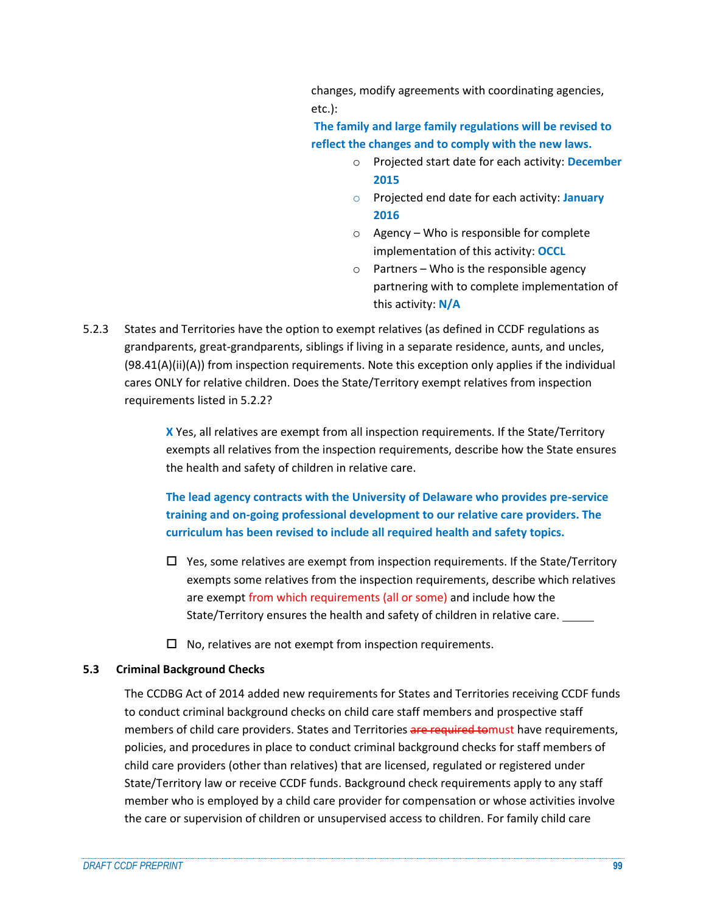changes, modify agreements with coordinating agencies, etc.):

**The family and large family regulations will be revised to reflect the changes and to comply with the new laws.**

- o Projected start date for each activity: **December 2015**
- o Projected end date for each activity: **January 2016**
- o Agency Who is responsible for complete implementation of this activity: **OCCL**
- $\circ$  Partners Who is the responsible agency partnering with to complete implementation of this activity: **N/A**
- 5.2.3 States and Territories have the option to exempt relatives (as defined in CCDF regulations as grandparents, great-grandparents, siblings if living in a separate residence, aunts, and uncles, (98.41(A)(ii)(A)) from inspection requirements. Note this exception only applies if the individual cares ONLY for relative children. Does the State/Territory exempt relatives from inspection requirements listed in 5.2.2?

**X** Yes, all relatives are exempt from all inspection requirements. If the State/Territory exempts all relatives from the inspection requirements, describe how the State ensures the health and safety of children in relative care.

**The lead agency contracts with the University of Delaware who provides pre-service training and on-going professional development to our relative care providers. The curriculum has been revised to include all required health and safety topics.**

- $\Box$  Yes, some relatives are exempt from inspection requirements. If the State/Territory exempts some relatives from the inspection requirements, describe which relatives are exempt from which requirements (all or some) and include how the State/Territory ensures the health and safety of children in relative care.
- $\Box$  No, relatives are not exempt from inspection requirements.

### **5.3 Criminal Background Checks**

The CCDBG Act of 2014 added new requirements for States and Territories receiving CCDF funds to conduct criminal background checks on child care staff members and prospective staff members of child care providers. States and Territories are required tomust have requirements, policies, and procedures in place to conduct criminal background checks for staff members of child care providers (other than relatives) that are licensed, regulated or registered under State/Territory law or receive CCDF funds. Background check requirements apply to any staff member who is employed by a child care provider for compensation or whose activities involve the care or supervision of children or unsupervised access to children. For family child care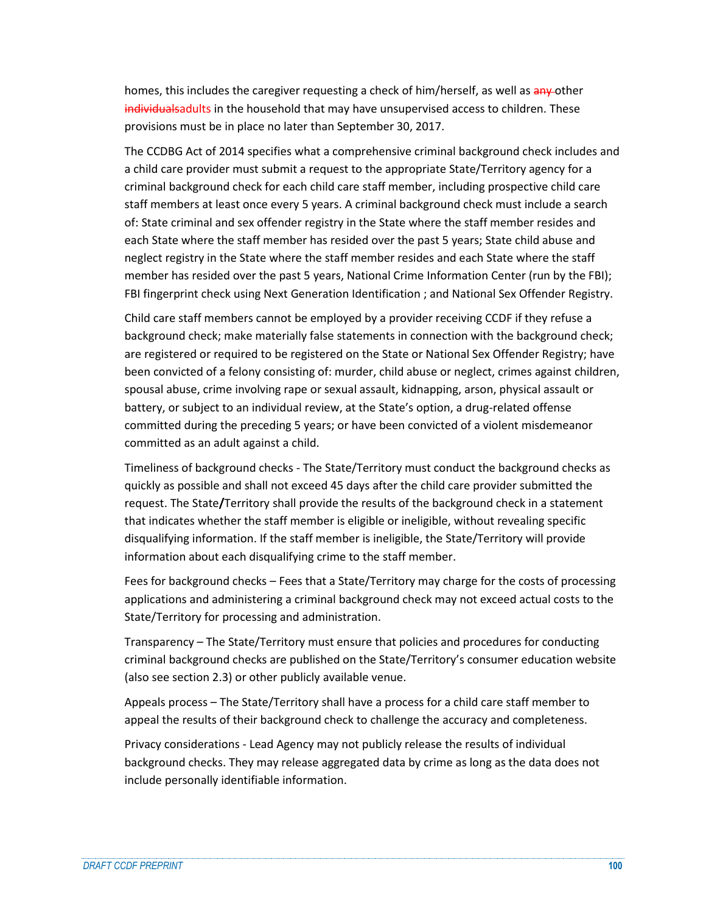homes, this includes the caregiver requesting a check of him/herself, as well as any other individualsadults in the household that may have unsupervised access to children. These provisions must be in place no later than September 30, 2017.

The CCDBG Act of 2014 specifies what a comprehensive criminal background check includes and a child care provider must submit a request to the appropriate State/Territory agency for a criminal background check for each child care staff member, including prospective child care staff members at least once every 5 years. A criminal background check must include a search of: State criminal and sex offender registry in the State where the staff member resides and each State where the staff member has resided over the past 5 years; State child abuse and neglect registry in the State where the staff member resides and each State where the staff member has resided over the past 5 years, National Crime Information Center (run by the FBI); FBI fingerprint check using Next Generation Identification ; and National Sex Offender Registry.

Child care staff members cannot be employed by a provider receiving CCDF if they refuse a background check; make materially false statements in connection with the background check; are registered or required to be registered on the State or National Sex Offender Registry; have been convicted of a felony consisting of: murder, child abuse or neglect, crimes against children, spousal abuse, crime involving rape or sexual assault, kidnapping, arson, physical assault or battery, or subject to an individual review, at the State's option, a drug-related offense committed during the preceding 5 years; or have been convicted of a violent misdemeanor committed as an adult against a child.

Timeliness of background checks - The State/Territory must conduct the background checks as quickly as possible and shall not exceed 45 days after the child care provider submitted the request. The State**/**Territory shall provide the results of the background check in a statement that indicates whether the staff member is eligible or ineligible, without revealing specific disqualifying information. If the staff member is ineligible, the State/Territory will provide information about each disqualifying crime to the staff member.

Fees for background checks – Fees that a State/Territory may charge for the costs of processing applications and administering a criminal background check may not exceed actual costs to the State/Territory for processing and administration.

Transparency – The State/Territory must ensure that policies and procedures for conducting criminal background checks are published on the State/Territory's consumer education website (also see section 2.3) or other publicly available venue.

Appeals process – The State/Territory shall have a process for a child care staff member to appeal the results of their background check to challenge the accuracy and completeness.

Privacy considerations - Lead Agency may not publicly release the results of individual background checks. They may release aggregated data by crime as long as the data does not include personally identifiable information.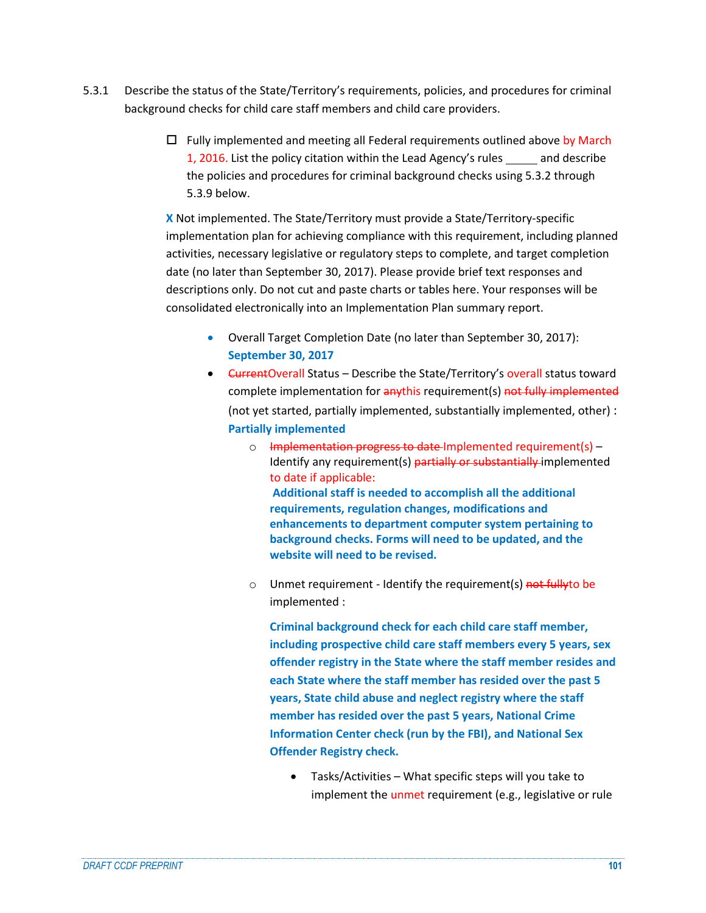- 5.3.1 Describe the status of the State/Territory's requirements, policies, and procedures for criminal background checks for child care staff members and child care providers.
	- $\Box$  Fully implemented and meeting all Federal requirements outlined above by March 1, 2016. List the policy citation within the Lead Agency's rules \_\_\_\_\_ and describe the policies and procedures for criminal background checks using 5.3.2 through 5.3.9 below.

**X** Not implemented. The State/Territory must provide a State/Territory-specific implementation plan for achieving compliance with this requirement, including planned activities, necessary legislative or regulatory steps to complete, and target completion date (no later than September 30, 2017). Please provide brief text responses and descriptions only. Do not cut and paste charts or tables here. Your responses will be consolidated electronically into an Implementation Plan summary report.

- Overall Target Completion Date (no later than September 30, 2017): **September 30, 2017**
- **CurrentOverall Status Describe the State/Territory's overall status toward** complete implementation for anythis requirement(s) not fully implemented (not yet started, partially implemented, substantially implemented, other) : **Partially implemented**
	- o Implementation progress to date Implemented requirement(s) Identify any requirement(s) partially or substantially implemented to date if applicable: **Additional staff is needed to accomplish all the additional requirements, regulation changes, modifications and enhancements to department computer system pertaining to background checks. Forms will need to be updated, and the**
	- o Unmet requirement Identify the requirement(s) not fullyto be implemented :

**website will need to be revised.**

**Criminal background check for each child care staff member, including prospective child care staff members every 5 years, sex offender registry in the State where the staff member resides and each State where the staff member has resided over the past 5 years, State child abuse and neglect registry where the staff member has resided over the past 5 years, National Crime Information Center check (run by the FBI), and National Sex Offender Registry check.** 

 Tasks/Activities – What specific steps will you take to implement the unmet requirement (e.g., legislative or rule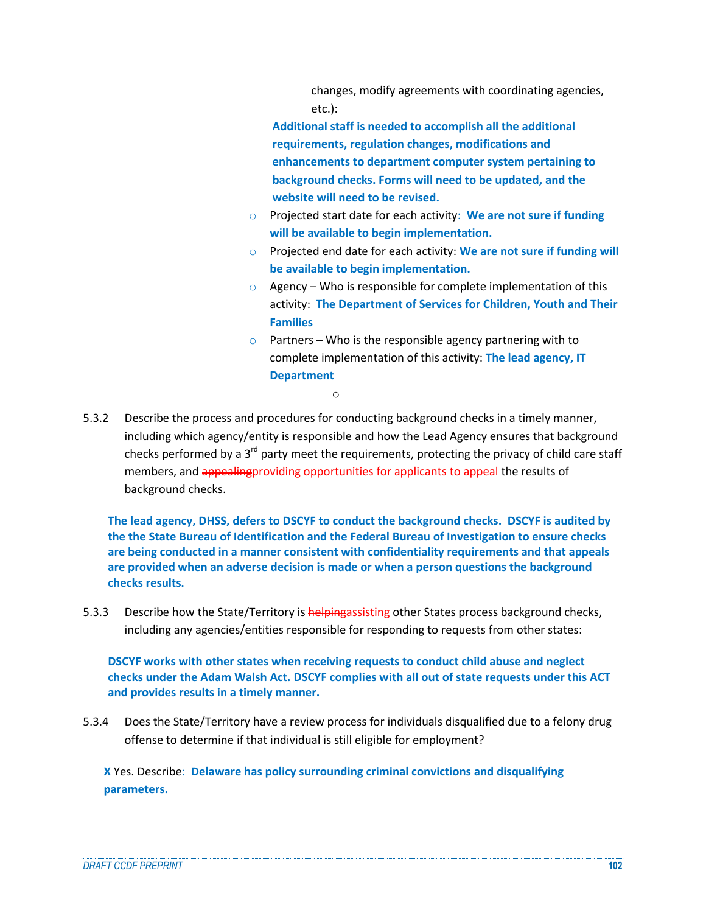changes, modify agreements with coordinating agencies, etc.):

**Additional staff is needed to accomplish all the additional requirements, regulation changes, modifications and enhancements to department computer system pertaining to background checks. Forms will need to be updated, and the website will need to be revised.**

- o Projected start date for each activity: **We are not sure if funding will be available to begin implementation.**
- o Projected end date for each activity: **We are not sure if funding will be available to begin implementation.**
- $\circ$  Agency Who is responsible for complete implementation of this activity: **The Department of Services for Children, Youth and Their Families**
- $\circ$  Partners Who is the responsible agency partnering with to complete implementation of this activity: **The lead agency, IT Department**

o

5.3.2 Describe the process and procedures for conducting background checks in a timely manner, including which agency/entity is responsible and how the Lead Agency ensures that background checks performed by a  $3^{rd}$  party meet the requirements, protecting the privacy of child care staff members, and appealing providing opportunities for applicants to appeal the results of background checks.

**The lead agency, DHSS, defers to DSCYF to conduct the background checks. DSCYF is audited by the the State Bureau of Identification and the Federal Bureau of Investigation to ensure checks are being conducted in a manner consistent with confidentiality requirements and that appeals are provided when an adverse decision is made or when a person questions the background checks results.** 

5.3.3 Describe how the State/Territory is helpingassisting other States process background checks, including any agencies/entities responsible for responding to requests from other states:

**DSCYF works with other states when receiving requests to conduct child abuse and neglect checks under the Adam Walsh Act. DSCYF complies with all out of state requests under this ACT and provides results in a timely manner.**

5.3.4 Does the State/Territory have a review process for individuals disqualified due to a felony drug offense to determine if that individual is still eligible for employment?

**X** Yes. Describe: **Delaware has policy surrounding criminal convictions and disqualifying parameters.**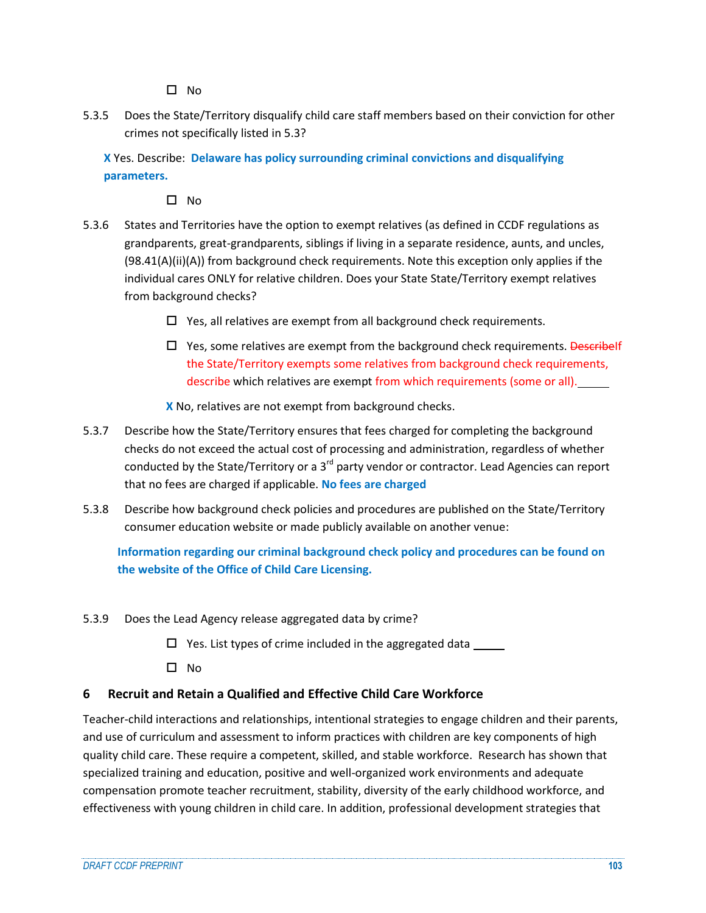$\square$  No

5.3.5 Does the State/Territory disqualify child care staff members based on their conviction for other crimes not specifically listed in 5.3?

**X** Yes. Describe: **Delaware has policy surrounding criminal convictions and disqualifying parameters.**

 $\square$  No

- 5.3.6 States and Territories have the option to exempt relatives (as defined in CCDF regulations as grandparents, great-grandparents, siblings if living in a separate residence, aunts, and uncles, (98.41(A)(ii)(A)) from background check requirements. Note this exception only applies if the individual cares ONLY for relative children. Does your State State/Territory exempt relatives from background checks?
	- $\Box$  Yes, all relatives are exempt from all background check requirements.
	- $\Box$  Yes, some relatives are exempt from the background check requirements. Describelf the State/Territory exempts some relatives from background check requirements, describe which relatives are exempt from which requirements (some or all).
	- **X** No, relatives are not exempt from background checks.
- 5.3.7 Describe how the State/Territory ensures that fees charged for completing the background checks do not exceed the actual cost of processing and administration, regardless of whether conducted by the State/Territory or a 3<sup>rd</sup> party vendor or contractor. Lead Agencies can report that no fees are charged if applicable. **No fees are charged**
- 5.3.8 Describe how background check policies and procedures are published on the State/Territory consumer education website or made publicly available on another venue:

**Information regarding our criminal background check policy and procedures can be found on the website of the Office of Child Care Licensing.**

- 5.3.9 Does the Lead Agency release aggregated data by crime?
	- $\Box$  Yes. List types of crime included in the aggregated data

 $\square$  No

# **6 Recruit and Retain a Qualified and Effective Child Care Workforce**

Teacher-child interactions and relationships, intentional strategies to engage children and their parents, and use of curriculum and assessment to inform practices with children are key components of high quality child care. These require a competent, skilled, and stable workforce. Research has shown that specialized training and education, positive and well-organized work environments and adequate compensation promote teacher recruitment, stability, diversity of the early childhood workforce, and effectiveness with young children in child care. In addition, professional development strategies that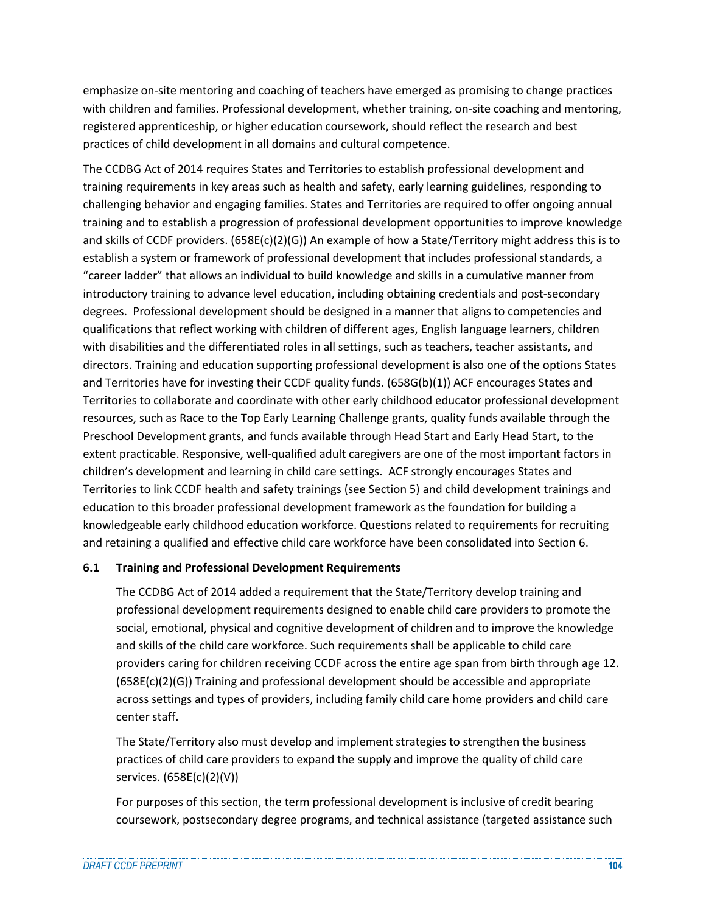emphasize on-site mentoring and coaching of teachers have emerged as promising to change practices with children and families. Professional development, whether training, on-site coaching and mentoring, registered apprenticeship, or higher education coursework, should reflect the research and best practices of child development in all domains and cultural competence.

The CCDBG Act of 2014 requires States and Territories to establish professional development and training requirements in key areas such as health and safety, early learning guidelines, responding to challenging behavior and engaging families. States and Territories are required to offer ongoing annual training and to establish a progression of professional development opportunities to improve knowledge and skills of CCDF providers. (658E(c)(2)(G)) An example of how a State/Territory might address this is to establish a system or framework of professional development that includes professional standards, a "career ladder" that allows an individual to build knowledge and skills in a cumulative manner from introductory training to advance level education, including obtaining credentials and post-secondary degrees. Professional development should be designed in a manner that aligns to competencies and qualifications that reflect working with children of different ages, English language learners, children with disabilities and the differentiated roles in all settings, such as teachers, teacher assistants, and directors. Training and education supporting professional development is also one of the options States and Territories have for investing their CCDF quality funds. (658G(b)(1)) ACF encourages States and Territories to collaborate and coordinate with other early childhood educator professional development resources, such as Race to the Top Early Learning Challenge grants, quality funds available through the Preschool Development grants, and funds available through Head Start and Early Head Start, to the extent practicable. Responsive, well-qualified adult caregivers are one of the most important factors in children's development and learning in child care settings. ACF strongly encourages States and Territories to link CCDF health and safety trainings (see Section 5) and child development trainings and education to this broader professional development framework as the foundation for building a knowledgeable early childhood education workforce. Questions related to requirements for recruiting and retaining a qualified and effective child care workforce have been consolidated into Section 6.

### **6.1 Training and Professional Development Requirements**

The CCDBG Act of 2014 added a requirement that the State/Territory develop training and professional development requirements designed to enable child care providers to promote the social, emotional, physical and cognitive development of children and to improve the knowledge and skills of the child care workforce. Such requirements shall be applicable to child care providers caring for children receiving CCDF across the entire age span from birth through age 12. (658E(c)(2)(G)) Training and professional development should be accessible and appropriate across settings and types of providers, including family child care home providers and child care center staff.

The State/Territory also must develop and implement strategies to strengthen the business practices of child care providers to expand the supply and improve the quality of child care services. (658E(c)(2)(V))

For purposes of this section, the term professional development is inclusive of credit bearing coursework, postsecondary degree programs, and technical assistance (targeted assistance such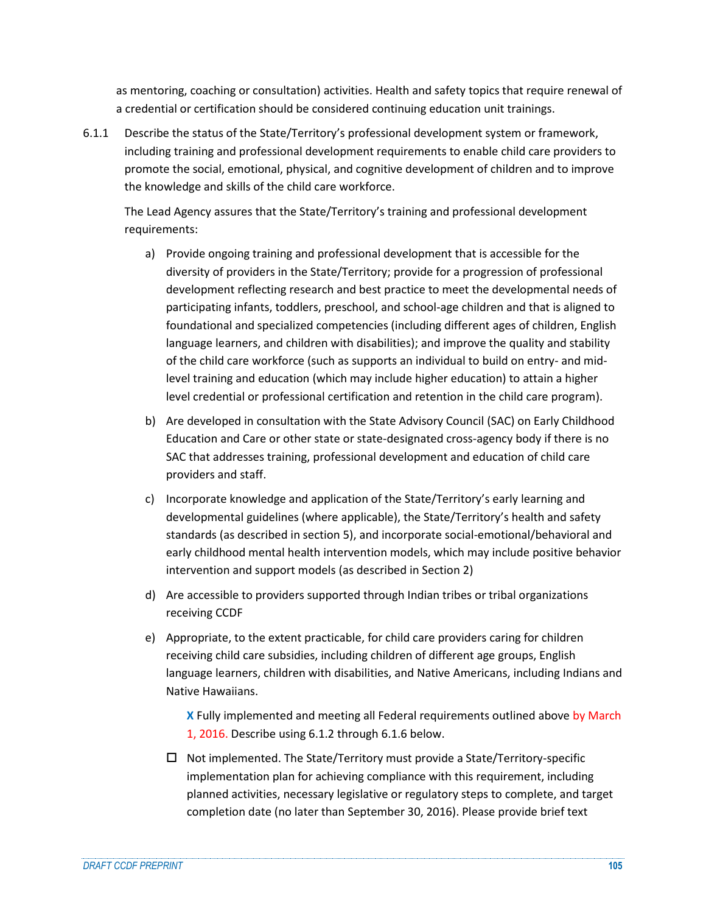as mentoring, coaching or consultation) activities. Health and safety topics that require renewal of a credential or certification should be considered continuing education unit trainings.

6.1.1 Describe the status of the State/Territory's professional development system or framework, including training and professional development requirements to enable child care providers to promote the social, emotional, physical, and cognitive development of children and to improve the knowledge and skills of the child care workforce.

The Lead Agency assures that the State/Territory's training and professional development requirements:

- a) Provide ongoing training and professional development that is accessible for the diversity of providers in the State/Territory; provide for a progression of professional development reflecting research and best practice to meet the developmental needs of participating infants, toddlers, preschool, and school-age children and that is aligned to foundational and specialized competencies (including different ages of children, English language learners, and children with disabilities); and improve the quality and stability of the child care workforce (such as supports an individual to build on entry- and midlevel training and education (which may include higher education) to attain a higher level credential or professional certification and retention in the child care program).
- b) Are developed in consultation with the State Advisory Council (SAC) on Early Childhood Education and Care or other state or state-designated cross-agency body if there is no SAC that addresses training, professional development and education of child care providers and staff.
- c) Incorporate knowledge and application of the State/Territory's early learning and developmental guidelines (where applicable), the State/Territory's health and safety standards (as described in section 5), and incorporate social-emotional/behavioral and early childhood mental health intervention models, which may include positive behavior intervention and support models (as described in Section 2)
- d) Are accessible to providers supported through Indian tribes or tribal organizations receiving CCDF
- e) Appropriate, to the extent practicable, for child care providers caring for children receiving child care subsidies, including children of different age groups, English language learners, children with disabilities, and Native Americans, including Indians and Native Hawaiians.

**X** Fully implemented and meeting all Federal requirements outlined above by March 1, 2016. Describe using 6.1.2 through 6.1.6 below.

 $\Box$  Not implemented. The State/Territory must provide a State/Territory-specific implementation plan for achieving compliance with this requirement, including planned activities, necessary legislative or regulatory steps to complete, and target completion date (no later than September 30, 2016). Please provide brief text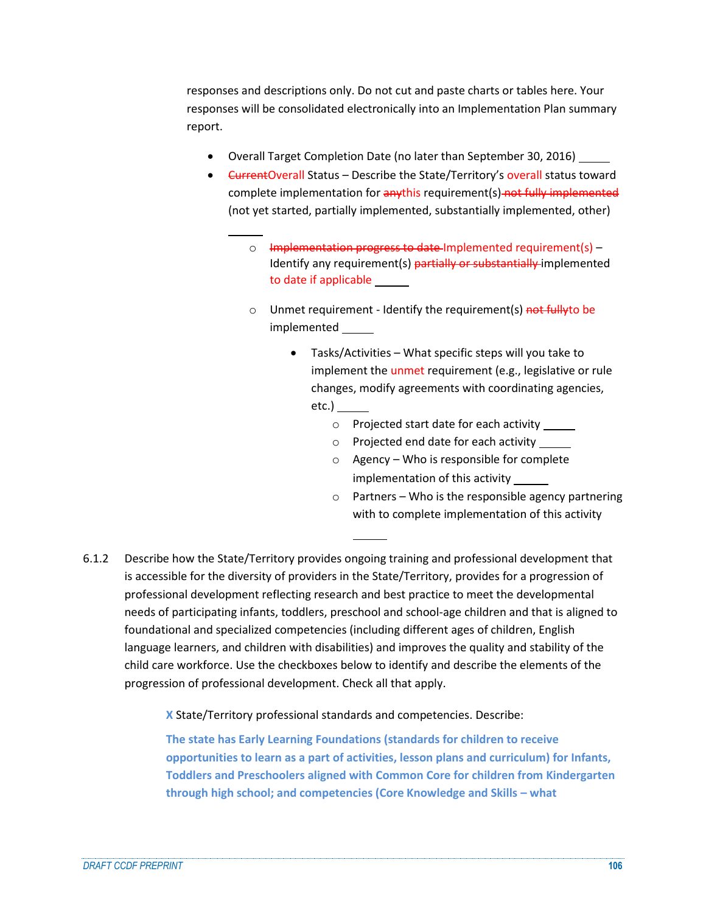responses and descriptions only. Do not cut and paste charts or tables here. Your responses will be consolidated electronically into an Implementation Plan summary report.

- Overall Target Completion Date (no later than September 30, 2016) \_\_\_\_\_\_
- CurrentOverall Status Describe the State/Territory's overall status toward complete implementation for anythis requirement(s) not fully implemented (not yet started, partially implemented, substantially implemented, other)
	- o Implementation progress to date Implemented requirement(s) Identify any requirement(s) partially or substantially implemented to date if applicable
	- $\circ$  Unmet requirement Identify the requirement(s) not fully to be implemented
		- Tasks/Activities What specific steps will you take to implement the unmet requirement (e.g., legislative or rule changes, modify agreements with coordinating agencies, etc.)
			- o Projected start date for each activity
			- o Projected end date for each activity
			- $\circ$  Agency Who is responsible for complete implementation of this activity
			- $\circ$  Partners Who is the responsible agency partnering with to complete implementation of this activity
- 6.1.2 Describe how the State/Territory provides ongoing training and professional development that is accessible for the diversity of providers in the State/Territory, provides for a progression of professional development reflecting research and best practice to meet the developmental needs of participating infants, toddlers, preschool and school-age children and that is aligned to foundational and specialized competencies (including different ages of children, English language learners, and children with disabilities) and improves the quality and stability of the child care workforce. Use the checkboxes below to identify and describe the elements of the progression of professional development. Check all that apply.

**X** State/Territory professional standards and competencies. Describe:

**The state has Early Learning Foundations (standards for children to receive opportunities to learn as a part of activities, lesson plans and curriculum) for Infants, Toddlers and Preschoolers aligned with Common Core for children from Kindergarten through high school; and competencies (Core Knowledge and Skills – what**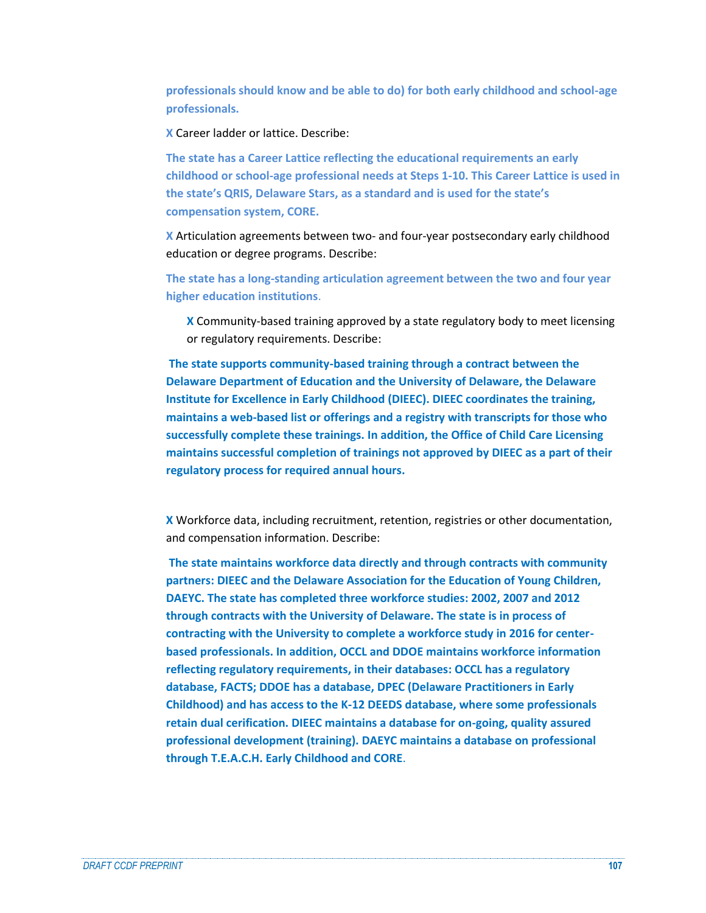**professionals should know and be able to do) for both early childhood and school-age professionals.**

**X** Career ladder or lattice. Describe:

**The state has a Career Lattice reflecting the educational requirements an early childhood or school-age professional needs at Steps 1-10. This Career Lattice is used in the state's QRIS, Delaware Stars, as a standard and is used for the state's compensation system, CORE.**

**X** Articulation agreements between two- and four-year postsecondary early childhood education or degree programs. Describe:

**The state has a long-standing articulation agreement between the two and four year higher education institutions**.

**X** Community-based training approved by a state regulatory body to meet licensing or regulatory requirements. Describe:

**The state supports community-based training through a contract between the Delaware Department of Education and the University of Delaware, the Delaware Institute for Excellence in Early Childhood (DIEEC). DIEEC coordinates the training, maintains a web-based list or offerings and a registry with transcripts for those who successfully complete these trainings. In addition, the Office of Child Care Licensing maintains successful completion of trainings not approved by DIEEC as a part of their regulatory process for required annual hours.**

**X** Workforce data, including recruitment, retention, registries or other documentation, and compensation information. Describe:

**The state maintains workforce data directly and through contracts with community partners: DIEEC and the Delaware Association for the Education of Young Children, DAEYC. The state has completed three workforce studies: 2002, 2007 and 2012 through contracts with the University of Delaware. The state is in process of contracting with the University to complete a workforce study in 2016 for centerbased professionals. In addition, OCCL and DDOE maintains workforce information reflecting regulatory requirements, in their databases: OCCL has a regulatory database, FACTS; DDOE has a database, DPEC (Delaware Practitioners in Early Childhood) and has access to the K-12 DEEDS database, where some professionals retain dual cerification. DIEEC maintains a database for on-going, quality assured professional development (training). DAEYC maintains a database on professional through T.E.A.C.H. Early Childhood and CORE**.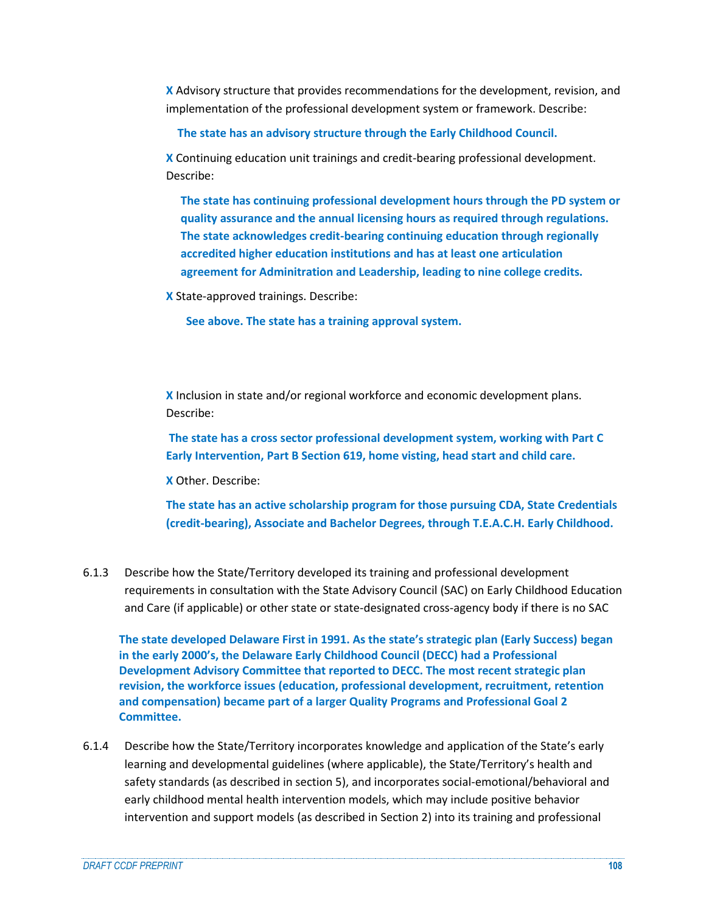**X** Advisory structure that provides recommendations for the development, revision, and implementation of the professional development system or framework. Describe:

**The state has an advisory structure through the Early Childhood Council.**

**X** Continuing education unit trainings and credit-bearing professional development. Describe:

**The state has continuing professional development hours through the PD system or quality assurance and the annual licensing hours as required through regulations. The state acknowledges credit-bearing continuing education through regionally accredited higher education institutions and has at least one articulation agreement for Adminitration and Leadership, leading to nine college credits.**

**X** State-approved trainings. Describe:

 **See above. The state has a training approval system.**

**X** Inclusion in state and/or regional workforce and economic development plans. Describe:

**The state has a cross sector professional development system, working with Part C Early Intervention, Part B Section 619, home visting, head start and child care.**

**X** Other. Describe:

**The state has an active scholarship program for those pursuing CDA, State Credentials (credit-bearing), Associate and Bachelor Degrees, through T.E.A.C.H. Early Childhood.**

6.1.3 Describe how the State/Territory developed its training and professional development requirements in consultation with the State Advisory Council (SAC) on Early Childhood Education and Care (if applicable) or other state or state-designated cross-agency body if there is no SAC

**The state developed Delaware First in 1991. As the state's strategic plan (Early Success) began in the early 2000's, the Delaware Early Childhood Council (DECC) had a Professional Development Advisory Committee that reported to DECC. The most recent strategic plan revision, the workforce issues (education, professional development, recruitment, retention and compensation) became part of a larger Quality Programs and Professional Goal 2 Committee.**

6.1.4 Describe how the State/Territory incorporates knowledge and application of the State's early learning and developmental guidelines (where applicable), the State/Territory's health and safety standards (as described in section 5), and incorporates social-emotional/behavioral and early childhood mental health intervention models, which may include positive behavior intervention and support models (as described in Section 2) into its training and professional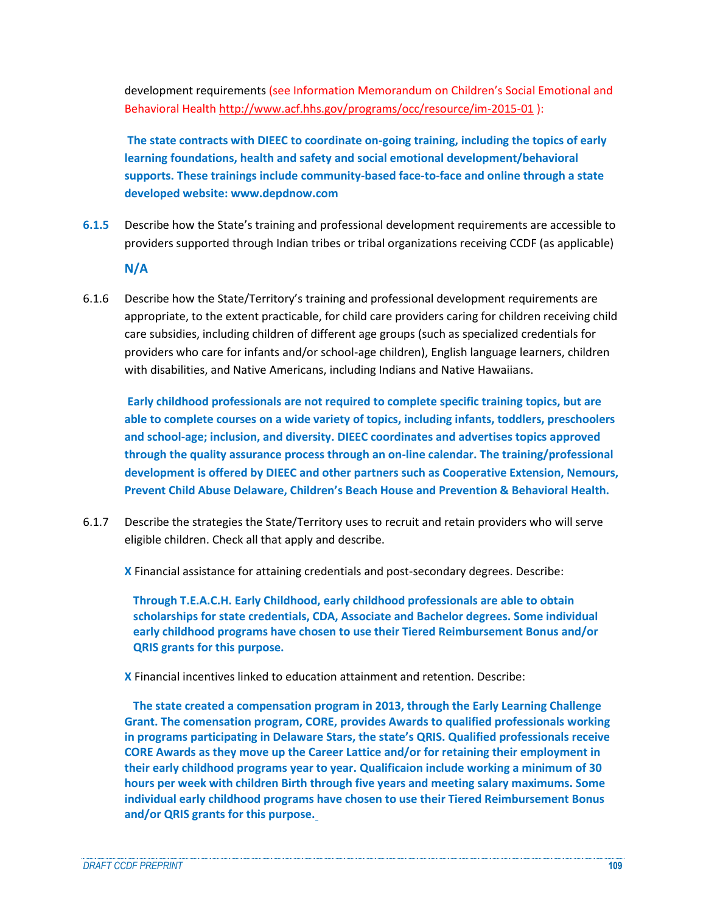development requirements (see Information Memorandum on Children's Social Emotional and Behavioral Health<http://www.acf.hhs.gov/programs/occ/resource/im-2015-01> ):

**The state contracts with DIEEC to coordinate on-going training, including the topics of early learning foundations, health and safety and social emotional development/behavioral supports. These trainings include community-based face-to-face and online through a state developed website: www.depdnow.com**

**6.1.5** Describe how the State's training and professional development requirements are accessible to providers supported through Indian tribes or tribal organizations receiving CCDF (as applicable)

**N/A**

6.1.6 Describe how the State/Territory's training and professional development requirements are appropriate, to the extent practicable, for child care providers caring for children receiving child care subsidies, including children of different age groups (such as specialized credentials for providers who care for infants and/or school-age children), English language learners, children with disabilities, and Native Americans, including Indians and Native Hawaiians.

**Early childhood professionals are not required to complete specific training topics, but are able to complete courses on a wide variety of topics, including infants, toddlers, preschoolers and school-age; inclusion, and diversity. DIEEC coordinates and advertises topics approved through the quality assurance process through an on-line calendar. The training/professional development is offered by DIEEC and other partners such as Cooperative Extension, Nemours, Prevent Child Abuse Delaware, Children's Beach House and Prevention & Behavioral Health.**

6.1.7 Describe the strategies the State/Territory uses to recruit and retain providers who will serve eligible children. Check all that apply and describe.

**X** Financial assistance for attaining credentials and post-secondary degrees. Describe:

**Through T.E.A.C.H. Early Childhood, early childhood professionals are able to obtain scholarships for state credentials, CDA, Associate and Bachelor degrees. Some individual early childhood programs have chosen to use their Tiered Reimbursement Bonus and/or QRIS grants for this purpose.** 

**X** Financial incentives linked to education attainment and retention. Describe:

 **The state created a compensation program in 2013, through the Early Learning Challenge Grant. The comensation program, CORE, provides Awards to qualified professionals working in programs participating in Delaware Stars, the state's QRIS. Qualified professionals receive CORE Awards as they move up the Career Lattice and/or for retaining their employment in their early childhood programs year to year. Qualificaion include working a minimum of 30 hours per week with children Birth through five years and meeting salary maximums. Some individual early childhood programs have chosen to use their Tiered Reimbursement Bonus and/or QRIS grants for this purpose.**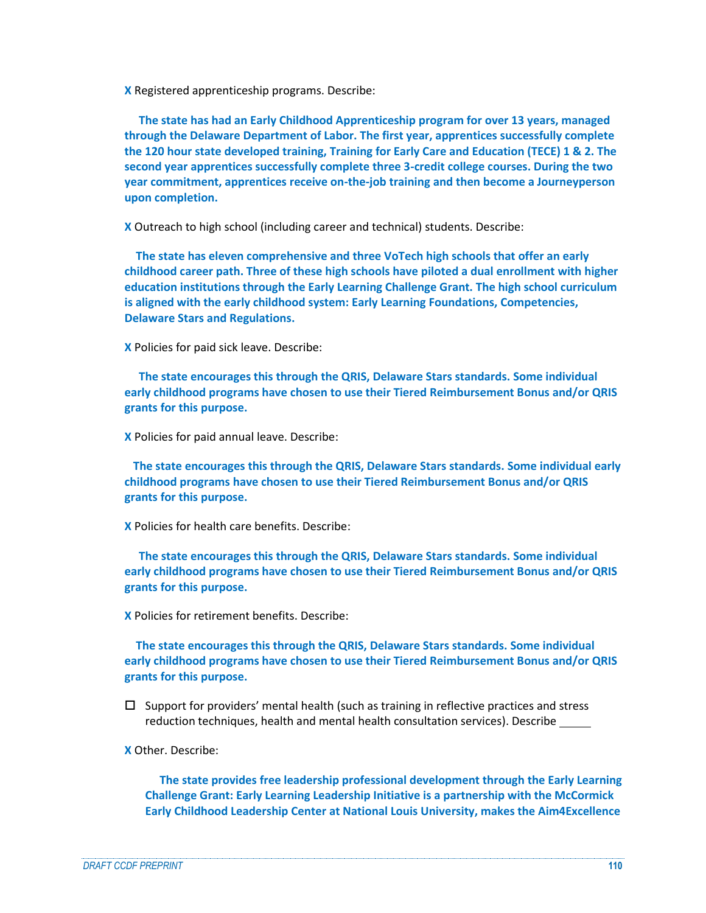**X** Registered apprenticeship programs. Describe:

 **The state has had an Early Childhood Apprenticeship program for over 13 years, managed through the Delaware Department of Labor. The first year, apprentices successfully complete the 120 hour state developed training, Training for Early Care and Education (TECE) 1 & 2. The second year apprentices successfully complete three 3-credit college courses. During the two year commitment, apprentices receive on-the-job training and then become a Journeyperson upon completion.**

**X** Outreach to high school (including career and technical) students. Describe:

 **The state has eleven comprehensive and three VoTech high schools that offer an early childhood career path. Three of these high schools have piloted a dual enrollment with higher education institutions through the Early Learning Challenge Grant. The high school curriculum is aligned with the early childhood system: Early Learning Foundations, Competencies, Delaware Stars and Regulations.**

**X** Policies for paid sick leave. Describe:

 **The state encourages this through the QRIS, Delaware Stars standards. Some individual early childhood programs have chosen to use their Tiered Reimbursement Bonus and/or QRIS grants for this purpose.** 

**X** Policies for paid annual leave. Describe:

 **The state encourages this through the QRIS, Delaware Stars standards. Some individual early childhood programs have chosen to use their Tiered Reimbursement Bonus and/or QRIS grants for this purpose.**

**X** Policies for health care benefits. Describe:

 **The state encourages this through the QRIS, Delaware Stars standards. Some individual early childhood programs have chosen to use their Tiered Reimbursement Bonus and/or QRIS grants for this purpose.** 

**X** Policies for retirement benefits. Describe:

 **The state encourages this through the QRIS, Delaware Stars standards. Some individual early childhood programs have chosen to use their Tiered Reimbursement Bonus and/or QRIS grants for this purpose.**

 $\Box$  Support for providers' mental health (such as training in reflective practices and stress reduction techniques, health and mental health consultation services). Describe

**X** Other. Describe:

 **The state provides free leadership professional development through the Early Learning Challenge Grant: Early Learning Leadership Initiative is a partnership with the McCormick Early Childhood Leadership Center at National Louis University, makes the Aim4Excellence**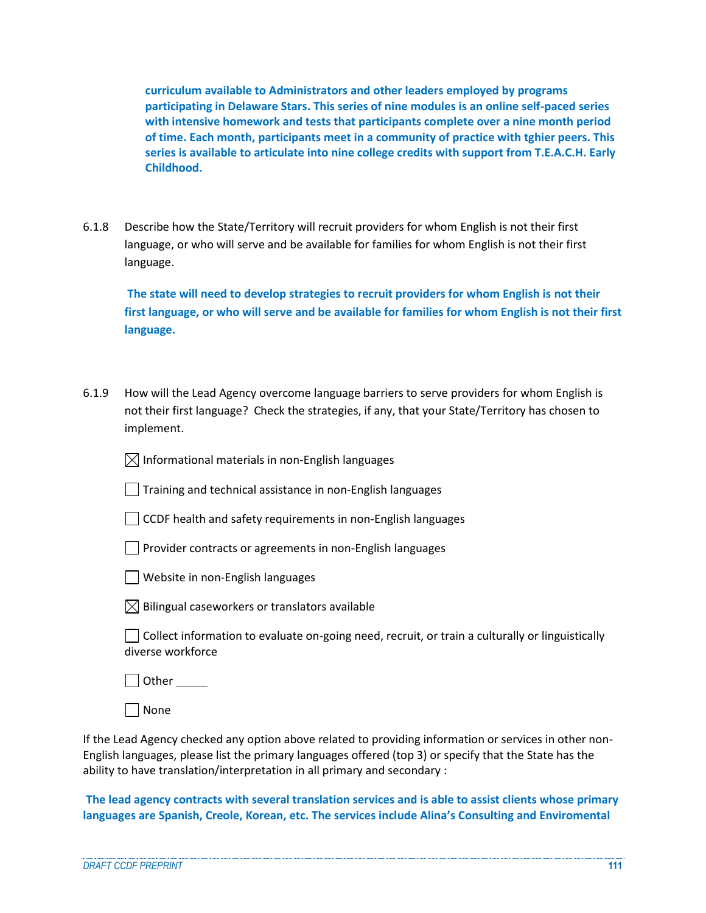**curriculum available to Administrators and other leaders employed by programs participating in Delaware Stars. This series of nine modules is an online self-paced series with intensive homework and tests that participants complete over a nine month period of time. Each month, participants meet in a community of practice with tghier peers. This series is available to articulate into nine college credits with support from T.E.A.C.H. Early Childhood.**

6.1.8 Describe how the State/Territory will recruit providers for whom English is not their first language, or who will serve and be available for families for whom English is not their first language.

**The state will need to develop strategies to recruit providers for whom English is not their first language, or who will serve and be available for families for whom English is not their first language.**

6.1.9 How will the Lead Agency overcome language barriers to serve providers for whom English is not their first language? Check the strategies, if any, that your State/Territory has chosen to implement.

 $\boxtimes$  Informational materials in non-English languages

 $\vert \ \vert$  Training and technical assistance in non-English languages

 $\Box$  CCDF health and safety requirements in non-English languages

**Provider contracts or agreements in non-English languages** 

 $\Box$  Website in non-English languages

 $\boxtimes$  Bilingual caseworkers or translators available

 $\Box$  Collect information to evaluate on-going need, recruit, or train a culturally or linguistically diverse workforce

 $\Box$  Other  $\_\_\_\_\$ 

None

If the Lead Agency checked any option above related to providing information or services in other non-English languages, please list the primary languages offered (top 3) or specify that the State has the ability to have translation/interpretation in all primary and secondary :

**The lead agency contracts with several translation services and is able to assist clients whose primary languages are Spanish, Creole, Korean, etc. The services include Alina's Consulting and Enviromental**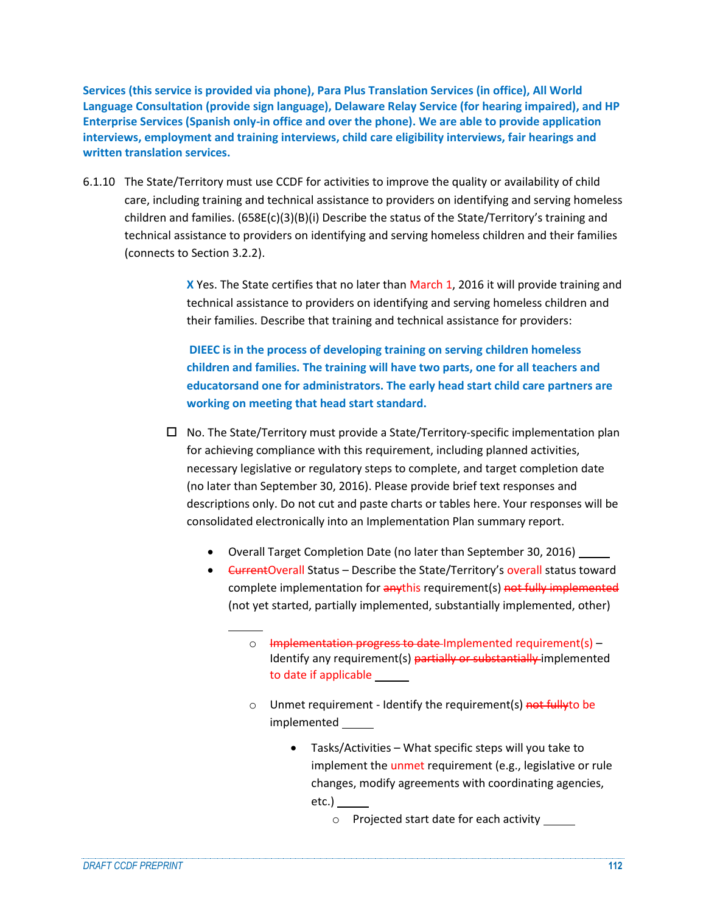**Services (this service is provided via phone), Para Plus Translation Services (in office), All World Language Consultation (provide sign language), Delaware Relay Service (for hearing impaired), and HP Enterprise Services (Spanish only-in office and over the phone). We are able to provide application interviews, employment and training interviews, child care eligibility interviews, fair hearings and written translation services.**

6.1.10 The State/Territory must use CCDF for activities to improve the quality or availability of child care, including training and technical assistance to providers on identifying and serving homeless children and families. (658E(c)(3)(B)(i) Describe the status of the State/Territory's training and technical assistance to providers on identifying and serving homeless children and their families (connects to Section 3.2.2).

> **X** Yes. The State certifies that no later than March 1, 2016 it will provide training and technical assistance to providers on identifying and serving homeless children and their families. Describe that training and technical assistance for providers:

**DIEEC is in the process of developing training on serving children homeless children and families. The training will have two parts, one for all teachers and educatorsand one for administrators. The early head start child care partners are working on meeting that head start standard.**

- $\Box$  No. The State/Territory must provide a State/Territory-specific implementation plan for achieving compliance with this requirement, including planned activities, necessary legislative or regulatory steps to complete, and target completion date (no later than September 30, 2016). Please provide brief text responses and descriptions only. Do not cut and paste charts or tables here. Your responses will be consolidated electronically into an Implementation Plan summary report.
	- Overall Target Completion Date (no later than September 30, 2016)
	- **•** <del>Current</del>Overall Status Describe the State/Territory's overall status toward complete implementation for anythis requirement(s) not fully implemented (not yet started, partially implemented, substantially implemented, other)
		- o Implementation progress to date Implemented requirement(s) Identify any requirement(s) partially or substantially implemented to date if applicable
		- o Unmet requirement Identify the requirement(s) not fullyto be implemented
			- Tasks/Activities What specific steps will you take to implement the unmet requirement (e.g., legislative or rule changes, modify agreements with coordinating agencies, etc.)
				- o Projected start date for each activity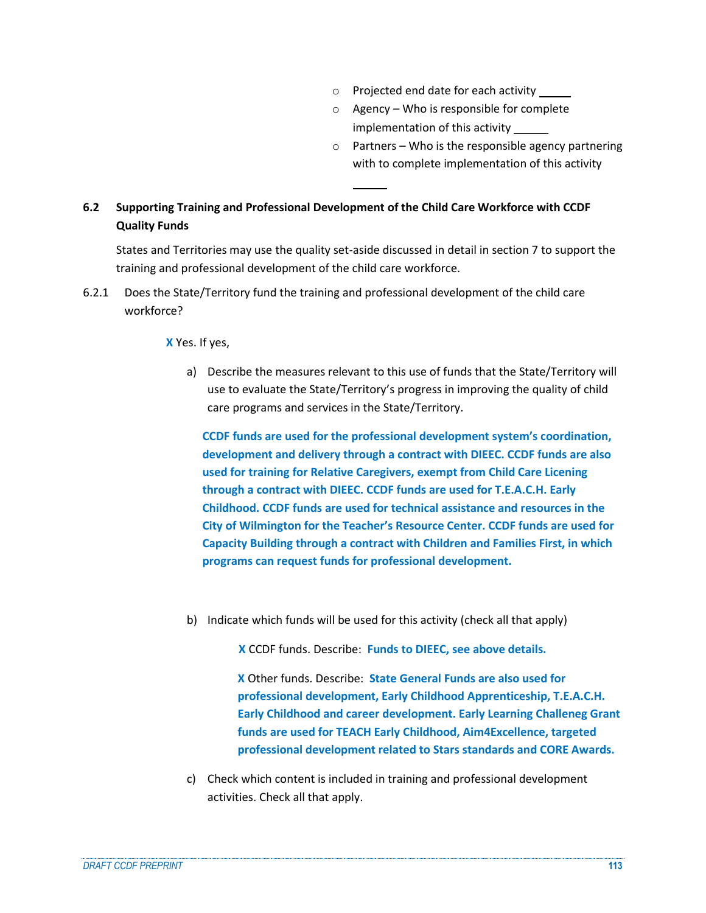- o Projected end date for each activity
- o Agency Who is responsible for complete implementation of this activity
- o Partners Who is the responsible agency partnering with to complete implementation of this activity

# **6.2 Supporting Training and Professional Development of the Child Care Workforce with CCDF Quality Funds**

States and Territories may use the quality set-aside discussed in detail in section 7 to support the training and professional development of the child care workforce.

6.2.1 Does the State/Territory fund the training and professional development of the child care workforce?

**X** Yes. If yes,

a) Describe the measures relevant to this use of funds that the State/Territory will use to evaluate the State/Territory's progress in improving the quality of child care programs and services in the State/Territory.

**CCDF funds are used for the professional development system's coordination, development and delivery through a contract with DIEEC. CCDF funds are also used for training for Relative Caregivers, exempt from Child Care Licening through a contract with DIEEC. CCDF funds are used for T.E.A.C.H. Early Childhood. CCDF funds are used for technical assistance and resources in the City of Wilmington for the Teacher's Resource Center. CCDF funds are used for Capacity Building through a contract with Children and Families First, in which programs can request funds for professional development.**

b) Indicate which funds will be used for this activity (check all that apply)

**X** CCDF funds. Describe: **Funds to DIEEC, see above details.**

**X** Other funds. Describe: **State General Funds are also used for professional development, Early Childhood Apprenticeship, T.E.A.C.H. Early Childhood and career development. Early Learning Challeneg Grant funds are used for TEACH Early Childhood, Aim4Excellence, targeted professional development related to Stars standards and CORE Awards.**

c) Check which content is included in training and professional development activities. Check all that apply.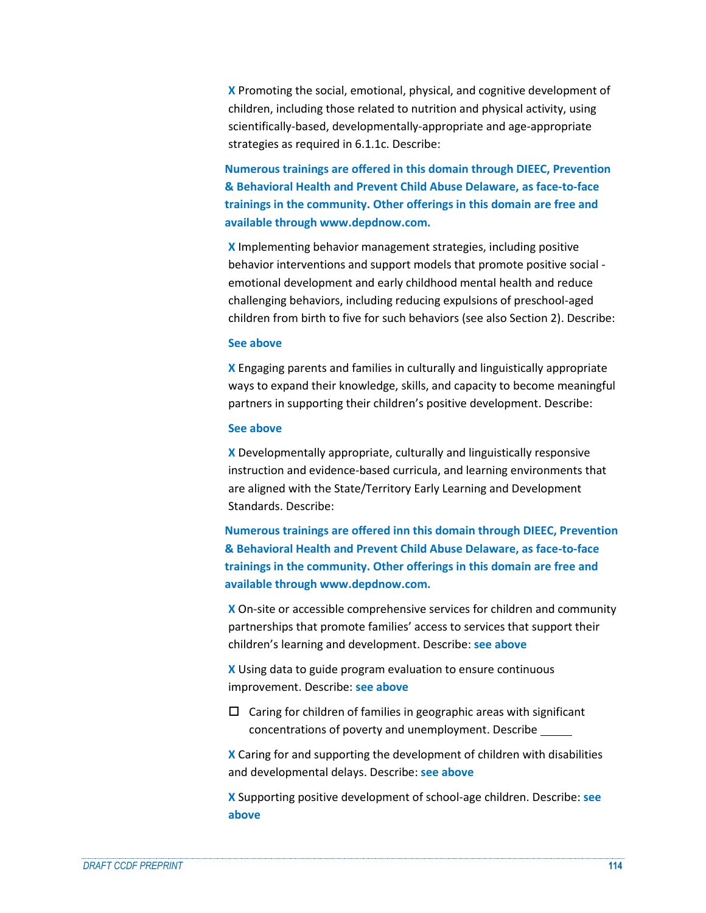**X** Promoting the social, emotional, physical, and cognitive development of children, including those related to nutrition and physical activity, using scientifically-based, developmentally-appropriate and age-appropriate strategies as required in 6.1.1c. Describe:

**Numerous trainings are offered in this domain through DIEEC, Prevention & Behavioral Health and Prevent Child Abuse Delaware, as face-to-face trainings in the community. Other offerings in this domain are free and available through www.depdnow.com.**

**X** Implementing behavior management strategies, including positive behavior interventions and support models that promote positive social emotional development and early childhood mental health and reduce challenging behaviors, including reducing expulsions of preschool-aged children from birth to five for such behaviors (see also Section 2). Describe:

#### **See above**

**X** Engaging parents and families in culturally and linguistically appropriate ways to expand their knowledge, skills, and capacity to become meaningful partners in supporting their children's positive development. Describe:

#### **See above**

**X** Developmentally appropriate, culturally and linguistically responsive instruction and evidence-based curricula, and learning environments that are aligned with the State/Territory Early Learning and Development Standards. Describe:

**Numerous trainings are offered inn this domain through DIEEC, Prevention & Behavioral Health and Prevent Child Abuse Delaware, as face-to-face trainings in the community. Other offerings in this domain are free and available through www.depdnow.com.**

**X** On-site or accessible comprehensive services for children and community partnerships that promote families' access to services that support their children's learning and development. Describe: **see above**

**X** Using data to guide program evaluation to ensure continuous improvement. Describe: **see above**

 $\Box$  Caring for children of families in geographic areas with significant concentrations of poverty and unemployment. Describe

**X** Caring for and supporting the development of children with disabilities and developmental delays. Describe: **see above**

**X** Supporting positive development of school-age children. Describe: **see above**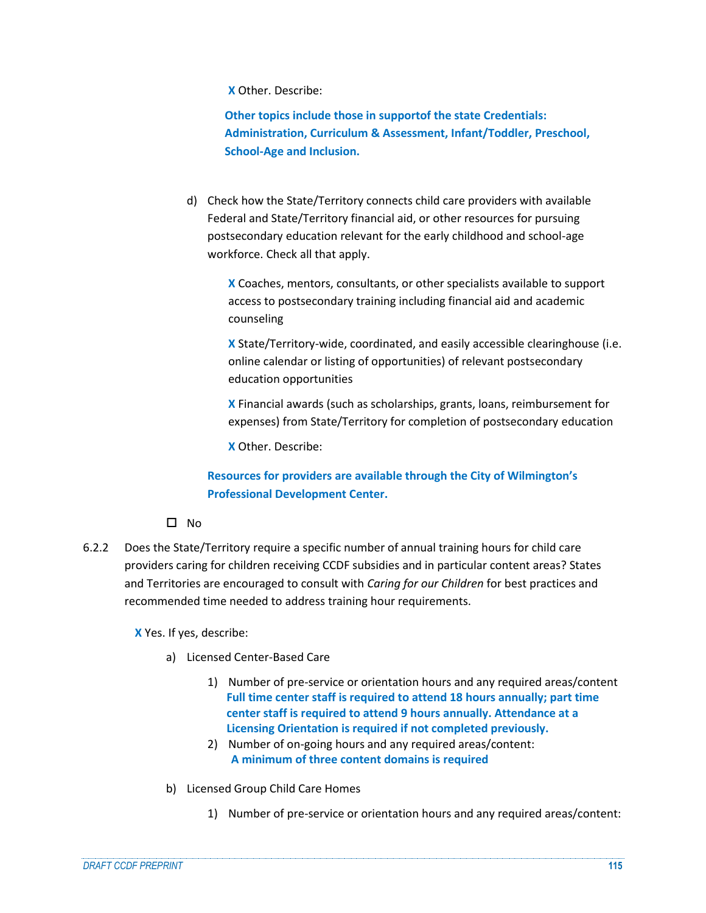**X** Other. Describe:

**Other topics include those in supportof the state Credentials: Administration, Curriculum & Assessment, Infant/Toddler, Preschool, School-Age and Inclusion.**

d) Check how the State/Territory connects child care providers with available Federal and State/Territory financial aid, or other resources for pursuing postsecondary education relevant for the early childhood and school-age workforce. Check all that apply.

> **X** Coaches, mentors, consultants, or other specialists available to support access to postsecondary training including financial aid and academic counseling

**X** State/Territory-wide, coordinated, and easily accessible clearinghouse (i.e. online calendar or listing of opportunities) of relevant postsecondary education opportunities

**X** Financial awards (such as scholarships, grants, loans, reimbursement for expenses) from State/Territory for completion of postsecondary education

**X** Other. Describe:

# **Resources for providers are available through the City of Wilmington's Professional Development Center.**

 $\square$  No

6.2.2 Does the State/Territory require a specific number of annual training hours for child care providers caring for children receiving CCDF subsidies and in particular content areas? States and Territories are encouraged to consult with *Caring for our Children* for best practices and recommended time needed to address training hour requirements.

**X** Yes. If yes, describe:

- a) Licensed Center-Based Care
	- 1) Number of pre-service or orientation hours and any required areas/content **Full time center staff is required to attend 18 hours annually; part time center staff is required to attend 9 hours annually. Attendance at a Licensing Orientation is required if not completed previously.**
	- 2) Number of on-going hours and any required areas/content: **A minimum of three content domains is required**
- b) Licensed Group Child Care Homes
	- 1) Number of pre-service or orientation hours and any required areas/content: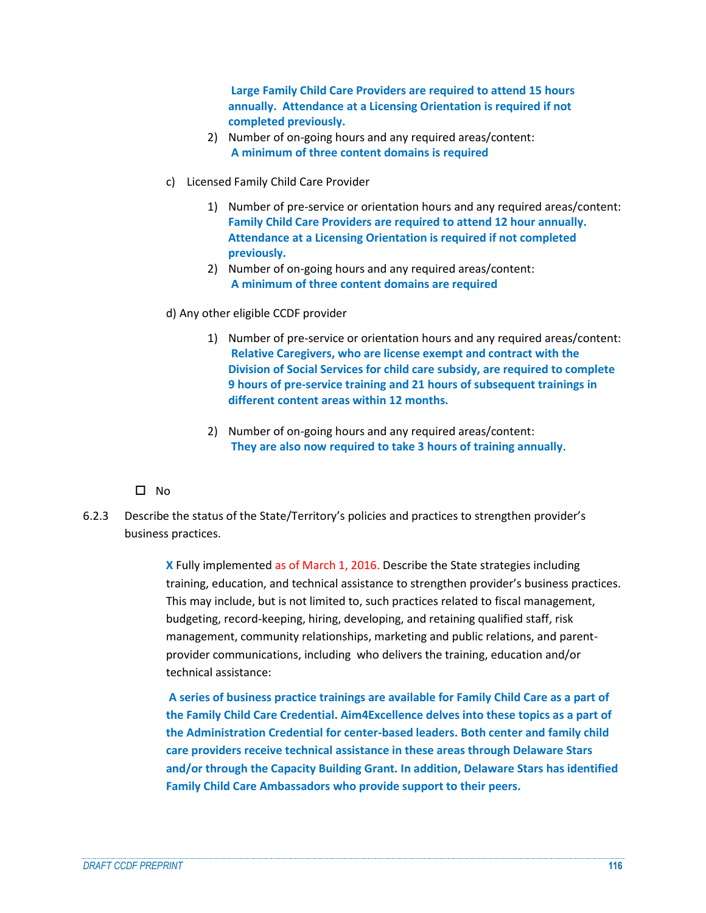**Large Family Child Care Providers are required to attend 15 hours annually. Attendance at a Licensing Orientation is required if not completed previously.**

- 2) Number of on-going hours and any required areas/content: **A minimum of three content domains is required**
- c) Licensed Family Child Care Provider
	- 1) Number of pre-service or orientation hours and any required areas/content: **Family Child Care Providers are required to attend 12 hour annually. Attendance at a Licensing Orientation is required if not completed previously.**
	- 2) Number of on-going hours and any required areas/content: **A minimum of three content domains are required**
- d) Any other eligible CCDF provider
	- 1) Number of pre-service or orientation hours and any required areas/content: **Relative Caregivers, who are license exempt and contract with the Division of Social Services for child care subsidy, are required to complete 9 hours of pre-service training and 21 hours of subsequent trainings in different content areas within 12 months.**
	- 2) Number of on-going hours and any required areas/content: **They are also now required to take 3 hours of training annually**.
- $\Pi$  No.
- 6.2.3 Describe the status of the State/Territory's policies and practices to strengthen provider's business practices.

**X** Fully implemented as of March 1, 2016. Describe the State strategies including training, education, and technical assistance to strengthen provider's business practices. This may include, but is not limited to, such practices related to fiscal management, budgeting, record-keeping, hiring, developing, and retaining qualified staff, risk management, community relationships, marketing and public relations, and parentprovider communications, including who delivers the training, education and/or technical assistance:

**A series of business practice trainings are available for Family Child Care as a part of the Family Child Care Credential. Aim4Excellence delves into these topics as a part of the Administration Credential for center-based leaders. Both center and family child care providers receive technical assistance in these areas through Delaware Stars and/or through the Capacity Building Grant. In addition, Delaware Stars has identified Family Child Care Ambassadors who provide support to their peers.**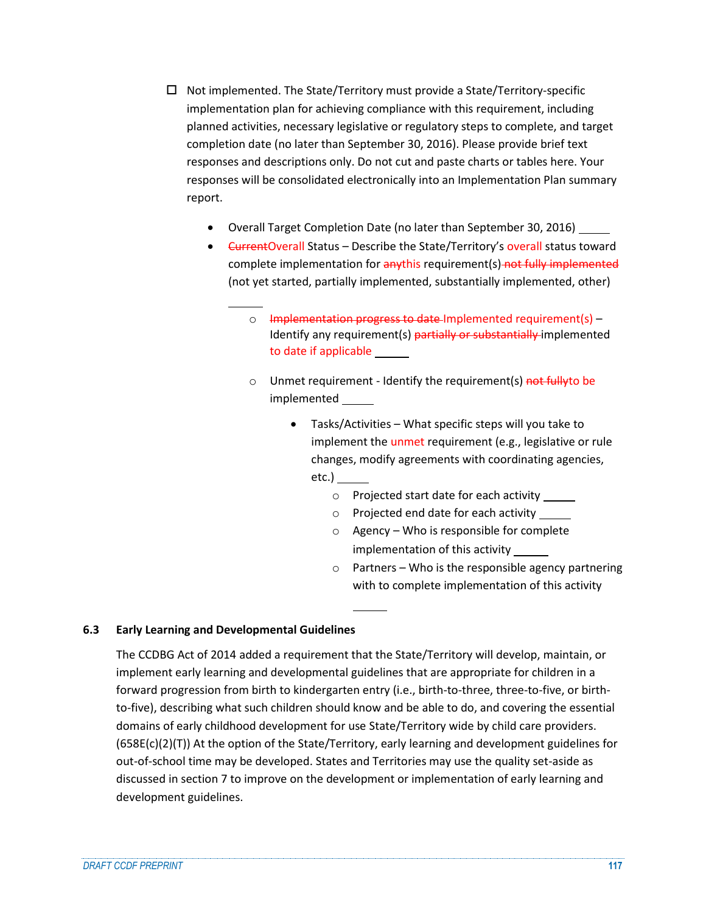- $\Box$  Not implemented. The State/Territory must provide a State/Territory-specific implementation plan for achieving compliance with this requirement, including planned activities, necessary legislative or regulatory steps to complete, and target completion date (no later than September 30, 2016). Please provide brief text responses and descriptions only. Do not cut and paste charts or tables here. Your responses will be consolidated electronically into an Implementation Plan summary report.
	- Overall Target Completion Date (no later than September 30, 2016) \_
	- <del>Current</del>Overall Status Describe the State/Territory's overall status toward complete implementation for anythis requirement(s) not fully implemented (not yet started, partially implemented, substantially implemented, other)
		- o Implementation progress to date Implemented requirement(s) Identify any requirement(s) partially or substantially implemented to date if applicable
		- o Unmet requirement Identify the requirement(s) not fully to be implemented
			- Tasks/Activities What specific steps will you take to implement the unmet requirement (e.g., legislative or rule changes, modify agreements with coordinating agencies, etc.)
				- o Projected start date for each activity
				- o Projected end date for each activity
				- o Agency Who is responsible for complete implementation of this activity
				- $\circ$  Partners Who is the responsible agency partnering with to complete implementation of this activity

# **6.3 Early Learning and Developmental Guidelines**

The CCDBG Act of 2014 added a requirement that the State/Territory will develop, maintain, or implement early learning and developmental guidelines that are appropriate for children in a forward progression from birth to kindergarten entry (i.e., birth-to-three, three-to-five, or birthto-five), describing what such children should know and be able to do, and covering the essential domains of early childhood development for use State/Territory wide by child care providers. (658E(c)(2)(T)) At the option of the State/Territory, early learning and development guidelines for out-of-school time may be developed. States and Territories may use the quality set-aside as discussed in section 7 to improve on the development or implementation of early learning and development guidelines.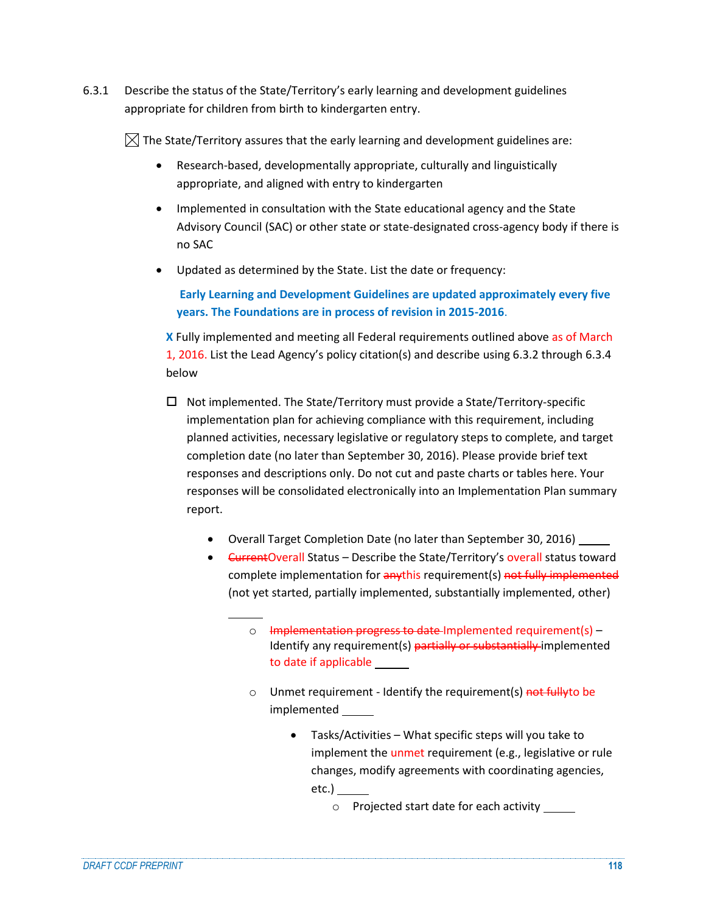6.3.1 Describe the status of the State/Territory's early learning and development guidelines appropriate for children from birth to kindergarten entry.

 $\boxtimes$  The State/Territory assures that the early learning and development guidelines are:

- Research-based, developmentally appropriate, culturally and linguistically appropriate, and aligned with entry to kindergarten
- Implemented in consultation with the State educational agency and the State Advisory Council (SAC) or other state or state-designated cross-agency body if there is no SAC
- Updated as determined by the State. List the date or frequency:

**Early Learning and Development Guidelines are updated approximately every five years. The Foundations are in process of revision in 2015-2016**.

**X** Fully implemented and meeting all Federal requirements outlined above as of March 1, 2016. List the Lead Agency's policy citation(s) and describe using 6.3.2 through 6.3.4 below

- $\Box$  Not implemented. The State/Territory must provide a State/Territory-specific implementation plan for achieving compliance with this requirement, including planned activities, necessary legislative or regulatory steps to complete, and target completion date (no later than September 30, 2016). Please provide brief text responses and descriptions only. Do not cut and paste charts or tables here. Your responses will be consolidated electronically into an Implementation Plan summary report.
	- Overall Target Completion Date (no later than September 30, 2016) \_
	- <del>Current</del>Overall Status Describe the State/Territory's overall status toward complete implementation for anythis requirement(s) not fully implemented (not yet started, partially implemented, substantially implemented, other)

- o Unmet requirement Identify the requirement(s) not fullyto be implemented
	- Tasks/Activities What specific steps will you take to implement the unmet requirement (e.g., legislative or rule changes, modify agreements with coordinating agencies, etc.)
		- o Projected start date for each activity

o Implementation progress to date Implemented requirement(s) – Identify any requirement(s) partially or substantially implemented to date if applicable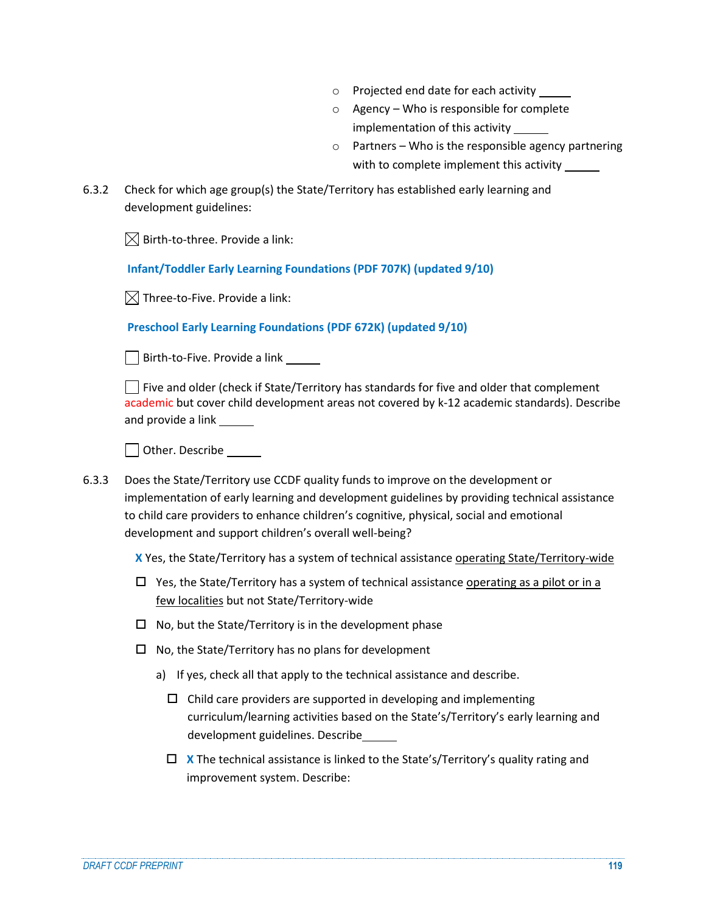- o Projected end date for each activity
- o Agency Who is responsible for complete implementation of this activity
- o Partners Who is the responsible agency partnering with to complete implement this activity
- 6.3.2 Check for which age group(s) the State/Territory has established early learning and development guidelines:

 $\boxtimes$  Birth-to-three. Provide a link:

**Infant/Toddler Early Learning Foundations (PDF 707K) (updated 9/10)**

 $\boxtimes$  Three-to-Five. Provide a link:

**Preschool Early Learning Foundations (PDF 672K) (updated 9/10)**

| Birth-to-Five. Provide a link

 $\Box$  Five and older (check if State/Territory has standards for five and older that complement academic but cover child development areas not covered by k-12 academic standards). Describe and provide a link

Other. Describe

- 6.3.3 Does the State/Territory use CCDF quality funds to improve on the development or implementation of early learning and development guidelines by providing technical assistance to child care providers to enhance children's cognitive, physical, social and emotional development and support children's overall well-being?
	- **X** Yes, the State/Territory has a system of technical assistance operating State/Territory-wide
	- $\Box$  Yes, the State/Territory has a system of technical assistance <u>operating as a pilot or in a</u> few localities but not State/Territory-wide
	- $\square$  No, but the State/Territory is in the development phase
	- $\square$  No, the State/Territory has no plans for development
		- a) If yes, check all that apply to the technical assistance and describe.
			- $\Box$  Child care providers are supported in developing and implementing curriculum/learning activities based on the State's/Territory's early learning and development guidelines. Describe
			- **X** The technical assistance is linked to the State's/Territory's quality rating and improvement system. Describe: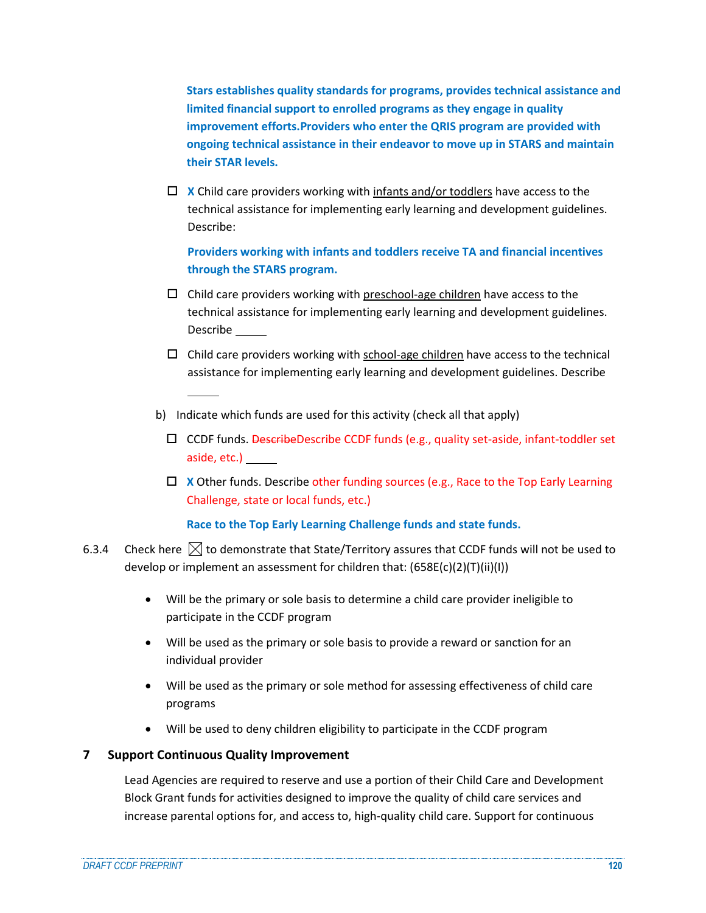**Stars establishes quality standards for programs, provides technical assistance and limited financial support to enrolled programs as they engage in quality improvement efforts.Providers who enter the QRIS program are provided with ongoing technical assistance in their endeavor to move up in STARS and maintain their STAR levels.**

 **X** Child care providers working with infants and/or toddlers have access to the technical assistance for implementing early learning and development guidelines. Describe:

**Providers working with infants and toddlers receive TA and financial incentives through the STARS program.**

- $\Box$  Child care providers working with preschool-age children have access to the technical assistance for implementing early learning and development guidelines. Describe
- $\square$  Child care providers working with school-age children have access to the technical assistance for implementing early learning and development guidelines. Describe
- b) Indicate which funds are used for this activity (check all that apply)
	- CCDF funds. DescribeDescribe CCDF funds (e.g., quality set-aside, infant-toddler set aside, etc.)
	- **X** Other funds. Describe other funding sources (e.g., Race to the Top Early Learning Challenge, state or local funds, etc.)

**Race to the Top Early Learning Challenge funds and state funds.**

- 6.3.4 Check here  $\boxtimes$  to demonstrate that State/Territory assures that CCDF funds will not be used to develop or implement an assessment for children that: (658E(c)(2)(T)(ii)(I))
	- Will be the primary or sole basis to determine a child care provider ineligible to participate in the CCDF program
	- Will be used as the primary or sole basis to provide a reward or sanction for an individual provider
	- Will be used as the primary or sole method for assessing effectiveness of child care programs
	- Will be used to deny children eligibility to participate in the CCDF program

# **7 Support Continuous Quality Improvement**

Lead Agencies are required to reserve and use a portion of their Child Care and Development Block Grant funds for activities designed to improve the quality of child care services and increase parental options for, and access to, high-quality child care. Support for continuous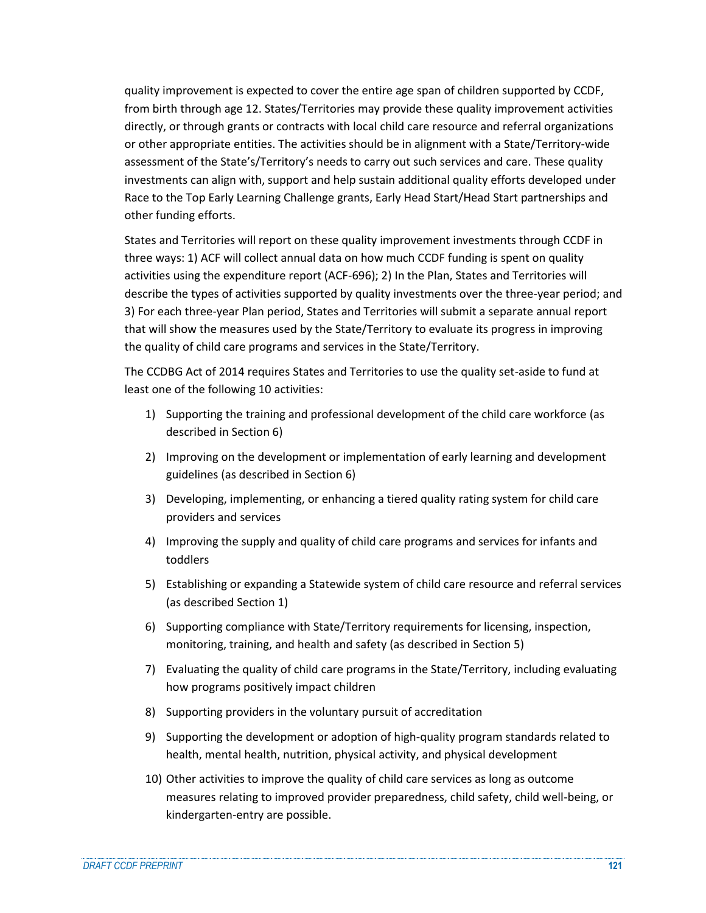quality improvement is expected to cover the entire age span of children supported by CCDF, from birth through age 12. States/Territories may provide these quality improvement activities directly, or through grants or contracts with local child care resource and referral organizations or other appropriate entities. The activities should be in alignment with a State/Territory-wide assessment of the State's/Territory's needs to carry out such services and care. These quality investments can align with, support and help sustain additional quality efforts developed under Race to the Top Early Learning Challenge grants, Early Head Start/Head Start partnerships and other funding efforts.

States and Territories will report on these quality improvement investments through CCDF in three ways: 1) ACF will collect annual data on how much CCDF funding is spent on quality activities using the expenditure report (ACF-696); 2) In the Plan, States and Territories will describe the types of activities supported by quality investments over the three-year period; and 3) For each three-year Plan period, States and Territories will submit a separate annual report that will show the measures used by the State/Territory to evaluate its progress in improving the quality of child care programs and services in the State/Territory.

The CCDBG Act of 2014 requires States and Territories to use the quality set-aside to fund at least one of the following 10 activities:

- 1) Supporting the training and professional development of the child care workforce (as described in Section 6)
- 2) Improving on the development or implementation of early learning and development guidelines (as described in Section 6)
- 3) Developing, implementing, or enhancing a tiered quality rating system for child care providers and services
- 4) Improving the supply and quality of child care programs and services for infants and toddlers
- 5) Establishing or expanding a Statewide system of child care resource and referral services (as described Section 1)
- 6) Supporting compliance with State/Territory requirements for licensing, inspection, monitoring, training, and health and safety (as described in Section 5)
- 7) Evaluating the quality of child care programs in the State/Territory, including evaluating how programs positively impact children
- 8) Supporting providers in the voluntary pursuit of accreditation
- 9) Supporting the development or adoption of high-quality program standards related to health, mental health, nutrition, physical activity, and physical development
- 10) Other activities to improve the quality of child care services as long as outcome measures relating to improved provider preparedness, child safety, child well-being, or kindergarten-entry are possible.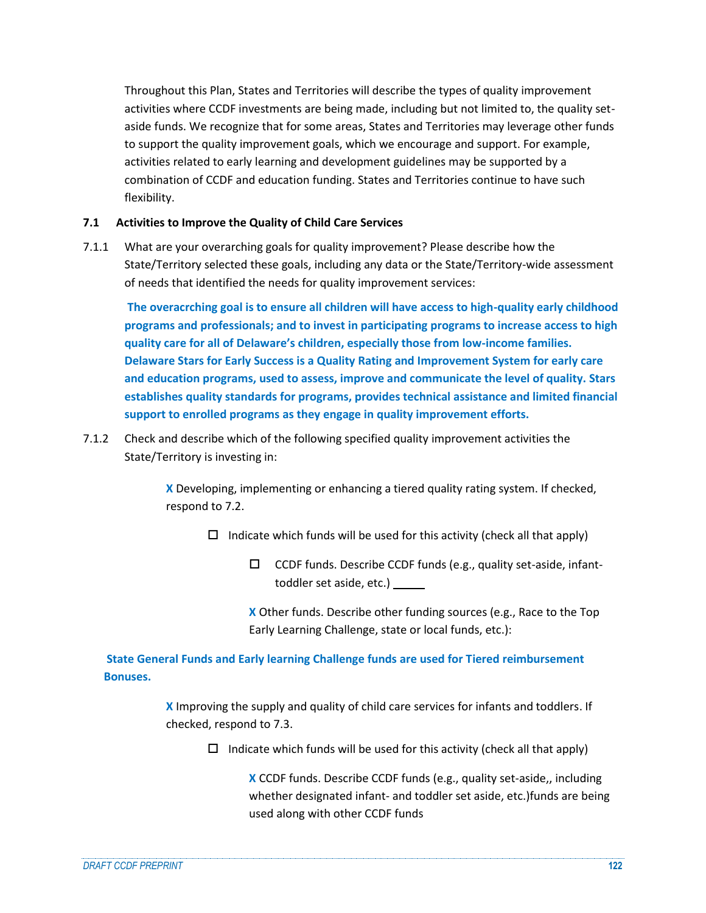Throughout this Plan, States and Territories will describe the types of quality improvement activities where CCDF investments are being made, including but not limited to, the quality setaside funds. We recognize that for some areas, States and Territories may leverage other funds to support the quality improvement goals, which we encourage and support. For example, activities related to early learning and development guidelines may be supported by a combination of CCDF and education funding. States and Territories continue to have such flexibility.

# **7.1 Activities to Improve the Quality of Child Care Services**

7.1.1 What are your overarching goals for quality improvement? Please describe how the State/Territory selected these goals, including any data or the State/Territory-wide assessment of needs that identified the needs for quality improvement services:

**The overacrching goal is to ensure all children will have access to high-quality early childhood programs and professionals; and to invest in participating programs to increase access to high quality care for all of Delaware's children, especially those from low-income families. Delaware Stars for Early Success is a Quality Rating and Improvement System for early care and education programs, used to assess, improve and communicate the level of quality. Stars establishes quality standards for programs, provides technical assistance and limited financial support to enrolled programs as they engage in quality improvement efforts.**

7.1.2 Check and describe which of the following specified quality improvement activities the State/Territory is investing in:

> **X** Developing, implementing or enhancing a tiered quality rating system. If checked, respond to 7.2.

 $\Box$  Indicate which funds will be used for this activity (check all that apply)

 $\square$  CCDF funds. Describe CCDF funds (e.g., quality set-aside, infanttoddler set aside, etc.)

**X** Other funds. Describe other funding sources (e.g., Race to the Top Early Learning Challenge, state or local funds, etc.):

**State General Funds and Early learning Challenge funds are used for Tiered reimbursement Bonuses.**

> **X** Improving the supply and quality of child care services for infants and toddlers. If checked, respond to 7.3.

 $\Box$  Indicate which funds will be used for this activity (check all that apply)

**X** CCDF funds. Describe CCDF funds (e.g., quality set-aside,, including whether designated infant- and toddler set aside, etc.)funds are being used along with other CCDF funds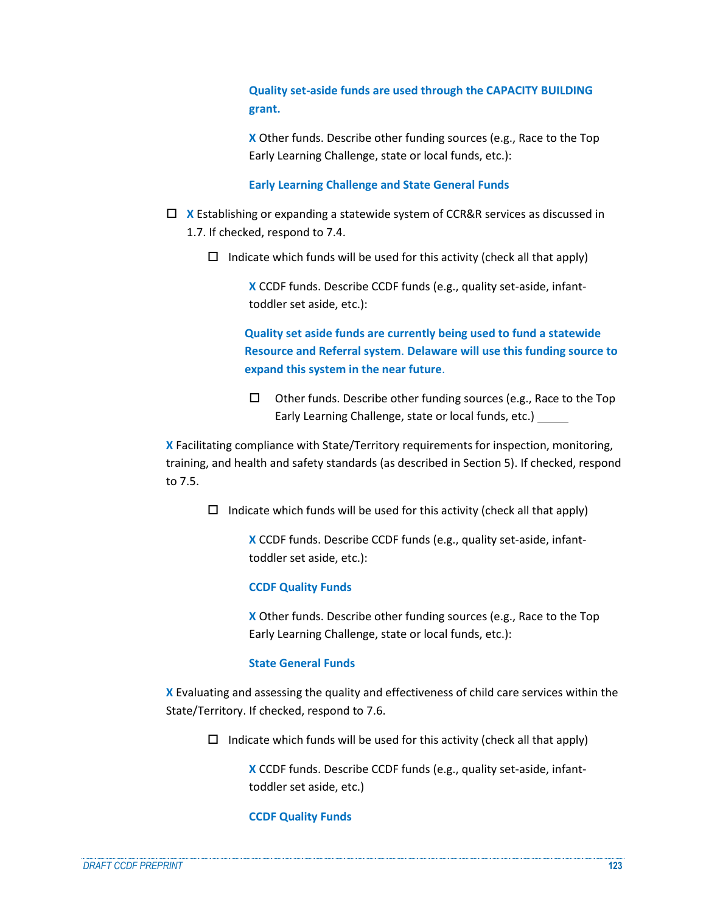**Quality set-aside funds are used through the CAPACITY BUILDING grant.**

**X** Other funds. Describe other funding sources (e.g., Race to the Top Early Learning Challenge, state or local funds, etc.):

**Early Learning Challenge and State General Funds**

- **X** Establishing or expanding a statewide system of CCR&R services as discussed in 1.7. If checked, respond to 7.4.
	- $\Box$  Indicate which funds will be used for this activity (check all that apply)

**X** CCDF funds. Describe CCDF funds (e.g., quality set-aside, infanttoddler set aside, etc.):

**Quality set aside funds are currently being used to fund a statewide Resource and Referral system**. **Delaware will use this funding source to expand this system in the near future**.

 $\Box$  Other funds. Describe other funding sources (e.g., Race to the Top Early Learning Challenge, state or local funds, etc.)

**X** Facilitating compliance with State/Territory requirements for inspection, monitoring, training, and health and safety standards (as described in Section 5). If checked, respond to 7.5.

 $\Box$  Indicate which funds will be used for this activity (check all that apply)

**X** CCDF funds. Describe CCDF funds (e.g., quality set-aside, infanttoddler set aside, etc.):

# **CCDF Quality Funds**

**X** Other funds. Describe other funding sources (e.g., Race to the Top Early Learning Challenge, state or local funds, etc.):

#### **State General Funds**

**X** Evaluating and assessing the quality and effectiveness of child care services within the State/Territory. If checked, respond to 7.6.

 $\Box$  Indicate which funds will be used for this activity (check all that apply)

**X** CCDF funds. Describe CCDF funds (e.g., quality set-aside, infanttoddler set aside, etc.)

# **CCDF Quality Funds**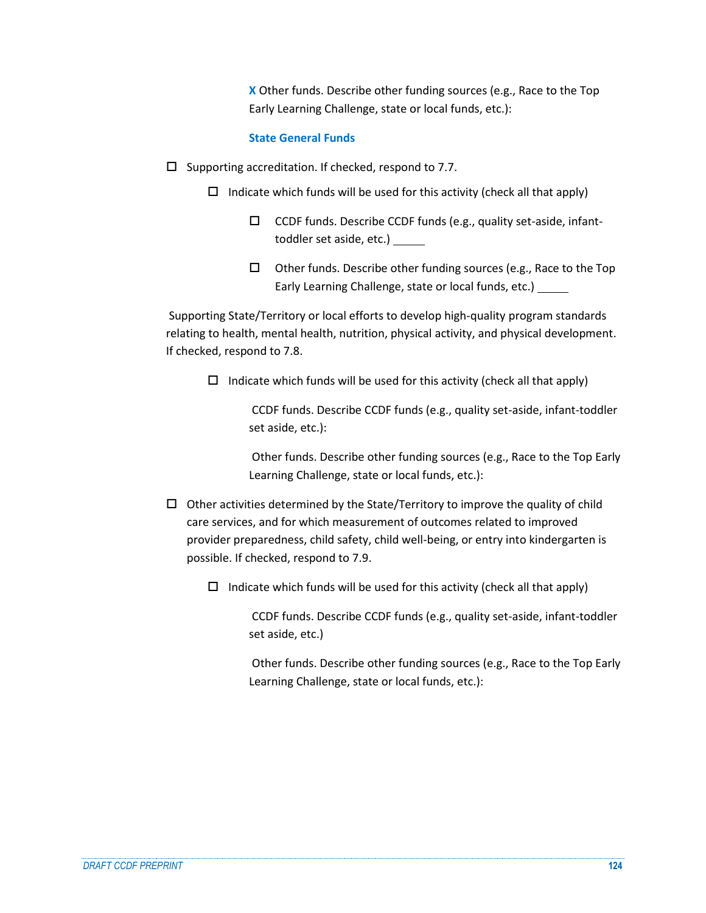**X** Other funds. Describe other funding sources (e.g., Race to the Top Early Learning Challenge, state or local funds, etc.):

### **State General Funds**

- $\square$  Supporting accreditation. If checked, respond to 7.7.
	- $\Box$  Indicate which funds will be used for this activity (check all that apply)
		- $\square$  CCDF funds. Describe CCDF funds (e.g., quality set-aside, infanttoddler set aside, etc.)
		- $\Box$  Other funds. Describe other funding sources (e.g., Race to the Top Early Learning Challenge, state or local funds, etc.)

Supporting State/Territory or local efforts to develop high-quality program standards relating to health, mental health, nutrition, physical activity, and physical development. If checked, respond to 7.8.

 $\Box$  Indicate which funds will be used for this activity (check all that apply)

CCDF funds. Describe CCDF funds (e.g., quality set-aside, infant-toddler set aside, etc.):

Other funds. Describe other funding sources (e.g., Race to the Top Early Learning Challenge, state or local funds, etc.):

- $\Box$  Other activities determined by the State/Territory to improve the quality of child care services, and for which measurement of outcomes related to improved provider preparedness, child safety, child well-being, or entry into kindergarten is possible. If checked, respond to 7.9.
	- $\Box$  Indicate which funds will be used for this activity (check all that apply)

CCDF funds. Describe CCDF funds (e.g., quality set-aside, infant-toddler set aside, etc.)

Other funds. Describe other funding sources (e.g., Race to the Top Early Learning Challenge, state or local funds, etc.):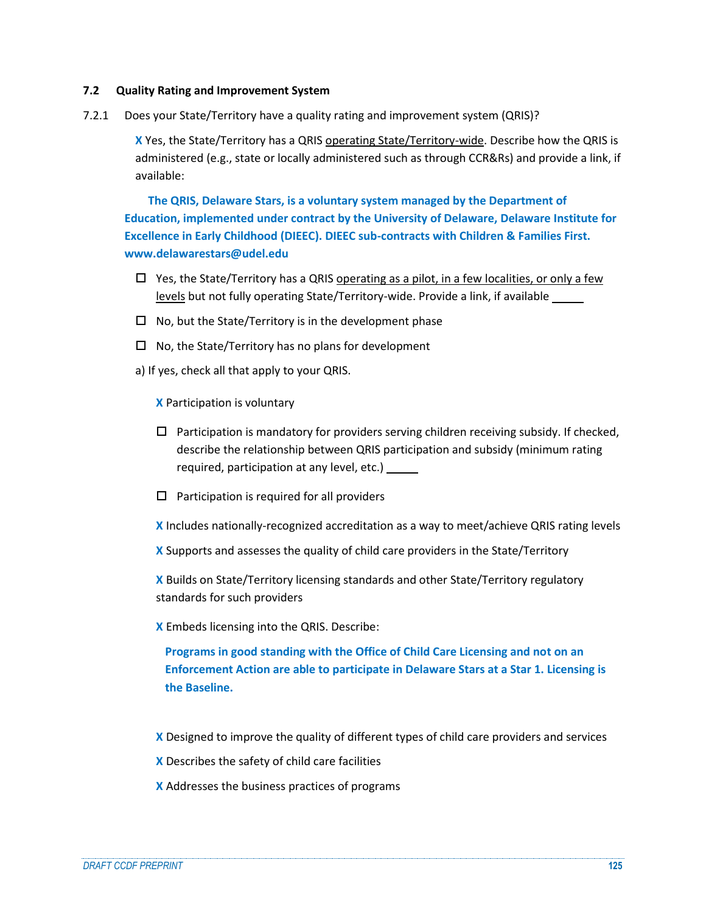#### **7.2 Quality Rating and Improvement System**

7.2.1 Does your State/Territory have a quality rating and improvement system (QRIS)?

**X** Yes, the State/Territory has a QRIS operating State/Territory-wide. Describe how the QRIS is administered (e.g., state or locally administered such as through CCR&Rs) and provide a link, if available:

**The QRIS, Delaware Stars, is a voluntary system managed by the Department of Education, implemented under contract by the University of Delaware, Delaware Institute for Excellence in Early Childhood (DIEEC). DIEEC sub-contracts with Children & Families First. www.delawarestars@udel.edu**

- $\Box$  Yes, the State/Territory has a QRIS operating as a pilot, in a few localities, or only a few levels but not fully operating State/Territory-wide. Provide a link, if available
- $\Box$  No, but the State/Territory is in the development phase
- $\Box$  No, the State/Territory has no plans for development
- a) If yes, check all that apply to your QRIS.

**X** Participation is voluntary

- $\Box$  Participation is mandatory for providers serving children receiving subsidy. If checked, describe the relationship between QRIS participation and subsidy (minimum rating required, participation at any level, etc.)
- $\square$  Participation is required for all providers

**X** Includes nationally-recognized accreditation as a way to meet/achieve QRIS rating levels

**X** Supports and assesses the quality of child care providers in the State/Territory

**X** Builds on State/Territory licensing standards and other State/Territory regulatory standards for such providers

**X** Embeds licensing into the QRIS. Describe:

**Programs in good standing with the Office of Child Care Licensing and not on an Enforcement Action are able to participate in Delaware Stars at a Star 1. Licensing is the Baseline.**

- **X** Designed to improve the quality of different types of child care providers and services
- **X** Describes the safety of child care facilities
- **X** Addresses the business practices of programs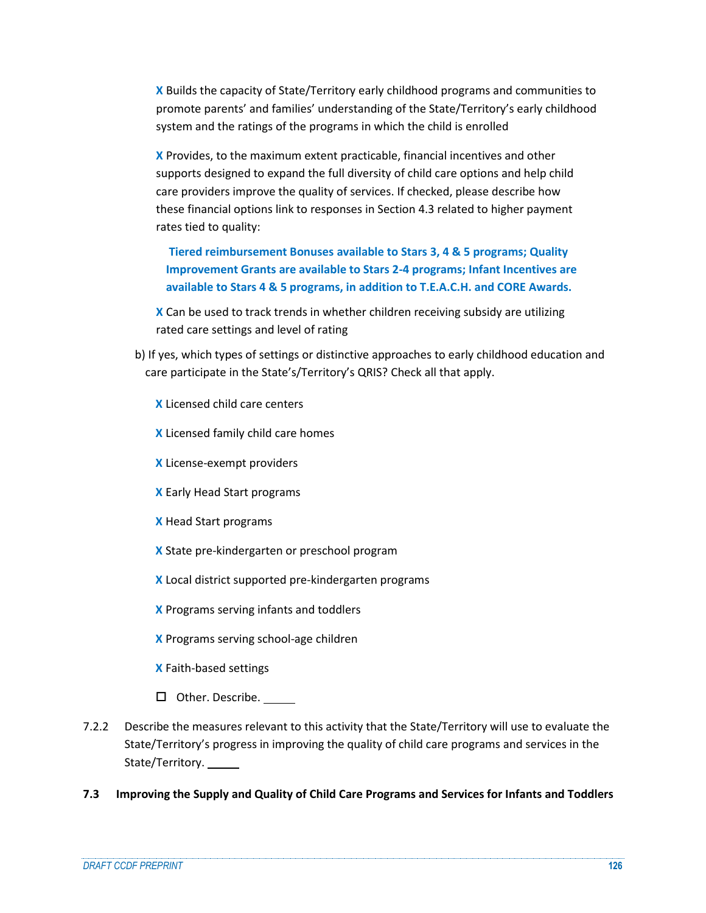**X** Builds the capacity of State/Territory early childhood programs and communities to promote parents' and families' understanding of the State/Territory's early childhood system and the ratings of the programs in which the child is enrolled

**X** Provides, to the maximum extent practicable, financial incentives and other supports designed to expand the full diversity of child care options and help child care providers improve the quality of services. If checked, please describe how these financial options link to responses in Section 4.3 related to higher payment rates tied to quality:

**Tiered reimbursement Bonuses available to Stars 3, 4 & 5 programs; Quality Improvement Grants are available to Stars 2-4 programs; Infant Incentives are available to Stars 4 & 5 programs, in addition to T.E.A.C.H. and CORE Awards.** 

**X** Can be used to track trends in whether children receiving subsidy are utilizing rated care settings and level of rating

- b) If yes, which types of settings or distinctive approaches to early childhood education and care participate in the State's/Territory's QRIS? Check all that apply.
	- **X** Licensed child care centers
	- **X** Licensed family child care homes
	- **X** License-exempt providers
	- **X** Early Head Start programs
	- **X** Head Start programs
	- **X** State pre-kindergarten or preschool program
	- **X** Local district supported pre-kindergarten programs
	- **X** Programs serving infants and toddlers
	- **X** Programs serving school-age children
	- **X** Faith-based settings
	- $\Box$  Other. Describe.
- 7.2.2 Describe the measures relevant to this activity that the State/Territory will use to evaluate the State/Territory's progress in improving the quality of child care programs and services in the State/Territory.
- **7.3 Improving the Supply and Quality of Child Care Programs and Services for Infants and Toddlers**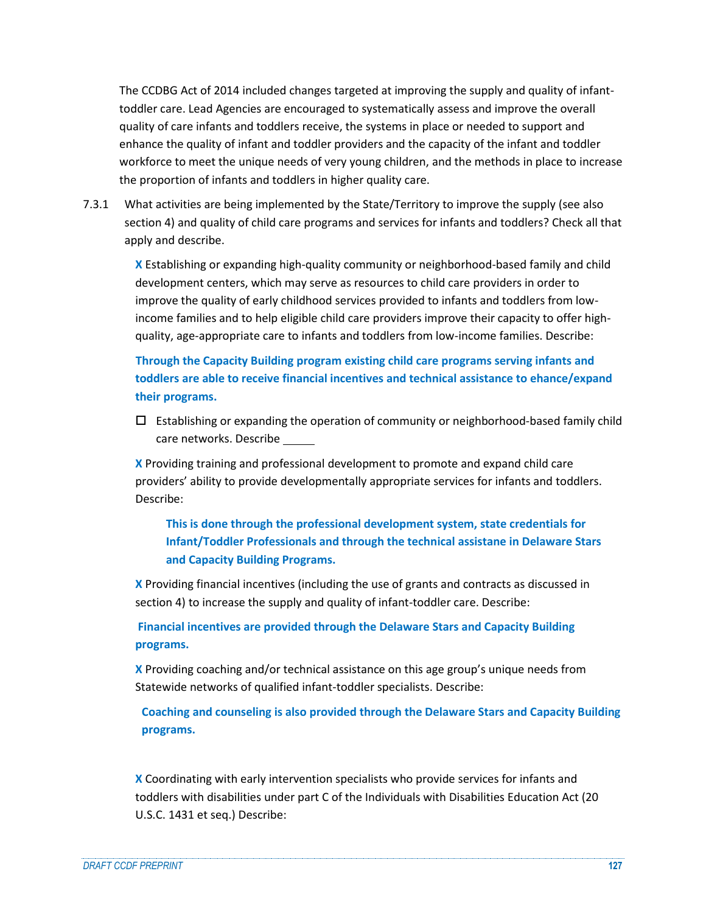The CCDBG Act of 2014 included changes targeted at improving the supply and quality of infanttoddler care. Lead Agencies are encouraged to systematically assess and improve the overall quality of care infants and toddlers receive, the systems in place or needed to support and enhance the quality of infant and toddler providers and the capacity of the infant and toddler workforce to meet the unique needs of very young children, and the methods in place to increase the proportion of infants and toddlers in higher quality care.

7.3.1 What activities are being implemented by the State/Territory to improve the supply (see also section 4) and quality of child care programs and services for infants and toddlers? Check all that apply and describe.

**X** Establishing or expanding high-quality community or neighborhood-based family and child development centers, which may serve as resources to child care providers in order to improve the quality of early childhood services provided to infants and toddlers from lowincome families and to help eligible child care providers improve their capacity to offer highquality, age-appropriate care to infants and toddlers from low-income families. Describe:

**Through the Capacity Building program existing child care programs serving infants and toddlers are able to receive financial incentives and technical assistance to ehance/expand their programs.**

 $\square$  Establishing or expanding the operation of community or neighborhood-based family child care networks. Describe

**X** Providing training and professional development to promote and expand child care providers' ability to provide developmentally appropriate services for infants and toddlers. Describe:

**This is done through the professional development system, state credentials for Infant/Toddler Professionals and through the technical assistane in Delaware Stars and Capacity Building Programs.**

**X** Providing financial incentives (including the use of grants and contracts as discussed in section 4) to increase the supply and quality of infant-toddler care. Describe:

**Financial incentives are provided through the Delaware Stars and Capacity Building programs.**

**X** Providing coaching and/or technical assistance on this age group's unique needs from Statewide networks of qualified infant-toddler specialists. Describe:

**Coaching and counseling is also provided through the Delaware Stars and Capacity Building programs.**

**X** Coordinating with early intervention specialists who provide services for infants and toddlers with disabilities under part C of the Individuals with Disabilities Education Act (20 U.S.C. 1431 et seq.) Describe: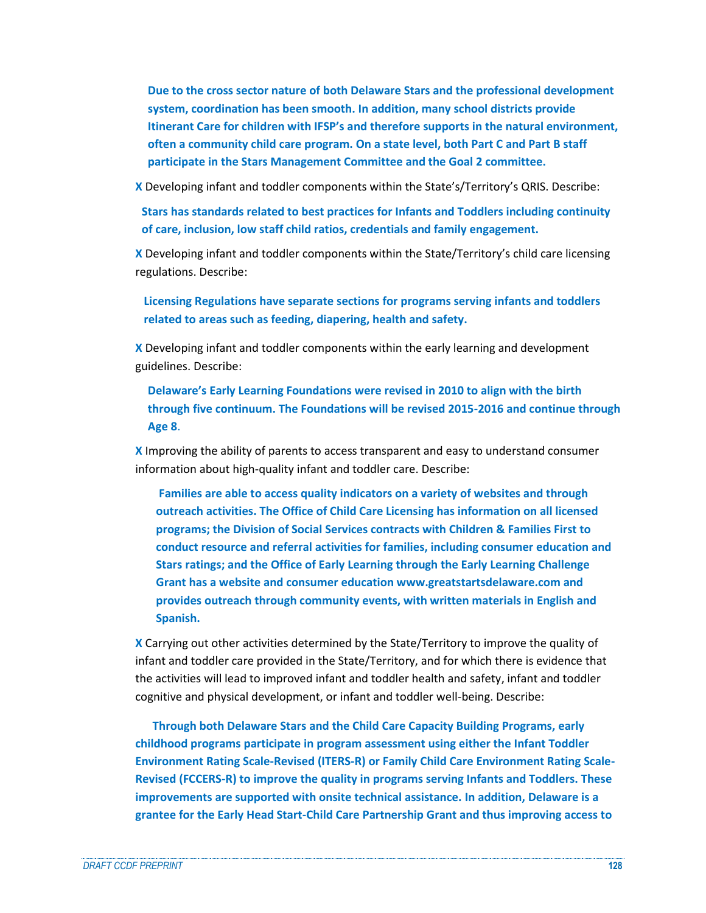**Due to the cross sector nature of both Delaware Stars and the professional development system, coordination has been smooth. In addition, many school districts provide Itinerant Care for children with IFSP's and therefore supports in the natural environment, often a community child care program. On a state level, both Part C and Part B staff participate in the Stars Management Committee and the Goal 2 committee.**

**X** Developing infant and toddler components within the State's/Territory's QRIS. Describe:

**Stars has standards related to best practices for Infants and Toddlers including continuity of care, inclusion, low staff child ratios, credentials and family engagement.**

**X** Developing infant and toddler components within the State/Territory's child care licensing regulations. Describe:

**Licensing Regulations have separate sections for programs serving infants and toddlers related to areas such as feeding, diapering, health and safety.** 

**X** Developing infant and toddler components within the early learning and development guidelines. Describe:

**Delaware's Early Learning Foundations were revised in 2010 to align with the birth through five continuum. The Foundations will be revised 2015-2016 and continue through Age 8**.

**X** Improving the ability of parents to access transparent and easy to understand consumer information about high-quality infant and toddler care. Describe:

**Families are able to access quality indicators on a variety of websites and through outreach activities. The Office of Child Care Licensing has information on all licensed programs; the Division of Social Services contracts with Children & Families First to conduct resource and referral activities for families, including consumer education and Stars ratings; and the Office of Early Learning through the Early Learning Challenge Grant has a website and consumer education www.greatstartsdelaware.com and provides outreach through community events, with written materials in English and Spanish.**

**X** Carrying out other activities determined by the State/Territory to improve the quality of infant and toddler care provided in the State/Territory, and for which there is evidence that the activities will lead to improved infant and toddler health and safety, infant and toddler cognitive and physical development, or infant and toddler well-being. Describe:

 **Through both Delaware Stars and the Child Care Capacity Building Programs, early childhood programs participate in program assessment using either the Infant Toddler Environment Rating Scale-Revised (ITERS-R) or Family Child Care Environment Rating Scale-Revised (FCCERS-R) to improve the quality in programs serving Infants and Toddlers. These improvements are supported with onsite technical assistance. In addition, Delaware is a grantee for the Early Head Start-Child Care Partnership Grant and thus improving access to**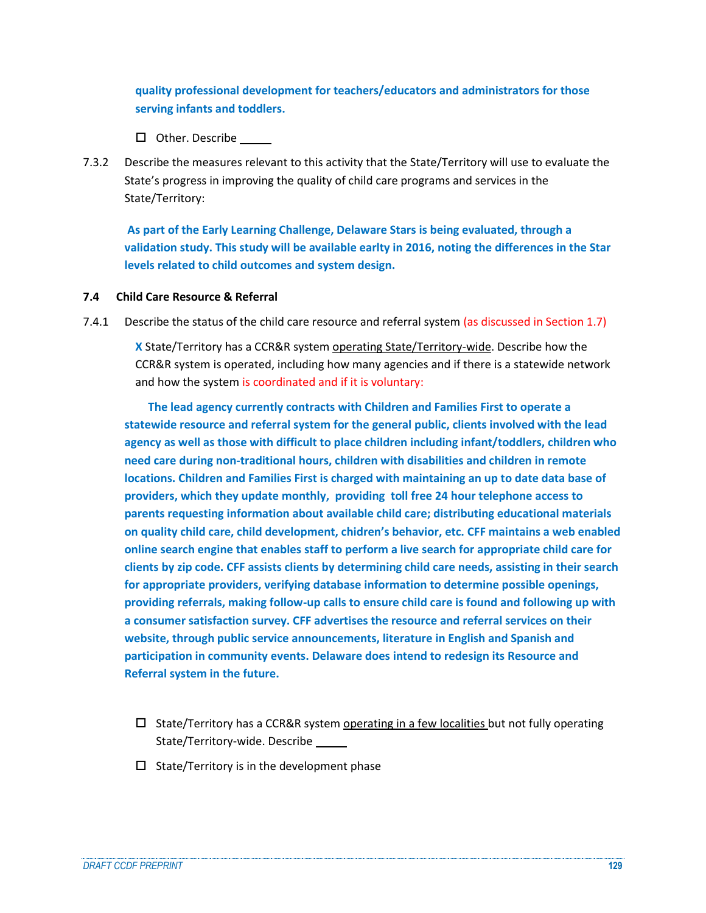# **quality professional development for teachers/educators and administrators for those serving infants and toddlers.**

- $\square$  Other. Describe
- 7.3.2 Describe the measures relevant to this activity that the State/Territory will use to evaluate the State's progress in improving the quality of child care programs and services in the State/Territory:

**As part of the Early Learning Challenge, Delaware Stars is being evaluated, through a validation study. This study will be available earlty in 2016, noting the differences in the Star levels related to child outcomes and system design.**

### **7.4 Child Care Resource & Referral**

7.4.1 Describe the status of the child care resource and referral system (as discussed in Section 1.7)

**X** State/Territory has a CCR&R system operating State/Territory-wide. Describe how the CCR&R system is operated, including how many agencies and if there is a statewide network and how the system is coordinated and if it is voluntary:

**The lead agency currently contracts with Children and Families First to operate a statewide resource and referral system for the general public, clients involved with the lead agency as well as those with difficult to place children including infant/toddlers, children who need care during non-traditional hours, children with disabilities and children in remote locations. Children and Families First is charged with maintaining an up to date data base of providers, which they update monthly, providing toll free 24 hour telephone access to parents requesting information about available child care; distributing educational materials on quality child care, child development, chidren's behavior, etc. CFF maintains a web enabled online search engine that enables staff to perform a live search for appropriate child care for clients by zip code. CFF assists clients by determining child care needs, assisting in their search for appropriate providers, verifying database information to determine possible openings, providing referrals, making follow-up calls to ensure child care is found and following up with a consumer satisfaction survey. CFF advertises the resource and referral services on their website, through public service announcements, literature in English and Spanish and participation in community events. Delaware does intend to redesign its Resource and Referral system in the future.**

- $\square$  State/Territory has a CCR&R system operating in a few localities but not fully operating State/Territory-wide. Describe
- $\square$  State/Territory is in the development phase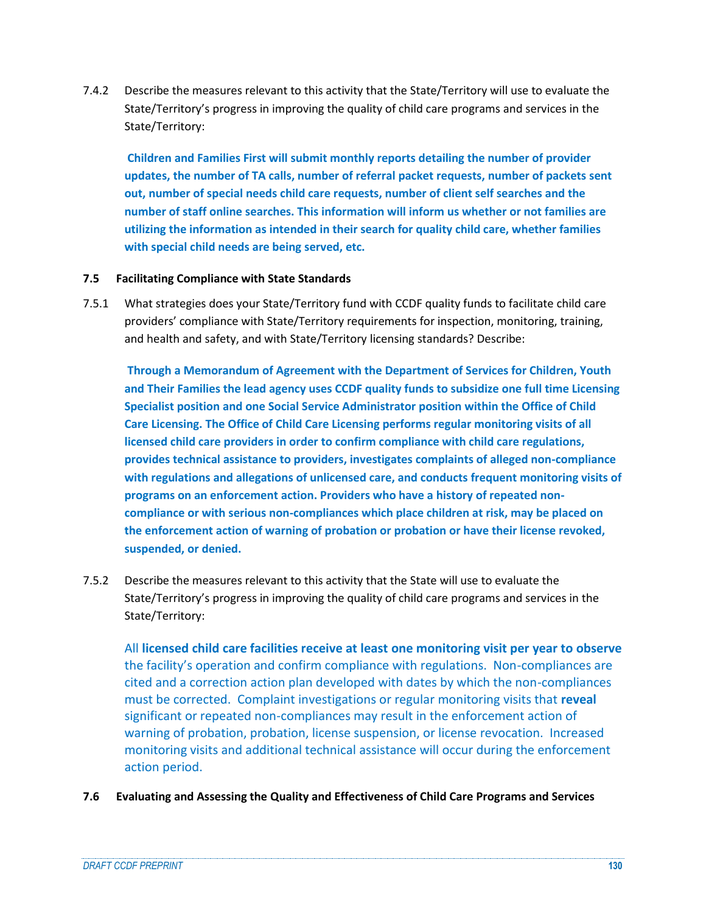7.4.2 Describe the measures relevant to this activity that the State/Territory will use to evaluate the State/Territory's progress in improving the quality of child care programs and services in the State/Territory:

**Children and Families First will submit monthly reports detailing the number of provider updates, the number of TA calls, number of referral packet requests, number of packets sent out, number of special needs child care requests, number of client self searches and the number of staff online searches. This information will inform us whether or not families are utilizing the information as intended in their search for quality child care, whether families with special child needs are being served, etc.**

# **7.5 Facilitating Compliance with State Standards**

7.5.1 What strategies does your State/Territory fund with CCDF quality funds to facilitate child care providers' compliance with State/Territory requirements for inspection, monitoring, training, and health and safety, and with State/Territory licensing standards? Describe:

**Through a Memorandum of Agreement with the Department of Services for Children, Youth and Their Families the lead agency uses CCDF quality funds to subsidize one full time Licensing Specialist position and one Social Service Administrator position within the Office of Child Care Licensing. The Office of Child Care Licensing performs regular monitoring visits of all licensed child care providers in order to confirm compliance with child care regulations, provides technical assistance to providers, investigates complaints of alleged non-compliance with regulations and allegations of unlicensed care, and conducts frequent monitoring visits of programs on an enforcement action. Providers who have a history of repeated noncompliance or with serious non-compliances which place children at risk, may be placed on the enforcement action of warning of probation or probation or have their license revoked, suspended, or denied.** 

7.5.2 Describe the measures relevant to this activity that the State will use to evaluate the State/Territory's progress in improving the quality of child care programs and services in the State/Territory:

All **licensed child care facilities receive at least one monitoring visit per year to observe** the facility's operation and confirm compliance with regulations. Non-compliances are cited and a correction action plan developed with dates by which the non-compliances must be corrected. Complaint investigations or regular monitoring visits that **reveal**  significant or repeated non-compliances may result in the enforcement action of warning of probation, probation, license suspension, or license revocation. Increased monitoring visits and additional technical assistance will occur during the enforcement action period.

**7.6 Evaluating and Assessing the Quality and Effectiveness of Child Care Programs and Services**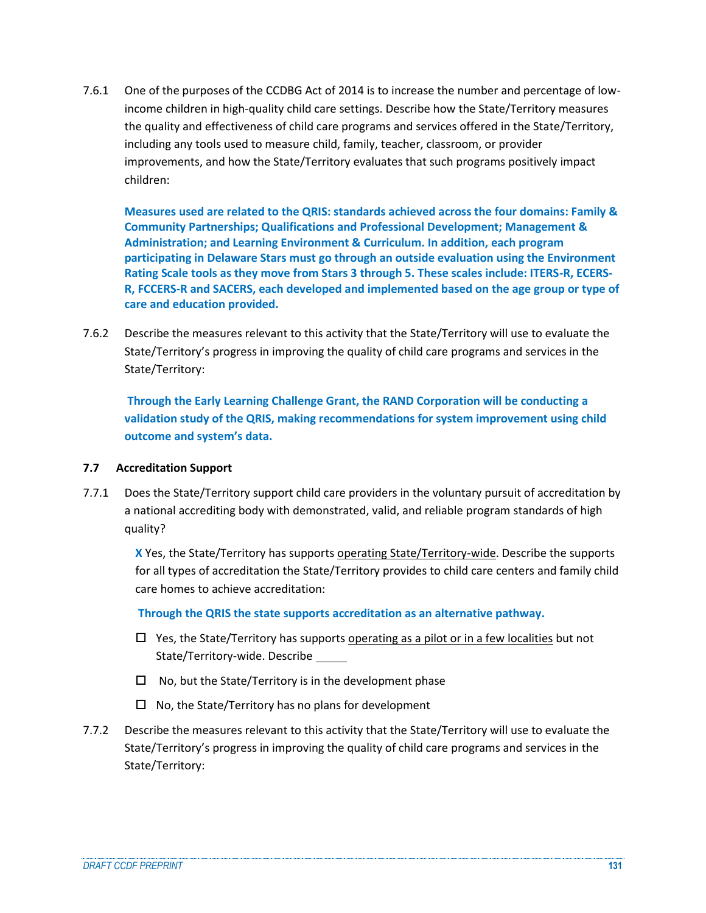7.6.1 One of the purposes of the CCDBG Act of 2014 is to increase the number and percentage of lowincome children in high-quality child care settings. Describe how the State/Territory measures the quality and effectiveness of child care programs and services offered in the State/Territory, including any tools used to measure child, family, teacher, classroom, or provider improvements, and how the State/Territory evaluates that such programs positively impact children:

**Measures used are related to the QRIS: standards achieved across the four domains: Family & Community Partnerships; Qualifications and Professional Development; Management & Administration; and Learning Environment & Curriculum. In addition, each program participating in Delaware Stars must go through an outside evaluation using the Environment Rating Scale tools as they move from Stars 3 through 5. These scales include: ITERS-R, ECERS-R, FCCERS-R and SACERS, each developed and implemented based on the age group or type of care and education provided.** 

7.6.2 Describe the measures relevant to this activity that the State/Territory will use to evaluate the State/Territory's progress in improving the quality of child care programs and services in the State/Territory:

**Through the Early Learning Challenge Grant, the RAND Corporation will be conducting a validation study of the QRIS, making recommendations for system improvement using child outcome and system's data.**

# **7.7 Accreditation Support**

7.7.1 Does the State/Territory support child care providers in the voluntary pursuit of accreditation by a national accrediting body with demonstrated, valid, and reliable program standards of high quality?

**X** Yes, the State/Territory has supports operating State/Territory-wide. Describe the supports for all types of accreditation the State/Territory provides to child care centers and family child care homes to achieve accreditation:

**Through the QRIS the state supports accreditation as an alternative pathway.**

- $\Box$  Yes, the State/Territory has supports operating as a pilot or in a few localities but not State/Territory-wide. Describe
- $\Box$  No, but the State/Territory is in the development phase
- $\Box$  No, the State/Territory has no plans for development
- 7.7.2 Describe the measures relevant to this activity that the State/Territory will use to evaluate the State/Territory's progress in improving the quality of child care programs and services in the State/Territory: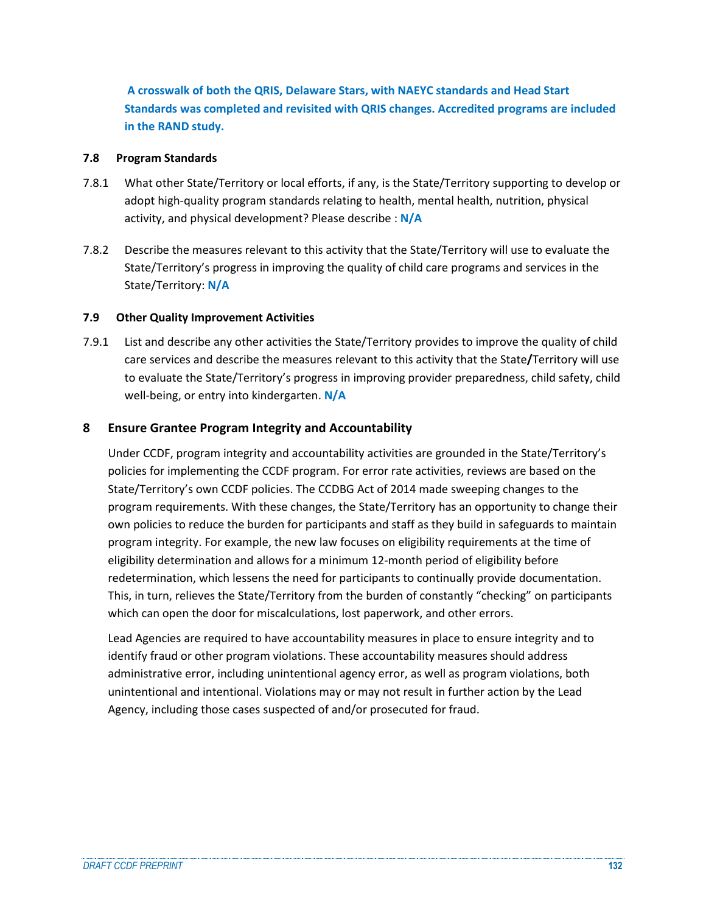**A crosswalk of both the QRIS, Delaware Stars, with NAEYC standards and Head Start Standards was completed and revisited with QRIS changes. Accredited programs are included in the RAND study.**

### **7.8 Program Standards**

- 7.8.1 What other State/Territory or local efforts, if any, is the State/Territory supporting to develop or adopt high-quality program standards relating to health, mental health, nutrition, physical activity, and physical development? Please describe : **N/A**
- 7.8.2 Describe the measures relevant to this activity that the State/Territory will use to evaluate the State/Territory's progress in improving the quality of child care programs and services in the State/Territory: **N/A**

### **7.9 Other Quality Improvement Activities**

7.9.1 List and describe any other activities the State/Territory provides to improve the quality of child care services and describe the measures relevant to this activity that the State**/**Territory will use to evaluate the State/Territory's progress in improving provider preparedness, child safety, child well-being, or entry into kindergarten. **N/A**

# **8 Ensure Grantee Program Integrity and Accountability**

Under CCDF, program integrity and accountability activities are grounded in the State/Territory's policies for implementing the CCDF program. For error rate activities, reviews are based on the State/Territory's own CCDF policies. The CCDBG Act of 2014 made sweeping changes to the program requirements. With these changes, the State/Territory has an opportunity to change their own policies to reduce the burden for participants and staff as they build in safeguards to maintain program integrity. For example, the new law focuses on eligibility requirements at the time of eligibility determination and allows for a minimum 12-month period of eligibility before redetermination, which lessens the need for participants to continually provide documentation. This, in turn, relieves the State/Territory from the burden of constantly "checking" on participants which can open the door for miscalculations, lost paperwork, and other errors.

Lead Agencies are required to have accountability measures in place to ensure integrity and to identify fraud or other program violations. These accountability measures should address administrative error, including unintentional agency error, as well as program violations, both unintentional and intentional. Violations may or may not result in further action by the Lead Agency, including those cases suspected of and/or prosecuted for fraud.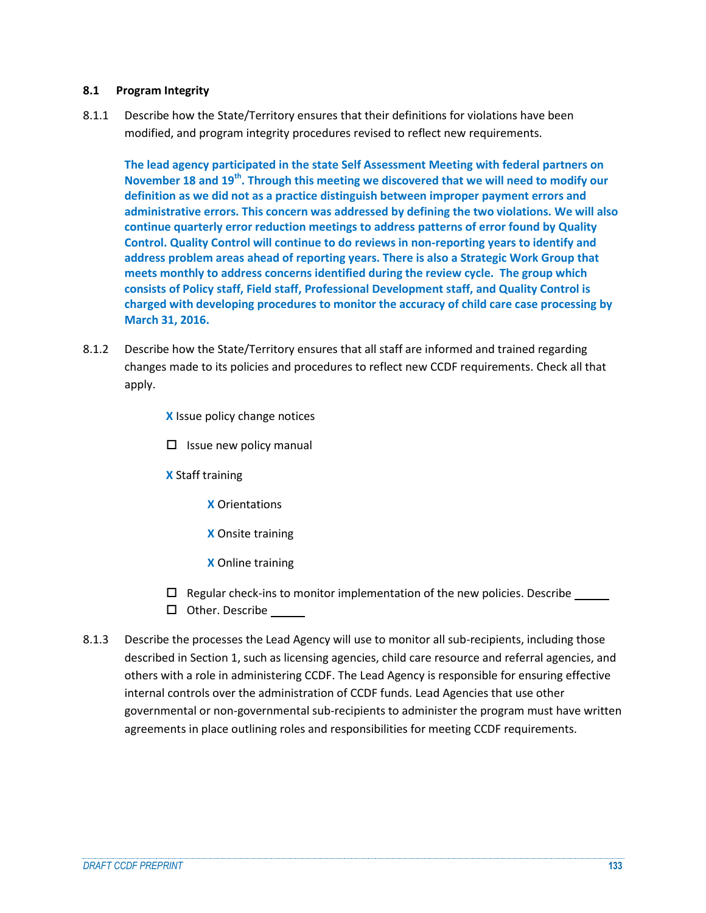### **8.1 Program Integrity**

8.1.1 Describe how the State/Territory ensures that their definitions for violations have been modified, and program integrity procedures revised to reflect new requirements.

**The lead agency participated in the state Self Assessment Meeting with federal partners on November 18 and 19th. Through this meeting we discovered that we will need to modify our definition as we did not as a practice distinguish between improper payment errors and administrative errors. This concern was addressed by defining the two violations. We will also continue quarterly error reduction meetings to address patterns of error found by Quality Control. Quality Control will continue to do reviews in non-reporting years to identify and address problem areas ahead of reporting years. There is also a Strategic Work Group that meets monthly to address concerns identified during the review cycle. The group which consists of Policy staff, Field staff, Professional Development staff, and Quality Control is charged with developing procedures to monitor the accuracy of child care case processing by March 31, 2016.**

- 8.1.2 Describe how the State/Territory ensures that all staff are informed and trained regarding changes made to its policies and procedures to reflect new CCDF requirements. Check all that apply.
	- **X** Issue policy change notices
	- $\square$  Issue new policy manual
	- **X** Staff training
		- **X** Orientations
		- **X** Onsite training
		- **X** Online training
	- $\Box$  Regular check-ins to monitor implementation of the new policies. Describe  $\Box$  Other. Describe
- 8.1.3 Describe the processes the Lead Agency will use to monitor all sub-recipients, including those described in Section 1, such as licensing agencies, child care resource and referral agencies, and others with a role in administering CCDF. The Lead Agency is responsible for ensuring effective internal controls over the administration of CCDF funds. Lead Agencies that use other governmental or non-governmental sub-recipients to administer the program must have written agreements in place outlining roles and responsibilities for meeting CCDF requirements.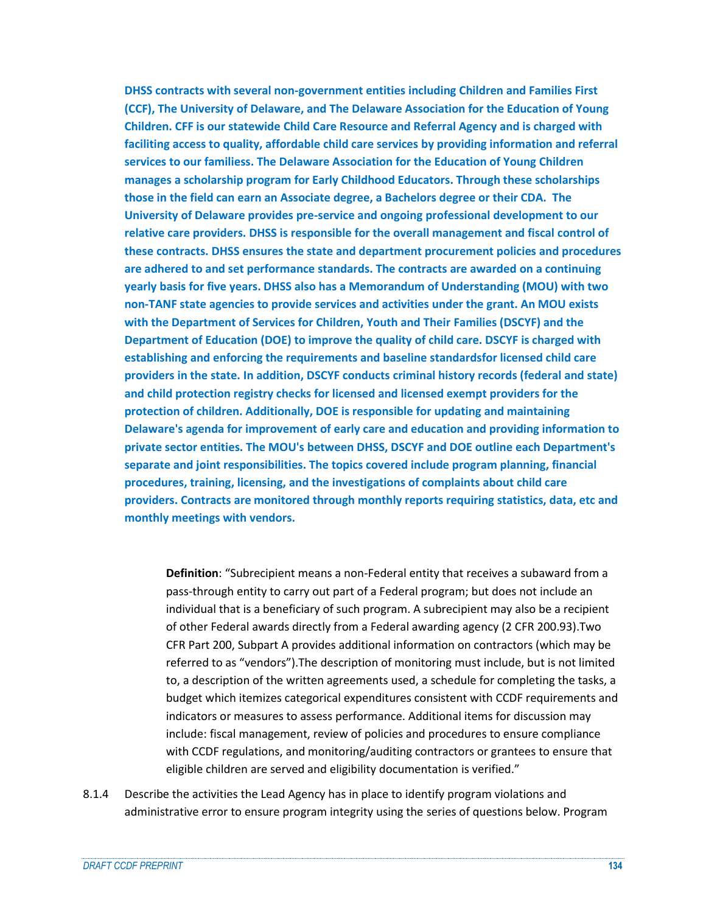**DHSS contracts with several non-government entities including Children and Families First (CCF), The University of Delaware, and The Delaware Association for the Education of Young Children. CFF is our statewide Child Care Resource and Referral Agency and is charged with faciliting access to quality, affordable child care services by providing information and referral services to our familiess. The Delaware Association for the Education of Young Children manages a scholarship program for Early Childhood Educators. Through these scholarships those in the field can earn an Associate degree, a Bachelors degree or their CDA. The University of Delaware provides pre-service and ongoing professional development to our relative care providers. DHSS is responsible for the overall management and fiscal control of these contracts. DHSS ensures the state and department procurement policies and procedures are adhered to and set performance standards. The contracts are awarded on a continuing yearly basis for five years. DHSS also has a Memorandum of Understanding (MOU) with two non-TANF state agencies to provide services and activities under the grant. An MOU exists with the Department of Services for Children, Youth and Their Families (DSCYF) and the Department of Education (DOE) to improve the quality of child care. DSCYF is charged with establishing and enforcing the requirements and baseline standardsfor licensed child care providers in the state. In addition, DSCYF conducts criminal history records (federal and state) and child protection registry checks for licensed and licensed exempt providers for the protection of children. Additionally, DOE is responsible for updating and maintaining Delaware's agenda for improvement of early care and education and providing information to private sector entities. The MOU's between DHSS, DSCYF and DOE outline each Department's separate and joint responsibilities. The topics covered include program planning, financial procedures, training, licensing, and the investigations of complaints about child care providers. Contracts are monitored through monthly reports requiring statistics, data, etc and monthly meetings with vendors.**

**Definition**: "Subrecipient means a non-Federal entity that receives a subaward from a pass-through entity to carry out part of a Federal program; but does not include an individual that is a beneficiary of such program. A subrecipient may also be a recipient of other Federal awards directly from a Federal awarding agency (2 CFR 200.93).Two CFR Part 200, Subpart A provides additional information on contractors (which may be referred to as "vendors").The description of monitoring must include, but is not limited to, a description of the written agreements used, a schedule for completing the tasks, a budget which itemizes categorical expenditures consistent with CCDF requirements and indicators or measures to assess performance. Additional items for discussion may include: fiscal management, review of policies and procedures to ensure compliance with CCDF regulations, and monitoring/auditing contractors or grantees to ensure that eligible children are served and eligibility documentation is verified."

8.1.4 Describe the activities the Lead Agency has in place to identify program violations and administrative error to ensure program integrity using the series of questions below. Program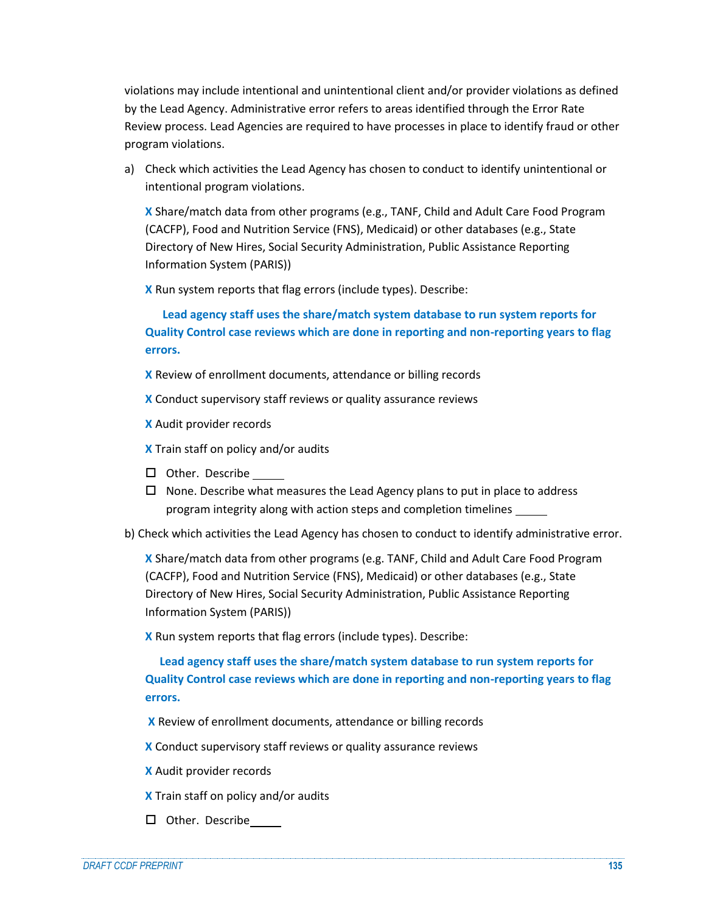violations may include intentional and unintentional client and/or provider violations as defined by the Lead Agency. Administrative error refers to areas identified through the Error Rate Review process. Lead Agencies are required to have processes in place to identify fraud or other program violations.

a) Check which activities the Lead Agency has chosen to conduct to identify unintentional or intentional program violations.

**X** Share/match data from other programs (e.g., TANF, Child and Adult Care Food Program (CACFP), Food and Nutrition Service (FNS), Medicaid) or other databases (e.g., State Directory of New Hires, Social Security Administration, Public Assistance Reporting Information System (PARIS))

**X** Run system reports that flag errors (include types). Describe:

 **Lead agency staff uses the share/match system database to run system reports for Quality Control case reviews which are done in reporting and non-reporting years to flag errors.**

**X** Review of enrollment documents, attendance or billing records

- **X** Conduct supervisory staff reviews or quality assurance reviews
- **X** Audit provider records
- **X** Train staff on policy and/or audits
- □ Other. Describe
- $\Box$  None. Describe what measures the Lead Agency plans to put in place to address program integrity along with action steps and completion timelines

b) Check which activities the Lead Agency has chosen to conduct to identify administrative error.

**X** Share/match data from other programs (e.g. TANF, Child and Adult Care Food Program (CACFP), Food and Nutrition Service (FNS), Medicaid) or other databases (e.g., State Directory of New Hires, Social Security Administration, Public Assistance Reporting Information System (PARIS))

**X** Run system reports that flag errors (include types). Describe:

 **Lead agency staff uses the share/match system database to run system reports for Quality Control case reviews which are done in reporting and non-reporting years to flag errors.**

**X** Review of enrollment documents, attendance or billing records

**X** Conduct supervisory staff reviews or quality assurance reviews

- **X** Audit provider records
- **X** Train staff on policy and/or audits
- □ Other. Describe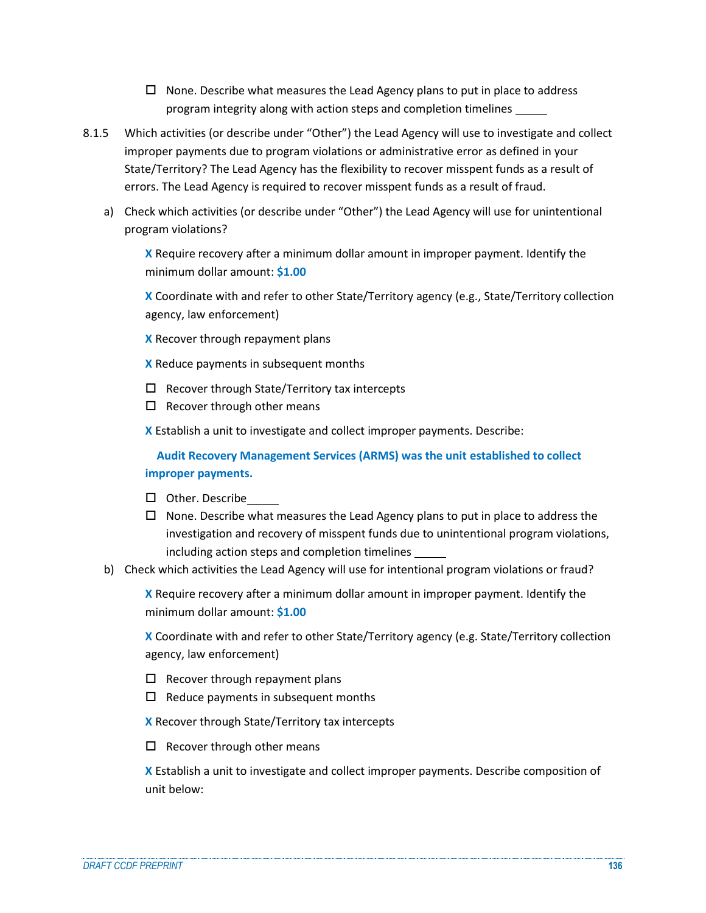- $\Box$  None. Describe what measures the Lead Agency plans to put in place to address program integrity along with action steps and completion timelines
- 8.1.5 Which activities (or describe under "Other") the Lead Agency will use to investigate and collect improper payments due to program violations or administrative error as defined in your State/Territory? The Lead Agency has the flexibility to recover misspent funds as a result of errors. The Lead Agency is required to recover misspent funds as a result of fraud.
	- a) Check which activities (or describe under "Other") the Lead Agency will use for unintentional program violations?

**X** Require recovery after a minimum dollar amount in improper payment. Identify the minimum dollar amount: **\$1.00**

**X** Coordinate with and refer to other State/Territory agency (e.g., State/Territory collection agency, law enforcement)

- **X** Recover through repayment plans
- **X** Reduce payments in subsequent months
- $\Box$  Recover through State/Territory tax intercepts
- $\Box$  Recover through other means

**X** Establish a unit to investigate and collect improper payments. Describe:

 **Audit Recovery Management Services (ARMS) was the unit established to collect improper payments.**

- □ Other. Describe
- $\Box$  None. Describe what measures the Lead Agency plans to put in place to address the investigation and recovery of misspent funds due to unintentional program violations, including action steps and completion timelines
- b) Check which activities the Lead Agency will use for intentional program violations or fraud?

**X** Require recovery after a minimum dollar amount in improper payment. Identify the minimum dollar amount: **\$1.00**

**X** Coordinate with and refer to other State/Territory agency (e.g. State/Territory collection agency, law enforcement)

- $\Box$  Recover through repayment plans
- $\Box$  Reduce payments in subsequent months

**X** Recover through State/Territory tax intercepts

 $\Box$  Recover through other means

**X** Establish a unit to investigate and collect improper payments. Describe composition of unit below: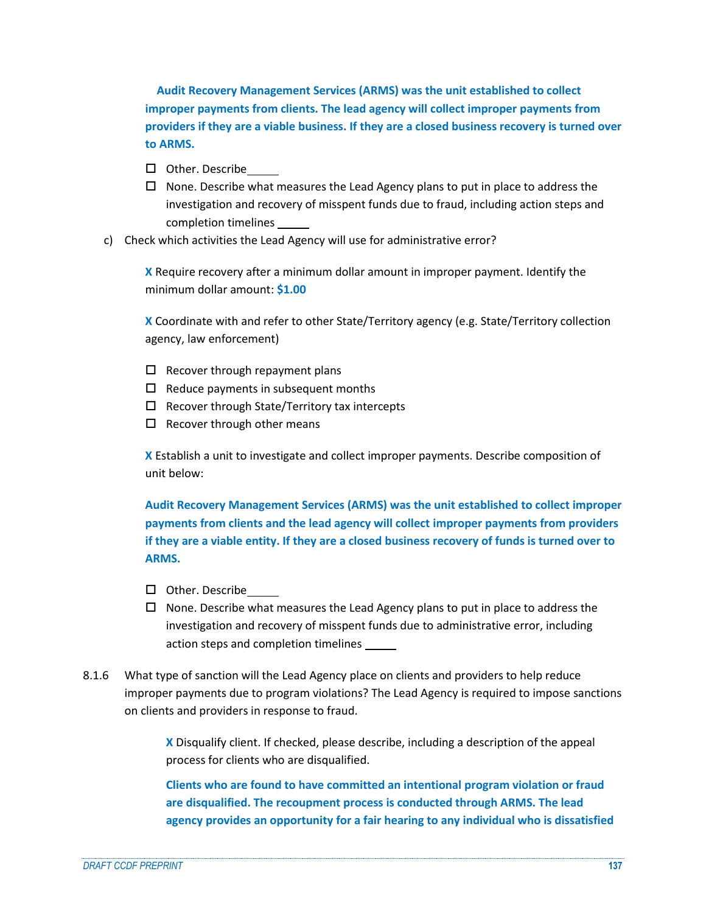**Audit Recovery Management Services (ARMS) was the unit established to collect improper payments from clients. The lead agency will collect improper payments from providers if they are a viable business. If they are a closed business recovery is turned over to ARMS.**

- □ Other. Describe
- $\Box$  None. Describe what measures the Lead Agency plans to put in place to address the investigation and recovery of misspent funds due to fraud, including action steps and completion timelines
- c) Check which activities the Lead Agency will use for administrative error?

**X** Require recovery after a minimum dollar amount in improper payment. Identify the minimum dollar amount: **\$1.00**

**X** Coordinate with and refer to other State/Territory agency (e.g. State/Territory collection agency, law enforcement)

- $\Box$  Recover through repayment plans
- $\Box$  Reduce payments in subsequent months
- $\Box$  Recover through State/Territory tax intercepts
- $\Box$  Recover through other means

**X** Establish a unit to investigate and collect improper payments. Describe composition of unit below:

**Audit Recovery Management Services (ARMS) was the unit established to collect improper payments from clients and the lead agency will collect improper payments from providers if they are a viable entity. If they are a closed business recovery of funds is turned over to ARMS.**

- □ Other. Describe
- $\Box$  None. Describe what measures the Lead Agency plans to put in place to address the investigation and recovery of misspent funds due to administrative error, including action steps and completion timelines
- 8.1.6 What type of sanction will the Lead Agency place on clients and providers to help reduce improper payments due to program violations? The Lead Agency is required to impose sanctions on clients and providers in response to fraud.

**X** Disqualify client. If checked, please describe, including a description of the appeal process for clients who are disqualified.

**Clients who are found to have committed an intentional program violation or fraud are disqualified. The recoupment process is conducted through ARMS. The lead agency provides an opportunity for a fair hearing to any individual who is dissatisfied**